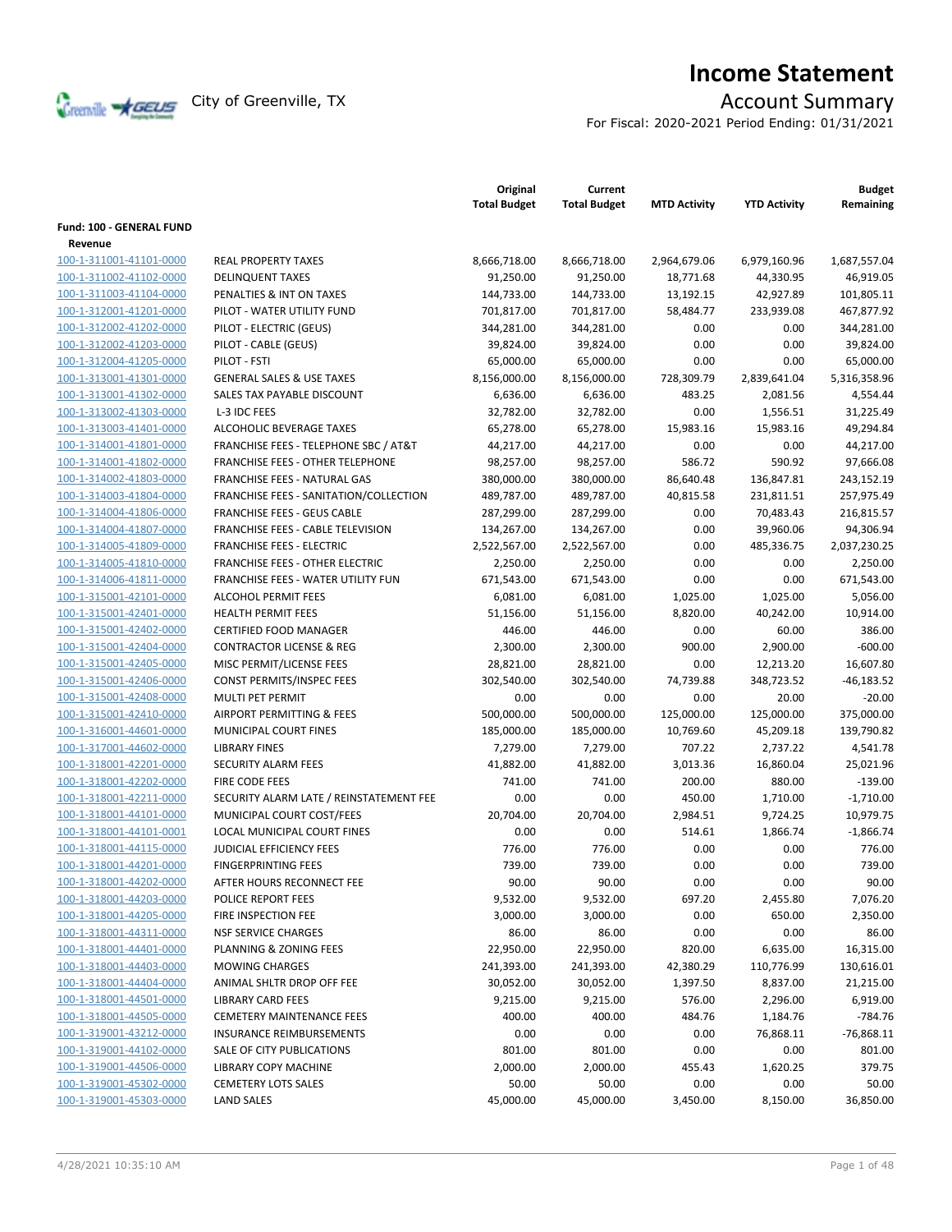

# **Income Statement**

For Fiscal: 2020-2021 Period Ending: 01/31/2021

|                          |                                                  | Original<br><b>Total Budget</b> | Current<br><b>Total Budget</b> | <b>MTD Activity</b> | <b>YTD Activity</b> | <b>Budget</b><br>Remaining |
|--------------------------|--------------------------------------------------|---------------------------------|--------------------------------|---------------------|---------------------|----------------------------|
| Fund: 100 - GENERAL FUND |                                                  |                                 |                                |                     |                     |                            |
| Revenue                  |                                                  |                                 |                                |                     |                     |                            |
| 100-1-311001-41101-0000  | <b>REAL PROPERTY TAXES</b>                       | 8,666,718.00                    | 8,666,718.00                   | 2,964,679.06        | 6,979,160.96        | 1,687,557.04               |
| 100-1-311002-41102-0000  | <b>DELINQUENT TAXES</b>                          | 91,250.00                       | 91,250.00                      | 18,771.68           | 44,330.95           | 46,919.05                  |
| 100-1-311003-41104-0000  | PENALTIES & INT ON TAXES                         | 144,733.00                      | 144,733.00                     | 13,192.15           | 42,927.89           | 101,805.11                 |
| 100-1-312001-41201-0000  | PILOT - WATER UTILITY FUND                       | 701,817.00                      | 701,817.00                     | 58,484.77           | 233,939.08          | 467,877.92                 |
| 100-1-312002-41202-0000  | PILOT - ELECTRIC (GEUS)                          | 344,281.00                      | 344,281.00                     | 0.00                | 0.00                | 344,281.00                 |
| 100-1-312002-41203-0000  | PILOT - CABLE (GEUS)                             | 39,824.00                       | 39,824.00                      | 0.00                | 0.00                | 39,824.00                  |
| 100-1-312004-41205-0000  | PILOT - FSTI                                     | 65,000.00                       | 65,000.00                      | 0.00                | 0.00                | 65,000.00                  |
| 100-1-313001-41301-0000  | <b>GENERAL SALES &amp; USE TAXES</b>             | 8,156,000.00                    | 8,156,000.00                   | 728,309.79          | 2,839,641.04        | 5,316,358.96               |
| 100-1-313001-41302-0000  | SALES TAX PAYABLE DISCOUNT                       | 6,636.00                        | 6,636.00                       | 483.25              | 2,081.56            | 4,554.44                   |
| 100-1-313002-41303-0000  | L-3 IDC FEES                                     | 32,782.00                       | 32,782.00                      | 0.00                | 1,556.51            | 31,225.49                  |
| 100-1-313003-41401-0000  | ALCOHOLIC BEVERAGE TAXES                         |                                 |                                | 15,983.16           |                     |                            |
| 100-1-314001-41801-0000  | <b>FRANCHISE FEES - TELEPHONE SBC / AT&amp;T</b> | 65,278.00<br>44,217.00          | 65,278.00                      | 0.00                | 15,983.16<br>0.00   | 49,294.84<br>44,217.00     |
|                          |                                                  |                                 | 44,217.00                      |                     |                     |                            |
| 100-1-314001-41802-0000  | <b>FRANCHISE FEES - OTHER TELEPHONE</b>          | 98,257.00                       | 98,257.00                      | 586.72              | 590.92              | 97,666.08                  |
| 100-1-314002-41803-0000  | FRANCHISE FEES - NATURAL GAS                     | 380,000.00                      | 380,000.00                     | 86,640.48           | 136,847.81          | 243,152.19                 |
| 100-1-314003-41804-0000  | FRANCHISE FEES - SANITATION/COLLECTION           | 489,787.00                      | 489,787.00                     | 40,815.58           | 231,811.51          | 257,975.49                 |
| 100-1-314004-41806-0000  | <b>FRANCHISE FEES - GEUS CABLE</b>               | 287,299.00                      | 287,299.00                     | 0.00                | 70,483.43           | 216,815.57                 |
| 100-1-314004-41807-0000  | <b>FRANCHISE FEES - CABLE TELEVISION</b>         | 134,267.00                      | 134,267.00                     | 0.00                | 39,960.06           | 94,306.94                  |
| 100-1-314005-41809-0000  | <b>FRANCHISE FEES - ELECTRIC</b>                 | 2,522,567.00                    | 2,522,567.00                   | 0.00                | 485,336.75          | 2,037,230.25               |
| 100-1-314005-41810-0000  | <b>FRANCHISE FEES - OTHER ELECTRIC</b>           | 2,250.00                        | 2,250.00                       | 0.00                | 0.00                | 2,250.00                   |
| 100-1-314006-41811-0000  | FRANCHISE FEES - WATER UTILITY FUN               | 671,543.00                      | 671,543.00                     | 0.00                | 0.00                | 671,543.00                 |
| 100-1-315001-42101-0000  | <b>ALCOHOL PERMIT FEES</b>                       | 6,081.00                        | 6,081.00                       | 1,025.00            | 1,025.00            | 5,056.00                   |
| 100-1-315001-42401-0000  | <b>HEALTH PERMIT FEES</b>                        | 51,156.00                       | 51,156.00                      | 8,820.00            | 40,242.00           | 10,914.00                  |
| 100-1-315001-42402-0000  | <b>CERTIFIED FOOD MANAGER</b>                    | 446.00                          | 446.00                         | 0.00                | 60.00               | 386.00                     |
| 100-1-315001-42404-0000  | <b>CONTRACTOR LICENSE &amp; REG</b>              | 2,300.00                        | 2,300.00                       | 900.00              | 2,900.00            | $-600.00$                  |
| 100-1-315001-42405-0000  | MISC PERMIT/LICENSE FEES                         | 28,821.00                       | 28,821.00                      | 0.00                | 12,213.20           | 16,607.80                  |
| 100-1-315001-42406-0000  | CONST PERMITS/INSPEC FEES                        | 302,540.00                      | 302,540.00                     | 74,739.88           | 348,723.52          | $-46,183.52$               |
| 100-1-315001-42408-0000  | <b>MULTI PET PERMIT</b>                          | 0.00                            | 0.00                           | 0.00                | 20.00               | $-20.00$                   |
| 100-1-315001-42410-0000  | AIRPORT PERMITTING & FEES                        | 500,000.00                      | 500,000.00                     | 125,000.00          | 125,000.00          | 375,000.00                 |
| 100-1-316001-44601-0000  | MUNICIPAL COURT FINES                            | 185,000.00                      | 185,000.00                     | 10,769.60           | 45,209.18           | 139,790.82                 |
| 100-1-317001-44602-0000  | <b>LIBRARY FINES</b>                             | 7,279.00                        | 7,279.00                       | 707.22              | 2,737.22            | 4,541.78                   |
| 100-1-318001-42201-0000  | <b>SECURITY ALARM FEES</b>                       | 41,882.00                       | 41,882.00                      | 3,013.36            | 16,860.04           | 25,021.96                  |
| 100-1-318001-42202-0000  | <b>FIRE CODE FEES</b>                            | 741.00                          | 741.00                         | 200.00              | 880.00              | $-139.00$                  |
| 100-1-318001-42211-0000  | SECURITY ALARM LATE / REINSTATEMENT FEE          | 0.00                            | 0.00                           | 450.00              | 1,710.00            | $-1,710.00$                |
| 100-1-318001-44101-0000  | MUNICIPAL COURT COST/FEES                        | 20,704.00                       | 20,704.00                      | 2,984.51            | 9,724.25            | 10,979.75                  |
| 100-1-318001-44101-0001  | LOCAL MUNICIPAL COURT FINES                      | 0.00                            | 0.00                           | 514.61              | 1,866.74            | $-1,866.74$                |
| 100-1-318001-44115-0000  | <b>JUDICIAL EFFICIENCY FEES</b>                  | 776.00                          | 776.00                         | 0.00                | 0.00                | 776.00                     |
| 100-1-318001-44201-0000  | <b>FINGERPRINTING FEES</b>                       | 739.00                          | 739.00                         | 0.00                | 0.00                | 739.00                     |
| 100-1-318001-44202-0000  | AFTER HOURS RECONNECT FEE                        | 90.00                           | 90.00                          | 0.00                | 0.00                | 90.00                      |
| 100-1-318001-44203-0000  | POLICE REPORT FEES                               | 9,532.00                        | 9,532.00                       | 697.20              | 2,455.80            | 7,076.20                   |
| 100-1-318001-44205-0000  | FIRE INSPECTION FEE                              | 3,000.00                        | 3,000.00                       | 0.00                | 650.00              | 2,350.00                   |
| 100-1-318001-44311-0000  | <b>NSF SERVICE CHARGES</b>                       | 86.00                           | 86.00                          | 0.00                | 0.00                | 86.00                      |
| 100-1-318001-44401-0000  | PLANNING & ZONING FEES                           | 22,950.00                       | 22,950.00                      | 820.00              | 6,635.00            | 16,315.00                  |
| 100-1-318001-44403-0000  | <b>MOWING CHARGES</b>                            | 241,393.00                      | 241,393.00                     | 42,380.29           | 110,776.99          | 130,616.01                 |
| 100-1-318001-44404-0000  | ANIMAL SHLTR DROP OFF FEE                        | 30,052.00                       | 30,052.00                      | 1,397.50            | 8,837.00            | 21,215.00                  |
| 100-1-318001-44501-0000  | <b>LIBRARY CARD FEES</b>                         | 9,215.00                        | 9,215.00                       | 576.00              | 2,296.00            | 6,919.00                   |
| 100-1-318001-44505-0000  | <b>CEMETERY MAINTENANCE FEES</b>                 | 400.00                          | 400.00                         | 484.76              | 1,184.76            | $-784.76$                  |
| 100-1-319001-43212-0000  | INSURANCE REIMBURSEMENTS                         | 0.00                            | 0.00                           | 0.00                | 76,868.11           | $-76,868.11$               |
| 100-1-319001-44102-0000  | SALE OF CITY PUBLICATIONS                        | 801.00                          | 801.00                         | 0.00                | 0.00                | 801.00                     |
| 100-1-319001-44506-0000  | LIBRARY COPY MACHINE                             | 2,000.00                        | 2,000.00                       | 455.43              | 1,620.25            | 379.75                     |
| 100-1-319001-45302-0000  | <b>CEMETERY LOTS SALES</b>                       | 50.00                           | 50.00                          | 0.00                | 0.00                | 50.00                      |
| 100-1-319001-45303-0000  | <b>LAND SALES</b>                                | 45,000.00                       | 45,000.00                      | 3,450.00            | 8,150.00            | 36,850.00                  |
|                          |                                                  |                                 |                                |                     |                     |                            |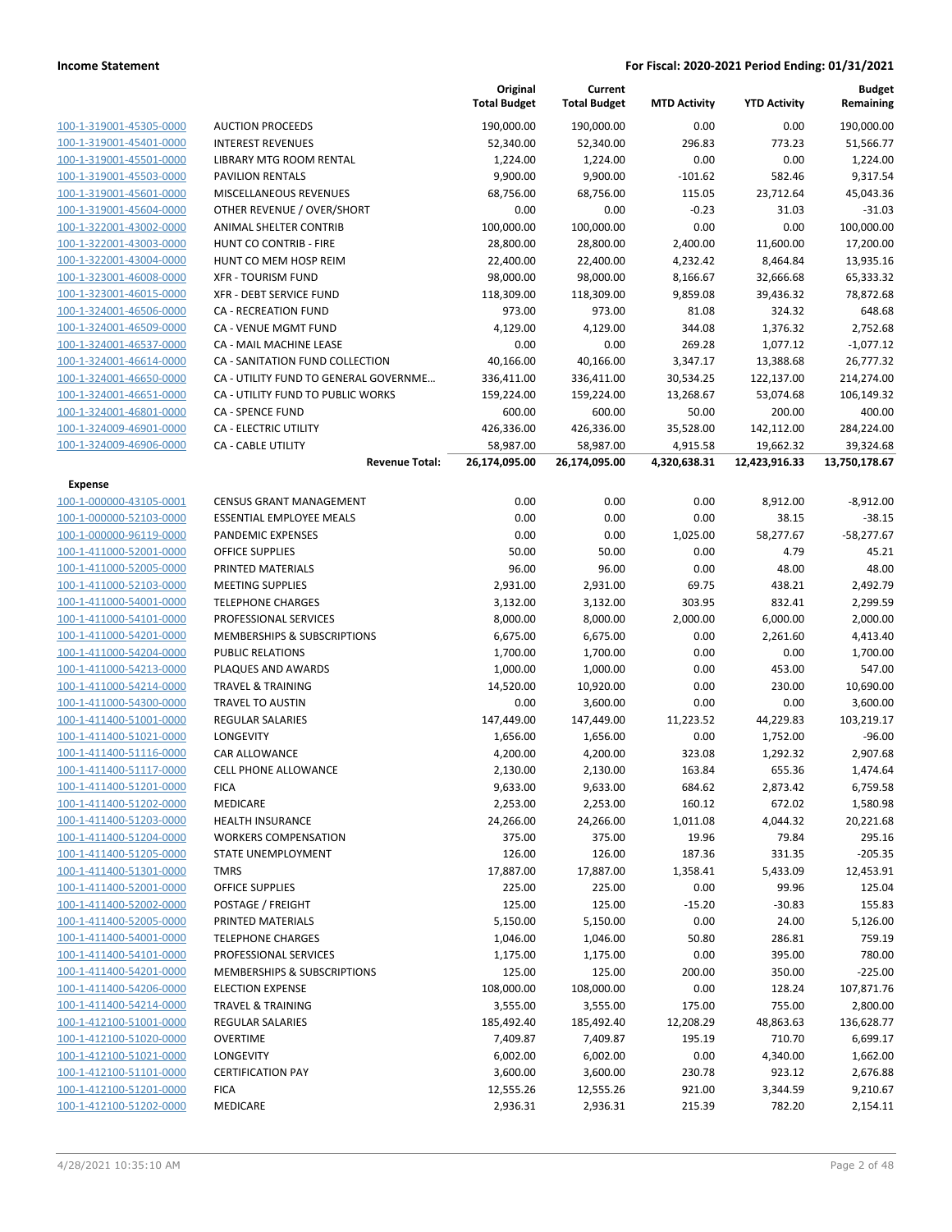|                                                    |                                                    | Original<br><b>Total Budget</b> | Current<br><b>Total Budget</b> | <b>MTD Activity</b> | <b>YTD Activity</b> | <b>Budget</b><br>Remaining |
|----------------------------------------------------|----------------------------------------------------|---------------------------------|--------------------------------|---------------------|---------------------|----------------------------|
| 100-1-319001-45305-0000                            | <b>AUCTION PROCEEDS</b>                            | 190,000.00                      | 190,000.00                     | 0.00                | 0.00                | 190,000.00                 |
| 100-1-319001-45401-0000                            | <b>INTEREST REVENUES</b>                           | 52,340.00                       | 52,340.00                      | 296.83              | 773.23              | 51,566.77                  |
| 100-1-319001-45501-0000                            | LIBRARY MTG ROOM RENTAL                            | 1,224.00                        | 1,224.00                       | 0.00                | 0.00                | 1,224.00                   |
| 100-1-319001-45503-0000                            | <b>PAVILION RENTALS</b>                            | 9,900.00                        | 9,900.00                       | $-101.62$           | 582.46              | 9,317.54                   |
| 100-1-319001-45601-0000                            | MISCELLANEOUS REVENUES                             | 68,756.00                       | 68,756.00                      | 115.05              | 23,712.64           | 45,043.36                  |
| 100-1-319001-45604-0000                            | OTHER REVENUE / OVER/SHORT                         | 0.00                            | 0.00                           | $-0.23$             | 31.03               | $-31.03$                   |
| 100-1-322001-43002-0000                            | ANIMAL SHELTER CONTRIB                             | 100,000.00                      | 100,000.00                     | 0.00                | 0.00                | 100,000.00                 |
| 100-1-322001-43003-0000                            | HUNT CO CONTRIB - FIRE                             | 28,800.00                       | 28,800.00                      | 2,400.00            | 11,600.00           | 17,200.00                  |
| 100-1-322001-43004-0000                            | HUNT CO MEM HOSP REIM                              | 22,400.00                       | 22,400.00                      | 4,232.42            | 8,464.84            | 13,935.16                  |
| 100-1-323001-46008-0000                            | <b>XFR - TOURISM FUND</b>                          | 98,000.00                       | 98,000.00                      | 8,166.67            | 32,666.68           | 65,333.32                  |
| 100-1-323001-46015-0000                            | XFR - DEBT SERVICE FUND                            | 118,309.00                      | 118,309.00                     | 9,859.08            | 39,436.32           | 78,872.68                  |
| 100-1-324001-46506-0000                            | <b>CA - RECREATION FUND</b>                        | 973.00                          | 973.00                         | 81.08               | 324.32              | 648.68                     |
| 100-1-324001-46509-0000                            | CA - VENUE MGMT FUND                               | 4,129.00                        | 4,129.00                       | 344.08              | 1,376.32            | 2,752.68                   |
| 100-1-324001-46537-0000                            | CA - MAIL MACHINE LEASE                            | 0.00                            | 0.00                           | 269.28              | 1,077.12            | $-1,077.12$                |
| 100-1-324001-46614-0000                            | CA - SANITATION FUND COLLECTION                    | 40,166.00                       | 40,166.00                      | 3,347.17            | 13,388.68           | 26,777.32                  |
| 100-1-324001-46650-0000                            | CA - UTILITY FUND TO GENERAL GOVERNME              | 336,411.00                      | 336,411.00                     | 30,534.25           | 122,137.00          | 214,274.00                 |
| 100-1-324001-46651-0000                            | CA - UTILITY FUND TO PUBLIC WORKS                  | 159,224.00                      | 159,224.00                     | 13,268.67           | 53,074.68           | 106,149.32                 |
| 100-1-324001-46801-0000                            | <b>CA - SPENCE FUND</b>                            | 600.00                          | 600.00                         | 50.00               | 200.00              | 400.00                     |
| 100-1-324009-46901-0000                            | CA - ELECTRIC UTILITY                              | 426,336.00                      | 426,336.00                     | 35,528.00           | 142,112.00          | 284,224.00                 |
| 100-1-324009-46906-0000                            | <b>CA - CABLE UTILITY</b><br><b>Revenue Total:</b> | 58,987.00                       | 58,987.00                      | 4,915.58            | 19,662.32           | 39,324.68                  |
|                                                    |                                                    | 26,174,095.00                   | 26,174,095.00                  | 4,320,638.31        | 12,423,916.33       | 13,750,178.67              |
| Expense                                            |                                                    |                                 |                                |                     |                     |                            |
| 100-1-000000-43105-0001                            | <b>CENSUS GRANT MANAGEMENT</b>                     | 0.00                            | 0.00                           | 0.00                | 8,912.00            | $-8,912.00$                |
| 100-1-000000-52103-0000                            | <b>ESSENTIAL EMPLOYEE MEALS</b>                    | 0.00                            | 0.00                           | 0.00                | 38.15               | $-38.15$                   |
| 100-1-000000-96119-0000                            | PANDEMIC EXPENSES                                  | 0.00                            | 0.00                           | 1,025.00            | 58,277.67           | $-58,277.67$               |
| 100-1-411000-52001-0000                            | <b>OFFICE SUPPLIES</b>                             | 50.00                           | 50.00                          | 0.00                | 4.79                | 45.21                      |
| 100-1-411000-52005-0000                            | PRINTED MATERIALS                                  | 96.00                           | 96.00                          | 0.00                | 48.00               | 48.00                      |
| 100-1-411000-52103-0000                            | <b>MEETING SUPPLIES</b>                            | 2,931.00                        | 2,931.00                       | 69.75               | 438.21              | 2,492.79                   |
| 100-1-411000-54001-0000                            | <b>TELEPHONE CHARGES</b>                           | 3,132.00                        | 3,132.00                       | 303.95              | 832.41              | 2,299.59                   |
| 100-1-411000-54101-0000                            | PROFESSIONAL SERVICES                              | 8,000.00                        | 8,000.00                       | 2,000.00            | 6,000.00            | 2,000.00                   |
| 100-1-411000-54201-0000                            | MEMBERSHIPS & SUBSCRIPTIONS                        | 6,675.00                        | 6,675.00                       | 0.00                | 2,261.60            | 4,413.40                   |
| 100-1-411000-54204-0000                            | <b>PUBLIC RELATIONS</b>                            | 1,700.00                        | 1,700.00                       | 0.00                | 0.00                | 1,700.00                   |
| 100-1-411000-54213-0000                            | PLAQUES AND AWARDS                                 | 1,000.00                        | 1,000.00                       | 0.00                | 453.00              | 547.00                     |
| 100-1-411000-54214-0000                            | <b>TRAVEL &amp; TRAINING</b>                       | 14,520.00                       | 10,920.00                      | 0.00                | 230.00              | 10,690.00                  |
| 100-1-411000-54300-0000                            | <b>TRAVEL TO AUSTIN</b>                            | 0.00                            | 3,600.00                       | 0.00                | 0.00                | 3,600.00                   |
| 100-1-411400-51001-0000                            | REGULAR SALARIES                                   | 147,449.00                      | 147,449.00                     | 11,223.52           | 44,229.83           | 103,219.17                 |
| 100-1-411400-51021-0000                            | LONGEVITY<br>CAR ALLOWANCE                         | 1,656.00                        | 1,656.00                       | 0.00                | 1,752.00            | $-96.00$                   |
| 100-1-411400-51116-0000<br>100-1-411400-51117-0000 | <b>CELL PHONE ALLOWANCE</b>                        | 4,200.00                        | 4,200.00                       | 323.08              | 1,292.32            | 2,907.68<br>1,474.64       |
|                                                    |                                                    | 2,130.00                        | 2,130.00                       | 163.84              | 655.36              | 6,759.58                   |
| 100-1-411400-51201-0000<br>100-1-411400-51202-0000 | <b>FICA</b><br>MEDICARE                            | 9,633.00<br>2,253.00            | 9,633.00<br>2,253.00           | 684.62<br>160.12    | 2,873.42<br>672.02  | 1,580.98                   |
| 100-1-411400-51203-0000                            | <b>HEALTH INSURANCE</b>                            | 24,266.00                       | 24,266.00                      | 1,011.08            | 4,044.32            | 20,221.68                  |
| 100-1-411400-51204-0000                            | <b>WORKERS COMPENSATION</b>                        | 375.00                          | 375.00                         | 19.96               | 79.84               | 295.16                     |
| 100-1-411400-51205-0000                            | STATE UNEMPLOYMENT                                 | 126.00                          | 126.00                         | 187.36              | 331.35              | $-205.35$                  |
| 100-1-411400-51301-0000                            | TMRS                                               | 17,887.00                       | 17,887.00                      | 1,358.41            | 5,433.09            | 12,453.91                  |
| 100-1-411400-52001-0000                            | <b>OFFICE SUPPLIES</b>                             | 225.00                          | 225.00                         | 0.00                | 99.96               | 125.04                     |
| 100-1-411400-52002-0000                            | POSTAGE / FREIGHT                                  | 125.00                          | 125.00                         | $-15.20$            | $-30.83$            | 155.83                     |
| 100-1-411400-52005-0000                            | PRINTED MATERIALS                                  | 5,150.00                        | 5,150.00                       | 0.00                | 24.00               | 5,126.00                   |
| 100-1-411400-54001-0000                            | <b>TELEPHONE CHARGES</b>                           | 1,046.00                        | 1,046.00                       | 50.80               | 286.81              | 759.19                     |
| 100-1-411400-54101-0000                            | PROFESSIONAL SERVICES                              | 1,175.00                        | 1,175.00                       | 0.00                | 395.00              | 780.00                     |
| 100-1-411400-54201-0000                            | MEMBERSHIPS & SUBSCRIPTIONS                        | 125.00                          | 125.00                         | 200.00              | 350.00              | $-225.00$                  |
| 100-1-411400-54206-0000                            | <b>ELECTION EXPENSE</b>                            | 108,000.00                      | 108,000.00                     | 0.00                | 128.24              | 107,871.76                 |
| 100-1-411400-54214-0000                            | <b>TRAVEL &amp; TRAINING</b>                       | 3,555.00                        | 3,555.00                       | 175.00              | 755.00              | 2,800.00                   |
| 100-1-412100-51001-0000                            | REGULAR SALARIES                                   | 185,492.40                      | 185,492.40                     | 12,208.29           | 48,863.63           | 136,628.77                 |
| 100-1-412100-51020-0000                            | <b>OVERTIME</b>                                    | 7,409.87                        | 7,409.87                       | 195.19              | 710.70              | 6,699.17                   |
| 100-1-412100-51021-0000                            | LONGEVITY                                          | 6,002.00                        | 6,002.00                       | 0.00                | 4,340.00            | 1,662.00                   |
| 100-1-412100-51101-0000                            | <b>CERTIFICATION PAY</b>                           | 3,600.00                        | 3,600.00                       | 230.78              | 923.12              | 2,676.88                   |
| 100-1-412100-51201-0000                            | <b>FICA</b>                                        | 12,555.26                       | 12,555.26                      | 921.00              | 3,344.59            | 9,210.67                   |
| 100-1-412100-51202-0000                            | MEDICARE                                           | 2,936.31                        | 2,936.31                       | 215.39              | 782.20              | 2,154.11                   |
|                                                    |                                                    |                                 |                                |                     |                     |                            |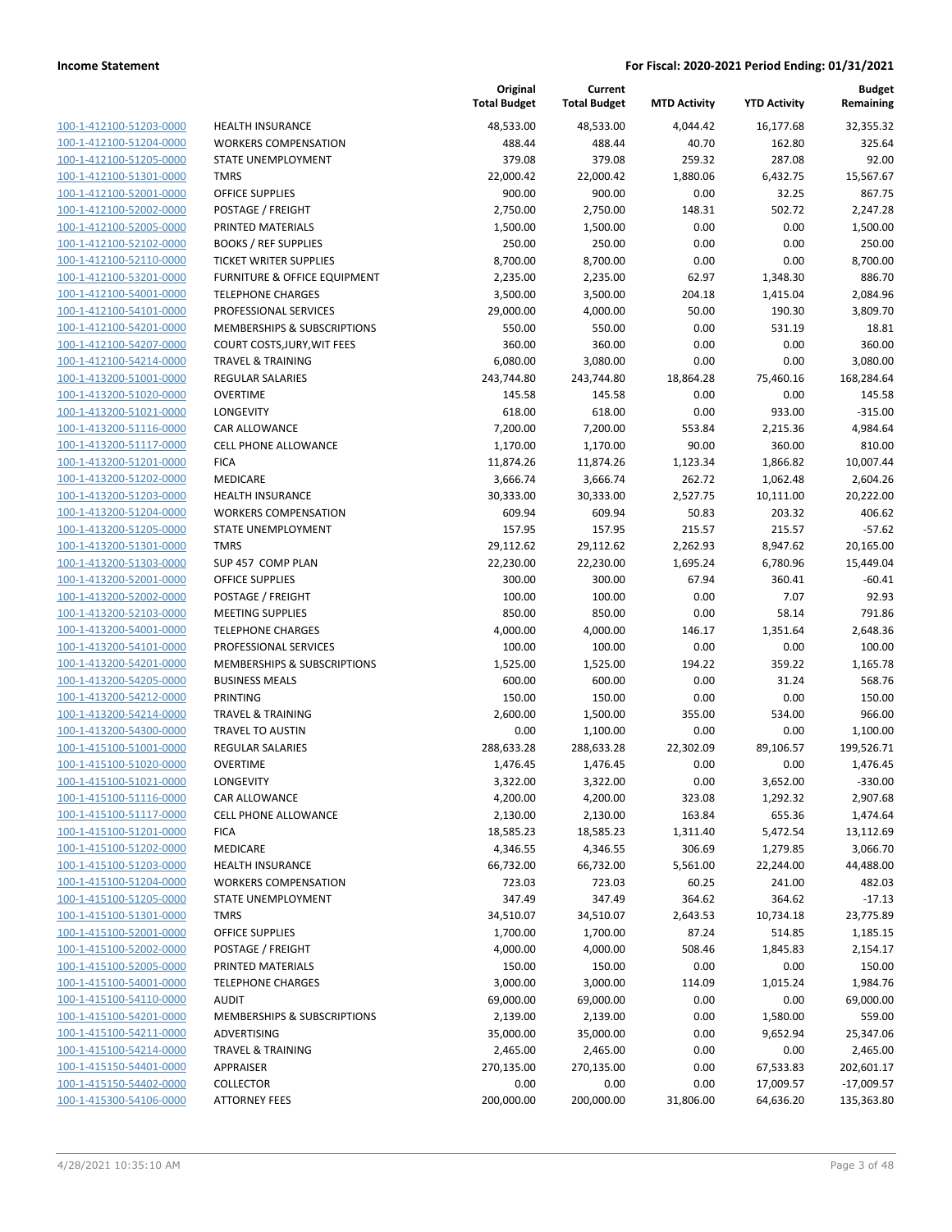| 100-1-412100-51203-0000        |
|--------------------------------|
| 100-1-412100-51204-0000        |
| 100-1-412100-51205-0000        |
| 100-1-412100-51301-0000        |
| 100-1-412100-52001-0000        |
| 100-1-412100-52002-0000        |
| 100-1-412100-52005-0000        |
| 100-1-412100-52102-0000        |
| 100-1-412100-52110-0000        |
| 100-1-412100-53201-0000        |
| 100-1-412100-54001-0000        |
| 100-1-412100-54101-0000        |
| 100-1-412100-54201-0000        |
| 100-1-412100-54207-0000        |
| 100-1-412100-54214-0000        |
| 100-1-413200-51001-0000        |
| 100-1-413200-51020-0000        |
| 100-1-413200-51021-0000        |
| 100-1-413200-51116-0000        |
| 100-1-413200-51117-0000        |
| 100-1-413200-51201-0000        |
| 100-1-413200-51202-0000        |
| 100-1-413200-51203-0000        |
| 100-1-413200-51204-0000        |
| 100-1-413200-51205-0000        |
| 100-1-413200-51301-0000        |
| 100-1-413200-51303-0000        |
| 100-1-413200-52001-0000        |
| 100-1-413200-52002-0000        |
|                                |
| 100-1-413200-52103-0000        |
| 100-1-413200-54001-0000        |
| 100-1-413200-54101-0000        |
| 100-1-413200-54201-0000        |
| 100-1-413200-54205-0000        |
| 100-1-413200-54212-0000        |
| 100-1-413200-54214-0000        |
| 100-1-413200-54300-0000        |
| 100-1-415100-51001-0000        |
| 100-1-415100-51020-0000        |
| 100-1-415100-51021-0000        |
| 100-1-415100-51116-0000        |
| 100-1-415100-51117-0000        |
| 100-1-415100-51201-0000        |
| 100-1-415100-51202-0000        |
| 100-1-415100-51203-0000        |
| 100-1-415100-51204-0000        |
| 100-1-415100-51205-0000        |
| <u>100-1-415100-51301-0000</u> |
| 100-1-415100-52001-0000        |
| <u>100-1-415100-52002-0000</u> |
| <u>100-1-415100-52005-0000</u> |
| 100-1-415100-54001-0000        |
| 100-1-415100-54110-0000        |
| <u>100-1-415100-54201-0000</u> |
| <u>100-1-415100-54211-0000</u> |
| <u>100-1-415100-54214-0000</u> |
| 100-1-415150-54401-0000        |
| <u>100-1-415150-54402-0000</u> |
| 100-1-415300-54106-0000        |
|                                |

|                         |                               | Original<br><b>Total Budget</b> | Current<br><b>Total Budget</b> | <b>MTD Activity</b> | <b>YTD Activity</b> | <b>Budget</b><br>Remaining |
|-------------------------|-------------------------------|---------------------------------|--------------------------------|---------------------|---------------------|----------------------------|
| 100-1-412100-51203-0000 | <b>HEALTH INSURANCE</b>       | 48,533.00                       | 48,533.00                      | 4,044.42            | 16,177.68           | 32,355.32                  |
| 100-1-412100-51204-0000 | <b>WORKERS COMPENSATION</b>   | 488.44                          | 488.44                         | 40.70               | 162.80              | 325.64                     |
| 100-1-412100-51205-0000 | STATE UNEMPLOYMENT            | 379.08                          | 379.08                         | 259.32              | 287.08              | 92.00                      |
| 100-1-412100-51301-0000 | <b>TMRS</b>                   | 22,000.42                       | 22,000.42                      | 1,880.06            | 6,432.75            | 15,567.67                  |
| 100-1-412100-52001-0000 | <b>OFFICE SUPPLIES</b>        | 900.00                          | 900.00                         | 0.00                | 32.25               | 867.75                     |
| 100-1-412100-52002-0000 | POSTAGE / FREIGHT             | 2,750.00                        | 2,750.00                       | 148.31              | 502.72              | 2,247.28                   |
| 100-1-412100-52005-0000 | PRINTED MATERIALS             | 1,500.00                        | 1,500.00                       | 0.00                | 0.00                | 1,500.00                   |
| 100-1-412100-52102-0000 | <b>BOOKS / REF SUPPLIES</b>   | 250.00                          | 250.00                         | 0.00                | 0.00                | 250.00                     |
| 100-1-412100-52110-0000 | <b>TICKET WRITER SUPPLIES</b> | 8,700.00                        | 8,700.00                       | 0.00                | 0.00                | 8,700.00                   |
| 100-1-412100-53201-0000 | FURNITURE & OFFICE EQUIPMENT  | 2,235.00                        | 2,235.00                       | 62.97               | 1,348.30            | 886.70                     |
| 100-1-412100-54001-0000 | <b>TELEPHONE CHARGES</b>      | 3,500.00                        | 3,500.00                       | 204.18              | 1,415.04            | 2,084.96                   |
| 100-1-412100-54101-0000 | PROFESSIONAL SERVICES         | 29,000.00                       | 4,000.00                       | 50.00               | 190.30              | 3,809.70                   |
| 100-1-412100-54201-0000 | MEMBERSHIPS & SUBSCRIPTIONS   | 550.00                          | 550.00                         | 0.00                | 531.19              | 18.81                      |
| 100-1-412100-54207-0000 | COURT COSTS, JURY, WIT FEES   | 360.00                          | 360.00                         | 0.00                | 0.00                | 360.00                     |
| 100-1-412100-54214-0000 | <b>TRAVEL &amp; TRAINING</b>  | 6,080.00                        | 3,080.00                       | 0.00                | 0.00                | 3,080.00                   |
| 100-1-413200-51001-0000 | REGULAR SALARIES              | 243,744.80                      | 243,744.80                     | 18,864.28           | 75,460.16           | 168,284.64                 |
| 100-1-413200-51020-0000 | <b>OVERTIME</b>               | 145.58                          | 145.58                         | 0.00                | 0.00                | 145.58                     |
| 100-1-413200-51021-0000 | <b>LONGEVITY</b>              | 618.00                          | 618.00                         | 0.00                | 933.00              | $-315.00$                  |
| 100-1-413200-51116-0000 | <b>CAR ALLOWANCE</b>          | 7,200.00                        | 7,200.00                       | 553.84              | 2,215.36            | 4,984.64                   |
| 100-1-413200-51117-0000 | <b>CELL PHONE ALLOWANCE</b>   | 1,170.00                        | 1,170.00                       | 90.00               | 360.00              | 810.00                     |
| 100-1-413200-51201-0000 | <b>FICA</b>                   | 11,874.26                       | 11,874.26                      | 1,123.34            | 1,866.82            | 10,007.44                  |
| 100-1-413200-51202-0000 | MEDICARE                      | 3,666.74                        | 3,666.74                       | 262.72              | 1,062.48            | 2,604.26                   |
| 100-1-413200-51203-0000 | <b>HEALTH INSURANCE</b>       | 30,333.00                       | 30,333.00                      | 2,527.75            | 10,111.00           | 20,222.00                  |
| 100-1-413200-51204-0000 | <b>WORKERS COMPENSATION</b>   | 609.94                          | 609.94                         | 50.83               | 203.32              | 406.62                     |
| 100-1-413200-51205-0000 | STATE UNEMPLOYMENT            | 157.95                          | 157.95                         | 215.57              | 215.57              | $-57.62$                   |
| 100-1-413200-51301-0000 | <b>TMRS</b>                   | 29,112.62                       | 29,112.62                      | 2,262.93            | 8,947.62            | 20,165.00                  |
| 100-1-413200-51303-0000 | SUP 457 COMP PLAN             | 22,230.00                       | 22,230.00                      | 1,695.24            | 6,780.96            | 15,449.04                  |
| 100-1-413200-52001-0000 | <b>OFFICE SUPPLIES</b>        | 300.00                          | 300.00                         | 67.94               | 360.41              | $-60.41$                   |
| 100-1-413200-52002-0000 | POSTAGE / FREIGHT             | 100.00                          | 100.00                         | 0.00                | 7.07                | 92.93                      |
| 100-1-413200-52103-0000 | <b>MEETING SUPPLIES</b>       | 850.00                          | 850.00                         | 0.00                | 58.14               | 791.86                     |
| 100-1-413200-54001-0000 | <b>TELEPHONE CHARGES</b>      | 4,000.00                        | 4,000.00                       | 146.17              | 1,351.64            | 2,648.36                   |
| 100-1-413200-54101-0000 | PROFESSIONAL SERVICES         | 100.00                          | 100.00                         | 0.00                | 0.00                | 100.00                     |
| 100-1-413200-54201-0000 | MEMBERSHIPS & SUBSCRIPTIONS   | 1,525.00                        | 1,525.00                       | 194.22              | 359.22              | 1,165.78                   |
| 100-1-413200-54205-0000 | <b>BUSINESS MEALS</b>         | 600.00                          | 600.00                         | 0.00                | 31.24               | 568.76                     |
| 100-1-413200-54212-0000 | <b>PRINTING</b>               | 150.00                          | 150.00                         | 0.00                | 0.00                | 150.00                     |
| 100-1-413200-54214-0000 | <b>TRAVEL &amp; TRAINING</b>  | 2,600.00                        | 1,500.00                       | 355.00              | 534.00              | 966.00                     |
| 100-1-413200-54300-0000 | TRAVEL TO AUSTIN              | 0.00                            | 1,100.00                       | 0.00                | 0.00                | 1,100.00                   |
| 100-1-415100-51001-0000 | REGULAR SALARIES              | 288,633.28                      | 288,633.28                     | 22,302.09           | 89,106.57           | 199,526.71                 |
| 100-1-415100-51020-0000 | <b>OVERTIME</b>               | 1,476.45                        | 1,476.45                       | 0.00                | 0.00                | 1,476.45                   |
| 100-1-415100-51021-0000 | LONGEVITY                     | 3,322.00                        | 3,322.00                       | 0.00                | 3,652.00            | $-330.00$                  |
| 100-1-415100-51116-0000 | CAR ALLOWANCE                 | 4,200.00                        | 4,200.00                       | 323.08              | 1,292.32            | 2,907.68                   |
| 100-1-415100-51117-0000 | CELL PHONE ALLOWANCE          | 2,130.00                        | 2,130.00                       | 163.84              | 655.36              | 1,474.64                   |
| 100-1-415100-51201-0000 | <b>FICA</b>                   | 18,585.23                       | 18,585.23                      | 1,311.40            | 5,472.54            | 13,112.69                  |
| 100-1-415100-51202-0000 | MEDICARE                      | 4,346.55                        | 4,346.55                       | 306.69              | 1,279.85            | 3,066.70                   |
| 100-1-415100-51203-0000 | <b>HEALTH INSURANCE</b>       | 66,732.00                       | 66,732.00                      | 5,561.00            | 22,244.00           | 44,488.00                  |
| 100-1-415100-51204-0000 | <b>WORKERS COMPENSATION</b>   | 723.03                          | 723.03                         | 60.25               | 241.00              | 482.03                     |
| 100-1-415100-51205-0000 | STATE UNEMPLOYMENT            | 347.49                          | 347.49                         | 364.62              | 364.62              | $-17.13$                   |
| 100-1-415100-51301-0000 | <b>TMRS</b>                   | 34,510.07                       | 34,510.07                      | 2,643.53            | 10,734.18           | 23,775.89                  |
| 100-1-415100-52001-0000 | <b>OFFICE SUPPLIES</b>        | 1,700.00                        | 1,700.00                       | 87.24               | 514.85              | 1,185.15                   |
| 100-1-415100-52002-0000 | POSTAGE / FREIGHT             | 4,000.00                        | 4,000.00                       | 508.46              | 1,845.83            | 2,154.17                   |
| 100-1-415100-52005-0000 | PRINTED MATERIALS             | 150.00                          | 150.00                         | 0.00                | 0.00                | 150.00                     |
| 100-1-415100-54001-0000 | <b>TELEPHONE CHARGES</b>      | 3,000.00                        | 3,000.00                       | 114.09              | 1,015.24            | 1,984.76                   |
| 100-1-415100-54110-0000 | <b>AUDIT</b>                  | 69,000.00                       | 69,000.00                      | 0.00                | 0.00                | 69,000.00                  |
| 100-1-415100-54201-0000 | MEMBERSHIPS & SUBSCRIPTIONS   | 2,139.00                        | 2,139.00                       | 0.00                | 1,580.00            | 559.00                     |
| 100-1-415100-54211-0000 | ADVERTISING                   | 35,000.00                       | 35,000.00                      | 0.00                | 9,652.94            | 25,347.06                  |
| 100-1-415100-54214-0000 | <b>TRAVEL &amp; TRAINING</b>  | 2,465.00                        | 2,465.00                       | 0.00                | 0.00                | 2,465.00                   |
| 100-1-415150-54401-0000 | APPRAISER                     | 270,135.00                      | 270,135.00                     | 0.00                | 67,533.83           | 202,601.17                 |
| 100-1-415150-54402-0000 | <b>COLLECTOR</b>              | 0.00                            | 0.00                           | 0.00                | 17,009.57           | $-17,009.57$               |
| 100-1-415300-54106-0000 | <b>ATTORNEY FEES</b>          | 200,000.00                      | 200,000.00                     | 31,806.00           | 64,636.20           | 135,363.80                 |
|                         |                               |                                 |                                |                     |                     |                            |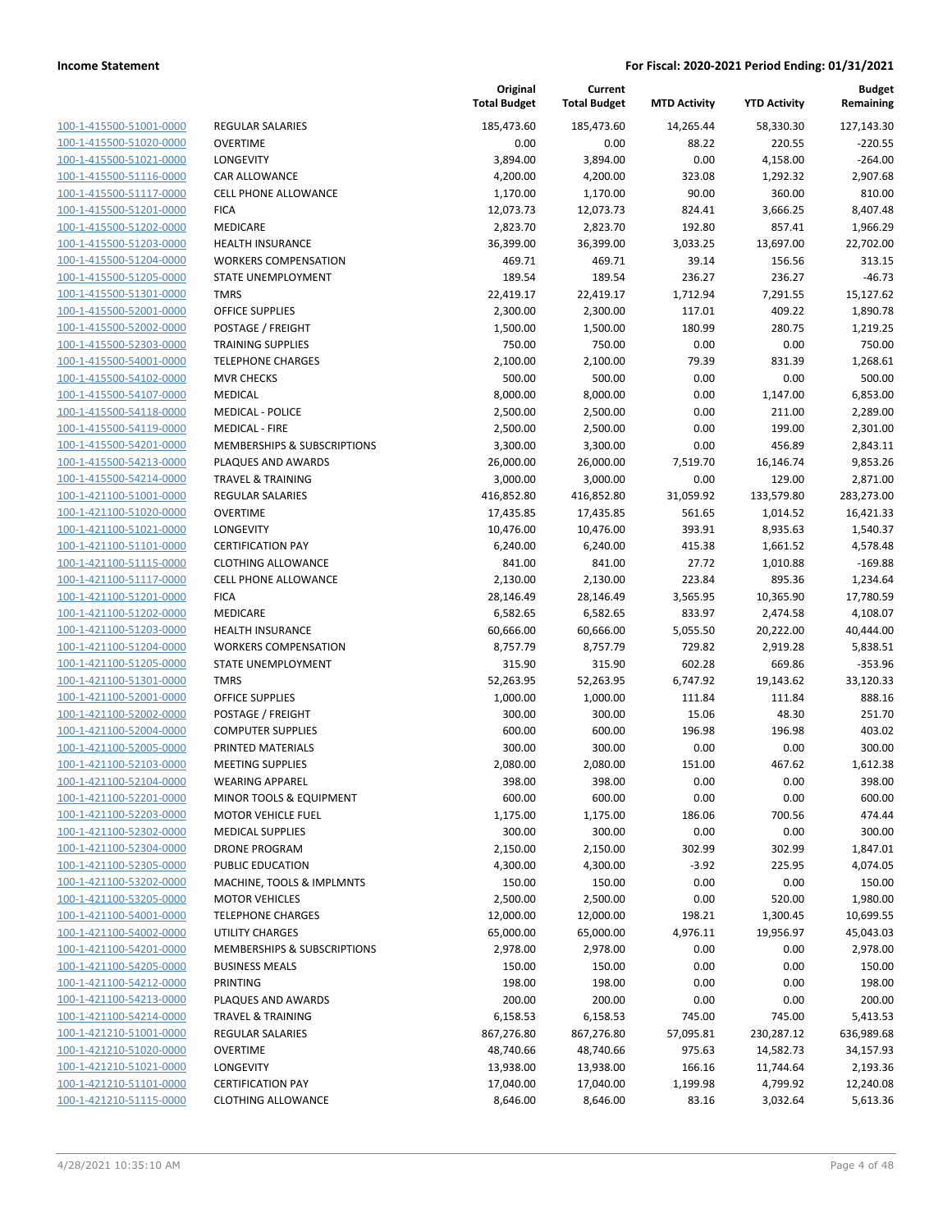| 100-1-415500-51001-0000        |
|--------------------------------|
| 100-1-415500-51020-0000        |
| 100-1-415500-51021-0000        |
| 100-1-415500-51116-0000        |
| 100-1-415500-51117-0000        |
| 100-1-415500-51201-0000        |
| 100-1-415500-51202-0000        |
| 100-1-415500-51203-0000        |
| <u>100-1-415500-51204-0000</u> |
| 100-1-415500-51205-0000        |
| 100-1-415500-51301-0000        |
| 100-1-415500-52001-0000        |
| 100-1-415500-52002-0000        |
| 100-1-415500-52303-0000        |
| 100-1-415500-54001-0000        |
| 100-1-415500-54102-0000        |
| 100-1-415500-54107-0000        |
| 100-1-415500-54118-0000        |
| 100-1-415500-54119-0000        |
| 100-1-415500-54201-0000        |
| 100-1-415500-54213-0000        |
| 100-1-415500-54214-0000        |
| 100-1-421100-51001-0000        |
| 100-1-421100-51020-0000        |
| <u>100-1-421100-51021-0000</u> |
| 100-1-421100-51101-0000        |
| 100-1-421100-51115-0000        |
| 100-1-421100-51117-0000        |
| <u>100-1-421100-51201-0000</u> |
| 100-1-421100-51202-0000        |
| 100-1-421100-51203-0000        |
| 100-1-421100-51204-0000        |
| 100-1-421100-51205-0000        |
| <u>100-1-421100-51301-0000</u> |
| 100-1-421100-52001-0000        |
| 100-1-421100-52002-0000        |
| 100-1-421100-52004-0000        |
| 100-1-421100-52005-0000        |
| 100-1-421100-52103-0000        |
| 100-1-421100-52104-0000        |
| 100-1-421100-52201-0000        |
| <u>100-1-421100-52203-0000</u> |
| 100-1-421100-52302-0000        |
| 100-1-421100-52304-0000        |
| <u>100-1-421100-52305-0000</u> |
| 100-1-421100-53202-0000        |
| <u>100-1-421100-53205-0000</u> |
| 100-1-421100-54001-0000        |
| 100-1-421100-54002-0000        |
| <u>100-1-421100-54201-0000</u> |
| 100-1-421100-54205-0000        |
| 100-1-421100-54212-0000        |
| 100-1-421100-54213-0000        |
| 100-1-421100-54214-0000        |
| <u>100-1-421210-51001-0000</u> |
| <u>100-1-421210-51020-0000</u> |
| <u>100-1-421210-51021-0000</u> |
| 100-1-421210-51101-0000        |
| <u>100-1-421210-51115-0000</u> |
|                                |

| <b>EGULAR SALARIES</b>                                          |
|-----------------------------------------------------------------|
| <b>VERTIME</b>                                                  |
| ONGEVITY                                                        |
| AR ALLOWANCE                                                    |
| <b>ELL PHONE ALLOWANCE</b>                                      |
| ICA                                                             |
| 1EDICARE                                                        |
| IEALTH INSURANCE                                                |
| VORKERS COMPENSATION                                            |
| TATE UNEMPLOYMENT                                               |
| MRS                                                             |
| <b>FFICE SUPPLIES</b>                                           |
| <b>OSTAGE / FREIGHT</b>                                         |
| RAINING SUPPLIES                                                |
| ELEPHONE CHARGES                                                |
| <b>IVR CHECKS</b>                                               |
| 1EDICAL                                                         |
| 1EDICAL - POLICE                                                |
| <b><i>AEDICAL - FIRE</i></b>                                    |
| 1EMBERSHIPS & SUBSCRIPTIONS                                     |
| LAQUES AND AWARDS                                               |
| RAVEL & TRAINING                                                |
| EGULAR SALARIES                                                 |
| <b>VERTIME</b>                                                  |
| ONGEVITY                                                        |
| <b>ERTIFICATION PAY</b>                                         |
| LOTHING ALLOWANCE                                               |
| ELL PHONE ALLOWANCE                                             |
| ICA                                                             |
| <i><b>IEDICARE</b></i>                                          |
| <b>IEALTH INSURANCE</b>                                         |
| VORKERS COMPENSATION                                            |
| TATE UNEMPLOYMENT                                               |
| MRS                                                             |
| PFFICE SUPPLIES                                                 |
| OSTAGE / FREIGHT                                                |
| OMPUTER SUPPLIES                                                |
| RINTED MATERIALS                                                |
| <b><i>IEETING SUPPLIES</i></b>                                  |
|                                                                 |
| VEARING APPAREL                                                 |
| <b>IINOR TOOLS &amp; EQUIPMENT</b>                              |
| 1OTOR VEHICLE FUEL                                              |
| <b><i>IEDICAL SUPPLIES</i></b>                                  |
| RONE PROGRAM                                                    |
| <b>UBLIC EDUCATION</b>                                          |
| <b>AACHINE, TOOLS &amp; IMPLMNTS</b>                            |
| <b><i>IOTOR VEHICLES</i></b>                                    |
| <b>ELEPHONE CHARGES</b>                                         |
|                                                                 |
| <b>TILITY CHARGES</b><br><b>IEMBERSHIPS &amp; SUBSCRIPTIONS</b> |
| <b>USINESS MEALS</b>                                            |
| RINTING                                                         |
| <b>LAQUES AND AWARDS</b>                                        |
|                                                                 |
| RAVEL & TRAINING                                                |
| <b>EGULAR SALARIES</b>                                          |
| <b>VERTIME</b>                                                  |
| ONGEVITY<br><b>ERTIFICATION PAY</b>                             |

|                         |                              | Original<br><b>Total Budget</b> | Current<br><b>Total Budget</b> | <b>MTD Activity</b> | <b>YTD Activity</b> | <b>Budget</b><br>Remaining |
|-------------------------|------------------------------|---------------------------------|--------------------------------|---------------------|---------------------|----------------------------|
| 100-1-415500-51001-0000 | REGULAR SALARIES             | 185,473.60                      | 185,473.60                     | 14,265.44           | 58,330.30           | 127,143.30                 |
| 100-1-415500-51020-0000 | <b>OVERTIME</b>              | 0.00                            | 0.00                           | 88.22               | 220.55              | $-220.55$                  |
| 100-1-415500-51021-0000 | LONGEVITY                    | 3,894.00                        | 3,894.00                       | 0.00                | 4,158.00            | $-264.00$                  |
| 100-1-415500-51116-0000 | CAR ALLOWANCE                | 4,200.00                        | 4,200.00                       | 323.08              | 1,292.32            | 2,907.68                   |
| 100-1-415500-51117-0000 | <b>CELL PHONE ALLOWANCE</b>  | 1,170.00                        | 1,170.00                       | 90.00               | 360.00              | 810.00                     |
| 100-1-415500-51201-0000 | <b>FICA</b>                  | 12,073.73                       | 12,073.73                      | 824.41              | 3,666.25            | 8,407.48                   |
| 100-1-415500-51202-0000 | MEDICARE                     | 2,823.70                        | 2,823.70                       | 192.80              | 857.41              | 1,966.29                   |
| 100-1-415500-51203-0000 | <b>HEALTH INSURANCE</b>      | 36,399.00                       | 36,399.00                      | 3,033.25            | 13,697.00           | 22,702.00                  |
| 100-1-415500-51204-0000 | <b>WORKERS COMPENSATION</b>  | 469.71                          | 469.71                         | 39.14               | 156.56              | 313.15                     |
| 100-1-415500-51205-0000 | STATE UNEMPLOYMENT           | 189.54                          | 189.54                         | 236.27              | 236.27              | $-46.73$                   |
| 100-1-415500-51301-0000 | <b>TMRS</b>                  | 22,419.17                       | 22,419.17                      | 1,712.94            | 7,291.55            | 15,127.62                  |
| 100-1-415500-52001-0000 | <b>OFFICE SUPPLIES</b>       | 2,300.00                        | 2,300.00                       | 117.01              | 409.22              | 1,890.78                   |
| 100-1-415500-52002-0000 | POSTAGE / FREIGHT            | 1,500.00                        | 1,500.00                       | 180.99              | 280.75              | 1,219.25                   |
| 100-1-415500-52303-0000 | <b>TRAINING SUPPLIES</b>     | 750.00                          | 750.00                         | 0.00                | 0.00                | 750.00                     |
| 100-1-415500-54001-0000 | <b>TELEPHONE CHARGES</b>     | 2,100.00                        | 2,100.00                       | 79.39               | 831.39              | 1,268.61                   |
| 100-1-415500-54102-0000 | <b>MVR CHECKS</b>            | 500.00                          | 500.00                         | 0.00                | 0.00                | 500.00                     |
| 100-1-415500-54107-0000 | <b>MEDICAL</b>               | 8,000.00                        | 8,000.00                       | 0.00                | 1,147.00            | 6,853.00                   |
| 100-1-415500-54118-0000 | <b>MEDICAL - POLICE</b>      | 2,500.00                        | 2,500.00                       | 0.00                | 211.00              | 2,289.00                   |
| 100-1-415500-54119-0000 | <b>MEDICAL - FIRE</b>        | 2,500.00                        | 2,500.00                       | 0.00                | 199.00              | 2,301.00                   |
| 100-1-415500-54201-0000 | MEMBERSHIPS & SUBSCRIPTIONS  | 3,300.00                        | 3,300.00                       | 0.00                | 456.89              | 2,843.11                   |
| 100-1-415500-54213-0000 | PLAQUES AND AWARDS           | 26,000.00                       | 26,000.00                      | 7,519.70            | 16,146.74           | 9,853.26                   |
| 100-1-415500-54214-0000 | <b>TRAVEL &amp; TRAINING</b> | 3,000.00                        | 3,000.00                       | 0.00                | 129.00              | 2,871.00                   |
| 100-1-421100-51001-0000 | REGULAR SALARIES             | 416,852.80                      | 416,852.80                     | 31,059.92           | 133,579.80          | 283,273.00                 |
| 100-1-421100-51020-0000 | <b>OVERTIME</b>              | 17,435.85                       | 17,435.85                      | 561.65              | 1,014.52            | 16,421.33                  |
| 100-1-421100-51021-0000 | LONGEVITY                    | 10,476.00                       | 10,476.00                      | 393.91              | 8,935.63            | 1,540.37                   |
| 100-1-421100-51101-0000 | <b>CERTIFICATION PAY</b>     | 6,240.00                        | 6,240.00                       | 415.38              | 1,661.52            | 4,578.48                   |
| 100-1-421100-51115-0000 | <b>CLOTHING ALLOWANCE</b>    | 841.00                          | 841.00                         | 27.72               | 1,010.88            | $-169.88$                  |
| 100-1-421100-51117-0000 | <b>CELL PHONE ALLOWANCE</b>  | 2,130.00                        | 2,130.00                       | 223.84              | 895.36              | 1,234.64                   |
| 100-1-421100-51201-0000 | <b>FICA</b>                  | 28,146.49                       | 28,146.49                      | 3,565.95            | 10,365.90           | 17,780.59                  |
| 100-1-421100-51202-0000 | MEDICARE                     | 6,582.65                        | 6,582.65                       | 833.97              | 2,474.58            | 4,108.07                   |
| 100-1-421100-51203-0000 | <b>HEALTH INSURANCE</b>      | 60,666.00                       | 60,666.00                      | 5,055.50            | 20,222.00           | 40,444.00                  |
| 100-1-421100-51204-0000 | <b>WORKERS COMPENSATION</b>  | 8,757.79                        | 8,757.79                       | 729.82              | 2,919.28            | 5,838.51                   |
| 100-1-421100-51205-0000 | STATE UNEMPLOYMENT           | 315.90                          | 315.90                         | 602.28              | 669.86              | $-353.96$                  |
| 100-1-421100-51301-0000 | <b>TMRS</b>                  | 52,263.95                       | 52,263.95                      | 6,747.92            | 19,143.62           | 33,120.33                  |
| 100-1-421100-52001-0000 | <b>OFFICE SUPPLIES</b>       | 1,000.00                        | 1,000.00                       | 111.84              | 111.84              | 888.16                     |
| 100-1-421100-52002-0000 | POSTAGE / FREIGHT            | 300.00                          | 300.00                         | 15.06               | 48.30               | 251.70                     |
| 100-1-421100-52004-0000 | <b>COMPUTER SUPPLIES</b>     | 600.00                          | 600.00                         | 196.98              | 196.98              | 403.02                     |
| 100-1-421100-52005-0000 | PRINTED MATERIALS            | 300.00                          | 300.00                         | 0.00                | 0.00                | 300.00                     |
| 100-1-421100-52103-0000 | <b>MEETING SUPPLIES</b>      | 2,080.00                        | 2,080.00                       | 151.00              | 467.62              | 1,612.38                   |
| 100-1-421100-52104-0000 | <b>WEARING APPAREL</b>       | 398.00                          | 398.00                         | 0.00                | 0.00                | 398.00                     |
| 100-1-421100-52201-0000 | MINOR TOOLS & EQUIPMENT      | 600.00                          | 600.00                         | 0.00                | 0.00                | 600.00                     |
| 100-1-421100-52203-0000 | <b>MOTOR VEHICLE FUEL</b>    | 1,175.00                        | 1,175.00                       | 186.06              | 700.56              | 474.44                     |
| 100-1-421100-52302-0000 | <b>MEDICAL SUPPLIES</b>      | 300.00                          | 300.00                         | 0.00                | 0.00                | 300.00                     |
| 100-1-421100-52304-0000 | <b>DRONE PROGRAM</b>         | 2,150.00                        | 2,150.00                       | 302.99              | 302.99              | 1,847.01                   |
| 100-1-421100-52305-0000 | PUBLIC EDUCATION             | 4,300.00                        | 4,300.00                       | $-3.92$             | 225.95              | 4,074.05                   |
| 100-1-421100-53202-0000 | MACHINE, TOOLS & IMPLMNTS    | 150.00                          | 150.00                         | 0.00                | 0.00                | 150.00                     |
| 100-1-421100-53205-0000 | <b>MOTOR VEHICLES</b>        | 2,500.00                        | 2,500.00                       | 0.00                | 520.00              | 1,980.00                   |
| 100-1-421100-54001-0000 | <b>TELEPHONE CHARGES</b>     | 12,000.00                       | 12,000.00                      | 198.21              | 1,300.45            | 10,699.55                  |
| 100-1-421100-54002-0000 | UTILITY CHARGES              | 65,000.00                       | 65,000.00                      | 4,976.11            | 19,956.97           | 45,043.03                  |
| 100-1-421100-54201-0000 | MEMBERSHIPS & SUBSCRIPTIONS  | 2,978.00                        | 2,978.00                       | 0.00                | 0.00                | 2,978.00                   |
| 100-1-421100-54205-0000 | <b>BUSINESS MEALS</b>        | 150.00                          | 150.00                         | 0.00                | 0.00                | 150.00                     |
| 100-1-421100-54212-0000 | <b>PRINTING</b>              | 198.00                          | 198.00                         | 0.00                | 0.00                | 198.00                     |
| 100-1-421100-54213-0000 | PLAQUES AND AWARDS           | 200.00                          | 200.00                         | 0.00                | 0.00                | 200.00                     |
| 100-1-421100-54214-0000 | <b>TRAVEL &amp; TRAINING</b> | 6,158.53                        | 6,158.53                       | 745.00              | 745.00              | 5,413.53                   |
| 100-1-421210-51001-0000 | REGULAR SALARIES             | 867,276.80                      | 867,276.80                     | 57,095.81           | 230,287.12          | 636,989.68                 |
| 100-1-421210-51020-0000 | <b>OVERTIME</b>              | 48,740.66                       | 48,740.66                      | 975.63              | 14,582.73           | 34,157.93                  |
| 100-1-421210-51021-0000 | <b>LONGEVITY</b>             | 13,938.00                       | 13,938.00                      | 166.16              | 11,744.64           | 2,193.36                   |
| 100-1-421210-51101-0000 | <b>CERTIFICATION PAY</b>     | 17,040.00                       | 17,040.00                      | 1,199.98            | 4,799.92            | 12,240.08                  |
| 100-1-421210-51115-0000 | <b>CLOTHING ALLOWANCE</b>    | 8,646.00                        | 8,646.00                       | 83.16               | 3,032.64            | 5,613.36                   |
|                         |                              |                                 |                                |                     |                     |                            |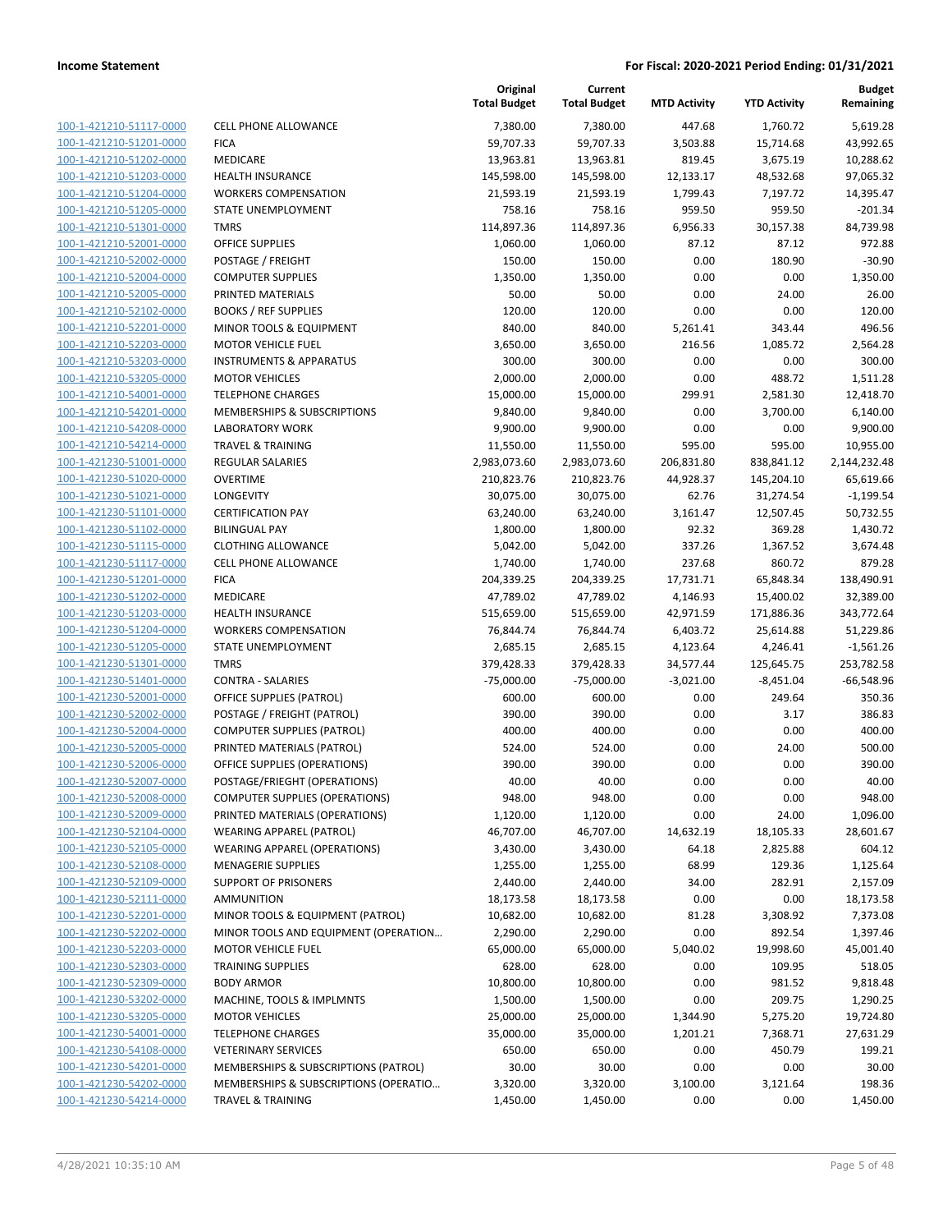| 100-1-421210-51117-0000                            | <b>CELL PHONE ALLOWANCE</b>                                      |
|----------------------------------------------------|------------------------------------------------------------------|
| 100-1-421210-51201-0000                            | <b>FICA</b>                                                      |
| 100-1-421210-51202-0000                            | <b>MEDICARE</b>                                                  |
| 100-1-421210-51203-0000                            | <b>HEALTH INSURANCE</b>                                          |
| 100-1-421210-51204-0000                            | <b>WORKERS COMPENSATION</b>                                      |
| 100-1-421210-51205-0000                            | STATE UNEMPLOYMENT                                               |
| 100-1-421210-51301-0000                            | TMRS                                                             |
| 100-1-421210-52001-0000                            | <b>OFFICE SUPPLIES</b>                                           |
| 100-1-421210-52002-0000                            | <b>POSTAGE / FREIGHT</b>                                         |
| 100-1-421210-52004-0000                            | <b>COMPUTER SUPPLIES</b>                                         |
| 100-1-421210-52005-0000                            | PRINTED MATERIALS                                                |
| 100-1-421210-52102-0000                            | <b>BOOKS / REF SUPPLIES</b>                                      |
| 100-1-421210-52201-0000                            | MINOR TOOLS & EQUIPMENT                                          |
| 100-1-421210-52203-0000                            | MOTOR VEHICLE FUEL                                               |
| 100-1-421210-53203-0000                            | <b>INSTRUMENTS &amp; APPARATUS</b>                               |
| 100-1-421210-53205-0000                            | <b>MOTOR VEHICLES</b>                                            |
| 100-1-421210-54001-0000                            | <b>TELEPHONE CHARGES</b>                                         |
| 100-1-421210-54201-0000                            | <b>MEMBERSHIPS &amp; SUBSCRIPTIONS</b>                           |
| 100-1-421210-54208-0000                            | <b>LABORATORY WORK</b>                                           |
| 100-1-421210-54214-0000                            | <b>TRAVEL &amp; TRAINING</b>                                     |
| 100-1-421230-51001-0000                            | <b>REGULAR SALARIES</b>                                          |
| 100-1-421230-51020-0000                            | <b>OVERTIME</b>                                                  |
| 100-1-421230-51021-0000                            | LONGEVITY                                                        |
| 100-1-421230-51101-0000                            | <b>CERTIFICATION PAY</b>                                         |
| 100-1-421230-51102-0000                            | <b>BILINGUAL PAY</b>                                             |
| 100-1-421230-51115-0000                            | <b>CLOTHING ALLOWANCE</b>                                        |
| 100-1-421230-51117-0000                            | <b>CELL PHONE ALLOWANCE</b>                                      |
| 100-1-421230-51201-0000                            | <b>FICA</b>                                                      |
| 100-1-421230-51202-0000                            | <b>MEDICARE</b>                                                  |
| 100-1-421230-51203-0000                            | <b>HEALTH INSURANCE</b>                                          |
| 100-1-421230-51204-0000                            | <b>WORKERS COMPENSATION</b>                                      |
| 100-1-421230-51205-0000                            | STATE UNEMPLOYMENT                                               |
| 100-1-421230-51301-0000                            | <b>TMRS</b>                                                      |
| 100-1-421230-51401-0000                            | <b>CONTRA - SALARIES</b>                                         |
| 100-1-421230-52001-0000                            | OFFICE SUPPLIES (PATROL)                                         |
| 100-1-421230-52002-0000                            | POSTAGE / FREIGHT (PATROL)                                       |
| 100-1-421230-52004-0000                            | <b>COMPUTER SUPPLIES (PATROL)</b>                                |
| 100-1-421230-52005-0000                            | PRINTED MATERIALS (PATROL)                                       |
| 100-1-421230-52006-0000                            | OFFICE SUPPLIES (OPERATIONS)                                     |
| 100-1-421230-52007-0000                            | POSTAGE/FRIEGHT (OPERATIONS)                                     |
| <u>100-1-421230-52008-0000</u>                     | COMPUTER SUPPLIES (OPERATIONS)                                   |
| 100-1-421230-52009-0000                            | PRINTED MATERIALS (OPERATIONS)                                   |
| 100-1-421230-52104-0000                            | WEARING APPAREL (PATROL)                                         |
| 100-1-421230-52105-0000<br>100-1-421230-52108-0000 | <b>WEARING APPAREL (OPERATIONS)</b><br><b>MENAGERIE SUPPLIES</b> |
| 100-1-421230-52109-0000                            | <b>SUPPORT OF PRISONERS</b>                                      |
| 100-1-421230-52111-0000                            | <b>AMMUNITION</b>                                                |
| 100-1-421230-52201-0000                            | MINOR TOOLS & EQUIPMENT (PATRC                                   |
| 100-1-421230-52202-0000                            | MINOR TOOLS AND EQUIPMENT (OPE                                   |
| 100-1-421230-52203-0000                            | MOTOR VEHICLE FUEL                                               |
| <u>100-1-421230-52303-0000</u>                     | <b>TRAINING SUPPLIES</b>                                         |
| 100-1-421230-52309-0000                            | <b>BODY ARMOR</b>                                                |
| 100-1-421230-53202-0000                            | MACHINE, TOOLS & IMPLMNTS                                        |
| 100-1-421230-53205-0000                            | <b>MOTOR VEHICLES</b>                                            |
| 100-1-421230-54001-0000                            | <b>TELEPHONE CHARGES</b>                                         |
| 100-1-421230-54108-0000                            | <b>VETERINARY SERVICES</b>                                       |
| 100-1-421230-54201-0000                            | MEMBERSHIPS & SUBSCRIPTIONS (PA                                  |
| 100-1-421230-54202-0000                            | MEMBERSHIPS & SUBSCRIPTIONS (OF                                  |
| 100-1-421230-54214-0000                            | <b>TRAVEL &amp; TRAINING</b>                                     |
|                                                    |                                                                  |

|                                                    |                                                       | Original<br><b>Total Budget</b> | Current<br><b>Total Budget</b> | <b>MTD Activity</b>  | <b>YTD Activity</b>  | Budget<br>Remaining       |
|----------------------------------------------------|-------------------------------------------------------|---------------------------------|--------------------------------|----------------------|----------------------|---------------------------|
| 100-1-421210-51117-0000                            | <b>CELL PHONE ALLOWANCE</b>                           | 7,380.00                        | 7,380.00                       | 447.68               | 1,760.72             | 5,619.28                  |
| 100-1-421210-51201-0000                            | <b>FICA</b>                                           | 59,707.33                       | 59,707.33                      | 3,503.88             | 15,714.68            | 43,992.65                 |
| 100-1-421210-51202-0000                            | MEDICARE                                              | 13,963.81                       | 13,963.81                      | 819.45               | 3,675.19             | 10,288.62                 |
| 100-1-421210-51203-0000                            | <b>HEALTH INSURANCE</b>                               | 145,598.00                      | 145,598.00                     | 12,133.17            | 48,532.68            | 97,065.32                 |
| 100-1-421210-51204-0000                            | <b>WORKERS COMPENSATION</b>                           | 21,593.19                       | 21,593.19                      | 1,799.43             | 7,197.72             | 14,395.47                 |
| 100-1-421210-51205-0000                            | STATE UNEMPLOYMENT                                    | 758.16                          | 758.16                         | 959.50               | 959.50               | $-201.34$                 |
| 100-1-421210-51301-0000                            | <b>TMRS</b>                                           | 114,897.36                      | 114,897.36                     | 6,956.33             | 30,157.38            | 84,739.98                 |
| 100-1-421210-52001-0000                            | <b>OFFICE SUPPLIES</b>                                | 1,060.00                        | 1,060.00                       | 87.12                | 87.12                | 972.88                    |
| 100-1-421210-52002-0000                            | POSTAGE / FREIGHT                                     | 150.00                          | 150.00                         | 0.00                 | 180.90               | $-30.90$                  |
| 100-1-421210-52004-0000                            | <b>COMPUTER SUPPLIES</b>                              | 1,350.00                        | 1,350.00                       | 0.00                 | 0.00                 | 1,350.00                  |
| 100-1-421210-52005-0000                            | PRINTED MATERIALS                                     | 50.00                           | 50.00                          | 0.00                 | 24.00                | 26.00                     |
| 100-1-421210-52102-0000                            | <b>BOOKS / REF SUPPLIES</b>                           | 120.00                          | 120.00                         | 0.00                 | 0.00                 | 120.00                    |
| 100-1-421210-52201-0000                            | MINOR TOOLS & EQUIPMENT                               | 840.00                          | 840.00                         | 5,261.41             | 343.44               | 496.56                    |
| 100-1-421210-52203-0000                            | <b>MOTOR VEHICLE FUEL</b>                             | 3,650.00                        | 3,650.00                       | 216.56               | 1,085.72             | 2,564.28                  |
| 100-1-421210-53203-0000                            | <b>INSTRUMENTS &amp; APPARATUS</b>                    | 300.00                          | 300.00                         | 0.00                 | 0.00                 | 300.00                    |
| 100-1-421210-53205-0000                            | <b>MOTOR VEHICLES</b>                                 | 2,000.00                        | 2,000.00                       | 0.00                 | 488.72               | 1,511.28                  |
| 100-1-421210-54001-0000                            | <b>TELEPHONE CHARGES</b>                              | 15,000.00                       | 15,000.00                      | 299.91               | 2,581.30             | 12,418.70                 |
| 100-1-421210-54201-0000<br>100-1-421210-54208-0000 | MEMBERSHIPS & SUBSCRIPTIONS<br><b>LABORATORY WORK</b> | 9,840.00                        | 9,840.00                       | 0.00                 | 3,700.00             | 6,140.00                  |
|                                                    | <b>TRAVEL &amp; TRAINING</b>                          | 9,900.00                        | 9,900.00<br>11,550.00          | 0.00                 | 0.00                 | 9,900.00                  |
| 100-1-421210-54214-0000<br>100-1-421230-51001-0000 | <b>REGULAR SALARIES</b>                               | 11,550.00<br>2,983,073.60       | 2,983,073.60                   | 595.00<br>206,831.80 | 595.00<br>838,841.12 | 10,955.00<br>2,144,232.48 |
| 100-1-421230-51020-0000                            | <b>OVERTIME</b>                                       | 210,823.76                      |                                | 44,928.37            | 145,204.10           | 65,619.66                 |
| 100-1-421230-51021-0000                            | LONGEVITY                                             | 30,075.00                       | 210,823.76<br>30,075.00        | 62.76                | 31,274.54            | $-1,199.54$               |
| 100-1-421230-51101-0000                            | <b>CERTIFICATION PAY</b>                              | 63,240.00                       | 63,240.00                      | 3,161.47             | 12,507.45            | 50,732.55                 |
| 100-1-421230-51102-0000                            | <b>BILINGUAL PAY</b>                                  | 1,800.00                        | 1,800.00                       | 92.32                | 369.28               | 1,430.72                  |
| 100-1-421230-51115-0000                            | <b>CLOTHING ALLOWANCE</b>                             | 5,042.00                        | 5,042.00                       | 337.26               | 1,367.52             | 3,674.48                  |
| 100-1-421230-51117-0000                            | <b>CELL PHONE ALLOWANCE</b>                           | 1,740.00                        | 1,740.00                       | 237.68               | 860.72               | 879.28                    |
| 100-1-421230-51201-0000                            | <b>FICA</b>                                           | 204,339.25                      | 204,339.25                     | 17,731.71            | 65,848.34            | 138,490.91                |
| 100-1-421230-51202-0000                            | MEDICARE                                              | 47,789.02                       | 47,789.02                      | 4,146.93             | 15,400.02            | 32,389.00                 |
| 100-1-421230-51203-0000                            | <b>HEALTH INSURANCE</b>                               | 515,659.00                      | 515,659.00                     | 42,971.59            | 171,886.36           | 343,772.64                |
| 100-1-421230-51204-0000                            | <b>WORKERS COMPENSATION</b>                           | 76,844.74                       | 76,844.74                      | 6,403.72             | 25,614.88            | 51,229.86                 |
| 100-1-421230-51205-0000                            | STATE UNEMPLOYMENT                                    | 2,685.15                        | 2,685.15                       | 4,123.64             | 4,246.41             | $-1,561.26$               |
| 100-1-421230-51301-0000                            | <b>TMRS</b>                                           | 379,428.33                      | 379,428.33                     | 34,577.44            | 125,645.75           | 253,782.58                |
| 100-1-421230-51401-0000                            | <b>CONTRA - SALARIES</b>                              | $-75,000.00$                    | $-75,000.00$                   | $-3,021.00$          | $-8,451.04$          | $-66,548.96$              |
| 100-1-421230-52001-0000                            | OFFICE SUPPLIES (PATROL)                              | 600.00                          | 600.00                         | 0.00                 | 249.64               | 350.36                    |
| 100-1-421230-52002-0000                            | POSTAGE / FREIGHT (PATROL)                            | 390.00                          | 390.00                         | 0.00                 | 3.17                 | 386.83                    |
| 100-1-421230-52004-0000                            | <b>COMPUTER SUPPLIES (PATROL)</b>                     | 400.00                          | 400.00                         | 0.00                 | 0.00                 | 400.00                    |
| 100-1-421230-52005-0000                            | PRINTED MATERIALS (PATROL)                            | 524.00                          | 524.00                         | 0.00                 | 24.00                | 500.00                    |
| 100-1-421230-52006-0000                            | OFFICE SUPPLIES (OPERATIONS)                          | 390.00                          | 390.00                         | 0.00                 | 0.00                 | 390.00                    |
| 100-1-421230-52007-0000                            | POSTAGE/FRIEGHT (OPERATIONS)                          | 40.00                           | 40.00                          | 0.00                 | 0.00                 | 40.00                     |
| 100-1-421230-52008-0000                            | <b>COMPUTER SUPPLIES (OPERATIONS)</b>                 | 948.00                          | 948.00                         | 0.00                 | 0.00                 | 948.00                    |
| 100-1-421230-52009-0000                            | PRINTED MATERIALS (OPERATIONS)                        | 1,120.00                        | 1,120.00                       | 0.00                 | 24.00                | 1,096.00                  |
| 100-1-421230-52104-0000                            | <b>WEARING APPAREL (PATROL)</b>                       | 46,707.00                       | 46,707.00                      | 14,632.19            | 18,105.33            | 28,601.67                 |
| 100-1-421230-52105-0000                            | <b>WEARING APPAREL (OPERATIONS)</b>                   | 3,430.00                        | 3,430.00                       | 64.18                | 2,825.88             | 604.12                    |
| 100-1-421230-52108-0000                            | <b>MENAGERIE SUPPLIES</b>                             | 1,255.00                        | 1,255.00                       | 68.99                | 129.36               | 1,125.64                  |
| 100-1-421230-52109-0000                            | <b>SUPPORT OF PRISONERS</b>                           | 2,440.00                        | 2,440.00                       | 34.00                | 282.91               | 2,157.09                  |
| 100-1-421230-52111-0000                            | <b>AMMUNITION</b>                                     | 18,173.58                       | 18,173.58                      | 0.00                 | 0.00                 | 18,173.58                 |
| 100-1-421230-52201-0000                            | MINOR TOOLS & EQUIPMENT (PATROL)                      | 10,682.00                       | 10,682.00                      | 81.28                | 3,308.92             | 7,373.08                  |
| 100-1-421230-52202-0000                            | MINOR TOOLS AND EQUIPMENT (OPERATION                  | 2,290.00                        | 2,290.00                       | 0.00                 | 892.54               | 1,397.46                  |
| 100-1-421230-52203-0000                            | MOTOR VEHICLE FUEL                                    | 65,000.00                       | 65,000.00                      | 5,040.02             | 19,998.60            | 45,001.40                 |
| 100-1-421230-52303-0000                            | <b>TRAINING SUPPLIES</b>                              | 628.00                          | 628.00                         | 0.00                 | 109.95               | 518.05                    |
| 100-1-421230-52309-0000                            | <b>BODY ARMOR</b>                                     | 10,800.00                       | 10,800.00                      | 0.00                 | 981.52               | 9,818.48                  |
| 100-1-421230-53202-0000                            | MACHINE, TOOLS & IMPLMNTS                             | 1,500.00                        | 1,500.00                       | 0.00                 | 209.75               | 1,290.25                  |
| 100-1-421230-53205-0000                            | <b>MOTOR VEHICLES</b>                                 | 25,000.00                       | 25,000.00                      | 1,344.90             | 5,275.20             | 19,724.80                 |
| 100-1-421230-54001-0000                            | <b>TELEPHONE CHARGES</b>                              | 35,000.00                       | 35,000.00                      | 1,201.21             | 7,368.71             | 27,631.29                 |
| 100-1-421230-54108-0000                            | <b>VETERINARY SERVICES</b>                            | 650.00                          | 650.00                         | 0.00                 | 450.79               | 199.21                    |
| 100-1-421230-54201-0000                            | MEMBERSHIPS & SUBSCRIPTIONS (PATROL)                  | 30.00                           | 30.00                          | 0.00                 | 0.00                 | 30.00                     |
| 100-1-421230-54202-0000                            | MEMBERSHIPS & SUBSCRIPTIONS (OPERATIO                 | 3,320.00                        | 3,320.00                       | 3,100.00             | 3,121.64             | 198.36                    |
| 100-1-421230-54214-0000                            | <b>TRAVEL &amp; TRAINING</b>                          | 1,450.00                        | 1,450.00                       | 0.00                 | 0.00                 | 1,450.00                  |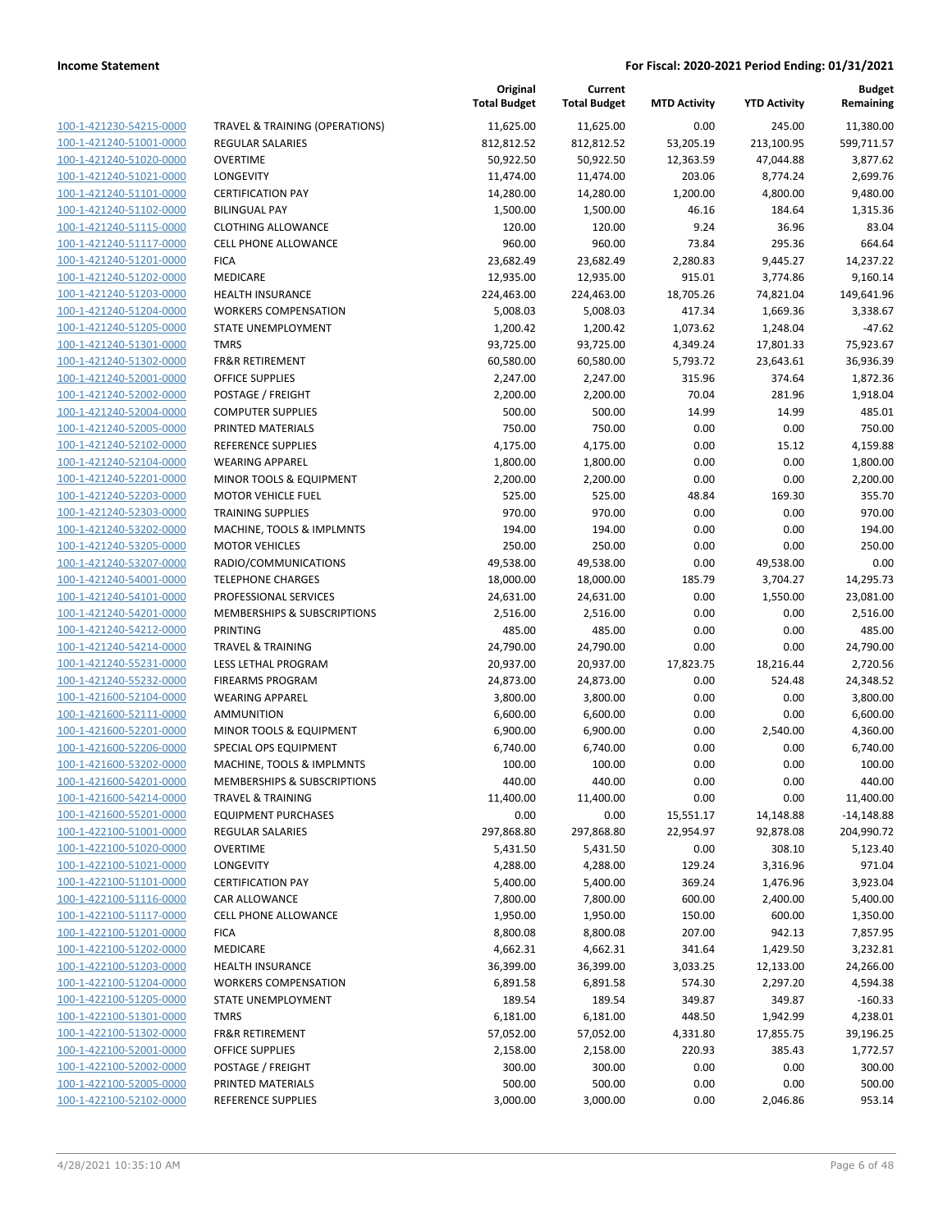|                         |                                           | Original<br><b>Total Budget</b> | Current<br><b>Total Budget</b> | <b>MTD Activity</b> | <b>YTD Activity</b> | Budget<br>Remaining |
|-------------------------|-------------------------------------------|---------------------------------|--------------------------------|---------------------|---------------------|---------------------|
| 100-1-421230-54215-0000 | <b>TRAVEL &amp; TRAINING (OPERATIONS)</b> | 11,625.00                       | 11,625.00                      | 0.00                | 245.00              | 11,380.00           |
| 100-1-421240-51001-0000 | <b>REGULAR SALARIES</b>                   | 812,812.52                      | 812,812.52                     | 53,205.19           | 213,100.95          | 599,711.57          |
| 100-1-421240-51020-0000 | <b>OVERTIME</b>                           | 50,922.50                       | 50,922.50                      | 12,363.59           | 47,044.88           | 3,877.62            |
| 100-1-421240-51021-0000 | LONGEVITY                                 | 11,474.00                       | 11,474.00                      | 203.06              | 8,774.24            | 2,699.76            |
| 100-1-421240-51101-0000 | <b>CERTIFICATION PAY</b>                  | 14,280.00                       | 14,280.00                      | 1,200.00            | 4,800.00            | 9,480.00            |
| 100-1-421240-51102-0000 | <b>BILINGUAL PAY</b>                      | 1,500.00                        | 1,500.00                       | 46.16               | 184.64              | 1,315.36            |
| 100-1-421240-51115-0000 | <b>CLOTHING ALLOWANCE</b>                 | 120.00                          | 120.00                         | 9.24                | 36.96               | 83.04               |
| 100-1-421240-51117-0000 | <b>CELL PHONE ALLOWANCE</b>               | 960.00                          | 960.00                         | 73.84               | 295.36              | 664.64              |
| 100-1-421240-51201-0000 | <b>FICA</b>                               | 23,682.49                       | 23,682.49                      | 2,280.83            | 9,445.27            | 14,237.22           |
| 100-1-421240-51202-0000 | MEDICARE                                  | 12,935.00                       | 12,935.00                      | 915.01              | 3,774.86            | 9,160.14            |
| 100-1-421240-51203-0000 | <b>HEALTH INSURANCE</b>                   | 224,463.00                      | 224,463.00                     | 18,705.26           | 74,821.04           | 149,641.96          |
| 100-1-421240-51204-0000 | <b>WORKERS COMPENSATION</b>               | 5,008.03                        | 5,008.03                       | 417.34              | 1,669.36            | 3,338.67            |
| 100-1-421240-51205-0000 | STATE UNEMPLOYMENT                        | 1,200.42                        | 1,200.42                       | 1,073.62            | 1,248.04            | $-47.62$            |
| 100-1-421240-51301-0000 | <b>TMRS</b>                               | 93,725.00                       | 93,725.00                      | 4,349.24            | 17,801.33           | 75,923.67           |
| 100-1-421240-51302-0000 | <b>FR&amp;R RETIREMENT</b>                | 60,580.00                       | 60,580.00                      | 5,793.72            | 23,643.61           | 36,936.39           |
| 100-1-421240-52001-0000 | <b>OFFICE SUPPLIES</b>                    | 2,247.00                        | 2,247.00                       | 315.96              | 374.64              | 1,872.36            |
| 100-1-421240-52002-0000 | POSTAGE / FREIGHT                         | 2,200.00                        | 2,200.00                       | 70.04               | 281.96              | 1,918.04            |
| 100-1-421240-52004-0000 | <b>COMPUTER SUPPLIES</b>                  | 500.00                          | 500.00                         | 14.99               | 14.99               | 485.01              |
| 100-1-421240-52005-0000 | PRINTED MATERIALS                         | 750.00                          | 750.00                         | 0.00                | 0.00                | 750.00              |
| 100-1-421240-52102-0000 | <b>REFERENCE SUPPLIES</b>                 | 4,175.00                        | 4,175.00                       | 0.00                | 15.12               | 4,159.88            |
| 100-1-421240-52104-0000 | <b>WEARING APPAREL</b>                    | 1,800.00                        | 1,800.00                       | 0.00                | 0.00                | 1,800.00            |
| 100-1-421240-52201-0000 | <b>MINOR TOOLS &amp; EQUIPMENT</b>        | 2,200.00                        | 2,200.00                       | 0.00                | 0.00                | 2,200.00            |
| 100-1-421240-52203-0000 | <b>MOTOR VEHICLE FUEL</b>                 | 525.00                          | 525.00                         | 48.84               | 169.30              | 355.70              |
| 100-1-421240-52303-0000 | <b>TRAINING SUPPLIES</b>                  | 970.00                          | 970.00                         | 0.00                | 0.00                | 970.00              |
| 100-1-421240-53202-0000 | MACHINE, TOOLS & IMPLMNTS                 | 194.00                          | 194.00                         | 0.00                | 0.00                | 194.00              |
| 100-1-421240-53205-0000 | <b>MOTOR VEHICLES</b>                     | 250.00                          | 250.00                         | 0.00                | 0.00                | 250.00              |
| 100-1-421240-53207-0000 | RADIO/COMMUNICATIONS                      | 49,538.00                       | 49,538.00                      | 0.00                | 49,538.00           | 0.00                |
| 100-1-421240-54001-0000 | <b>TELEPHONE CHARGES</b>                  | 18,000.00                       | 18,000.00                      | 185.79              | 3,704.27            | 14,295.73           |
| 100-1-421240-54101-0000 | PROFESSIONAL SERVICES                     | 24,631.00                       | 24,631.00                      | 0.00                | 1,550.00            | 23,081.00           |
| 100-1-421240-54201-0000 | MEMBERSHIPS & SUBSCRIPTIONS               | 2,516.00                        | 2,516.00                       | 0.00                | 0.00                | 2,516.00            |
| 100-1-421240-54212-0000 | <b>PRINTING</b>                           | 485.00                          | 485.00                         | 0.00                | 0.00                | 485.00              |
| 100-1-421240-54214-0000 | <b>TRAVEL &amp; TRAINING</b>              | 24,790.00                       | 24,790.00                      | 0.00                | 0.00                | 24,790.00           |
| 100-1-421240-55231-0000 | LESS LETHAL PROGRAM                       | 20,937.00                       | 20,937.00                      | 17,823.75           | 18,216.44           | 2,720.56            |
| 100-1-421240-55232-0000 | <b>FIREARMS PROGRAM</b>                   | 24,873.00                       | 24,873.00                      | 0.00                | 524.48              | 24,348.52           |
| 100-1-421600-52104-0000 | <b>WEARING APPAREL</b>                    | 3,800.00                        | 3,800.00                       | 0.00                | 0.00                | 3,800.00            |
| 100-1-421600-52111-0000 | <b>AMMUNITION</b>                         | 6,600.00                        | 6,600.00                       | 0.00                | 0.00                | 6,600.00            |
| 100-1-421600-52201-0000 | MINOR TOOLS & EQUIPMENT                   | 6,900.00                        | 6,900.00                       | 0.00                | 2,540.00            | 4,360.00            |
| 100-1-421600-52206-0000 | SPECIAL OPS EQUIPMENT                     | 6,740.00                        | 6,740.00                       | 0.00                | 0.00                | 6,740.00            |
| 100-1-421600-53202-0000 | MACHINE, TOOLS & IMPLMNTS                 | 100.00                          | 100.00                         | 0.00                | 0.00                | 100.00              |
| 100-1-421600-54201-0000 | MEMBERSHIPS & SUBSCRIPTIONS               | 440.00                          | 440.00                         | 0.00                | 0.00                | 440.00              |
| 100-1-421600-54214-0000 | <b>TRAVEL &amp; TRAINING</b>              | 11,400.00                       | 11,400.00                      | 0.00                | 0.00                | 11,400.00           |
| 100-1-421600-55201-0000 | <b>EQUIPMENT PURCHASES</b>                | 0.00                            | 0.00                           | 15,551.17           | 14,148.88           | $-14,148.88$        |
| 100-1-422100-51001-0000 | REGULAR SALARIES                          | 297,868.80                      | 297,868.80                     | 22,954.97           | 92,878.08           | 204,990.72          |
| 100-1-422100-51020-0000 | <b>OVERTIME</b>                           | 5,431.50                        | 5,431.50                       | 0.00                | 308.10              | 5,123.40            |
| 100-1-422100-51021-0000 | LONGEVITY                                 | 4,288.00                        | 4,288.00                       | 129.24              | 3,316.96            | 971.04              |
| 100-1-422100-51101-0000 | <b>CERTIFICATION PAY</b>                  | 5,400.00                        | 5,400.00                       | 369.24              | 1,476.96            | 3,923.04            |
| 100-1-422100-51116-0000 | CAR ALLOWANCE                             | 7,800.00                        | 7,800.00                       | 600.00              | 2,400.00            | 5,400.00            |
| 100-1-422100-51117-0000 | <b>CELL PHONE ALLOWANCE</b>               | 1,950.00                        | 1,950.00                       | 150.00              | 600.00              | 1,350.00            |
| 100-1-422100-51201-0000 | <b>FICA</b>                               | 8,800.08                        | 8,800.08                       | 207.00              | 942.13              | 7,857.95            |
| 100-1-422100-51202-0000 | MEDICARE                                  | 4,662.31                        | 4,662.31                       | 341.64              | 1,429.50            | 3,232.81            |
| 100-1-422100-51203-0000 | <b>HEALTH INSURANCE</b>                   | 36,399.00                       | 36,399.00                      | 3,033.25            | 12,133.00           | 24,266.00           |
| 100-1-422100-51204-0000 | <b>WORKERS COMPENSATION</b>               | 6,891.58                        | 6,891.58                       | 574.30              | 2,297.20            | 4,594.38            |
| 100-1-422100-51205-0000 | STATE UNEMPLOYMENT                        | 189.54                          | 189.54                         | 349.87              | 349.87              | $-160.33$           |
| 100-1-422100-51301-0000 | <b>TMRS</b>                               | 6,181.00                        | 6,181.00                       | 448.50              | 1,942.99            | 4,238.01            |
| 100-1-422100-51302-0000 | FR&R RETIREMENT                           | 57,052.00                       | 57,052.00                      | 4,331.80            | 17,855.75           | 39,196.25           |
| 100-1-422100-52001-0000 | <b>OFFICE SUPPLIES</b>                    | 2,158.00                        | 2,158.00                       | 220.93              | 385.43              | 1,772.57            |
| 100-1-422100-52002-0000 | POSTAGE / FREIGHT                         | 300.00                          | 300.00                         | 0.00                | 0.00                | 300.00              |
| 100-1-422100-52005-0000 | PRINTED MATERIALS                         | 500.00                          | 500.00                         | 0.00                | 0.00                | 500.00              |
| 100-1-422100-52102-0000 | REFERENCE SUPPLIES                        | 3,000.00                        | 3,000.00                       | 0.00                | 2,046.86            | 953.14              |
|                         |                                           |                                 |                                |                     |                     |                     |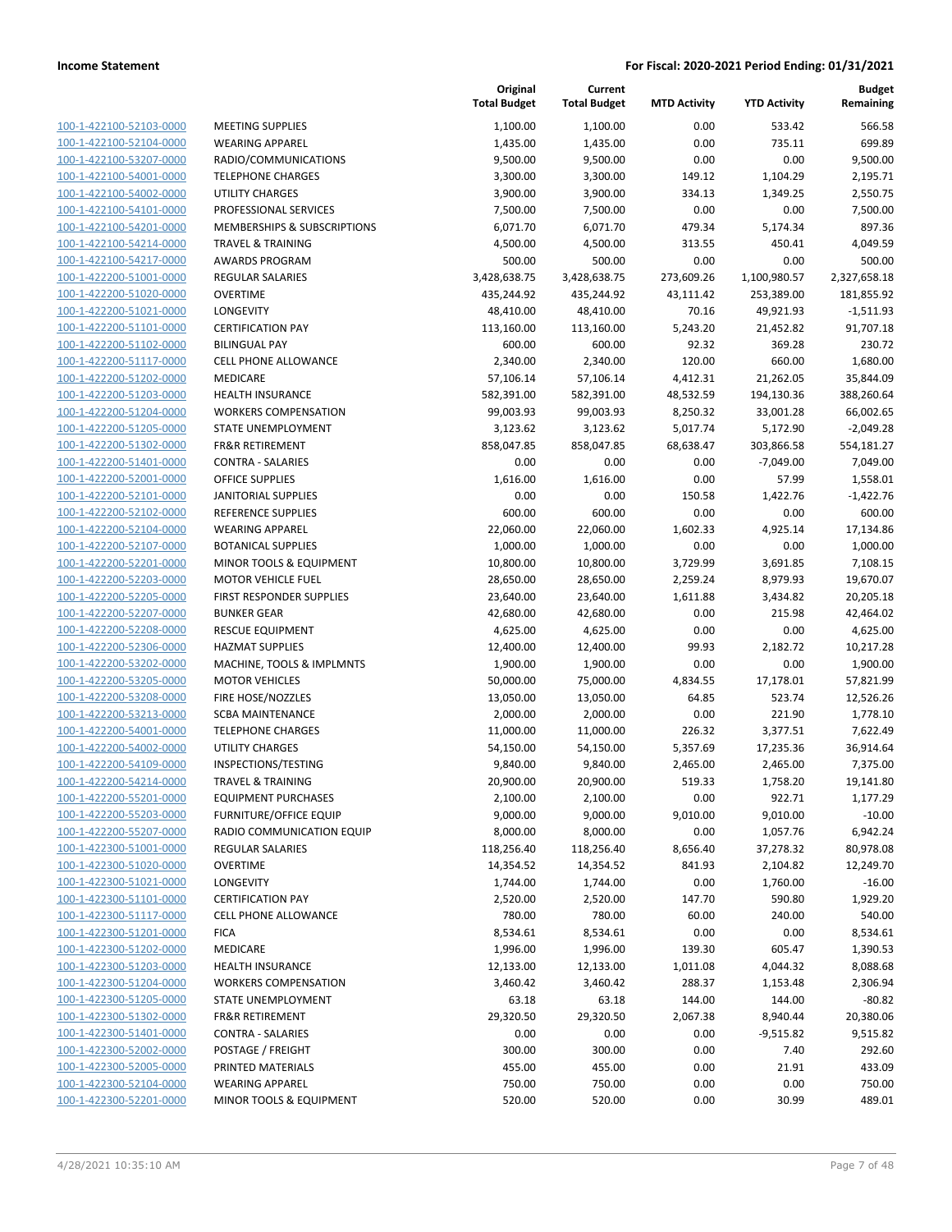**Current**

**Original**

**Budget Remaining**

| 1,100.00<br>1,100.00<br>0.00<br>533.42<br>100-1-422100-52103-0000<br><b>MEETING SUPPLIES</b><br>100-1-422100-52104-0000<br><b>WEARING APPAREL</b><br>1,435.00<br>1,435.00<br>0.00<br>735.11<br>0.00<br>100-1-422100-53207-0000<br>RADIO/COMMUNICATIONS<br>9,500.00<br>9,500.00<br>0.00<br>100-1-422100-54001-0000<br>149.12<br>1,104.29<br><b>TELEPHONE CHARGES</b><br>3,300.00<br>3,300.00<br>100-1-422100-54002-0000<br><b>UTILITY CHARGES</b><br>3,900.00<br>3,900.00<br>334.13<br>1,349.25<br>100-1-422100-54101-0000<br>0.00<br>PROFESSIONAL SERVICES<br>7,500.00<br>7,500.00<br>0.00<br>100-1-422100-54201-0000<br>MEMBERSHIPS & SUBSCRIPTIONS<br>6,071.70<br>6,071.70<br>479.34<br>5,174.34<br>100-1-422100-54214-0000<br><b>TRAVEL &amp; TRAINING</b><br>4,500.00<br>4,500.00<br>313.55<br>450.41<br>100-1-422100-54217-0000<br>500.00<br>500.00<br>0.00<br><b>AWARDS PROGRAM</b><br>0.00<br>100-1-422200-51001-0000<br>3,428,638.75<br>3,428,638.75<br>273,609.26<br>1,100,980.57<br><b>REGULAR SALARIES</b><br>100-1-422200-51020-0000<br><b>OVERTIME</b><br>253,389.00<br>435,244.92<br>435,244.92<br>43,111.42<br>100-1-422200-51021-0000<br>LONGEVITY<br>48,410.00<br>48,410.00<br>70.16<br>49,921.93<br>100-1-422200-51101-0000<br><b>CERTIFICATION PAY</b><br>113,160.00<br>113,160.00<br>5,243.20<br>21,452.82<br>100-1-422200-51102-0000<br>600.00<br>600.00<br>92.32<br><b>BILINGUAL PAY</b><br>369.28<br>120.00<br>100-1-422200-51117-0000<br>CELL PHONE ALLOWANCE<br>2,340.00<br>2,340.00<br>660.00<br>100-1-422200-51202-0000<br>57,106.14<br>57,106.14<br>4,412.31<br>21,262.05<br>MEDICARE<br>100-1-422200-51203-0000<br><b>HEALTH INSURANCE</b><br>582,391.00<br>582,391.00<br>48,532.59<br>194,130.36<br>100-1-422200-51204-0000<br><b>WORKERS COMPENSATION</b><br>99,003.93<br>99,003.93<br>8,250.32<br>33,001.28<br>100-1-422200-51205-0000<br>STATE UNEMPLOYMENT<br>3,123.62<br>3,123.62<br>5,017.74<br>5,172.90<br>100-1-422200-51302-0000<br><b>FR&amp;R RETIREMENT</b><br>858,047.85<br>858,047.85<br>68,638.47<br>303,866.58<br>100-1-422200-51401-0000<br><b>CONTRA - SALARIES</b><br>0.00<br>0.00<br>0.00<br>$-7,049.00$<br>57.99<br>100-1-422200-52001-0000<br><b>OFFICE SUPPLIES</b><br>1,616.00<br>1,616.00<br>0.00<br>100-1-422200-52101-0000<br><b>JANITORIAL SUPPLIES</b><br>0.00<br>0.00<br>150.58<br>1,422.76<br>100-1-422200-52102-0000<br>600.00<br>600.00<br><b>REFERENCE SUPPLIES</b><br>0.00<br>0.00<br>100-1-422200-52104-0000<br><b>WEARING APPAREL</b><br>22,060.00<br>22,060.00<br>1,602.33<br>4,925.14<br>100-1-422200-52107-0000<br><b>BOTANICAL SUPPLIES</b><br>1,000.00<br>1,000.00<br>0.00<br>0.00<br>100-1-422200-52201-0000<br>MINOR TOOLS & EQUIPMENT<br>10,800.00<br>10,800.00<br>3,729.99<br>3,691.85<br>100-1-422200-52203-0000<br><b>MOTOR VEHICLE FUEL</b><br>28,650.00<br>28,650.00<br>2,259.24<br>8,979.93<br>100-1-422200-52205-0000<br>FIRST RESPONDER SUPPLIES<br>23,640.00<br>23,640.00<br>1,611.88<br>3,434.82<br>100-1-422200-52207-0000<br><b>BUNKER GEAR</b><br>42,680.00<br>42,680.00<br>0.00<br>215.98<br>100-1-422200-52208-0000<br>0.00<br>0.00<br><b>RESCUE EQUIPMENT</b><br>4,625.00<br>4,625.00<br>100-1-422200-52306-0000<br><b>HAZMAT SUPPLIES</b><br>12,400.00<br>12,400.00<br>99.93<br>2,182.72<br>100-1-422200-53202-0000<br>MACHINE, TOOLS & IMPLMNTS<br>1,900.00<br>1,900.00<br>0.00<br>0.00<br>100-1-422200-53205-0000<br>75,000.00<br><b>MOTOR VEHICLES</b><br>50,000.00<br>4,834.55<br>17,178.01<br>FIRE HOSE/NOZZLES<br>13,050.00<br>13,050.00<br>64.85<br>523.74<br>2,000.00<br>0.00<br>221.90<br><b>SCBA MAINTENANCE</b><br>2,000.00<br><b>TELEPHONE CHARGES</b><br>11,000.00<br>11,000.00<br>226.32<br>3,377.51<br>UTILITY CHARGES<br>54,150.00<br>54,150.00<br>5,357.69<br>17,235.36<br>INSPECTIONS/TESTING<br>9,840.00<br>9,840.00<br>2,465.00<br>2,465.00<br><b>TRAVEL &amp; TRAINING</b><br>20,900.00<br>20,900.00<br>519.33<br>1,758.20<br>EQUIPMENT PURCHASES<br>2,100.00<br>2,100.00<br>0.00<br>922.71<br><b>FURNITURE/OFFICE EQUIP</b><br>9,000.00<br>9,000.00<br>9,010.00<br>9,010.00<br>RADIO COMMUNICATION EQUIP<br>8,000.00<br>8,000.00<br>0.00<br>1,057.76<br>118,256.40<br>8,656.40<br><b>REGULAR SALARIES</b><br>118,256.40<br>37,278.32<br><b>OVERTIME</b><br>14,354.52<br>14,354.52<br>841.93<br>2,104.82<br>0.00<br>LONGEVITY<br>1,744.00<br>1,744.00<br>1,760.00<br><b>CERTIFICATION PAY</b><br>2,520.00<br>2,520.00<br>147.70<br>590.80<br><b>CELL PHONE ALLOWANCE</b><br>780.00<br>780.00<br>60.00<br>240.00<br>0.00<br><b>FICA</b><br>8,534.61<br>8,534.61<br>0.00<br>MEDICARE<br>1,996.00<br>1,996.00<br>139.30<br>605.47<br><b>HEALTH INSURANCE</b><br>12,133.00<br>12,133.00<br>1,011.08<br>4,044.32<br><b>WORKERS COMPENSATION</b><br>3,460.42<br>3,460.42<br>288.37<br>1,153.48<br>STATE UNEMPLOYMENT<br>63.18<br>63.18<br>144.00<br>144.00<br><b>FR&amp;R RETIREMENT</b><br>29,320.50<br>29,320.50<br>2,067.38<br>8,940.44<br><b>CONTRA - SALARIES</b><br>0.00<br>0.00<br>0.00<br>$-9,515.82$<br>POSTAGE / FREIGHT<br>300.00<br>300.00<br>0.00<br>7.40<br>PRINTED MATERIALS<br>455.00<br>455.00<br>0.00<br>21.91<br><b>WEARING APPAREL</b><br>750.00<br>750.00<br>0.00<br>0.00 |  | <b>Total Budget</b> | <b>Total Budget</b> | <b>MTD Activity</b> | <b>YTD Activity</b> | Remaining             |
|-----------------------------------------------------------------------------------------------------------------------------------------------------------------------------------------------------------------------------------------------------------------------------------------------------------------------------------------------------------------------------------------------------------------------------------------------------------------------------------------------------------------------------------------------------------------------------------------------------------------------------------------------------------------------------------------------------------------------------------------------------------------------------------------------------------------------------------------------------------------------------------------------------------------------------------------------------------------------------------------------------------------------------------------------------------------------------------------------------------------------------------------------------------------------------------------------------------------------------------------------------------------------------------------------------------------------------------------------------------------------------------------------------------------------------------------------------------------------------------------------------------------------------------------------------------------------------------------------------------------------------------------------------------------------------------------------------------------------------------------------------------------------------------------------------------------------------------------------------------------------------------------------------------------------------------------------------------------------------------------------------------------------------------------------------------------------------------------------------------------------------------------------------------------------------------------------------------------------------------------------------------------------------------------------------------------------------------------------------------------------------------------------------------------------------------------------------------------------------------------------------------------------------------------------------------------------------------------------------------------------------------------------------------------------------------------------------------------------------------------------------------------------------------------------------------------------------------------------------------------------------------------------------------------------------------------------------------------------------------------------------------------------------------------------------------------------------------------------------------------------------------------------------------------------------------------------------------------------------------------------------------------------------------------------------------------------------------------------------------------------------------------------------------------------------------------------------------------------------------------------------------------------------------------------------------------------------------------------------------------------------------------------------------------------------------------------------------------------------------------------------------------------------------------------------------------------------------------------------------------------------------------------------------------------------------------------------------------------------------------------------------------------------------------------------------------------------------------------------------------------------------------------------------------------------------------------------------------------------------------------------------------------------------------------------------------------------------------------------------------------------------------------------------------------------------------------------------------------------------------------------------------------------------------------------------------------------------------------------------------------------------------------------------------------------------------------------------------------------------------------------------------------------------------------------------------------------------------------------------------------------------------------------------------------------------------------------------------------------------------------------------------------------------------------------------------------------------------------------------------------------------------------------------------------------------------------------------|--|---------------------|---------------------|---------------------|---------------------|-----------------------|
|                                                                                                                                                                                                                                                                                                                                                                                                                                                                                                                                                                                                                                                                                                                                                                                                                                                                                                                                                                                                                                                                                                                                                                                                                                                                                                                                                                                                                                                                                                                                                                                                                                                                                                                                                                                                                                                                                                                                                                                                                                                                                                                                                                                                                                                                                                                                                                                                                                                                                                                                                                                                                                                                                                                                                                                                                                                                                                                                                                                                                                                                                                                                                                                                                                                                                                                                                                                                                                                                                                                                                                                                                                                                                                                                                                                                                                                                                                                                                                                                                                                                                                                                                                                                                                                                                                                                                                                                                                                                                                                                                                                                                                                                                                                                                                                                                                                                                                                                                                                                                                                                                                                                                                                                           |  |                     |                     |                     |                     | 566.58                |
|                                                                                                                                                                                                                                                                                                                                                                                                                                                                                                                                                                                                                                                                                                                                                                                                                                                                                                                                                                                                                                                                                                                                                                                                                                                                                                                                                                                                                                                                                                                                                                                                                                                                                                                                                                                                                                                                                                                                                                                                                                                                                                                                                                                                                                                                                                                                                                                                                                                                                                                                                                                                                                                                                                                                                                                                                                                                                                                                                                                                                                                                                                                                                                                                                                                                                                                                                                                                                                                                                                                                                                                                                                                                                                                                                                                                                                                                                                                                                                                                                                                                                                                                                                                                                                                                                                                                                                                                                                                                                                                                                                                                                                                                                                                                                                                                                                                                                                                                                                                                                                                                                                                                                                                                           |  |                     |                     |                     |                     | 699.89                |
|                                                                                                                                                                                                                                                                                                                                                                                                                                                                                                                                                                                                                                                                                                                                                                                                                                                                                                                                                                                                                                                                                                                                                                                                                                                                                                                                                                                                                                                                                                                                                                                                                                                                                                                                                                                                                                                                                                                                                                                                                                                                                                                                                                                                                                                                                                                                                                                                                                                                                                                                                                                                                                                                                                                                                                                                                                                                                                                                                                                                                                                                                                                                                                                                                                                                                                                                                                                                                                                                                                                                                                                                                                                                                                                                                                                                                                                                                                                                                                                                                                                                                                                                                                                                                                                                                                                                                                                                                                                                                                                                                                                                                                                                                                                                                                                                                                                                                                                                                                                                                                                                                                                                                                                                           |  |                     |                     |                     |                     | 9,500.00              |
|                                                                                                                                                                                                                                                                                                                                                                                                                                                                                                                                                                                                                                                                                                                                                                                                                                                                                                                                                                                                                                                                                                                                                                                                                                                                                                                                                                                                                                                                                                                                                                                                                                                                                                                                                                                                                                                                                                                                                                                                                                                                                                                                                                                                                                                                                                                                                                                                                                                                                                                                                                                                                                                                                                                                                                                                                                                                                                                                                                                                                                                                                                                                                                                                                                                                                                                                                                                                                                                                                                                                                                                                                                                                                                                                                                                                                                                                                                                                                                                                                                                                                                                                                                                                                                                                                                                                                                                                                                                                                                                                                                                                                                                                                                                                                                                                                                                                                                                                                                                                                                                                                                                                                                                                           |  |                     |                     |                     |                     | 2,195.71              |
|                                                                                                                                                                                                                                                                                                                                                                                                                                                                                                                                                                                                                                                                                                                                                                                                                                                                                                                                                                                                                                                                                                                                                                                                                                                                                                                                                                                                                                                                                                                                                                                                                                                                                                                                                                                                                                                                                                                                                                                                                                                                                                                                                                                                                                                                                                                                                                                                                                                                                                                                                                                                                                                                                                                                                                                                                                                                                                                                                                                                                                                                                                                                                                                                                                                                                                                                                                                                                                                                                                                                                                                                                                                                                                                                                                                                                                                                                                                                                                                                                                                                                                                                                                                                                                                                                                                                                                                                                                                                                                                                                                                                                                                                                                                                                                                                                                                                                                                                                                                                                                                                                                                                                                                                           |  |                     |                     |                     |                     | 2,550.75              |
|                                                                                                                                                                                                                                                                                                                                                                                                                                                                                                                                                                                                                                                                                                                                                                                                                                                                                                                                                                                                                                                                                                                                                                                                                                                                                                                                                                                                                                                                                                                                                                                                                                                                                                                                                                                                                                                                                                                                                                                                                                                                                                                                                                                                                                                                                                                                                                                                                                                                                                                                                                                                                                                                                                                                                                                                                                                                                                                                                                                                                                                                                                                                                                                                                                                                                                                                                                                                                                                                                                                                                                                                                                                                                                                                                                                                                                                                                                                                                                                                                                                                                                                                                                                                                                                                                                                                                                                                                                                                                                                                                                                                                                                                                                                                                                                                                                                                                                                                                                                                                                                                                                                                                                                                           |  |                     |                     |                     |                     | 7,500.00              |
|                                                                                                                                                                                                                                                                                                                                                                                                                                                                                                                                                                                                                                                                                                                                                                                                                                                                                                                                                                                                                                                                                                                                                                                                                                                                                                                                                                                                                                                                                                                                                                                                                                                                                                                                                                                                                                                                                                                                                                                                                                                                                                                                                                                                                                                                                                                                                                                                                                                                                                                                                                                                                                                                                                                                                                                                                                                                                                                                                                                                                                                                                                                                                                                                                                                                                                                                                                                                                                                                                                                                                                                                                                                                                                                                                                                                                                                                                                                                                                                                                                                                                                                                                                                                                                                                                                                                                                                                                                                                                                                                                                                                                                                                                                                                                                                                                                                                                                                                                                                                                                                                                                                                                                                                           |  |                     |                     |                     |                     | 897.36                |
|                                                                                                                                                                                                                                                                                                                                                                                                                                                                                                                                                                                                                                                                                                                                                                                                                                                                                                                                                                                                                                                                                                                                                                                                                                                                                                                                                                                                                                                                                                                                                                                                                                                                                                                                                                                                                                                                                                                                                                                                                                                                                                                                                                                                                                                                                                                                                                                                                                                                                                                                                                                                                                                                                                                                                                                                                                                                                                                                                                                                                                                                                                                                                                                                                                                                                                                                                                                                                                                                                                                                                                                                                                                                                                                                                                                                                                                                                                                                                                                                                                                                                                                                                                                                                                                                                                                                                                                                                                                                                                                                                                                                                                                                                                                                                                                                                                                                                                                                                                                                                                                                                                                                                                                                           |  |                     |                     |                     |                     | 4,049.59              |
|                                                                                                                                                                                                                                                                                                                                                                                                                                                                                                                                                                                                                                                                                                                                                                                                                                                                                                                                                                                                                                                                                                                                                                                                                                                                                                                                                                                                                                                                                                                                                                                                                                                                                                                                                                                                                                                                                                                                                                                                                                                                                                                                                                                                                                                                                                                                                                                                                                                                                                                                                                                                                                                                                                                                                                                                                                                                                                                                                                                                                                                                                                                                                                                                                                                                                                                                                                                                                                                                                                                                                                                                                                                                                                                                                                                                                                                                                                                                                                                                                                                                                                                                                                                                                                                                                                                                                                                                                                                                                                                                                                                                                                                                                                                                                                                                                                                                                                                                                                                                                                                                                                                                                                                                           |  |                     |                     |                     |                     | 500.00                |
|                                                                                                                                                                                                                                                                                                                                                                                                                                                                                                                                                                                                                                                                                                                                                                                                                                                                                                                                                                                                                                                                                                                                                                                                                                                                                                                                                                                                                                                                                                                                                                                                                                                                                                                                                                                                                                                                                                                                                                                                                                                                                                                                                                                                                                                                                                                                                                                                                                                                                                                                                                                                                                                                                                                                                                                                                                                                                                                                                                                                                                                                                                                                                                                                                                                                                                                                                                                                                                                                                                                                                                                                                                                                                                                                                                                                                                                                                                                                                                                                                                                                                                                                                                                                                                                                                                                                                                                                                                                                                                                                                                                                                                                                                                                                                                                                                                                                                                                                                                                                                                                                                                                                                                                                           |  |                     |                     |                     |                     | 2,327,658.18          |
|                                                                                                                                                                                                                                                                                                                                                                                                                                                                                                                                                                                                                                                                                                                                                                                                                                                                                                                                                                                                                                                                                                                                                                                                                                                                                                                                                                                                                                                                                                                                                                                                                                                                                                                                                                                                                                                                                                                                                                                                                                                                                                                                                                                                                                                                                                                                                                                                                                                                                                                                                                                                                                                                                                                                                                                                                                                                                                                                                                                                                                                                                                                                                                                                                                                                                                                                                                                                                                                                                                                                                                                                                                                                                                                                                                                                                                                                                                                                                                                                                                                                                                                                                                                                                                                                                                                                                                                                                                                                                                                                                                                                                                                                                                                                                                                                                                                                                                                                                                                                                                                                                                                                                                                                           |  |                     |                     |                     |                     | 181,855.92            |
|                                                                                                                                                                                                                                                                                                                                                                                                                                                                                                                                                                                                                                                                                                                                                                                                                                                                                                                                                                                                                                                                                                                                                                                                                                                                                                                                                                                                                                                                                                                                                                                                                                                                                                                                                                                                                                                                                                                                                                                                                                                                                                                                                                                                                                                                                                                                                                                                                                                                                                                                                                                                                                                                                                                                                                                                                                                                                                                                                                                                                                                                                                                                                                                                                                                                                                                                                                                                                                                                                                                                                                                                                                                                                                                                                                                                                                                                                                                                                                                                                                                                                                                                                                                                                                                                                                                                                                                                                                                                                                                                                                                                                                                                                                                                                                                                                                                                                                                                                                                                                                                                                                                                                                                                           |  |                     |                     |                     |                     | $-1,511.93$           |
|                                                                                                                                                                                                                                                                                                                                                                                                                                                                                                                                                                                                                                                                                                                                                                                                                                                                                                                                                                                                                                                                                                                                                                                                                                                                                                                                                                                                                                                                                                                                                                                                                                                                                                                                                                                                                                                                                                                                                                                                                                                                                                                                                                                                                                                                                                                                                                                                                                                                                                                                                                                                                                                                                                                                                                                                                                                                                                                                                                                                                                                                                                                                                                                                                                                                                                                                                                                                                                                                                                                                                                                                                                                                                                                                                                                                                                                                                                                                                                                                                                                                                                                                                                                                                                                                                                                                                                                                                                                                                                                                                                                                                                                                                                                                                                                                                                                                                                                                                                                                                                                                                                                                                                                                           |  |                     |                     |                     |                     | 91,707.18             |
|                                                                                                                                                                                                                                                                                                                                                                                                                                                                                                                                                                                                                                                                                                                                                                                                                                                                                                                                                                                                                                                                                                                                                                                                                                                                                                                                                                                                                                                                                                                                                                                                                                                                                                                                                                                                                                                                                                                                                                                                                                                                                                                                                                                                                                                                                                                                                                                                                                                                                                                                                                                                                                                                                                                                                                                                                                                                                                                                                                                                                                                                                                                                                                                                                                                                                                                                                                                                                                                                                                                                                                                                                                                                                                                                                                                                                                                                                                                                                                                                                                                                                                                                                                                                                                                                                                                                                                                                                                                                                                                                                                                                                                                                                                                                                                                                                                                                                                                                                                                                                                                                                                                                                                                                           |  |                     |                     |                     |                     | 230.72                |
|                                                                                                                                                                                                                                                                                                                                                                                                                                                                                                                                                                                                                                                                                                                                                                                                                                                                                                                                                                                                                                                                                                                                                                                                                                                                                                                                                                                                                                                                                                                                                                                                                                                                                                                                                                                                                                                                                                                                                                                                                                                                                                                                                                                                                                                                                                                                                                                                                                                                                                                                                                                                                                                                                                                                                                                                                                                                                                                                                                                                                                                                                                                                                                                                                                                                                                                                                                                                                                                                                                                                                                                                                                                                                                                                                                                                                                                                                                                                                                                                                                                                                                                                                                                                                                                                                                                                                                                                                                                                                                                                                                                                                                                                                                                                                                                                                                                                                                                                                                                                                                                                                                                                                                                                           |  |                     |                     |                     |                     | 1,680.00              |
|                                                                                                                                                                                                                                                                                                                                                                                                                                                                                                                                                                                                                                                                                                                                                                                                                                                                                                                                                                                                                                                                                                                                                                                                                                                                                                                                                                                                                                                                                                                                                                                                                                                                                                                                                                                                                                                                                                                                                                                                                                                                                                                                                                                                                                                                                                                                                                                                                                                                                                                                                                                                                                                                                                                                                                                                                                                                                                                                                                                                                                                                                                                                                                                                                                                                                                                                                                                                                                                                                                                                                                                                                                                                                                                                                                                                                                                                                                                                                                                                                                                                                                                                                                                                                                                                                                                                                                                                                                                                                                                                                                                                                                                                                                                                                                                                                                                                                                                                                                                                                                                                                                                                                                                                           |  |                     |                     |                     |                     | 35,844.09             |
|                                                                                                                                                                                                                                                                                                                                                                                                                                                                                                                                                                                                                                                                                                                                                                                                                                                                                                                                                                                                                                                                                                                                                                                                                                                                                                                                                                                                                                                                                                                                                                                                                                                                                                                                                                                                                                                                                                                                                                                                                                                                                                                                                                                                                                                                                                                                                                                                                                                                                                                                                                                                                                                                                                                                                                                                                                                                                                                                                                                                                                                                                                                                                                                                                                                                                                                                                                                                                                                                                                                                                                                                                                                                                                                                                                                                                                                                                                                                                                                                                                                                                                                                                                                                                                                                                                                                                                                                                                                                                                                                                                                                                                                                                                                                                                                                                                                                                                                                                                                                                                                                                                                                                                                                           |  |                     |                     |                     |                     | 388,260.64            |
|                                                                                                                                                                                                                                                                                                                                                                                                                                                                                                                                                                                                                                                                                                                                                                                                                                                                                                                                                                                                                                                                                                                                                                                                                                                                                                                                                                                                                                                                                                                                                                                                                                                                                                                                                                                                                                                                                                                                                                                                                                                                                                                                                                                                                                                                                                                                                                                                                                                                                                                                                                                                                                                                                                                                                                                                                                                                                                                                                                                                                                                                                                                                                                                                                                                                                                                                                                                                                                                                                                                                                                                                                                                                                                                                                                                                                                                                                                                                                                                                                                                                                                                                                                                                                                                                                                                                                                                                                                                                                                                                                                                                                                                                                                                                                                                                                                                                                                                                                                                                                                                                                                                                                                                                           |  |                     |                     |                     |                     | 66,002.65             |
|                                                                                                                                                                                                                                                                                                                                                                                                                                                                                                                                                                                                                                                                                                                                                                                                                                                                                                                                                                                                                                                                                                                                                                                                                                                                                                                                                                                                                                                                                                                                                                                                                                                                                                                                                                                                                                                                                                                                                                                                                                                                                                                                                                                                                                                                                                                                                                                                                                                                                                                                                                                                                                                                                                                                                                                                                                                                                                                                                                                                                                                                                                                                                                                                                                                                                                                                                                                                                                                                                                                                                                                                                                                                                                                                                                                                                                                                                                                                                                                                                                                                                                                                                                                                                                                                                                                                                                                                                                                                                                                                                                                                                                                                                                                                                                                                                                                                                                                                                                                                                                                                                                                                                                                                           |  |                     |                     |                     |                     | $-2,049.28$           |
|                                                                                                                                                                                                                                                                                                                                                                                                                                                                                                                                                                                                                                                                                                                                                                                                                                                                                                                                                                                                                                                                                                                                                                                                                                                                                                                                                                                                                                                                                                                                                                                                                                                                                                                                                                                                                                                                                                                                                                                                                                                                                                                                                                                                                                                                                                                                                                                                                                                                                                                                                                                                                                                                                                                                                                                                                                                                                                                                                                                                                                                                                                                                                                                                                                                                                                                                                                                                                                                                                                                                                                                                                                                                                                                                                                                                                                                                                                                                                                                                                                                                                                                                                                                                                                                                                                                                                                                                                                                                                                                                                                                                                                                                                                                                                                                                                                                                                                                                                                                                                                                                                                                                                                                                           |  |                     |                     |                     |                     | 554,181.27            |
|                                                                                                                                                                                                                                                                                                                                                                                                                                                                                                                                                                                                                                                                                                                                                                                                                                                                                                                                                                                                                                                                                                                                                                                                                                                                                                                                                                                                                                                                                                                                                                                                                                                                                                                                                                                                                                                                                                                                                                                                                                                                                                                                                                                                                                                                                                                                                                                                                                                                                                                                                                                                                                                                                                                                                                                                                                                                                                                                                                                                                                                                                                                                                                                                                                                                                                                                                                                                                                                                                                                                                                                                                                                                                                                                                                                                                                                                                                                                                                                                                                                                                                                                                                                                                                                                                                                                                                                                                                                                                                                                                                                                                                                                                                                                                                                                                                                                                                                                                                                                                                                                                                                                                                                                           |  |                     |                     |                     |                     | 7,049.00              |
|                                                                                                                                                                                                                                                                                                                                                                                                                                                                                                                                                                                                                                                                                                                                                                                                                                                                                                                                                                                                                                                                                                                                                                                                                                                                                                                                                                                                                                                                                                                                                                                                                                                                                                                                                                                                                                                                                                                                                                                                                                                                                                                                                                                                                                                                                                                                                                                                                                                                                                                                                                                                                                                                                                                                                                                                                                                                                                                                                                                                                                                                                                                                                                                                                                                                                                                                                                                                                                                                                                                                                                                                                                                                                                                                                                                                                                                                                                                                                                                                                                                                                                                                                                                                                                                                                                                                                                                                                                                                                                                                                                                                                                                                                                                                                                                                                                                                                                                                                                                                                                                                                                                                                                                                           |  |                     |                     |                     |                     | 1,558.01              |
|                                                                                                                                                                                                                                                                                                                                                                                                                                                                                                                                                                                                                                                                                                                                                                                                                                                                                                                                                                                                                                                                                                                                                                                                                                                                                                                                                                                                                                                                                                                                                                                                                                                                                                                                                                                                                                                                                                                                                                                                                                                                                                                                                                                                                                                                                                                                                                                                                                                                                                                                                                                                                                                                                                                                                                                                                                                                                                                                                                                                                                                                                                                                                                                                                                                                                                                                                                                                                                                                                                                                                                                                                                                                                                                                                                                                                                                                                                                                                                                                                                                                                                                                                                                                                                                                                                                                                                                                                                                                                                                                                                                                                                                                                                                                                                                                                                                                                                                                                                                                                                                                                                                                                                                                           |  |                     |                     |                     |                     | $-1,422.76$           |
|                                                                                                                                                                                                                                                                                                                                                                                                                                                                                                                                                                                                                                                                                                                                                                                                                                                                                                                                                                                                                                                                                                                                                                                                                                                                                                                                                                                                                                                                                                                                                                                                                                                                                                                                                                                                                                                                                                                                                                                                                                                                                                                                                                                                                                                                                                                                                                                                                                                                                                                                                                                                                                                                                                                                                                                                                                                                                                                                                                                                                                                                                                                                                                                                                                                                                                                                                                                                                                                                                                                                                                                                                                                                                                                                                                                                                                                                                                                                                                                                                                                                                                                                                                                                                                                                                                                                                                                                                                                                                                                                                                                                                                                                                                                                                                                                                                                                                                                                                                                                                                                                                                                                                                                                           |  |                     |                     |                     |                     | 600.00                |
|                                                                                                                                                                                                                                                                                                                                                                                                                                                                                                                                                                                                                                                                                                                                                                                                                                                                                                                                                                                                                                                                                                                                                                                                                                                                                                                                                                                                                                                                                                                                                                                                                                                                                                                                                                                                                                                                                                                                                                                                                                                                                                                                                                                                                                                                                                                                                                                                                                                                                                                                                                                                                                                                                                                                                                                                                                                                                                                                                                                                                                                                                                                                                                                                                                                                                                                                                                                                                                                                                                                                                                                                                                                                                                                                                                                                                                                                                                                                                                                                                                                                                                                                                                                                                                                                                                                                                                                                                                                                                                                                                                                                                                                                                                                                                                                                                                                                                                                                                                                                                                                                                                                                                                                                           |  |                     |                     |                     |                     | 17,134.86             |
|                                                                                                                                                                                                                                                                                                                                                                                                                                                                                                                                                                                                                                                                                                                                                                                                                                                                                                                                                                                                                                                                                                                                                                                                                                                                                                                                                                                                                                                                                                                                                                                                                                                                                                                                                                                                                                                                                                                                                                                                                                                                                                                                                                                                                                                                                                                                                                                                                                                                                                                                                                                                                                                                                                                                                                                                                                                                                                                                                                                                                                                                                                                                                                                                                                                                                                                                                                                                                                                                                                                                                                                                                                                                                                                                                                                                                                                                                                                                                                                                                                                                                                                                                                                                                                                                                                                                                                                                                                                                                                                                                                                                                                                                                                                                                                                                                                                                                                                                                                                                                                                                                                                                                                                                           |  |                     |                     |                     |                     | 1,000.00              |
|                                                                                                                                                                                                                                                                                                                                                                                                                                                                                                                                                                                                                                                                                                                                                                                                                                                                                                                                                                                                                                                                                                                                                                                                                                                                                                                                                                                                                                                                                                                                                                                                                                                                                                                                                                                                                                                                                                                                                                                                                                                                                                                                                                                                                                                                                                                                                                                                                                                                                                                                                                                                                                                                                                                                                                                                                                                                                                                                                                                                                                                                                                                                                                                                                                                                                                                                                                                                                                                                                                                                                                                                                                                                                                                                                                                                                                                                                                                                                                                                                                                                                                                                                                                                                                                                                                                                                                                                                                                                                                                                                                                                                                                                                                                                                                                                                                                                                                                                                                                                                                                                                                                                                                                                           |  |                     |                     |                     |                     | 7,108.15              |
|                                                                                                                                                                                                                                                                                                                                                                                                                                                                                                                                                                                                                                                                                                                                                                                                                                                                                                                                                                                                                                                                                                                                                                                                                                                                                                                                                                                                                                                                                                                                                                                                                                                                                                                                                                                                                                                                                                                                                                                                                                                                                                                                                                                                                                                                                                                                                                                                                                                                                                                                                                                                                                                                                                                                                                                                                                                                                                                                                                                                                                                                                                                                                                                                                                                                                                                                                                                                                                                                                                                                                                                                                                                                                                                                                                                                                                                                                                                                                                                                                                                                                                                                                                                                                                                                                                                                                                                                                                                                                                                                                                                                                                                                                                                                                                                                                                                                                                                                                                                                                                                                                                                                                                                                           |  |                     |                     |                     |                     | 19,670.07             |
|                                                                                                                                                                                                                                                                                                                                                                                                                                                                                                                                                                                                                                                                                                                                                                                                                                                                                                                                                                                                                                                                                                                                                                                                                                                                                                                                                                                                                                                                                                                                                                                                                                                                                                                                                                                                                                                                                                                                                                                                                                                                                                                                                                                                                                                                                                                                                                                                                                                                                                                                                                                                                                                                                                                                                                                                                                                                                                                                                                                                                                                                                                                                                                                                                                                                                                                                                                                                                                                                                                                                                                                                                                                                                                                                                                                                                                                                                                                                                                                                                                                                                                                                                                                                                                                                                                                                                                                                                                                                                                                                                                                                                                                                                                                                                                                                                                                                                                                                                                                                                                                                                                                                                                                                           |  |                     |                     |                     |                     | 20,205.18             |
|                                                                                                                                                                                                                                                                                                                                                                                                                                                                                                                                                                                                                                                                                                                                                                                                                                                                                                                                                                                                                                                                                                                                                                                                                                                                                                                                                                                                                                                                                                                                                                                                                                                                                                                                                                                                                                                                                                                                                                                                                                                                                                                                                                                                                                                                                                                                                                                                                                                                                                                                                                                                                                                                                                                                                                                                                                                                                                                                                                                                                                                                                                                                                                                                                                                                                                                                                                                                                                                                                                                                                                                                                                                                                                                                                                                                                                                                                                                                                                                                                                                                                                                                                                                                                                                                                                                                                                                                                                                                                                                                                                                                                                                                                                                                                                                                                                                                                                                                                                                                                                                                                                                                                                                                           |  |                     |                     |                     |                     | 42,464.02             |
|                                                                                                                                                                                                                                                                                                                                                                                                                                                                                                                                                                                                                                                                                                                                                                                                                                                                                                                                                                                                                                                                                                                                                                                                                                                                                                                                                                                                                                                                                                                                                                                                                                                                                                                                                                                                                                                                                                                                                                                                                                                                                                                                                                                                                                                                                                                                                                                                                                                                                                                                                                                                                                                                                                                                                                                                                                                                                                                                                                                                                                                                                                                                                                                                                                                                                                                                                                                                                                                                                                                                                                                                                                                                                                                                                                                                                                                                                                                                                                                                                                                                                                                                                                                                                                                                                                                                                                                                                                                                                                                                                                                                                                                                                                                                                                                                                                                                                                                                                                                                                                                                                                                                                                                                           |  |                     |                     |                     |                     | 4,625.00              |
|                                                                                                                                                                                                                                                                                                                                                                                                                                                                                                                                                                                                                                                                                                                                                                                                                                                                                                                                                                                                                                                                                                                                                                                                                                                                                                                                                                                                                                                                                                                                                                                                                                                                                                                                                                                                                                                                                                                                                                                                                                                                                                                                                                                                                                                                                                                                                                                                                                                                                                                                                                                                                                                                                                                                                                                                                                                                                                                                                                                                                                                                                                                                                                                                                                                                                                                                                                                                                                                                                                                                                                                                                                                                                                                                                                                                                                                                                                                                                                                                                                                                                                                                                                                                                                                                                                                                                                                                                                                                                                                                                                                                                                                                                                                                                                                                                                                                                                                                                                                                                                                                                                                                                                                                           |  |                     |                     |                     |                     | 10,217.28             |
| 100-1-422200-53208-0000<br>100-1-422200-53213-0000<br>100-1-422200-54001-0000<br>100-1-422200-54002-0000<br>100-1-422200-54109-0000<br>100-1-422200-54214-0000<br>100-1-422200-55201-0000<br>100-1-422200-55203-0000<br>100-1-422200-55207-0000<br>100-1-422300-51001-0000<br>100-1-422300-51020-0000<br>100-1-422300-51021-0000<br>100-1-422300-51101-0000<br>100-1-422300-51117-0000<br>100-1-422300-51201-0000<br>100-1-422300-51202-0000<br>100-1-422300-51203-0000<br>100-1-422300-51204-0000<br>100-1-422300-51205-0000<br>100-1-422300-51302-0000<br>100-1-422300-51401-0000<br>100-1-422300-52002-0000<br>100-1-422300-52005-0000<br>100-1-422300-52104-0000                                                                                                                                                                                                                                                                                                                                                                                                                                                                                                                                                                                                                                                                                                                                                                                                                                                                                                                                                                                                                                                                                                                                                                                                                                                                                                                                                                                                                                                                                                                                                                                                                                                                                                                                                                                                                                                                                                                                                                                                                                                                                                                                                                                                                                                                                                                                                                                                                                                                                                                                                                                                                                                                                                                                                                                                                                                                                                                                                                                                                                                                                                                                                                                                                                                                                                                                                                                                                                                                                                                                                                                                                                                                                                                                                                                                                                                                                                                                                                                                                                                                                                                                                                                                                                                                                                                                                                                                                                                                                                                                      |  |                     |                     |                     |                     | 1,900.00<br>57,821.99 |
|                                                                                                                                                                                                                                                                                                                                                                                                                                                                                                                                                                                                                                                                                                                                                                                                                                                                                                                                                                                                                                                                                                                                                                                                                                                                                                                                                                                                                                                                                                                                                                                                                                                                                                                                                                                                                                                                                                                                                                                                                                                                                                                                                                                                                                                                                                                                                                                                                                                                                                                                                                                                                                                                                                                                                                                                                                                                                                                                                                                                                                                                                                                                                                                                                                                                                                                                                                                                                                                                                                                                                                                                                                                                                                                                                                                                                                                                                                                                                                                                                                                                                                                                                                                                                                                                                                                                                                                                                                                                                                                                                                                                                                                                                                                                                                                                                                                                                                                                                                                                                                                                                                                                                                                                           |  |                     |                     |                     |                     | 12,526.26             |
|                                                                                                                                                                                                                                                                                                                                                                                                                                                                                                                                                                                                                                                                                                                                                                                                                                                                                                                                                                                                                                                                                                                                                                                                                                                                                                                                                                                                                                                                                                                                                                                                                                                                                                                                                                                                                                                                                                                                                                                                                                                                                                                                                                                                                                                                                                                                                                                                                                                                                                                                                                                                                                                                                                                                                                                                                                                                                                                                                                                                                                                                                                                                                                                                                                                                                                                                                                                                                                                                                                                                                                                                                                                                                                                                                                                                                                                                                                                                                                                                                                                                                                                                                                                                                                                                                                                                                                                                                                                                                                                                                                                                                                                                                                                                                                                                                                                                                                                                                                                                                                                                                                                                                                                                           |  |                     |                     |                     |                     | 1,778.10              |
|                                                                                                                                                                                                                                                                                                                                                                                                                                                                                                                                                                                                                                                                                                                                                                                                                                                                                                                                                                                                                                                                                                                                                                                                                                                                                                                                                                                                                                                                                                                                                                                                                                                                                                                                                                                                                                                                                                                                                                                                                                                                                                                                                                                                                                                                                                                                                                                                                                                                                                                                                                                                                                                                                                                                                                                                                                                                                                                                                                                                                                                                                                                                                                                                                                                                                                                                                                                                                                                                                                                                                                                                                                                                                                                                                                                                                                                                                                                                                                                                                                                                                                                                                                                                                                                                                                                                                                                                                                                                                                                                                                                                                                                                                                                                                                                                                                                                                                                                                                                                                                                                                                                                                                                                           |  |                     |                     |                     |                     | 7,622.49              |
|                                                                                                                                                                                                                                                                                                                                                                                                                                                                                                                                                                                                                                                                                                                                                                                                                                                                                                                                                                                                                                                                                                                                                                                                                                                                                                                                                                                                                                                                                                                                                                                                                                                                                                                                                                                                                                                                                                                                                                                                                                                                                                                                                                                                                                                                                                                                                                                                                                                                                                                                                                                                                                                                                                                                                                                                                                                                                                                                                                                                                                                                                                                                                                                                                                                                                                                                                                                                                                                                                                                                                                                                                                                                                                                                                                                                                                                                                                                                                                                                                                                                                                                                                                                                                                                                                                                                                                                                                                                                                                                                                                                                                                                                                                                                                                                                                                                                                                                                                                                                                                                                                                                                                                                                           |  |                     |                     |                     |                     | 36,914.64             |
|                                                                                                                                                                                                                                                                                                                                                                                                                                                                                                                                                                                                                                                                                                                                                                                                                                                                                                                                                                                                                                                                                                                                                                                                                                                                                                                                                                                                                                                                                                                                                                                                                                                                                                                                                                                                                                                                                                                                                                                                                                                                                                                                                                                                                                                                                                                                                                                                                                                                                                                                                                                                                                                                                                                                                                                                                                                                                                                                                                                                                                                                                                                                                                                                                                                                                                                                                                                                                                                                                                                                                                                                                                                                                                                                                                                                                                                                                                                                                                                                                                                                                                                                                                                                                                                                                                                                                                                                                                                                                                                                                                                                                                                                                                                                                                                                                                                                                                                                                                                                                                                                                                                                                                                                           |  |                     |                     |                     |                     | 7,375.00              |
|                                                                                                                                                                                                                                                                                                                                                                                                                                                                                                                                                                                                                                                                                                                                                                                                                                                                                                                                                                                                                                                                                                                                                                                                                                                                                                                                                                                                                                                                                                                                                                                                                                                                                                                                                                                                                                                                                                                                                                                                                                                                                                                                                                                                                                                                                                                                                                                                                                                                                                                                                                                                                                                                                                                                                                                                                                                                                                                                                                                                                                                                                                                                                                                                                                                                                                                                                                                                                                                                                                                                                                                                                                                                                                                                                                                                                                                                                                                                                                                                                                                                                                                                                                                                                                                                                                                                                                                                                                                                                                                                                                                                                                                                                                                                                                                                                                                                                                                                                                                                                                                                                                                                                                                                           |  |                     |                     |                     |                     | 19,141.80             |
|                                                                                                                                                                                                                                                                                                                                                                                                                                                                                                                                                                                                                                                                                                                                                                                                                                                                                                                                                                                                                                                                                                                                                                                                                                                                                                                                                                                                                                                                                                                                                                                                                                                                                                                                                                                                                                                                                                                                                                                                                                                                                                                                                                                                                                                                                                                                                                                                                                                                                                                                                                                                                                                                                                                                                                                                                                                                                                                                                                                                                                                                                                                                                                                                                                                                                                                                                                                                                                                                                                                                                                                                                                                                                                                                                                                                                                                                                                                                                                                                                                                                                                                                                                                                                                                                                                                                                                                                                                                                                                                                                                                                                                                                                                                                                                                                                                                                                                                                                                                                                                                                                                                                                                                                           |  |                     |                     |                     |                     | 1,177.29              |
|                                                                                                                                                                                                                                                                                                                                                                                                                                                                                                                                                                                                                                                                                                                                                                                                                                                                                                                                                                                                                                                                                                                                                                                                                                                                                                                                                                                                                                                                                                                                                                                                                                                                                                                                                                                                                                                                                                                                                                                                                                                                                                                                                                                                                                                                                                                                                                                                                                                                                                                                                                                                                                                                                                                                                                                                                                                                                                                                                                                                                                                                                                                                                                                                                                                                                                                                                                                                                                                                                                                                                                                                                                                                                                                                                                                                                                                                                                                                                                                                                                                                                                                                                                                                                                                                                                                                                                                                                                                                                                                                                                                                                                                                                                                                                                                                                                                                                                                                                                                                                                                                                                                                                                                                           |  |                     |                     |                     |                     | $-10.00$              |
|                                                                                                                                                                                                                                                                                                                                                                                                                                                                                                                                                                                                                                                                                                                                                                                                                                                                                                                                                                                                                                                                                                                                                                                                                                                                                                                                                                                                                                                                                                                                                                                                                                                                                                                                                                                                                                                                                                                                                                                                                                                                                                                                                                                                                                                                                                                                                                                                                                                                                                                                                                                                                                                                                                                                                                                                                                                                                                                                                                                                                                                                                                                                                                                                                                                                                                                                                                                                                                                                                                                                                                                                                                                                                                                                                                                                                                                                                                                                                                                                                                                                                                                                                                                                                                                                                                                                                                                                                                                                                                                                                                                                                                                                                                                                                                                                                                                                                                                                                                                                                                                                                                                                                                                                           |  |                     |                     |                     |                     | 6,942.24              |
|                                                                                                                                                                                                                                                                                                                                                                                                                                                                                                                                                                                                                                                                                                                                                                                                                                                                                                                                                                                                                                                                                                                                                                                                                                                                                                                                                                                                                                                                                                                                                                                                                                                                                                                                                                                                                                                                                                                                                                                                                                                                                                                                                                                                                                                                                                                                                                                                                                                                                                                                                                                                                                                                                                                                                                                                                                                                                                                                                                                                                                                                                                                                                                                                                                                                                                                                                                                                                                                                                                                                                                                                                                                                                                                                                                                                                                                                                                                                                                                                                                                                                                                                                                                                                                                                                                                                                                                                                                                                                                                                                                                                                                                                                                                                                                                                                                                                                                                                                                                                                                                                                                                                                                                                           |  |                     |                     |                     |                     | 80,978.08             |
|                                                                                                                                                                                                                                                                                                                                                                                                                                                                                                                                                                                                                                                                                                                                                                                                                                                                                                                                                                                                                                                                                                                                                                                                                                                                                                                                                                                                                                                                                                                                                                                                                                                                                                                                                                                                                                                                                                                                                                                                                                                                                                                                                                                                                                                                                                                                                                                                                                                                                                                                                                                                                                                                                                                                                                                                                                                                                                                                                                                                                                                                                                                                                                                                                                                                                                                                                                                                                                                                                                                                                                                                                                                                                                                                                                                                                                                                                                                                                                                                                                                                                                                                                                                                                                                                                                                                                                                                                                                                                                                                                                                                                                                                                                                                                                                                                                                                                                                                                                                                                                                                                                                                                                                                           |  |                     |                     |                     |                     | 12,249.70             |
|                                                                                                                                                                                                                                                                                                                                                                                                                                                                                                                                                                                                                                                                                                                                                                                                                                                                                                                                                                                                                                                                                                                                                                                                                                                                                                                                                                                                                                                                                                                                                                                                                                                                                                                                                                                                                                                                                                                                                                                                                                                                                                                                                                                                                                                                                                                                                                                                                                                                                                                                                                                                                                                                                                                                                                                                                                                                                                                                                                                                                                                                                                                                                                                                                                                                                                                                                                                                                                                                                                                                                                                                                                                                                                                                                                                                                                                                                                                                                                                                                                                                                                                                                                                                                                                                                                                                                                                                                                                                                                                                                                                                                                                                                                                                                                                                                                                                                                                                                                                                                                                                                                                                                                                                           |  |                     |                     |                     |                     | $-16.00$              |
|                                                                                                                                                                                                                                                                                                                                                                                                                                                                                                                                                                                                                                                                                                                                                                                                                                                                                                                                                                                                                                                                                                                                                                                                                                                                                                                                                                                                                                                                                                                                                                                                                                                                                                                                                                                                                                                                                                                                                                                                                                                                                                                                                                                                                                                                                                                                                                                                                                                                                                                                                                                                                                                                                                                                                                                                                                                                                                                                                                                                                                                                                                                                                                                                                                                                                                                                                                                                                                                                                                                                                                                                                                                                                                                                                                                                                                                                                                                                                                                                                                                                                                                                                                                                                                                                                                                                                                                                                                                                                                                                                                                                                                                                                                                                                                                                                                                                                                                                                                                                                                                                                                                                                                                                           |  |                     |                     |                     |                     | 1,929.20              |
|                                                                                                                                                                                                                                                                                                                                                                                                                                                                                                                                                                                                                                                                                                                                                                                                                                                                                                                                                                                                                                                                                                                                                                                                                                                                                                                                                                                                                                                                                                                                                                                                                                                                                                                                                                                                                                                                                                                                                                                                                                                                                                                                                                                                                                                                                                                                                                                                                                                                                                                                                                                                                                                                                                                                                                                                                                                                                                                                                                                                                                                                                                                                                                                                                                                                                                                                                                                                                                                                                                                                                                                                                                                                                                                                                                                                                                                                                                                                                                                                                                                                                                                                                                                                                                                                                                                                                                                                                                                                                                                                                                                                                                                                                                                                                                                                                                                                                                                                                                                                                                                                                                                                                                                                           |  |                     |                     |                     |                     | 540.00                |
|                                                                                                                                                                                                                                                                                                                                                                                                                                                                                                                                                                                                                                                                                                                                                                                                                                                                                                                                                                                                                                                                                                                                                                                                                                                                                                                                                                                                                                                                                                                                                                                                                                                                                                                                                                                                                                                                                                                                                                                                                                                                                                                                                                                                                                                                                                                                                                                                                                                                                                                                                                                                                                                                                                                                                                                                                                                                                                                                                                                                                                                                                                                                                                                                                                                                                                                                                                                                                                                                                                                                                                                                                                                                                                                                                                                                                                                                                                                                                                                                                                                                                                                                                                                                                                                                                                                                                                                                                                                                                                                                                                                                                                                                                                                                                                                                                                                                                                                                                                                                                                                                                                                                                                                                           |  |                     |                     |                     |                     | 8,534.61              |
|                                                                                                                                                                                                                                                                                                                                                                                                                                                                                                                                                                                                                                                                                                                                                                                                                                                                                                                                                                                                                                                                                                                                                                                                                                                                                                                                                                                                                                                                                                                                                                                                                                                                                                                                                                                                                                                                                                                                                                                                                                                                                                                                                                                                                                                                                                                                                                                                                                                                                                                                                                                                                                                                                                                                                                                                                                                                                                                                                                                                                                                                                                                                                                                                                                                                                                                                                                                                                                                                                                                                                                                                                                                                                                                                                                                                                                                                                                                                                                                                                                                                                                                                                                                                                                                                                                                                                                                                                                                                                                                                                                                                                                                                                                                                                                                                                                                                                                                                                                                                                                                                                                                                                                                                           |  |                     |                     |                     |                     | 1,390.53              |
|                                                                                                                                                                                                                                                                                                                                                                                                                                                                                                                                                                                                                                                                                                                                                                                                                                                                                                                                                                                                                                                                                                                                                                                                                                                                                                                                                                                                                                                                                                                                                                                                                                                                                                                                                                                                                                                                                                                                                                                                                                                                                                                                                                                                                                                                                                                                                                                                                                                                                                                                                                                                                                                                                                                                                                                                                                                                                                                                                                                                                                                                                                                                                                                                                                                                                                                                                                                                                                                                                                                                                                                                                                                                                                                                                                                                                                                                                                                                                                                                                                                                                                                                                                                                                                                                                                                                                                                                                                                                                                                                                                                                                                                                                                                                                                                                                                                                                                                                                                                                                                                                                                                                                                                                           |  |                     |                     |                     |                     | 8,088.68              |
|                                                                                                                                                                                                                                                                                                                                                                                                                                                                                                                                                                                                                                                                                                                                                                                                                                                                                                                                                                                                                                                                                                                                                                                                                                                                                                                                                                                                                                                                                                                                                                                                                                                                                                                                                                                                                                                                                                                                                                                                                                                                                                                                                                                                                                                                                                                                                                                                                                                                                                                                                                                                                                                                                                                                                                                                                                                                                                                                                                                                                                                                                                                                                                                                                                                                                                                                                                                                                                                                                                                                                                                                                                                                                                                                                                                                                                                                                                                                                                                                                                                                                                                                                                                                                                                                                                                                                                                                                                                                                                                                                                                                                                                                                                                                                                                                                                                                                                                                                                                                                                                                                                                                                                                                           |  |                     |                     |                     |                     | 2,306.94              |
|                                                                                                                                                                                                                                                                                                                                                                                                                                                                                                                                                                                                                                                                                                                                                                                                                                                                                                                                                                                                                                                                                                                                                                                                                                                                                                                                                                                                                                                                                                                                                                                                                                                                                                                                                                                                                                                                                                                                                                                                                                                                                                                                                                                                                                                                                                                                                                                                                                                                                                                                                                                                                                                                                                                                                                                                                                                                                                                                                                                                                                                                                                                                                                                                                                                                                                                                                                                                                                                                                                                                                                                                                                                                                                                                                                                                                                                                                                                                                                                                                                                                                                                                                                                                                                                                                                                                                                                                                                                                                                                                                                                                                                                                                                                                                                                                                                                                                                                                                                                                                                                                                                                                                                                                           |  |                     |                     |                     |                     | $-80.82$              |
|                                                                                                                                                                                                                                                                                                                                                                                                                                                                                                                                                                                                                                                                                                                                                                                                                                                                                                                                                                                                                                                                                                                                                                                                                                                                                                                                                                                                                                                                                                                                                                                                                                                                                                                                                                                                                                                                                                                                                                                                                                                                                                                                                                                                                                                                                                                                                                                                                                                                                                                                                                                                                                                                                                                                                                                                                                                                                                                                                                                                                                                                                                                                                                                                                                                                                                                                                                                                                                                                                                                                                                                                                                                                                                                                                                                                                                                                                                                                                                                                                                                                                                                                                                                                                                                                                                                                                                                                                                                                                                                                                                                                                                                                                                                                                                                                                                                                                                                                                                                                                                                                                                                                                                                                           |  |                     |                     |                     |                     | 20,380.06             |
|                                                                                                                                                                                                                                                                                                                                                                                                                                                                                                                                                                                                                                                                                                                                                                                                                                                                                                                                                                                                                                                                                                                                                                                                                                                                                                                                                                                                                                                                                                                                                                                                                                                                                                                                                                                                                                                                                                                                                                                                                                                                                                                                                                                                                                                                                                                                                                                                                                                                                                                                                                                                                                                                                                                                                                                                                                                                                                                                                                                                                                                                                                                                                                                                                                                                                                                                                                                                                                                                                                                                                                                                                                                                                                                                                                                                                                                                                                                                                                                                                                                                                                                                                                                                                                                                                                                                                                                                                                                                                                                                                                                                                                                                                                                                                                                                                                                                                                                                                                                                                                                                                                                                                                                                           |  |                     |                     |                     |                     | 9,515.82              |
|                                                                                                                                                                                                                                                                                                                                                                                                                                                                                                                                                                                                                                                                                                                                                                                                                                                                                                                                                                                                                                                                                                                                                                                                                                                                                                                                                                                                                                                                                                                                                                                                                                                                                                                                                                                                                                                                                                                                                                                                                                                                                                                                                                                                                                                                                                                                                                                                                                                                                                                                                                                                                                                                                                                                                                                                                                                                                                                                                                                                                                                                                                                                                                                                                                                                                                                                                                                                                                                                                                                                                                                                                                                                                                                                                                                                                                                                                                                                                                                                                                                                                                                                                                                                                                                                                                                                                                                                                                                                                                                                                                                                                                                                                                                                                                                                                                                                                                                                                                                                                                                                                                                                                                                                           |  |                     |                     |                     |                     | 292.60                |
|                                                                                                                                                                                                                                                                                                                                                                                                                                                                                                                                                                                                                                                                                                                                                                                                                                                                                                                                                                                                                                                                                                                                                                                                                                                                                                                                                                                                                                                                                                                                                                                                                                                                                                                                                                                                                                                                                                                                                                                                                                                                                                                                                                                                                                                                                                                                                                                                                                                                                                                                                                                                                                                                                                                                                                                                                                                                                                                                                                                                                                                                                                                                                                                                                                                                                                                                                                                                                                                                                                                                                                                                                                                                                                                                                                                                                                                                                                                                                                                                                                                                                                                                                                                                                                                                                                                                                                                                                                                                                                                                                                                                                                                                                                                                                                                                                                                                                                                                                                                                                                                                                                                                                                                                           |  |                     |                     |                     |                     | 433.09                |
|                                                                                                                                                                                                                                                                                                                                                                                                                                                                                                                                                                                                                                                                                                                                                                                                                                                                                                                                                                                                                                                                                                                                                                                                                                                                                                                                                                                                                                                                                                                                                                                                                                                                                                                                                                                                                                                                                                                                                                                                                                                                                                                                                                                                                                                                                                                                                                                                                                                                                                                                                                                                                                                                                                                                                                                                                                                                                                                                                                                                                                                                                                                                                                                                                                                                                                                                                                                                                                                                                                                                                                                                                                                                                                                                                                                                                                                                                                                                                                                                                                                                                                                                                                                                                                                                                                                                                                                                                                                                                                                                                                                                                                                                                                                                                                                                                                                                                                                                                                                                                                                                                                                                                                                                           |  |                     |                     |                     |                     | 750.00                |
| 100-1-422300-52201-0000<br>MINOR TOOLS & EQUIPMENT<br>520.00<br>520.00<br>0.00<br>30.99                                                                                                                                                                                                                                                                                                                                                                                                                                                                                                                                                                                                                                                                                                                                                                                                                                                                                                                                                                                                                                                                                                                                                                                                                                                                                                                                                                                                                                                                                                                                                                                                                                                                                                                                                                                                                                                                                                                                                                                                                                                                                                                                                                                                                                                                                                                                                                                                                                                                                                                                                                                                                                                                                                                                                                                                                                                                                                                                                                                                                                                                                                                                                                                                                                                                                                                                                                                                                                                                                                                                                                                                                                                                                                                                                                                                                                                                                                                                                                                                                                                                                                                                                                                                                                                                                                                                                                                                                                                                                                                                                                                                                                                                                                                                                                                                                                                                                                                                                                                                                                                                                                                   |  |                     |                     |                     |                     | 489.01                |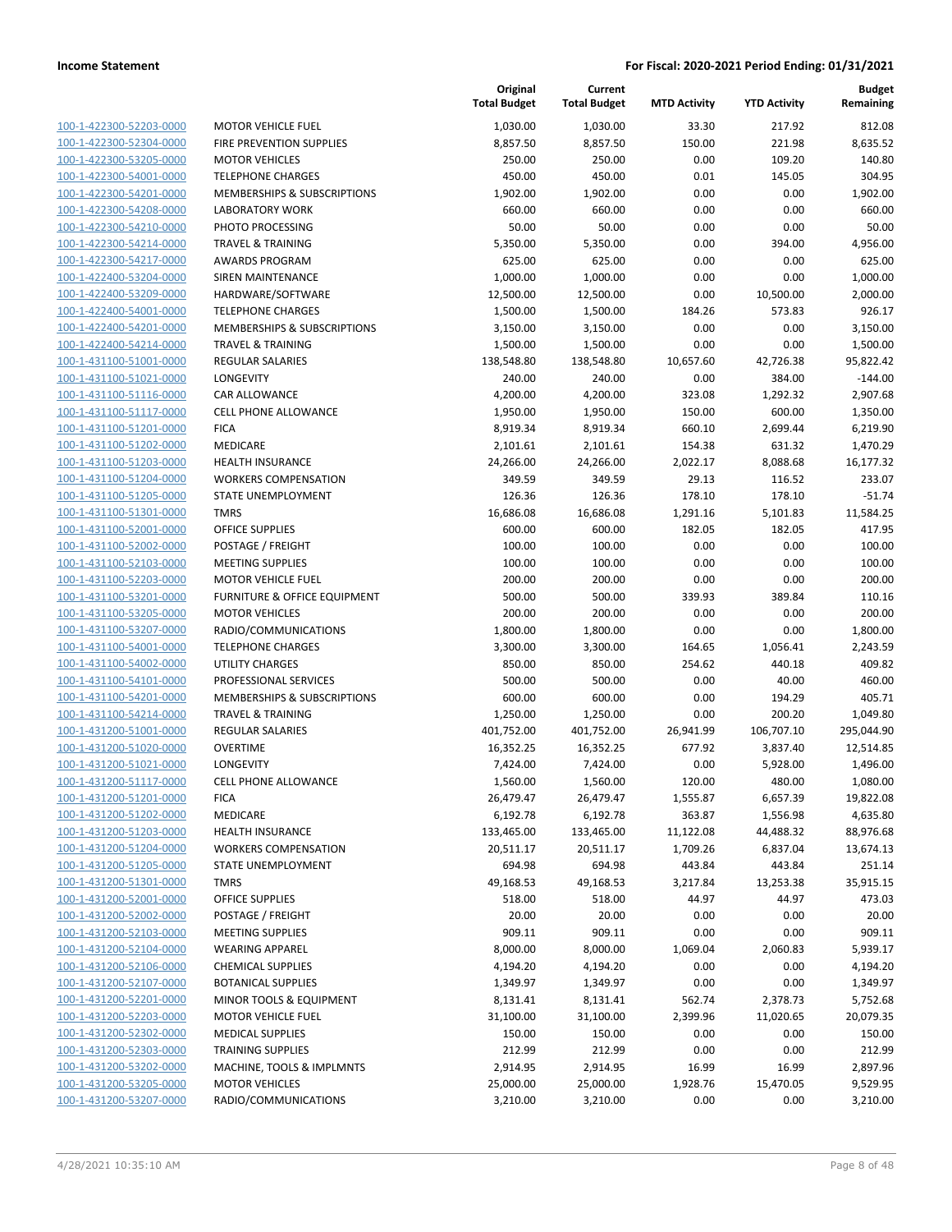| 100-1-422300-52203-0000        |
|--------------------------------|
| 100-1-422300-52304-0000        |
| 100-1-422300-53205-0000        |
| 100-1-422300-54001-0000        |
| 100-1-422300-54201-0000        |
| 100-1-422300-54208-0000        |
|                                |
| 100-1-422300-54210-0000        |
| 100-1-422300-54214-0000        |
| 100-1-422300-54217-0000        |
| 100-1-422400-53204-0000        |
| 100-1-422400-53209-0000        |
| 100-1-422400-54001-0000        |
| 100-1-422400-54201-0000        |
|                                |
| 100-1-422400-54214-0000        |
| 100-1-431100-51001-0000        |
| 100-1-431100-51021-0000        |
| 100-1-431100-51116-0000        |
| 100-1-431100-51117-0000        |
| 100-1-431100-51201-0000        |
| 100-1-431100-51202-0000        |
| 100-1-431100-51203-0000        |
|                                |
| 100-1-431100-51204-0000        |
| 100-1-431100-51205-0000        |
| 100-1-431100-51301-0000        |
| 100-1-431100-52001-0000        |
| 100-1-431100-52002-0000        |
| 100-1-431100-52103-0000        |
| 100-1-431100-52203-0000        |
| 100-1-431100-53201-0000        |
|                                |
| 100-1-431100-53205-0000        |
| 100-1-431100-53207-0000        |
| 100-1-431100-54001-0000        |
| 100-1-431100-54002-0000        |
| 100-1-431100-54101-0000        |
| 100-1-431100-54201-0000        |
| 100-1-431100-54214-0000        |
| 100-1-431200-51001-0000        |
| 100-1-431200-51020-0000        |
|                                |
| 100-1-431200-51021-0000        |
| 100-1-431200-51117-0000        |
| 100-1-431200-51201-0000        |
| 100-1-431200-51202-0000        |
| <u>100-1-431200-51203-0000</u> |
| <u>100-1-431200-51204-0000</u> |
| 100-1-431200-51205-0000        |
| 100-1-431200-51301-0000        |
|                                |
| 100-1-431200-52001-0000        |
| 100-1-431200-52002-0000        |
| 100-1-431200-52103-0000        |
| 100-1-431200-52104-0000        |
| 100-1-431200-52106-0000        |
| <u>100-1-431200-52107-0000</u> |
| 100-1-431200-52201-0000        |
| <u>100-1-431200-52203-0000</u> |
|                                |
| <u>100-1-431200-52302-0000</u> |
| <u>100-1-431200-52303-0000</u> |
| <u>100-1-431200-53202-0000</u> |
| <u>100-1-431200-53205-0000</u> |
| <u>100-1-431200-53207-0000</u> |
|                                |

|                                                    |                                                   | Original<br><b>Total Budget</b> | Current<br><b>Total Budget</b> | <b>MTD Activity</b> | <b>YTD Activity</b> | <b>Budget</b><br>Remaining |
|----------------------------------------------------|---------------------------------------------------|---------------------------------|--------------------------------|---------------------|---------------------|----------------------------|
| 100-1-422300-52203-0000                            | <b>MOTOR VEHICLE FUEL</b>                         | 1,030.00                        | 1,030.00                       | 33.30               | 217.92              | 812.08                     |
| 100-1-422300-52304-0000                            | FIRE PREVENTION SUPPLIES                          | 8,857.50                        | 8,857.50                       | 150.00              | 221.98              | 8,635.52                   |
| 100-1-422300-53205-0000                            | <b>MOTOR VEHICLES</b>                             | 250.00                          | 250.00                         | 0.00                | 109.20              | 140.80                     |
| 100-1-422300-54001-0000                            | <b>TELEPHONE CHARGES</b>                          | 450.00                          | 450.00                         | 0.01                | 145.05              | 304.95                     |
| 100-1-422300-54201-0000                            | MEMBERSHIPS & SUBSCRIPTIONS                       | 1,902.00                        | 1,902.00                       | 0.00                | 0.00                | 1,902.00                   |
| 100-1-422300-54208-0000                            | <b>LABORATORY WORK</b>                            | 660.00                          | 660.00                         | 0.00                | 0.00                | 660.00                     |
| 100-1-422300-54210-0000                            | PHOTO PROCESSING                                  | 50.00                           | 50.00                          | 0.00                | 0.00                | 50.00                      |
| 100-1-422300-54214-0000                            | <b>TRAVEL &amp; TRAINING</b>                      | 5,350.00                        | 5,350.00                       | 0.00                | 394.00              | 4,956.00                   |
| 100-1-422300-54217-0000                            | <b>AWARDS PROGRAM</b>                             | 625.00                          | 625.00                         | 0.00                | 0.00                | 625.00                     |
| 100-1-422400-53204-0000                            | <b>SIREN MAINTENANCE</b>                          | 1,000.00                        | 1,000.00                       | 0.00                | 0.00                | 1,000.00                   |
| 100-1-422400-53209-0000                            | HARDWARE/SOFTWARE                                 | 12,500.00                       | 12,500.00                      | 0.00                | 10,500.00           | 2,000.00                   |
| 100-1-422400-54001-0000                            | <b>TELEPHONE CHARGES</b>                          | 1,500.00                        | 1,500.00                       | 184.26              | 573.83              | 926.17                     |
| 100-1-422400-54201-0000                            | MEMBERSHIPS & SUBSCRIPTIONS                       | 3,150.00                        | 3,150.00                       | 0.00                | 0.00                | 3,150.00                   |
| 100-1-422400-54214-0000                            | <b>TRAVEL &amp; TRAINING</b>                      | 1,500.00                        | 1,500.00                       | 0.00                | 0.00                | 1,500.00                   |
| 100-1-431100-51001-0000                            | <b>REGULAR SALARIES</b>                           | 138,548.80                      | 138,548.80                     | 10,657.60           | 42,726.38           | 95,822.42                  |
| 100-1-431100-51021-0000                            | LONGEVITY                                         | 240.00                          | 240.00                         | 0.00                | 384.00              | $-144.00$                  |
| 100-1-431100-51116-0000                            | CAR ALLOWANCE                                     | 4,200.00                        | 4,200.00                       | 323.08              | 1,292.32            | 2,907.68                   |
| 100-1-431100-51117-0000                            | <b>CELL PHONE ALLOWANCE</b>                       | 1,950.00                        | 1,950.00                       | 150.00              | 600.00              | 1,350.00                   |
| 100-1-431100-51201-0000                            | <b>FICA</b><br><b>MEDICARE</b>                    | 8,919.34                        | 8,919.34                       | 660.10              | 2,699.44            | 6,219.90                   |
| 100-1-431100-51202-0000<br>100-1-431100-51203-0000 | <b>HEALTH INSURANCE</b>                           | 2,101.61                        | 2,101.61                       | 154.38              | 631.32              | 1,470.29                   |
|                                                    |                                                   | 24,266.00                       | 24,266.00                      | 2,022.17            | 8,088.68            | 16,177.32                  |
| 100-1-431100-51204-0000<br>100-1-431100-51205-0000 | <b>WORKERS COMPENSATION</b><br>STATE UNEMPLOYMENT | 349.59                          | 349.59                         | 29.13               | 116.52              | 233.07                     |
| 100-1-431100-51301-0000                            | <b>TMRS</b>                                       | 126.36                          | 126.36                         | 178.10              | 178.10              | $-51.74$                   |
| 100-1-431100-52001-0000                            | <b>OFFICE SUPPLIES</b>                            | 16,686.08<br>600.00             | 16,686.08<br>600.00            | 1,291.16<br>182.05  | 5,101.83<br>182.05  | 11,584.25<br>417.95        |
| 100-1-431100-52002-0000                            | POSTAGE / FREIGHT                                 | 100.00                          | 100.00                         | 0.00                | 0.00                | 100.00                     |
| 100-1-431100-52103-0000                            | <b>MEETING SUPPLIES</b>                           | 100.00                          | 100.00                         | 0.00                | 0.00                | 100.00                     |
| 100-1-431100-52203-0000                            | <b>MOTOR VEHICLE FUEL</b>                         | 200.00                          | 200.00                         | 0.00                | 0.00                | 200.00                     |
| 100-1-431100-53201-0000                            | FURNITURE & OFFICE EQUIPMENT                      | 500.00                          | 500.00                         | 339.93              | 389.84              | 110.16                     |
| 100-1-431100-53205-0000                            | <b>MOTOR VEHICLES</b>                             | 200.00                          | 200.00                         | 0.00                | 0.00                | 200.00                     |
| 100-1-431100-53207-0000                            | RADIO/COMMUNICATIONS                              | 1,800.00                        | 1,800.00                       | 0.00                | 0.00                | 1,800.00                   |
| 100-1-431100-54001-0000                            | <b>TELEPHONE CHARGES</b>                          | 3,300.00                        | 3,300.00                       | 164.65              | 1,056.41            | 2,243.59                   |
| 100-1-431100-54002-0000                            | <b>UTILITY CHARGES</b>                            | 850.00                          | 850.00                         | 254.62              | 440.18              | 409.82                     |
| 100-1-431100-54101-0000                            | PROFESSIONAL SERVICES                             | 500.00                          | 500.00                         | 0.00                | 40.00               | 460.00                     |
| 100-1-431100-54201-0000                            | MEMBERSHIPS & SUBSCRIPTIONS                       | 600.00                          | 600.00                         | 0.00                | 194.29              | 405.71                     |
| 100-1-431100-54214-0000                            | <b>TRAVEL &amp; TRAINING</b>                      | 1,250.00                        | 1,250.00                       | 0.00                | 200.20              | 1,049.80                   |
| 100-1-431200-51001-0000                            | <b>REGULAR SALARIES</b>                           | 401,752.00                      | 401,752.00                     | 26,941.99           | 106,707.10          | 295,044.90                 |
| 100-1-431200-51020-0000                            | <b>OVERTIME</b>                                   | 16,352.25                       | 16,352.25                      | 677.92              | 3,837.40            | 12,514.85                  |
| 100-1-431200-51021-0000                            | LONGEVITY                                         | 7,424.00                        | 7,424.00                       | 0.00                | 5,928.00            | 1,496.00                   |
| 100-1-431200-51117-0000                            | <b>CELL PHONE ALLOWANCE</b>                       | 1,560.00                        | 1,560.00                       | 120.00              | 480.00              | 1,080.00                   |
| 100-1-431200-51201-0000                            | <b>FICA</b>                                       | 26,479.47                       | 26,479.47                      | 1,555.87            | 6,657.39            | 19,822.08                  |
| 100-1-431200-51202-0000                            | MEDICARE                                          | 6,192.78                        | 6,192.78                       | 363.87              | 1,556.98            | 4,635.80                   |
| 100-1-431200-51203-0000                            | <b>HEALTH INSURANCE</b>                           | 133,465.00                      | 133,465.00                     | 11,122.08           | 44,488.32           | 88,976.68                  |
| 100-1-431200-51204-0000                            | <b>WORKERS COMPENSATION</b>                       | 20,511.17                       | 20,511.17                      | 1,709.26            | 6,837.04            | 13,674.13                  |
| 100-1-431200-51205-0000                            | STATE UNEMPLOYMENT                                | 694.98                          | 694.98                         | 443.84              | 443.84              | 251.14                     |
| 100-1-431200-51301-0000                            | <b>TMRS</b>                                       | 49,168.53                       | 49,168.53                      | 3,217.84            | 13,253.38           | 35,915.15                  |
| 100-1-431200-52001-0000                            | <b>OFFICE SUPPLIES</b>                            | 518.00                          | 518.00                         | 44.97               | 44.97               | 473.03                     |
| 100-1-431200-52002-0000                            | POSTAGE / FREIGHT                                 | 20.00                           | 20.00                          | 0.00                | 0.00                | 20.00                      |
| 100-1-431200-52103-0000                            | <b>MEETING SUPPLIES</b>                           | 909.11                          | 909.11                         | 0.00                | 0.00                | 909.11                     |
| 100-1-431200-52104-0000                            | <b>WEARING APPAREL</b>                            | 8,000.00                        | 8,000.00                       | 1,069.04            | 2,060.83            | 5,939.17                   |
| 100-1-431200-52106-0000                            | <b>CHEMICAL SUPPLIES</b>                          | 4,194.20                        | 4,194.20                       | 0.00                | 0.00                | 4,194.20                   |
| 100-1-431200-52107-0000                            | <b>BOTANICAL SUPPLIES</b>                         | 1,349.97                        | 1,349.97                       | 0.00                | 0.00                | 1,349.97                   |
| 100-1-431200-52201-0000                            | MINOR TOOLS & EQUIPMENT                           | 8,131.41                        | 8,131.41                       | 562.74              | 2,378.73            | 5,752.68                   |
| 100-1-431200-52203-0000                            | <b>MOTOR VEHICLE FUEL</b>                         | 31,100.00                       | 31,100.00                      | 2,399.96            | 11,020.65           | 20,079.35                  |
| 100-1-431200-52302-0000                            | <b>MEDICAL SUPPLIES</b>                           | 150.00                          | 150.00                         | 0.00                | 0.00                | 150.00                     |
| 100-1-431200-52303-0000                            | <b>TRAINING SUPPLIES</b>                          | 212.99                          | 212.99                         | 0.00                | 0.00                | 212.99                     |
| 100-1-431200-53202-0000                            | MACHINE, TOOLS & IMPLMNTS                         | 2,914.95                        | 2,914.95                       | 16.99               | 16.99               | 2,897.96                   |
| 100-1-431200-53205-0000                            | <b>MOTOR VEHICLES</b>                             | 25,000.00                       | 25,000.00                      | 1,928.76            | 15,470.05           | 9,529.95                   |
| 100-1-431200-53207-0000                            | RADIO/COMMUNICATIONS                              | 3,210.00                        | 3,210.00                       | 0.00                | 0.00                | 3,210.00                   |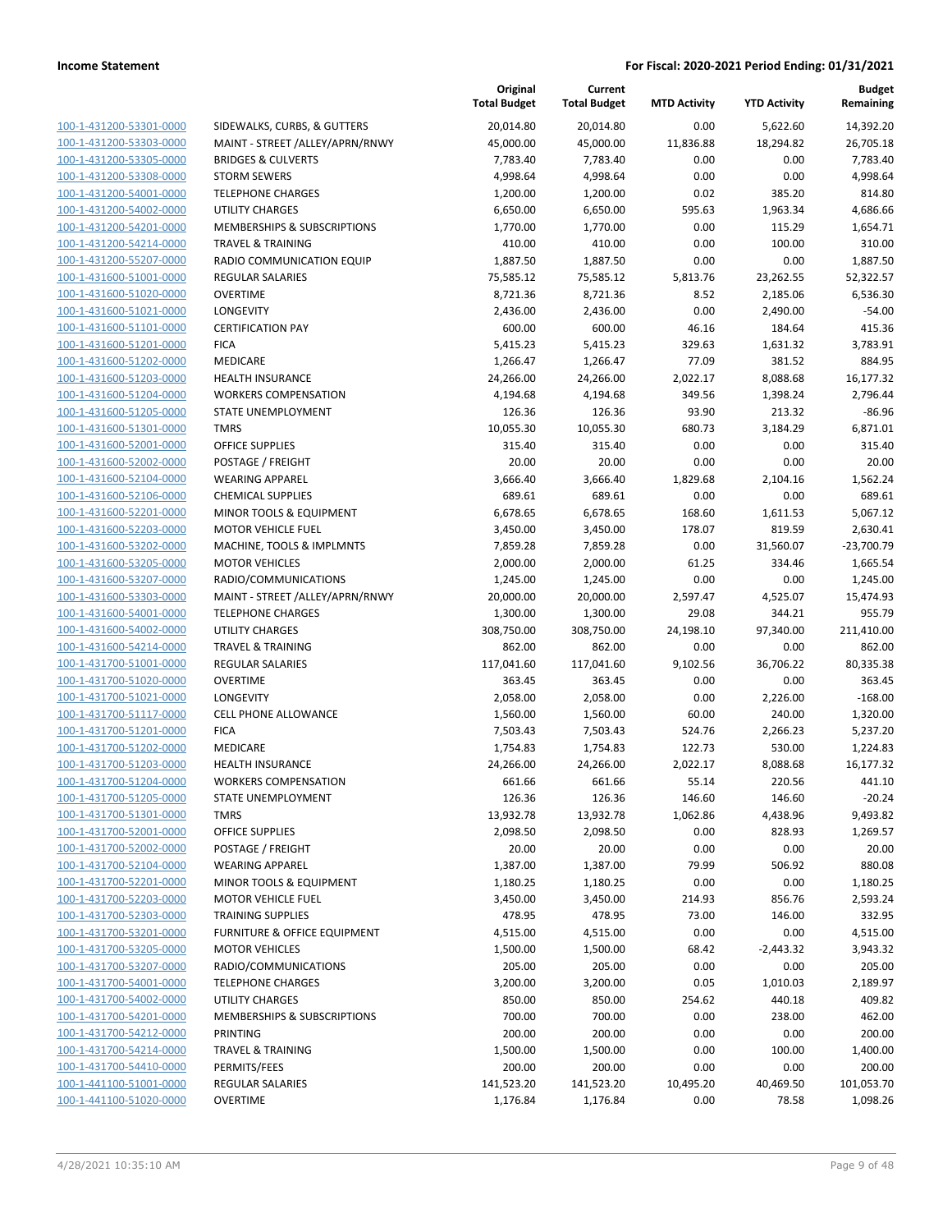| 100-1-431200-53301-0000<br>100-1-431200-53303-0000        | SIDEWALKS, CURBS, & GUTTERS<br>MAINT - STREET /ALLEY/APRN/RNWY |
|-----------------------------------------------------------|----------------------------------------------------------------|
| 100-1-431200-53305-0000                                   | <b>BRIDGES &amp; CULVERTS</b>                                  |
| 100-1-431200-53308-0000                                   | <b>STORM SEWERS</b>                                            |
|                                                           | <b>TELEPHONE CHARGES</b>                                       |
| <u>100-1-431200-54001-0000</u><br>100-1-431200-54002-0000 | <b>UTILITY CHARGES</b>                                         |
| 100-1-431200-54201-0000                                   | <b>MEMBERSHIPS &amp; SUBSCRIPTIONS</b>                         |
|                                                           | <b>TRAVEL &amp; TRAINING</b>                                   |
| 100-1-431200-54214-0000                                   | RADIO COMMUNICATION EQUIP                                      |
| 100-1-431200-55207-0000                                   | <b>REGULAR SALARIES</b>                                        |
| 100-1-431600-51001-0000<br>100-1-431600-51020-0000        | <b>OVERTIME</b>                                                |
| 100-1-431600-51021-0000                                   | LONGEVITY                                                      |
| 100-1-431600-51101-0000                                   | <b>CERTIFICATION PAY</b>                                       |
| 100-1-431600-51201-0000                                   | <b>FICA</b>                                                    |
|                                                           | <b>MEDICARE</b>                                                |
| 100-1-431600-51202-0000<br>100-1-431600-51203-0000        | <b>HEALTH INSURANCE</b>                                        |
| 100-1-431600-51204-0000                                   | <b>WORKERS COMPENSATION</b>                                    |
| 100-1-431600-51205-0000                                   | <b>STATE UNEMPLOYMENT</b>                                      |
| 100-1-431600-51301-0000                                   | <b>TMRS</b>                                                    |
|                                                           | <b>OFFICE SUPPLIES</b>                                         |
| 100-1-431600-52001-0000<br>100-1-431600-52002-0000        | POSTAGE / FREIGHT                                              |
| 100-1-431600-52104-0000                                   | <b>WEARING APPAREL</b>                                         |
| 100-1-431600-52106-0000                                   | <b>CHEMICAL SUPPLIES</b>                                       |
| 100-1-431600-52201-0000                                   | <b>MINOR TOOLS &amp; EQUIPMENT</b>                             |
| 100-1-431600-52203-0000                                   | <b>MOTOR VEHICLE FUEL</b>                                      |
| 100-1-431600-53202-0000                                   | <b>MACHINE. TOOLS &amp; IMPLMNTS</b>                           |
| 100-1-431600-53205-0000                                   | <b>MOTOR VEHICLES</b>                                          |
| 100-1-431600-53207-0000                                   | RADIO/COMMUNICATIONS                                           |
| 100-1-431600-53303-0000                                   | MAINT - STREET /ALLEY/APRN/RNWY                                |
| 100-1-431600-54001-0000                                   | <b>TELEPHONE CHARGES</b>                                       |
| 100-1-431600-54002-0000                                   | UTILITY CHARGES                                                |
| 100-1-431600-54214-0000                                   | <b>TRAVEL &amp; TRAINING</b>                                   |
| 100-1-431700-51001-0000                                   | <b>REGULAR SALARIES</b>                                        |
| 100-1-431700-51020-0000                                   | OVERTIME                                                       |
| 100-1-431700-51021-0000                                   | LONGEVITY                                                      |
| 100-1-431700-51117-0000                                   | <b>CELL PHONE ALLOWANCE</b>                                    |
| 100-1-431700-51201-0000                                   | <b>FICA</b>                                                    |
| 100-1-431700-51202-0000                                   | <b>MEDICARE</b>                                                |
| 100-1-431700-51203-0000                                   | <b>HEALTH INSURANCE</b>                                        |
| 100-1-431700-51204-0000                                   | <b>WORKERS COMPENSATION</b>                                    |
| 100-1-431700-51205-0000                                   | <b>STATE UNEMPLOYMENT</b>                                      |
| 100-1-431700-51301-0000                                   | TMRS                                                           |
| 100-1-431700-52001-0000                                   | <b>OFFICE SUPPLIES</b>                                         |
| 100-1-431700-52002-0000                                   | POSTAGE / FREIGHT                                              |
| 100-1-431700-52104-0000                                   | <b>WEARING APPAREL</b>                                         |
| 100-1-431700-52201-0000                                   | MINOR TOOLS & EQUIPMENT                                        |
| 100-1-431700-52203-0000                                   | <b>MOTOR VEHICLE FUEL</b>                                      |
| 100-1-431700-52303-0000                                   | <b>TRAINING SUPPLIES</b>                                       |
| 100-1-431700-53201-0000                                   | FURNITURE & OFFICE EQUIPMENT                                   |
| 100-1-431700-53205-0000                                   | <b>MOTOR VEHICLES</b>                                          |
| 100-1-431700-53207-0000<br>100-1-431700-54001-0000        | RADIO/COMMUNICATIONS<br><b>TELEPHONE CHARGES</b>               |
| 100-1-431700-54002-0000                                   | UTILITY CHARGES                                                |
| 100-1-431700-54201-0000                                   | <b>MEMBERSHIPS &amp; SUBSCRIPTIONS</b>                         |
| 100-1-431700-54212-0000                                   | PRINTING                                                       |
| 100-1-431700-54214-0000                                   | TRAVEL & TRAINING                                              |
| 100-1-431700-54410-0000                                   | PERMITS/FEES                                                   |
| 100-1-441100-51001-0000                                   | REGULAR SALARIES                                               |
| 100-1-441100-51020-0000                                   | OVERTIME                                                       |
|                                                           |                                                                |

|                         |                                         | Original<br><b>Total Budget</b> | Current<br><b>Total Budget</b> | <b>MTD Activity</b> | <b>YTD Activity</b> | <b>Budget</b><br>Remaining |
|-------------------------|-----------------------------------------|---------------------------------|--------------------------------|---------------------|---------------------|----------------------------|
| 100-1-431200-53301-0000 | SIDEWALKS, CURBS, & GUTTERS             | 20,014.80                       | 20,014.80                      | 0.00                | 5,622.60            | 14,392.20                  |
| 100-1-431200-53303-0000 | MAINT - STREET /ALLEY/APRN/RNWY         | 45,000.00                       | 45,000.00                      | 11,836.88           | 18,294.82           | 26,705.18                  |
| 100-1-431200-53305-0000 | <b>BRIDGES &amp; CULVERTS</b>           | 7,783.40                        | 7,783.40                       | 0.00                | 0.00                | 7,783.40                   |
| 100-1-431200-53308-0000 | <b>STORM SEWERS</b>                     | 4,998.64                        | 4,998.64                       | 0.00                | 0.00                | 4,998.64                   |
| 100-1-431200-54001-0000 | <b>TELEPHONE CHARGES</b>                | 1,200.00                        | 1,200.00                       | 0.02                | 385.20              | 814.80                     |
| 100-1-431200-54002-0000 | <b>UTILITY CHARGES</b>                  | 6,650.00                        | 6,650.00                       | 595.63              | 1,963.34            | 4,686.66                   |
| 100-1-431200-54201-0000 | MEMBERSHIPS & SUBSCRIPTIONS             | 1,770.00                        | 1,770.00                       | 0.00                | 115.29              | 1,654.71                   |
| 100-1-431200-54214-0000 | <b>TRAVEL &amp; TRAINING</b>            | 410.00                          | 410.00                         | 0.00                | 100.00              | 310.00                     |
| 100-1-431200-55207-0000 | RADIO COMMUNICATION EQUIP               | 1,887.50                        | 1,887.50                       | 0.00                | 0.00                | 1,887.50                   |
| 100-1-431600-51001-0000 | <b>REGULAR SALARIES</b>                 | 75,585.12                       | 75,585.12                      | 5,813.76            | 23,262.55           | 52,322.57                  |
| 100-1-431600-51020-0000 | <b>OVERTIME</b>                         | 8,721.36                        | 8,721.36                       | 8.52                | 2,185.06            | 6,536.30                   |
| 100-1-431600-51021-0000 | LONGEVITY                               | 2,436.00                        | 2,436.00                       | 0.00                | 2,490.00            | $-54.00$                   |
| 100-1-431600-51101-0000 | <b>CERTIFICATION PAY</b>                | 600.00                          | 600.00                         | 46.16               | 184.64              | 415.36                     |
| 100-1-431600-51201-0000 | <b>FICA</b>                             | 5,415.23                        | 5,415.23                       | 329.63              | 1,631.32            | 3,783.91                   |
| 100-1-431600-51202-0000 | MEDICARE                                | 1,266.47                        | 1,266.47                       | 77.09               | 381.52              | 884.95                     |
| 100-1-431600-51203-0000 | <b>HEALTH INSURANCE</b>                 | 24,266.00                       | 24,266.00                      | 2,022.17            | 8,088.68            | 16,177.32                  |
| 100-1-431600-51204-0000 | <b>WORKERS COMPENSATION</b>             | 4,194.68                        | 4,194.68                       | 349.56              | 1,398.24            | 2,796.44                   |
| 100-1-431600-51205-0000 | <b>STATE UNEMPLOYMENT</b>               | 126.36                          | 126.36                         | 93.90               | 213.32              | $-86.96$                   |
| 100-1-431600-51301-0000 | <b>TMRS</b>                             | 10,055.30                       | 10,055.30                      | 680.73              | 3,184.29            | 6,871.01                   |
| 100-1-431600-52001-0000 | <b>OFFICE SUPPLIES</b>                  | 315.40                          | 315.40                         | 0.00                | 0.00                | 315.40                     |
| 100-1-431600-52002-0000 | POSTAGE / FREIGHT                       | 20.00                           | 20.00                          | 0.00                | 0.00                | 20.00                      |
| 100-1-431600-52104-0000 | <b>WEARING APPAREL</b>                  | 3,666.40                        | 3,666.40                       | 1,829.68            | 2,104.16            | 1,562.24                   |
| 100-1-431600-52106-0000 | <b>CHEMICAL SUPPLIES</b>                | 689.61                          | 689.61                         | 0.00                | 0.00                | 689.61                     |
| 100-1-431600-52201-0000 | MINOR TOOLS & EQUIPMENT                 | 6,678.65                        | 6,678.65                       | 168.60              | 1,611.53            | 5,067.12                   |
| 100-1-431600-52203-0000 | <b>MOTOR VEHICLE FUEL</b>               | 3,450.00                        | 3,450.00                       | 178.07              | 819.59              | 2,630.41                   |
| 100-1-431600-53202-0000 | MACHINE, TOOLS & IMPLMNTS               | 7,859.28                        | 7,859.28                       | 0.00                | 31,560.07           | $-23,700.79$               |
| 100-1-431600-53205-0000 | <b>MOTOR VEHICLES</b>                   | 2,000.00                        | 2,000.00                       | 61.25               | 334.46              | 1,665.54                   |
| 100-1-431600-53207-0000 | RADIO/COMMUNICATIONS                    | 1,245.00                        | 1,245.00                       | 0.00                | 0.00                | 1,245.00                   |
| 100-1-431600-53303-0000 | MAINT - STREET /ALLEY/APRN/RNWY         | 20,000.00                       | 20,000.00                      | 2,597.47            | 4,525.07            | 15,474.93                  |
| 100-1-431600-54001-0000 | <b>TELEPHONE CHARGES</b>                | 1,300.00                        | 1,300.00                       | 29.08               | 344.21              | 955.79                     |
| 100-1-431600-54002-0000 | <b>UTILITY CHARGES</b>                  | 308,750.00                      | 308,750.00                     | 24,198.10           | 97,340.00           | 211,410.00                 |
| 100-1-431600-54214-0000 | <b>TRAVEL &amp; TRAINING</b>            | 862.00                          | 862.00                         | 0.00                | 0.00                | 862.00                     |
| 100-1-431700-51001-0000 | <b>REGULAR SALARIES</b>                 | 117,041.60                      | 117,041.60                     | 9,102.56            | 36,706.22           | 80,335.38                  |
| 100-1-431700-51020-0000 | <b>OVERTIME</b>                         | 363.45                          | 363.45                         | 0.00                | 0.00                | 363.45                     |
| 100-1-431700-51021-0000 | LONGEVITY                               | 2,058.00                        | 2,058.00                       | 0.00                | 2,226.00            | $-168.00$                  |
| 100-1-431700-51117-0000 | <b>CELL PHONE ALLOWANCE</b>             | 1,560.00                        | 1,560.00                       | 60.00               | 240.00              | 1,320.00                   |
| 100-1-431700-51201-0000 | <b>FICA</b>                             | 7,503.43                        | 7,503.43                       | 524.76              | 2,266.23            | 5,237.20                   |
| 100-1-431700-51202-0000 | MEDICARE                                | 1,754.83                        | 1,754.83                       | 122.73              | 530.00              | 1,224.83                   |
| 100-1-431700-51203-0000 | <b>HEALTH INSURANCE</b>                 | 24,266.00                       | 24,266.00                      | 2,022.17            | 8,088.68            | 16,177.32                  |
| 100-1-431700-51204-0000 | <b>WORKERS COMPENSATION</b>             | 661.66                          | 661.66                         | 55.14               | 220.56              | 441.10                     |
| 100-1-431700-51205-0000 | STATE UNEMPLOYMENT                      | 126.36                          | 126.36                         | 146.60              | 146.60              | $-20.24$                   |
| 100-1-431700-51301-0000 | <b>TMRS</b>                             | 13,932.78                       | 13,932.78                      | 1,062.86            | 4,438.96            | 9,493.82                   |
| 100-1-431700-52001-0000 | <b>OFFICE SUPPLIES</b>                  | 2,098.50                        | 2,098.50                       | 0.00                | 828.93              | 1,269.57                   |
| 100-1-431700-52002-0000 | POSTAGE / FREIGHT                       | 20.00                           | 20.00                          | 0.00                | 0.00                | 20.00                      |
| 100-1-431700-52104-0000 | <b>WEARING APPAREL</b>                  | 1,387.00                        | 1,387.00                       | 79.99               | 506.92              | 880.08                     |
| 100-1-431700-52201-0000 | MINOR TOOLS & EQUIPMENT                 | 1,180.25                        | 1,180.25                       | 0.00                | 0.00                | 1,180.25                   |
| 100-1-431700-52203-0000 | <b>MOTOR VEHICLE FUEL</b>               | 3,450.00                        | 3,450.00                       | 214.93              | 856.76              | 2,593.24                   |
| 100-1-431700-52303-0000 | <b>TRAINING SUPPLIES</b>                | 478.95                          | 478.95                         | 73.00               | 146.00              | 332.95                     |
| 100-1-431700-53201-0000 | <b>FURNITURE &amp; OFFICE EQUIPMENT</b> | 4,515.00                        | 4,515.00                       | 0.00                | 0.00                | 4,515.00                   |
| 100-1-431700-53205-0000 | <b>MOTOR VEHICLES</b>                   | 1,500.00                        | 1,500.00                       | 68.42               | $-2,443.32$         | 3,943.32                   |
| 100-1-431700-53207-0000 | RADIO/COMMUNICATIONS                    | 205.00                          | 205.00                         | 0.00                | 0.00                | 205.00                     |
| 100-1-431700-54001-0000 | <b>TELEPHONE CHARGES</b>                | 3,200.00                        | 3,200.00                       | 0.05                | 1,010.03            | 2,189.97                   |
| 100-1-431700-54002-0000 | <b>UTILITY CHARGES</b>                  |                                 |                                |                     |                     |                            |
| 100-1-431700-54201-0000 | MEMBERSHIPS & SUBSCRIPTIONS             | 850.00                          | 850.00                         | 254.62              | 440.18              | 409.82                     |
| 100-1-431700-54212-0000 | PRINTING                                | 700.00<br>200.00                | 700.00<br>200.00               | 0.00<br>0.00        | 238.00              | 462.00<br>200.00           |
|                         |                                         |                                 |                                |                     | 0.00                |                            |
| 100-1-431700-54214-0000 | <b>TRAVEL &amp; TRAINING</b>            | 1,500.00                        | 1,500.00                       | 0.00                | 100.00              | 1,400.00                   |
| 100-1-431700-54410-0000 | PERMITS/FEES                            | 200.00                          | 200.00                         | 0.00                | 0.00                | 200.00                     |
| 100-1-441100-51001-0000 | <b>REGULAR SALARIES</b>                 | 141,523.20                      | 141,523.20                     | 10,495.20           | 40,469.50           | 101,053.70                 |
| 100-1-441100-51020-0000 | <b>OVERTIME</b>                         | 1,176.84                        | 1,176.84                       | 0.00                | 78.58               | 1,098.26                   |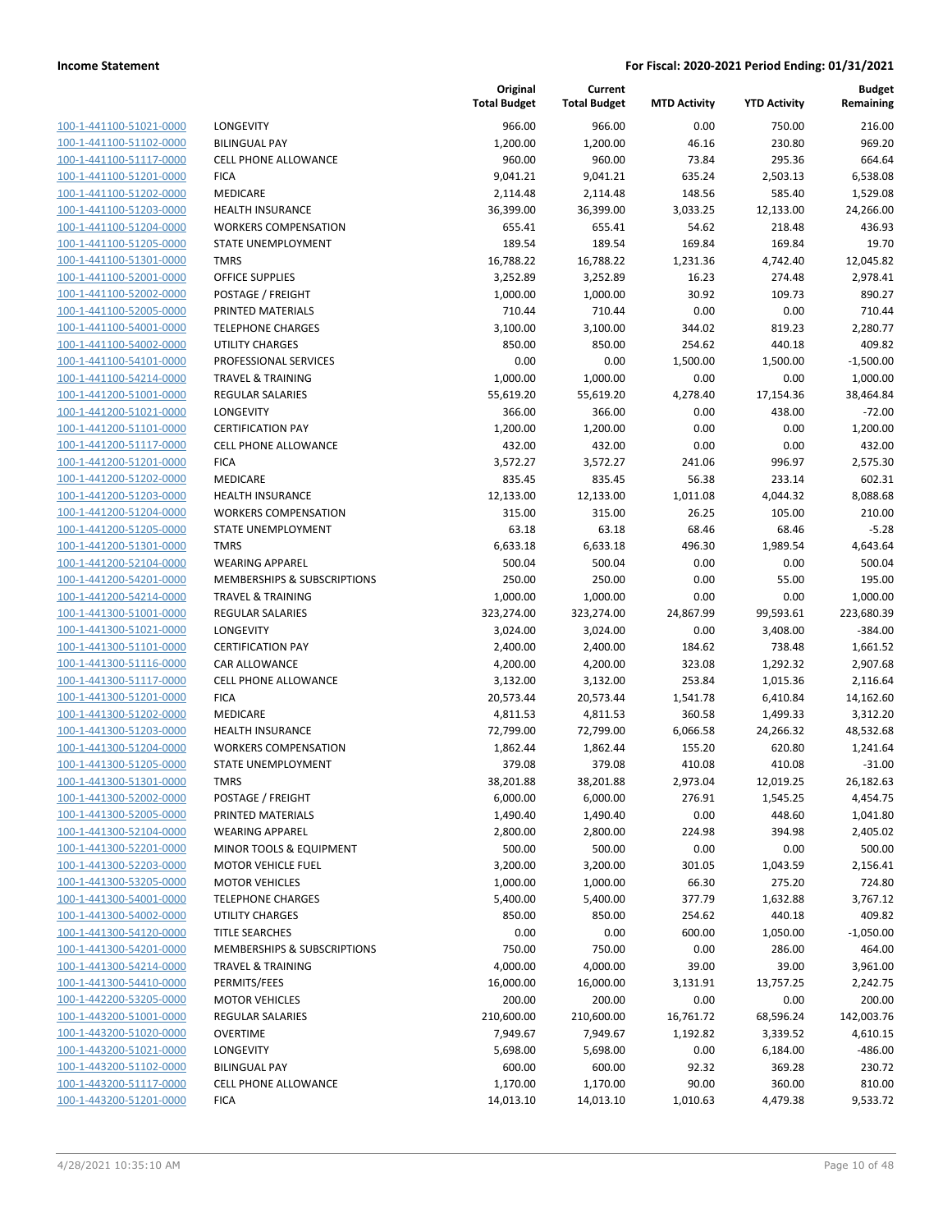| 100-1-441100-51021-0000        |
|--------------------------------|
| 100-1-441100-51102-0000        |
| 100-1-441100-51117-0000        |
| 100-1-441100-51201-0000        |
| 100-1-441100-51202-0000        |
| 100-1-441100-51203-0000        |
| 100-1-441100-51204-0000        |
| 100-1-441100-51205-0000        |
| 100-1-441100-51301-0000        |
| 100-1-441100-52001-0000        |
| 100-1-441100-52002-0000        |
| 100-1-441100-52005-0000        |
| 100-1-441100-54001-0000        |
| 100-1-441100-54002-0000        |
| 100-1-441100-54101-0000        |
| 100-1-441100-54214-0000        |
| 100-1-441200-51001-0000        |
| 100-1-441200-51021-0000        |
| 100-1-441200-51101-0000        |
| 100-1-441200-51117-0000        |
| 100-1-441200-51201-0000        |
| 100-1-441200-51202-0000        |
| 100-1-441200-51203-0000        |
| 100-1-441200-51204-0000        |
| 100-1-441200-51205-0000        |
| 100-1-441200-51301-0000        |
| 100-1-441200-52104-0000        |
| 100-1-441200-54201-0000        |
| 100-1-441200-54214-0000        |
| 100-1-441300-51001-0000        |
| 100-1-441300-51021-0000        |
| 100-1-441300-51101-0000        |
| 100-1-441300-51116-0000        |
| 100-1-441300-51117-0000        |
|                                |
| 100-1-441300-51201-0000        |
| 100-1-441300-51202-0000        |
| 100-1-441300-51203-0000        |
| 100-1-441300-51204-0000        |
| 100-1-441300-51205-0000        |
| 100-1-441300-51301-0000        |
| 100-1-441300-52002-0000        |
| <u>100-1-441300-52005-0000</u> |
| 100-1-441300-52104-0000        |
| 100-1-441300-52201-0000        |
| 100-1-441300-52203-0000        |
| <u>100-1-441300-53205-0000</u> |
| <u>100-1-441300-54001-0000</u> |
| <u>100-1-441300-54002-0000</u> |
| 100-1-441300-54120-0000        |
| 100-1-441300-54201-0000        |
| 100-1-441300-54214-0000        |
| <u>100-1-441300-54410-0000</u> |
| <u>100-1-442200-53205-0000</u> |
| 100-1-443200-51001-0000        |
| 100-1-443200-51020-0000        |
| <u>100-1-443200-51021-0000</u> |
| <u>100-1-443200-51102-0000</u> |
| <u>100-1-443200-51117-0000</u> |
| 100-1-443200-51201-0000        |
|                                |

|                         |                                        | Original<br><b>Total Budget</b> | Current<br><b>Total Budget</b> | <b>MTD Activity</b> | <b>YTD Activity</b> | <b>Budget</b><br>Remaining |
|-------------------------|----------------------------------------|---------------------------------|--------------------------------|---------------------|---------------------|----------------------------|
| 100-1-441100-51021-0000 | LONGEVITY                              | 966.00                          | 966.00                         | 0.00                | 750.00              | 216.00                     |
| 100-1-441100-51102-0000 | <b>BILINGUAL PAY</b>                   | 1,200.00                        | 1,200.00                       | 46.16               | 230.80              | 969.20                     |
| 100-1-441100-51117-0000 | <b>CELL PHONE ALLOWANCE</b>            | 960.00                          | 960.00                         | 73.84               | 295.36              | 664.64                     |
| 100-1-441100-51201-0000 | <b>FICA</b>                            | 9,041.21                        | 9,041.21                       | 635.24              | 2,503.13            | 6,538.08                   |
| 100-1-441100-51202-0000 | MEDICARE                               | 2,114.48                        | 2,114.48                       | 148.56              | 585.40              | 1,529.08                   |
| 100-1-441100-51203-0000 | <b>HEALTH INSURANCE</b>                | 36,399.00                       | 36,399.00                      | 3,033.25            | 12,133.00           | 24,266.00                  |
| 100-1-441100-51204-0000 | <b>WORKERS COMPENSATION</b>            | 655.41                          | 655.41                         | 54.62               | 218.48              | 436.93                     |
| 100-1-441100-51205-0000 | STATE UNEMPLOYMENT                     | 189.54                          | 189.54                         | 169.84              | 169.84              | 19.70                      |
| 100-1-441100-51301-0000 | <b>TMRS</b>                            | 16,788.22                       | 16,788.22                      | 1,231.36            | 4,742.40            | 12,045.82                  |
| 100-1-441100-52001-0000 | <b>OFFICE SUPPLIES</b>                 | 3,252.89                        | 3,252.89                       | 16.23               | 274.48              | 2,978.41                   |
| 100-1-441100-52002-0000 | POSTAGE / FREIGHT                      | 1,000.00                        | 1,000.00                       | 30.92               | 109.73              | 890.27                     |
| 100-1-441100-52005-0000 | PRINTED MATERIALS                      | 710.44                          | 710.44                         | 0.00                | 0.00                | 710.44                     |
| 100-1-441100-54001-0000 | <b>TELEPHONE CHARGES</b>               | 3,100.00                        | 3,100.00                       | 344.02              | 819.23              | 2,280.77                   |
| 100-1-441100-54002-0000 | <b>UTILITY CHARGES</b>                 | 850.00                          | 850.00                         | 254.62              | 440.18              | 409.82                     |
| 100-1-441100-54101-0000 | PROFESSIONAL SERVICES                  | 0.00                            | 0.00                           | 1,500.00            | 1,500.00            | $-1,500.00$                |
| 100-1-441100-54214-0000 | <b>TRAVEL &amp; TRAINING</b>           | 1,000.00                        | 1,000.00                       | 0.00                | 0.00                | 1,000.00                   |
| 100-1-441200-51001-0000 | <b>REGULAR SALARIES</b>                | 55,619.20                       | 55,619.20                      | 4,278.40            | 17,154.36           | 38,464.84                  |
| 100-1-441200-51021-0000 | <b>LONGEVITY</b>                       | 366.00                          | 366.00                         | 0.00                | 438.00              | $-72.00$                   |
| 100-1-441200-51101-0000 | <b>CERTIFICATION PAY</b>               | 1,200.00                        | 1,200.00                       | 0.00                | 0.00                | 1,200.00                   |
| 100-1-441200-51117-0000 | <b>CELL PHONE ALLOWANCE</b>            | 432.00                          | 432.00                         | 0.00                | 0.00                | 432.00                     |
| 100-1-441200-51201-0000 | <b>FICA</b>                            | 3,572.27                        | 3,572.27                       | 241.06              | 996.97              | 2,575.30                   |
| 100-1-441200-51202-0000 | <b>MEDICARE</b>                        | 835.45                          | 835.45                         | 56.38               | 233.14              | 602.31                     |
| 100-1-441200-51203-0000 | <b>HEALTH INSURANCE</b>                | 12,133.00                       | 12,133.00                      | 1,011.08            | 4,044.32            | 8,088.68                   |
| 100-1-441200-51204-0000 | <b>WORKERS COMPENSATION</b>            | 315.00                          | 315.00                         | 26.25               | 105.00              | 210.00                     |
| 100-1-441200-51205-0000 | STATE UNEMPLOYMENT                     | 63.18                           | 63.18                          | 68.46               | 68.46               | $-5.28$                    |
| 100-1-441200-51301-0000 | <b>TMRS</b>                            | 6,633.18                        | 6,633.18                       | 496.30              | 1,989.54            | 4,643.64                   |
| 100-1-441200-52104-0000 | <b>WEARING APPAREL</b>                 | 500.04                          | 500.04                         | 0.00                | 0.00                | 500.04                     |
| 100-1-441200-54201-0000 | <b>MEMBERSHIPS &amp; SUBSCRIPTIONS</b> | 250.00                          | 250.00                         | 0.00                | 55.00               | 195.00                     |
| 100-1-441200-54214-0000 | <b>TRAVEL &amp; TRAINING</b>           | 1,000.00                        | 1,000.00                       | 0.00                | 0.00                | 1,000.00                   |
| 100-1-441300-51001-0000 | <b>REGULAR SALARIES</b>                | 323,274.00                      | 323,274.00                     | 24,867.99           | 99,593.61           | 223,680.39                 |
| 100-1-441300-51021-0000 | LONGEVITY                              | 3,024.00                        | 3,024.00                       | 0.00                | 3,408.00            | $-384.00$                  |
| 100-1-441300-51101-0000 | <b>CERTIFICATION PAY</b>               | 2,400.00                        | 2,400.00                       | 184.62              | 738.48              | 1,661.52                   |
| 100-1-441300-51116-0000 | CAR ALLOWANCE                          | 4,200.00                        | 4,200.00                       | 323.08              | 1,292.32            | 2,907.68                   |
| 100-1-441300-51117-0000 | <b>CELL PHONE ALLOWANCE</b>            | 3,132.00                        | 3,132.00                       | 253.84              | 1,015.36            | 2,116.64                   |
| 100-1-441300-51201-0000 | <b>FICA</b>                            | 20,573.44                       | 20,573.44                      | 1,541.78            | 6,410.84            | 14,162.60                  |
| 100-1-441300-51202-0000 | MEDICARE                               | 4,811.53                        | 4,811.53                       | 360.58              | 1,499.33            | 3,312.20                   |
| 100-1-441300-51203-0000 | <b>HEALTH INSURANCE</b>                | 72,799.00                       | 72,799.00                      | 6,066.58            | 24,266.32           | 48,532.68                  |
| 100-1-441300-51204-0000 | <b>WORKERS COMPENSATION</b>            | 1,862.44                        | 1,862.44                       | 155.20              | 620.80              | 1,241.64                   |
| 100-1-441300-51205-0000 | STATE UNEMPLOYMENT                     | 379.08                          | 379.08                         | 410.08              | 410.08              | $-31.00$                   |
| 100-1-441300-51301-0000 | <b>TMRS</b>                            | 38,201.88                       | 38,201.88                      | 2,973.04            | 12,019.25           | 26,182.63                  |
| 100-1-441300-52002-0000 | POSTAGE / FREIGHT                      | 6,000.00                        | 6,000.00                       | 276.91              | 1,545.25            | 4,454.75                   |
| 100-1-441300-52005-0000 | PRINTED MATERIALS                      | 1,490.40                        | 1,490.40                       | 0.00                | 448.60              | 1,041.80                   |
| 100-1-441300-52104-0000 | <b>WEARING APPAREL</b>                 | 2,800.00                        | 2,800.00                       | 224.98              | 394.98              | 2,405.02                   |
| 100-1-441300-52201-0000 | MINOR TOOLS & EQUIPMENT                | 500.00                          | 500.00                         | 0.00                | 0.00                | 500.00                     |
| 100-1-441300-52203-0000 | <b>MOTOR VEHICLE FUEL</b>              | 3,200.00                        | 3,200.00                       | 301.05              | 1,043.59            | 2,156.41                   |
| 100-1-441300-53205-0000 | <b>MOTOR VEHICLES</b>                  | 1,000.00                        | 1,000.00                       | 66.30               | 275.20              | 724.80                     |
| 100-1-441300-54001-0000 | <b>TELEPHONE CHARGES</b>               | 5,400.00                        | 5,400.00                       | 377.79              | 1,632.88            | 3,767.12                   |
| 100-1-441300-54002-0000 | <b>UTILITY CHARGES</b>                 | 850.00                          | 850.00                         | 254.62              | 440.18              | 409.82                     |
| 100-1-441300-54120-0000 | <b>TITLE SEARCHES</b>                  | 0.00                            | 0.00                           | 600.00              | 1,050.00            | $-1,050.00$                |
| 100-1-441300-54201-0000 | <b>MEMBERSHIPS &amp; SUBSCRIPTIONS</b> | 750.00                          | 750.00                         | 0.00                | 286.00              | 464.00                     |
| 100-1-441300-54214-0000 | <b>TRAVEL &amp; TRAINING</b>           | 4,000.00                        | 4,000.00                       | 39.00               | 39.00               | 3,961.00                   |
| 100-1-441300-54410-0000 | PERMITS/FEES                           | 16,000.00                       | 16,000.00                      | 3,131.91            | 13,757.25           | 2,242.75                   |
| 100-1-442200-53205-0000 | <b>MOTOR VEHICLES</b>                  | 200.00                          | 200.00                         | 0.00                | 0.00                | 200.00                     |
| 100-1-443200-51001-0000 | <b>REGULAR SALARIES</b>                | 210,600.00                      | 210,600.00                     | 16,761.72           | 68,596.24           | 142,003.76                 |
| 100-1-443200-51020-0000 | <b>OVERTIME</b>                        | 7,949.67                        | 7,949.67                       | 1,192.82            | 3,339.52            | 4,610.15                   |
| 100-1-443200-51021-0000 | <b>LONGEVITY</b>                       | 5,698.00                        | 5,698.00                       | 0.00                | 6,184.00            | $-486.00$                  |
| 100-1-443200-51102-0000 | <b>BILINGUAL PAY</b>                   | 600.00                          | 600.00                         | 92.32               | 369.28              | 230.72                     |
| 100-1-443200-51117-0000 | <b>CELL PHONE ALLOWANCE</b>            | 1,170.00                        | 1,170.00                       | 90.00               | 360.00              | 810.00                     |
| 100-1-443200-51201-0000 | <b>FICA</b>                            | 14,013.10                       | 14,013.10                      | 1,010.63            | 4,479.38            | 9,533.72                   |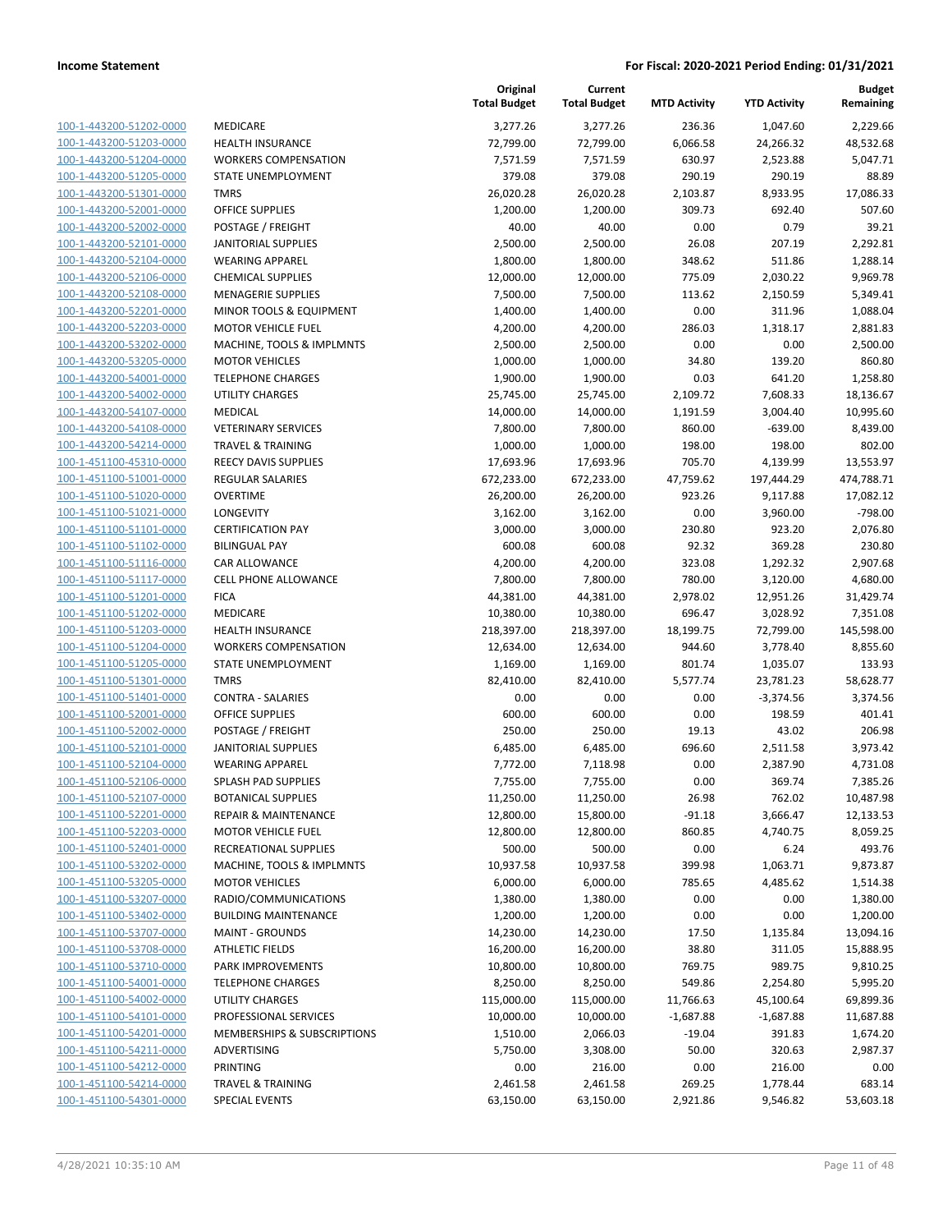| 100-1-443200-51202-0000        | ME              |
|--------------------------------|-----------------|
| 100-1-443200-51203-0000        | HE/             |
| 100-1-443200-51204-0000        | WC              |
| 100-1-443200-51205-0000        | STA             |
|                                |                 |
| 100-1-443200-51301-0000        | TM              |
| 100-1-443200-52001-0000        | OFF             |
| 100-1-443200-52002-0000        | PO:             |
| 100-1-443200-52101-0000        | JAN             |
| 100-1-443200-52104-0000        | WE              |
| 100-1-443200-52106-0000        | CHI             |
| 100-1-443200-52108-0000        | ME              |
| 100-1-443200-52201-0000        | MII             |
| 100-1-443200-52203-0000        | MC              |
| 100-1-443200-53202-0000        | MA              |
| 100-1-443200-53205-0000        | MC              |
| 100-1-443200-54001-0000        | TEL             |
| 100-1-443200-54002-0000        | UTI             |
| 100-1-443200-54107-0000        | ME              |
| 100-1-443200-54108-0000        | VE <sub>1</sub> |
| 100-1-443200-54214-0000        | TR/             |
|                                | <b>REE</b>      |
| 100-1-451100-45310-0000        |                 |
| 100-1-451100-51001-0000        | <b>REC</b>      |
| 100-1-451100-51020-0000        | OV              |
| 100-1-451100-51021-0000        | LOI             |
| 100-1-451100-51101-0000        | <b>CEF</b>      |
| 100-1-451100-51102-0000        | BILI            |
| 100-1-451100-51116-0000        | CAI             |
| 100-1-451100-51117-0000        | CEL             |
| 100-1-451100-51201-0000        | FIC.            |
| 100-1-451100-51202-0000        | ME              |
| 100-1-451100-51203-0000        | HE/             |
| 100-1-451100-51204-0000        | WC              |
| 100-1-451100-51205-0000        | STA             |
| 100-1-451100-51301-0000        | TM              |
| 100-1-451100-51401-0000        | COI             |
| 100-1-451100-52001-0000        | OFF             |
| 100-1-451100-52002-0000        | PO:             |
|                                |                 |
| 100-1-451100-52101-0000        | JAN             |
| 100-1-451100-52104-0000        | WE              |
| 100-1-451100-52106-0000        | SPL             |
| 100-1-451100-52107-0000        | BO.             |
| 100-1-451100-52201-0000        | REF             |
| 100-1-451100-52203-0000        | МC              |
| 100-1-451100-52401-0000        | <b>REC</b>      |
| 100-1-451100-53202-0000        | MA              |
| 100-1-451100-53205-0000        | MC              |
| 100-1-451100-53207-0000        | RAI             |
| 100-1-451100-53402-0000        | BUI             |
| 100-1-451100-53707-0000        | MA              |
| 100-1-451100-53708-0000        | ATI             |
|                                | PAP             |
| <u>100-1-451100-53710-0000</u> |                 |
| 100-1-451100-54001-0000        | TEL             |
| 100-1-451100-54002-0000        | UTI             |
| 100-1-451100-54101-0000        | PR(             |
| 100-1-451100-54201-0000        | ME              |
| 100-1-451100-54211-0000        | AD'             |
| 100-1-451100-54212-0000        | PRI             |
| 100-1-451100-54214-0000        | TR/             |
| 100-1-451100-54301-0000        | SPE             |
|                                |                 |

|                                                    |                                                             | Original<br><b>Total Budget</b> | Current<br><b>Total Budget</b> | <b>MTD Activity</b> | <b>YTD Activity</b> | <b>Budget</b><br>Remaining |
|----------------------------------------------------|-------------------------------------------------------------|---------------------------------|--------------------------------|---------------------|---------------------|----------------------------|
| 100-1-443200-51202-0000                            | MEDICARE                                                    | 3,277.26                        | 3,277.26                       | 236.36              | 1,047.60            | 2,229.66                   |
| 100-1-443200-51203-0000                            | <b>HEALTH INSURANCE</b>                                     | 72,799.00                       | 72,799.00                      | 6,066.58            | 24,266.32           | 48,532.68                  |
| 100-1-443200-51204-0000                            | <b>WORKERS COMPENSATION</b>                                 | 7,571.59                        | 7,571.59                       | 630.97              | 2,523.88            | 5,047.71                   |
| 100-1-443200-51205-0000                            | STATE UNEMPLOYMENT                                          | 379.08                          | 379.08                         | 290.19              | 290.19              | 88.89                      |
| 100-1-443200-51301-0000                            | <b>TMRS</b>                                                 | 26,020.28                       | 26,020.28                      | 2,103.87            | 8,933.95            | 17,086.33                  |
| 100-1-443200-52001-0000                            | <b>OFFICE SUPPLIES</b>                                      | 1,200.00                        | 1,200.00                       | 309.73              | 692.40              | 507.60                     |
| 100-1-443200-52002-0000                            | POSTAGE / FREIGHT                                           | 40.00                           | 40.00                          | 0.00                | 0.79                | 39.21                      |
| 100-1-443200-52101-0000                            | <b>JANITORIAL SUPPLIES</b>                                  | 2,500.00                        | 2,500.00                       | 26.08               | 207.19              | 2,292.81                   |
| 100-1-443200-52104-0000                            | <b>WEARING APPAREL</b>                                      | 1,800.00                        | 1,800.00                       | 348.62              | 511.86              | 1,288.14                   |
| 100-1-443200-52106-0000                            | <b>CHEMICAL SUPPLIES</b>                                    | 12,000.00                       | 12,000.00                      | 775.09              | 2,030.22            | 9,969.78                   |
| 100-1-443200-52108-0000                            | <b>MENAGERIE SUPPLIES</b>                                   | 7,500.00                        | 7,500.00                       | 113.62              | 2,150.59            | 5,349.41                   |
| 100-1-443200-52201-0000                            | MINOR TOOLS & EQUIPMENT                                     | 1,400.00                        | 1,400.00                       | 0.00                | 311.96              | 1,088.04                   |
| 100-1-443200-52203-0000                            | <b>MOTOR VEHICLE FUEL</b>                                   | 4,200.00                        | 4,200.00                       | 286.03              | 1,318.17            | 2,881.83                   |
| 100-1-443200-53202-0000                            | MACHINE, TOOLS & IMPLMNTS                                   | 2,500.00                        | 2,500.00                       | 0.00                | 0.00                | 2,500.00                   |
| 100-1-443200-53205-0000                            | <b>MOTOR VEHICLES</b>                                       | 1,000.00                        | 1,000.00                       | 34.80               | 139.20              | 860.80                     |
| 100-1-443200-54001-0000                            | <b>TELEPHONE CHARGES</b>                                    | 1,900.00                        | 1,900.00                       | 0.03                | 641.20              | 1,258.80                   |
| 100-1-443200-54002-0000                            | <b>UTILITY CHARGES</b>                                      | 25,745.00                       | 25,745.00                      | 2,109.72            | 7,608.33            | 18,136.67                  |
| 100-1-443200-54107-0000<br>100-1-443200-54108-0000 | MEDICAL                                                     | 14,000.00                       | 14,000.00                      | 1,191.59            | 3,004.40            | 10,995.60                  |
| 100-1-443200-54214-0000                            | <b>VETERINARY SERVICES</b>                                  | 7,800.00                        | 7,800.00                       | 860.00              | $-639.00$           | 8,439.00                   |
| 100-1-451100-45310-0000                            | <b>TRAVEL &amp; TRAINING</b><br><b>REECY DAVIS SUPPLIES</b> | 1,000.00                        | 1,000.00                       | 198.00<br>705.70    | 198.00<br>4,139.99  | 802.00<br>13,553.97        |
| 100-1-451100-51001-0000                            | <b>REGULAR SALARIES</b>                                     | 17,693.96<br>672,233.00         | 17,693.96<br>672,233.00        | 47,759.62           | 197,444.29          | 474,788.71                 |
| 100-1-451100-51020-0000                            | <b>OVERTIME</b>                                             | 26,200.00                       | 26,200.00                      | 923.26              | 9,117.88            | 17,082.12                  |
| 100-1-451100-51021-0000                            | <b>LONGEVITY</b>                                            | 3,162.00                        | 3,162.00                       | 0.00                | 3,960.00            | $-798.00$                  |
| 100-1-451100-51101-0000                            | <b>CERTIFICATION PAY</b>                                    | 3,000.00                        | 3,000.00                       | 230.80              | 923.20              | 2,076.80                   |
| 100-1-451100-51102-0000                            | <b>BILINGUAL PAY</b>                                        | 600.08                          | 600.08                         | 92.32               | 369.28              | 230.80                     |
| 100-1-451100-51116-0000                            | <b>CAR ALLOWANCE</b>                                        | 4,200.00                        | 4,200.00                       | 323.08              | 1,292.32            | 2,907.68                   |
| 100-1-451100-51117-0000                            | <b>CELL PHONE ALLOWANCE</b>                                 | 7,800.00                        | 7,800.00                       | 780.00              | 3,120.00            | 4,680.00                   |
| 100-1-451100-51201-0000                            | <b>FICA</b>                                                 | 44,381.00                       | 44,381.00                      | 2,978.02            | 12,951.26           | 31,429.74                  |
| 100-1-451100-51202-0000                            | MEDICARE                                                    | 10,380.00                       | 10,380.00                      | 696.47              | 3,028.92            | 7,351.08                   |
| 100-1-451100-51203-0000                            | <b>HEALTH INSURANCE</b>                                     | 218,397.00                      | 218,397.00                     | 18,199.75           | 72,799.00           | 145,598.00                 |
| 100-1-451100-51204-0000                            | <b>WORKERS COMPENSATION</b>                                 | 12,634.00                       | 12,634.00                      | 944.60              | 3,778.40            | 8,855.60                   |
| 100-1-451100-51205-0000                            | STATE UNEMPLOYMENT                                          | 1,169.00                        | 1,169.00                       | 801.74              | 1,035.07            | 133.93                     |
| 100-1-451100-51301-0000                            | <b>TMRS</b>                                                 | 82,410.00                       | 82,410.00                      | 5,577.74            | 23,781.23           | 58,628.77                  |
| 100-1-451100-51401-0000                            | <b>CONTRA - SALARIES</b>                                    | 0.00                            | 0.00                           | 0.00                | $-3,374.56$         | 3,374.56                   |
| 100-1-451100-52001-0000                            | <b>OFFICE SUPPLIES</b>                                      | 600.00                          | 600.00                         | 0.00                | 198.59              | 401.41                     |
| 100-1-451100-52002-0000                            | POSTAGE / FREIGHT                                           | 250.00                          | 250.00                         | 19.13               | 43.02               | 206.98                     |
| 100-1-451100-52101-0000                            | <b>JANITORIAL SUPPLIES</b>                                  | 6,485.00                        | 6,485.00                       | 696.60              | 2,511.58            | 3,973.42                   |
| 100-1-451100-52104-0000                            | <b>WEARING APPAREL</b>                                      | 7,772.00                        | 7,118.98                       | 0.00                | 2,387.90            | 4,731.08                   |
| 100-1-451100-52106-0000                            | SPLASH PAD SUPPLIES                                         | 7,755.00                        | 7,755.00                       | 0.00                | 369.74              | 7,385.26                   |
| 100-1-451100-52107-0000                            | <b>BOTANICAL SUPPLIES</b>                                   | 11,250.00                       | 11,250.00                      | 26.98               | 762.02              | 10,487.98                  |
| 100-1-451100-52201-0000                            | <b>REPAIR &amp; MAINTENANCE</b>                             | 12,800.00                       | 15,800.00                      | $-91.18$            | 3,666.47            | 12,133.53                  |
| 100-1-451100-52203-0000                            | <b>MOTOR VEHICLE FUEL</b>                                   | 12,800.00                       | 12,800.00                      | 860.85              | 4,740.75            | 8,059.25                   |
| 100-1-451100-52401-0000                            | RECREATIONAL SUPPLIES                                       | 500.00                          | 500.00                         | 0.00                | 6.24                | 493.76                     |
| 100-1-451100-53202-0000                            | MACHINE, TOOLS & IMPLMNTS                                   | 10,937.58                       | 10,937.58                      | 399.98              | 1,063.71            | 9,873.87                   |
| 100-1-451100-53205-0000                            | <b>MOTOR VEHICLES</b>                                       | 6,000.00                        | 6,000.00                       | 785.65              | 4,485.62            | 1,514.38                   |
| 100-1-451100-53207-0000                            | RADIO/COMMUNICATIONS                                        | 1,380.00                        | 1,380.00                       | 0.00                | 0.00                | 1,380.00                   |
| 100-1-451100-53402-0000                            | <b>BUILDING MAINTENANCE</b>                                 | 1,200.00                        | 1,200.00                       | 0.00                | 0.00                | 1,200.00                   |
| 100-1-451100-53707-0000                            | <b>MAINT - GROUNDS</b>                                      | 14,230.00                       | 14,230.00                      | 17.50               | 1,135.84            | 13,094.16                  |
| 100-1-451100-53708-0000                            | <b>ATHLETIC FIELDS</b>                                      | 16,200.00                       | 16,200.00                      | 38.80               | 311.05              | 15,888.95                  |
| 100-1-451100-53710-0000                            | PARK IMPROVEMENTS                                           | 10,800.00                       | 10,800.00                      | 769.75              | 989.75              | 9,810.25                   |
| 100-1-451100-54001-0000                            | <b>TELEPHONE CHARGES</b>                                    | 8,250.00                        | 8,250.00                       | 549.86              | 2,254.80            | 5,995.20                   |
| 100-1-451100-54002-0000                            | UTILITY CHARGES                                             | 115,000.00                      | 115,000.00                     | 11,766.63           | 45,100.64           | 69,899.36                  |
| 100-1-451100-54101-0000                            | PROFESSIONAL SERVICES                                       | 10,000.00                       | 10,000.00                      | $-1,687.88$         | $-1,687.88$         | 11,687.88                  |
| 100-1-451100-54201-0000                            | MEMBERSHIPS & SUBSCRIPTIONS                                 | 1,510.00                        | 2,066.03                       | $-19.04$            | 391.83              | 1,674.20                   |
| 100-1-451100-54211-0000                            | ADVERTISING                                                 | 5,750.00                        | 3,308.00                       | 50.00               | 320.63              | 2,987.37                   |
| 100-1-451100-54212-0000                            | PRINTING                                                    | 0.00                            | 216.00                         | 0.00                | 216.00              | 0.00                       |
| 100-1-451100-54214-0000                            | <b>TRAVEL &amp; TRAINING</b>                                | 2,461.58                        | 2,461.58                       | 269.25              | 1,778.44            | 683.14                     |
| 100-1-451100-54301-0000                            | <b>SPECIAL EVENTS</b>                                       | 63,150.00                       | 63,150.00                      | 2,921.86            | 9,546.82            | 53,603.18                  |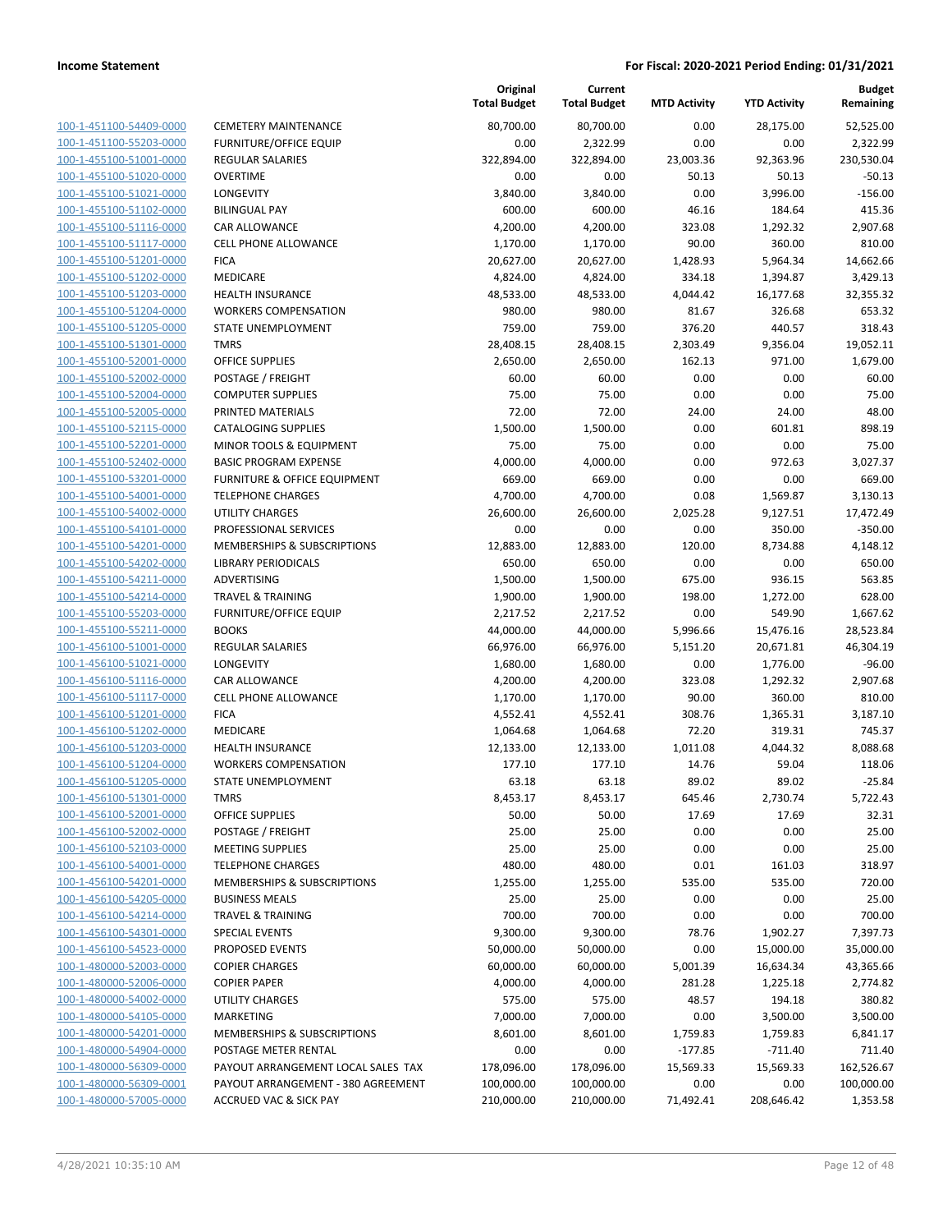| 100-1-451100-54409-0000        | C |
|--------------------------------|---|
| 100-1-451100-55203-0000        | F |
| 100-1-455100-51001-0000        | R |
| 100-1-455100-51020-0000        | C |
| 100-1-455100-51021-0000        | L |
| 100-1-455100-51102-0000        | B |
| 100-1-455100-51116-0000        | C |
| 100-1-455100-51117-0000        | C |
| 100-1-455100-51201-0000        | F |
| 100-1-455100-51202-0000        | Ν |
| 100-1-455100-51203-0000        | Н |
| 100-1-455100-51204-0000        | V |
| 100-1-455100-51205-0000        | S |
| 100-1-455100-51301-0000        | т |
| 100-1-455100-52001-0000        | C |
| 100-1-455100-52002-0000        | P |
| 100-1-455100-52004-0000        | C |
| 100-1-455100-52005-0000        | P |
| 100-1-455100-52115-0000        | C |
| 100-1-455100-52201-0000        | Ν |
| 100-1-455100-52402-0000        | B |
| 100-1-455100-53201-0000        | F |
|                                | T |
| 100-1-455100-54001-0000        |   |
| 100-1-455100-54002-0000        | Ù |
| 100-1-455100-54101-0000        | P |
| 100-1-455100-54201-0000        | Ν |
| 100-1-455100-54202-0000        | L |
| 100-1-455100-54211-0000        | Α |
| 100-1-455100-54214-0000        | т |
| 100-1-455100-55203-0000        | F |
| 100-1-455100-55211-0000        | B |
| 100-1-456100-51001-0000        | R |
| 100-1-456100-51021-0000        | L |
| 100-1-456100-51116-0000        | C |
| 100-1-456100-51117-0000        | C |
| 100-1-456100-51201-0000        | F |
| 100-1-456100-51202-0000        | Ν |
| 100-1-456100-51203-0000        | Н |
| 100-1-456100-51204-0000        | V |
| 100-1-456100-51205-0000        | S |
| 100-1-456100-51301-0000        | T |
| 100-1-456100-52001-0000        | C |
| 100-1-456100-52002-0000        | P |
| 100-1-456100-52103-0000        | Ν |
| <u>100-1-456100-54001-0000</u> | т |
| 100-1-456100-54201-0000        | Λ |
| 100-1-456100-54205-0000        | В |
| 100-1-456100-54214-0000        | т |
| 100-1-456100-54301-0000        | S |
| <u>100-1-456100-54523-0000</u> | P |
| 100-1-480000-52003-0000        | C |
| 100-1-480000-52006-0000        | C |
| 100-1-480000-54002-0000        | U |
|                                |   |
| 100-1-480000-54105-0000        | Ν |
| <u>100-1-480000-54201-0000</u> | Λ |
| <u>100-1-480000-54904-0000</u> | Ρ |
| 100-1-480000-56309-0000        | Ρ |
| 100-1-480000-56309-0001        | Ρ |
| 100-1-480000-57005-0000        | А |
|                                |   |

|                                                    |                                                 | Original<br><b>Total Budget</b> | Current<br><b>Total Budget</b> | <b>MTD Activity</b> | <b>YTD Activity</b> | <b>Budget</b><br>Remaining |
|----------------------------------------------------|-------------------------------------------------|---------------------------------|--------------------------------|---------------------|---------------------|----------------------------|
| 100-1-451100-54409-0000                            | <b>CEMETERY MAINTENANCE</b>                     | 80,700.00                       | 80,700.00                      | 0.00                | 28.175.00           | 52,525.00                  |
| 100-1-451100-55203-0000                            | <b>FURNITURE/OFFICE EQUIP</b>                   | 0.00                            | 2,322.99                       | 0.00                | 0.00                | 2,322.99                   |
| 100-1-455100-51001-0000                            | <b>REGULAR SALARIES</b>                         | 322,894.00                      | 322,894.00                     | 23,003.36           | 92,363.96           | 230,530.04                 |
| 100-1-455100-51020-0000                            | <b>OVERTIME</b>                                 | 0.00                            | 0.00                           | 50.13               | 50.13               | $-50.13$                   |
| 100-1-455100-51021-0000                            | LONGEVITY                                       | 3,840.00                        | 3,840.00                       | 0.00                | 3,996.00            | $-156.00$                  |
| 100-1-455100-51102-0000                            | <b>BILINGUAL PAY</b>                            | 600.00                          | 600.00                         | 46.16               | 184.64              | 415.36                     |
| 100-1-455100-51116-0000                            | <b>CAR ALLOWANCE</b>                            | 4,200.00                        | 4,200.00                       | 323.08              | 1,292.32            | 2,907.68                   |
| 100-1-455100-51117-0000                            | <b>CELL PHONE ALLOWANCE</b>                     | 1,170.00                        | 1,170.00                       | 90.00               | 360.00              | 810.00                     |
| 100-1-455100-51201-0000                            | <b>FICA</b>                                     | 20,627.00                       | 20,627.00                      | 1,428.93            | 5,964.34            | 14,662.66                  |
| 100-1-455100-51202-0000                            | MEDICARE                                        | 4,824.00                        | 4,824.00                       | 334.18              | 1,394.87            | 3,429.13                   |
| 100-1-455100-51203-0000                            | <b>HEALTH INSURANCE</b>                         | 48,533.00                       | 48,533.00                      | 4,044.42            | 16,177.68           | 32,355.32                  |
| 100-1-455100-51204-0000                            | <b>WORKERS COMPENSATION</b>                     | 980.00                          | 980.00                         | 81.67               | 326.68              | 653.32                     |
| 100-1-455100-51205-0000                            | STATE UNEMPLOYMENT                              | 759.00                          | 759.00                         | 376.20              | 440.57              | 318.43                     |
| 100-1-455100-51301-0000                            | <b>TMRS</b>                                     | 28,408.15                       | 28,408.15                      | 2,303.49            | 9,356.04            | 19,052.11                  |
| 100-1-455100-52001-0000                            | <b>OFFICE SUPPLIES</b>                          | 2,650.00                        | 2,650.00                       | 162.13              | 971.00              | 1,679.00                   |
| 100-1-455100-52002-0000                            | POSTAGE / FREIGHT                               | 60.00                           | 60.00                          | 0.00                | 0.00                | 60.00                      |
| 100-1-455100-52004-0000                            | <b>COMPUTER SUPPLIES</b>                        | 75.00                           | 75.00                          | 0.00                | 0.00                | 75.00                      |
| 100-1-455100-52005-0000                            | PRINTED MATERIALS                               | 72.00                           | 72.00                          | 24.00               | 24.00               | 48.00                      |
| 100-1-455100-52115-0000                            | <b>CATALOGING SUPPLIES</b>                      | 1,500.00                        | 1,500.00                       | 0.00                | 601.81              | 898.19                     |
| 100-1-455100-52201-0000                            | MINOR TOOLS & EQUIPMENT                         | 75.00                           | 75.00                          | 0.00                | 0.00                | 75.00                      |
| 100-1-455100-52402-0000                            | <b>BASIC PROGRAM EXPENSE</b>                    | 4,000.00                        | 4,000.00                       | 0.00                | 972.63              | 3,027.37                   |
| 100-1-455100-53201-0000                            | <b>FURNITURE &amp; OFFICE EQUIPMENT</b>         | 669.00                          | 669.00                         | 0.00                | 0.00                | 669.00                     |
| 100-1-455100-54001-0000                            | <b>TELEPHONE CHARGES</b>                        | 4,700.00                        | 4,700.00                       | 0.08                | 1,569.87            | 3,130.13                   |
| 100-1-455100-54002-0000<br>100-1-455100-54101-0000 | <b>UTILITY CHARGES</b><br>PROFESSIONAL SERVICES | 26,600.00<br>0.00               | 26,600.00<br>0.00              | 2,025.28<br>0.00    | 9,127.51<br>350.00  | 17,472.49<br>$-350.00$     |
| 100-1-455100-54201-0000                            | MEMBERSHIPS & SUBSCRIPTIONS                     | 12,883.00                       | 12,883.00                      | 120.00              | 8,734.88            | 4,148.12                   |
| 100-1-455100-54202-0000                            | <b>LIBRARY PERIODICALS</b>                      | 650.00                          | 650.00                         | 0.00                | 0.00                | 650.00                     |
| 100-1-455100-54211-0000                            | ADVERTISING                                     | 1,500.00                        | 1,500.00                       | 675.00              | 936.15              | 563.85                     |
| 100-1-455100-54214-0000                            | <b>TRAVEL &amp; TRAINING</b>                    | 1,900.00                        | 1,900.00                       | 198.00              | 1,272.00            | 628.00                     |
| 100-1-455100-55203-0000                            | <b>FURNITURE/OFFICE EQUIP</b>                   | 2,217.52                        | 2,217.52                       | 0.00                | 549.90              | 1,667.62                   |
| 100-1-455100-55211-0000                            | <b>BOOKS</b>                                    | 44,000.00                       | 44,000.00                      | 5,996.66            | 15,476.16           | 28,523.84                  |
| 100-1-456100-51001-0000                            | <b>REGULAR SALARIES</b>                         | 66,976.00                       | 66,976.00                      | 5,151.20            | 20,671.81           | 46,304.19                  |
| 100-1-456100-51021-0000                            | LONGEVITY                                       | 1,680.00                        | 1,680.00                       | 0.00                | 1,776.00            | $-96.00$                   |
| 100-1-456100-51116-0000                            | <b>CAR ALLOWANCE</b>                            | 4,200.00                        | 4,200.00                       | 323.08              | 1,292.32            | 2,907.68                   |
| 100-1-456100-51117-0000                            | <b>CELL PHONE ALLOWANCE</b>                     | 1,170.00                        | 1,170.00                       | 90.00               | 360.00              | 810.00                     |
| 100-1-456100-51201-0000                            | <b>FICA</b>                                     | 4,552.41                        | 4,552.41                       | 308.76              | 1,365.31            | 3,187.10                   |
| 100-1-456100-51202-0000                            | <b>MEDICARE</b>                                 | 1,064.68                        | 1,064.68                       | 72.20               | 319.31              | 745.37                     |
| 100-1-456100-51203-0000                            | <b>HEALTH INSURANCE</b>                         | 12,133.00                       | 12,133.00                      | 1,011.08            | 4,044.32            | 8,088.68                   |
| 100-1-456100-51204-0000                            | <b>WORKERS COMPENSATION</b>                     | 177.10                          | 177.10                         | 14.76               | 59.04               | 118.06                     |
| 100-1-456100-51205-0000                            | STATE UNEMPLOYMENT                              | 63.18                           | 63.18                          | 89.02               | 89.02               | $-25.84$                   |
| 100-1-456100-51301-0000                            | <b>TMRS</b>                                     | 8,453.17                        | 8,453.17                       | 645.46              | 2,730.74            | 5,722.43                   |
| 100-1-456100-52001-0000                            | <b>OFFICE SUPPLIES</b>                          | 50.00                           | 50.00                          | 17.69               | 17.69               | 32.31                      |
| 100-1-456100-52002-0000                            | POSTAGE / FREIGHT                               | 25.00                           | 25.00                          | 0.00                | 0.00                | 25.00                      |
| 100-1-456100-52103-0000                            | <b>MEETING SUPPLIES</b>                         | 25.00                           | 25.00                          | 0.00                | 0.00                | 25.00                      |
| 100-1-456100-54001-0000                            | <b>TELEPHONE CHARGES</b>                        | 480.00                          | 480.00                         | 0.01                | 161.03              | 318.97                     |
| 100-1-456100-54201-0000                            | <b>MEMBERSHIPS &amp; SUBSCRIPTIONS</b>          | 1,255.00                        | 1,255.00                       | 535.00              | 535.00              | 720.00                     |
| 100-1-456100-54205-0000                            | <b>BUSINESS MEALS</b>                           | 25.00                           | 25.00                          | 0.00                | 0.00                | 25.00                      |
| 100-1-456100-54214-0000                            | <b>TRAVEL &amp; TRAINING</b>                    | 700.00                          | 700.00                         | 0.00                | 0.00                | 700.00                     |
| 100-1-456100-54301-0000                            | <b>SPECIAL EVENTS</b>                           | 9,300.00                        | 9,300.00                       | 78.76               | 1,902.27            | 7,397.73                   |
| 100-1-456100-54523-0000                            | PROPOSED EVENTS                                 | 50,000.00                       | 50,000.00                      | 0.00                | 15,000.00           | 35,000.00                  |
| 100-1-480000-52003-0000                            | <b>COPIER CHARGES</b>                           | 60,000.00                       | 60,000.00                      | 5,001.39            | 16,634.34           | 43,365.66                  |
| 100-1-480000-52006-0000                            | <b>COPIER PAPER</b>                             | 4,000.00                        | 4,000.00                       | 281.28              | 1,225.18            | 2,774.82                   |
| 100-1-480000-54002-0000                            | <b>UTILITY CHARGES</b>                          | 575.00                          | 575.00                         | 48.57               | 194.18              | 380.82                     |
| 100-1-480000-54105-0000                            | <b>MARKETING</b>                                | 7,000.00                        | 7,000.00                       | 0.00                | 3,500.00            | 3,500.00                   |
| 100-1-480000-54201-0000                            | MEMBERSHIPS & SUBSCRIPTIONS                     | 8,601.00                        | 8,601.00                       | 1,759.83            | 1,759.83            | 6,841.17                   |
| 100-1-480000-54904-0000                            | POSTAGE METER RENTAL                            | 0.00                            | 0.00                           | $-177.85$           | $-711.40$           | 711.40                     |
| 100-1-480000-56309-0000                            | PAYOUT ARRANGEMENT LOCAL SALES TAX              | 178,096.00                      | 178,096.00                     | 15,569.33           | 15,569.33           | 162,526.67                 |
| 100-1-480000-56309-0001                            | PAYOUT ARRANGEMENT - 380 AGREEMENT              | 100,000.00                      | 100,000.00                     | 0.00                | 0.00                | 100,000.00                 |
| 100-1-480000-57005-0000                            | <b>ACCRUED VAC &amp; SICK PAY</b>               | 210,000.00                      | 210,000.00                     | 71,492.41           | 208,646.42          | 1,353.58                   |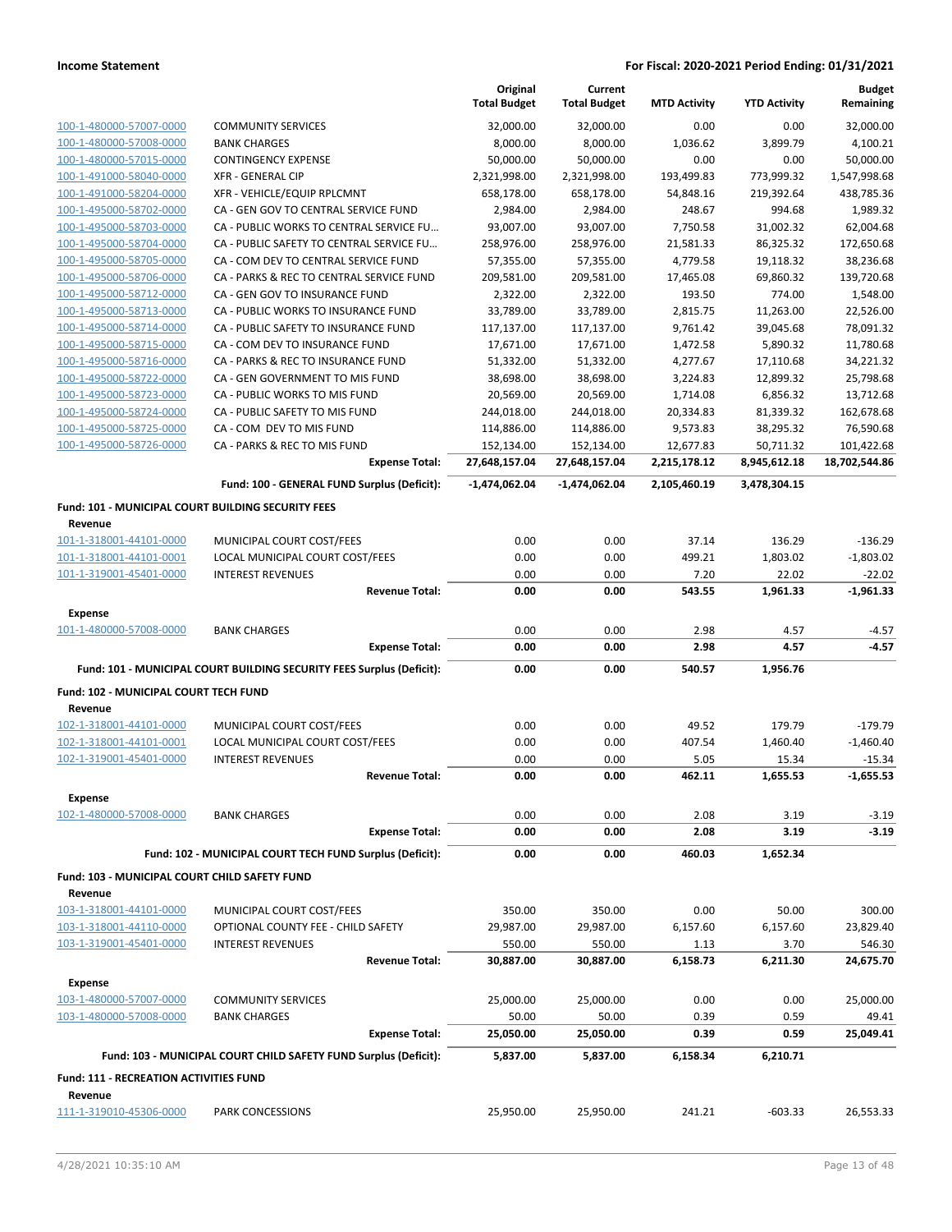|                                                      |                                                                        | Original<br><b>Total Budget</b> | Current<br><b>Total Budget</b> | <b>MTD Activity</b>  | <b>YTD Activity</b>   | <b>Budget</b><br>Remaining |
|------------------------------------------------------|------------------------------------------------------------------------|---------------------------------|--------------------------------|----------------------|-----------------------|----------------------------|
| 100-1-480000-57007-0000                              | <b>COMMUNITY SERVICES</b>                                              | 32,000.00                       | 32,000.00                      | 0.00                 | 0.00                  | 32,000.00                  |
| 100-1-480000-57008-0000                              | <b>BANK CHARGES</b>                                                    | 8,000.00                        | 8,000.00                       | 1,036.62             | 3.899.79              | 4,100.21                   |
| 100-1-480000-57015-0000                              | <b>CONTINGENCY EXPENSE</b>                                             | 50,000.00                       | 50,000.00                      | 0.00                 | 0.00                  | 50,000.00                  |
| 100-1-491000-58040-0000                              | <b>XFR - GENERAL CIP</b>                                               | 2,321,998.00                    | 2,321,998.00                   | 193,499.83           | 773,999.32            | 1,547,998.68               |
| 100-1-491000-58204-0000                              | XFR - VEHICLE/EQUIP RPLCMNT                                            | 658,178.00                      | 658,178.00                     | 54,848.16            | 219,392.64            | 438,785.36                 |
| 100-1-495000-58702-0000                              | CA - GEN GOV TO CENTRAL SERVICE FUND                                   | 2,984.00                        | 2,984.00                       | 248.67               | 994.68                | 1,989.32                   |
| 100-1-495000-58703-0000                              | CA - PUBLIC WORKS TO CENTRAL SERVICE FU                                | 93,007.00                       | 93,007.00                      | 7,750.58             | 31,002.32             | 62,004.68                  |
| 100-1-495000-58704-0000                              | CA - PUBLIC SAFETY TO CENTRAL SERVICE FU                               | 258,976.00                      | 258,976.00                     | 21,581.33            | 86,325.32             | 172,650.68                 |
| 100-1-495000-58705-0000                              | CA - COM DEV TO CENTRAL SERVICE FUND                                   | 57,355.00                       | 57,355.00                      | 4,779.58             | 19,118.32             | 38,236.68                  |
| 100-1-495000-58706-0000                              | CA - PARKS & REC TO CENTRAL SERVICE FUND                               | 209,581.00                      | 209,581.00                     | 17,465.08            | 69,860.32             | 139,720.68                 |
| 100-1-495000-58712-0000                              | CA - GEN GOV TO INSURANCE FUND                                         | 2,322.00                        | 2,322.00                       | 193.50               | 774.00                | 1,548.00                   |
| 100-1-495000-58713-0000                              | CA - PUBLIC WORKS TO INSURANCE FUND                                    | 33,789.00                       | 33,789.00                      | 2,815.75             | 11,263.00             | 22,526.00                  |
| 100-1-495000-58714-0000<br>100-1-495000-58715-0000   | CA - PUBLIC SAFETY TO INSURANCE FUND<br>CA - COM DEV TO INSURANCE FUND | 117,137.00<br>17,671.00         | 117,137.00<br>17,671.00        | 9,761.42<br>1,472.58 | 39,045.68<br>5,890.32 | 78,091.32<br>11,780.68     |
| 100-1-495000-58716-0000                              | CA - PARKS & REC TO INSURANCE FUND                                     | 51,332.00                       | 51,332.00                      | 4,277.67             | 17,110.68             | 34,221.32                  |
| 100-1-495000-58722-0000                              | CA - GEN GOVERNMENT TO MIS FUND                                        | 38,698.00                       | 38,698.00                      | 3,224.83             | 12,899.32             | 25,798.68                  |
| 100-1-495000-58723-0000                              | CA - PUBLIC WORKS TO MIS FUND                                          | 20,569.00                       | 20,569.00                      | 1,714.08             | 6,856.32              | 13,712.68                  |
| 100-1-495000-58724-0000                              | CA - PUBLIC SAFETY TO MIS FUND                                         | 244,018.00                      | 244,018.00                     | 20,334.83            | 81,339.32             | 162,678.68                 |
| 100-1-495000-58725-0000                              | CA - COM DEV TO MIS FUND                                               | 114,886.00                      | 114,886.00                     | 9,573.83             | 38,295.32             | 76,590.68                  |
| 100-1-495000-58726-0000                              | CA - PARKS & REC TO MIS FUND                                           | 152,134.00                      | 152,134.00                     | 12,677.83            | 50,711.32             | 101,422.68                 |
|                                                      | <b>Expense Total:</b>                                                  | 27,648,157.04                   | 27,648,157.04                  | 2,215,178.12         | 8,945,612.18          | 18,702,544.86              |
|                                                      | Fund: 100 - GENERAL FUND Surplus (Deficit):                            | -1,474,062.04                   | $-1,474,062.04$                | 2,105,460.19         | 3,478,304.15          |                            |
| Fund: 101 - MUNICIPAL COURT BUILDING SECURITY FEES   |                                                                        |                                 |                                |                      |                       |                            |
| Revenue                                              |                                                                        |                                 |                                |                      |                       |                            |
| 101-1-318001-44101-0000                              | MUNICIPAL COURT COST/FEES                                              | 0.00                            | 0.00                           | 37.14                | 136.29                | $-136.29$                  |
| 101-1-318001-44101-0001                              | LOCAL MUNICIPAL COURT COST/FEES                                        | 0.00                            | 0.00                           | 499.21               | 1,803.02              | $-1,803.02$                |
| 101-1-319001-45401-0000                              | <b>INTEREST REVENUES</b>                                               | 0.00                            | 0.00                           | 7.20                 | 22.02                 | $-22.02$                   |
|                                                      | <b>Revenue Total:</b>                                                  | 0.00                            | 0.00                           | 543.55               | 1,961.33              | $-1,961.33$                |
| <b>Expense</b>                                       |                                                                        |                                 |                                |                      |                       |                            |
| 101-1-480000-57008-0000                              | <b>BANK CHARGES</b>                                                    | 0.00                            | 0.00                           | 2.98                 | 4.57                  | $-4.57$                    |
|                                                      | <b>Expense Total:</b>                                                  | 0.00                            | 0.00                           | 2.98                 | 4.57                  | $-4.57$                    |
|                                                      | Fund: 101 - MUNICIPAL COURT BUILDING SECURITY FEES Surplus (Deficit):  | 0.00                            | 0.00                           | 540.57               | 1,956.76              |                            |
| Fund: 102 - MUNICIPAL COURT TECH FUND                |                                                                        |                                 |                                |                      |                       |                            |
| Revenue                                              |                                                                        |                                 |                                |                      |                       |                            |
| 102-1-318001-44101-0000                              | MUNICIPAL COURT COST/FEES                                              | 0.00                            | 0.00                           | 49.52                | 179.79                | $-179.79$                  |
| 102-1-318001-44101-0001                              | LOCAL MUNICIPAL COURT COST/FEES                                        | 0.00                            | 0.00                           | 407.54               | 1,460.40              | $-1,460.40$                |
| 102-1-319001-45401-0000                              | <b>INTEREST REVENUES</b>                                               | 0.00                            | 0.00                           | 5.05                 | 15.34                 | $-15.34$                   |
|                                                      | <b>Revenue Total:</b>                                                  | 0.00                            | 0.00                           |                      |                       |                            |
| <b>Expense</b>                                       |                                                                        |                                 |                                | 462.11               | 1,655.53              | $-1,655.53$                |
| 102-1-480000-57008-0000                              |                                                                        |                                 |                                |                      |                       |                            |
|                                                      | <b>BANK CHARGES</b>                                                    | 0.00                            | 0.00                           | 2.08                 | 3.19                  | $-3.19$                    |
|                                                      | <b>Expense Total:</b>                                                  | 0.00                            | 0.00                           | 2.08                 | 3.19                  | $-3.19$                    |
|                                                      |                                                                        |                                 |                                | 460.03               | 1,652.34              |                            |
|                                                      | Fund: 102 - MUNICIPAL COURT TECH FUND Surplus (Deficit):               | 0.00                            | 0.00                           |                      |                       |                            |
| <b>Fund: 103 - MUNICIPAL COURT CHILD SAFETY FUND</b> |                                                                        |                                 |                                |                      |                       |                            |
| Revenue                                              |                                                                        |                                 |                                |                      |                       |                            |
| 103-1-318001-44101-0000                              | MUNICIPAL COURT COST/FEES                                              | 350.00                          | 350.00                         | 0.00                 | 50.00                 | 300.00                     |
| 103-1-318001-44110-0000                              | OPTIONAL COUNTY FEE - CHILD SAFETY                                     | 29,987.00                       | 29,987.00                      | 6,157.60             | 6,157.60              | 23,829.40                  |
| 103-1-319001-45401-0000                              | <b>INTEREST REVENUES</b><br><b>Revenue Total:</b>                      | 550.00                          | 550.00                         | 1.13                 | 3.70                  | 546.30                     |
|                                                      |                                                                        | 30,887.00                       | 30,887.00                      | 6,158.73             | 6,211.30              | 24,675.70                  |
| <b>Expense</b>                                       |                                                                        |                                 |                                |                      |                       |                            |
| 103-1-480000-57007-0000                              | <b>COMMUNITY SERVICES</b>                                              | 25,000.00                       | 25,000.00                      | 0.00                 | 0.00                  | 25,000.00                  |
| 103-1-480000-57008-0000                              | <b>BANK CHARGES</b>                                                    | 50.00                           | 50.00                          | 0.39<br>0.39         | 0.59<br>0.59          | 49.41                      |
|                                                      | <b>Expense Total:</b>                                                  | 25,050.00                       | 25,050.00                      |                      |                       | 25,049.41                  |
|                                                      | Fund: 103 - MUNICIPAL COURT CHILD SAFETY FUND Surplus (Deficit):       | 5,837.00                        | 5,837.00                       | 6,158.34             | 6,210.71              |                            |
| <b>Fund: 111 - RECREATION ACTIVITIES FUND</b>        |                                                                        |                                 |                                |                      |                       |                            |
| Revenue<br>111-1-319010-45306-0000                   | PARK CONCESSIONS                                                       | 25,950.00                       | 25,950.00                      | 241.21               | $-603.33$             | 26,553.33                  |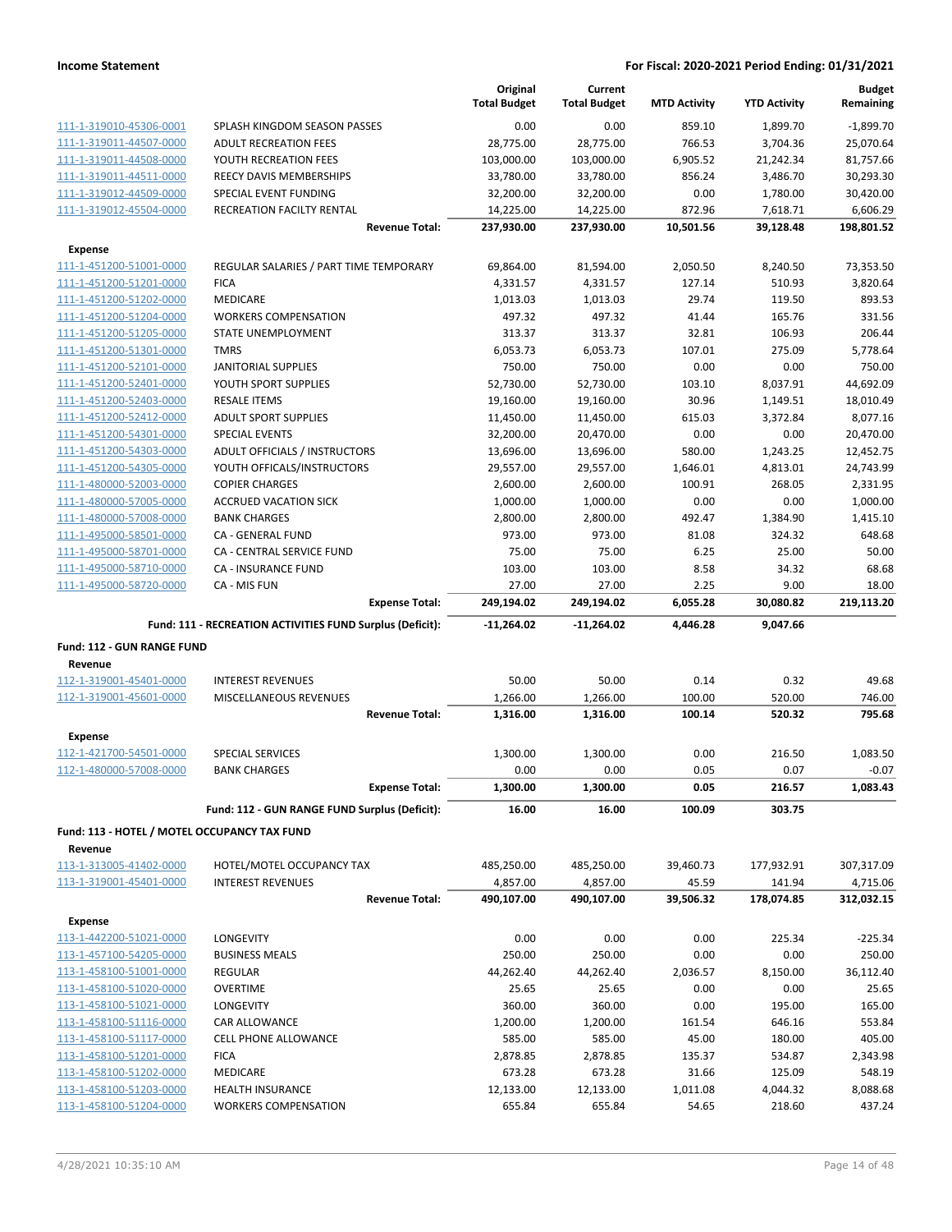|                                                    |                                                           | Original<br><b>Total Budget</b> | Current<br><b>Total Budget</b> | <b>MTD Activity</b> | <b>YTD Activity</b> | <b>Budget</b><br>Remaining |
|----------------------------------------------------|-----------------------------------------------------------|---------------------------------|--------------------------------|---------------------|---------------------|----------------------------|
| 111-1-319010-45306-0001                            | SPLASH KINGDOM SEASON PASSES                              | 0.00                            | 0.00                           | 859.10              | 1,899.70            | $-1.899.70$                |
| 111-1-319011-44507-0000                            | <b>ADULT RECREATION FEES</b>                              | 28,775.00                       | 28,775.00                      | 766.53              | 3,704.36            | 25,070.64                  |
| 111-1-319011-44508-0000                            | YOUTH RECREATION FEES                                     | 103,000.00                      | 103,000.00                     | 6,905.52            | 21,242.34           | 81,757.66                  |
| 111-1-319011-44511-0000                            | REECY DAVIS MEMBERSHIPS                                   | 33,780.00                       | 33,780.00                      | 856.24              | 3,486.70            | 30,293.30                  |
| 111-1-319012-44509-0000                            | SPECIAL EVENT FUNDING                                     | 32,200.00                       | 32,200.00                      | 0.00                | 1,780.00            | 30,420.00                  |
| 111-1-319012-45504-0000                            | RECREATION FACILTY RENTAL                                 | 14,225.00                       | 14,225.00                      | 872.96              | 7,618.71            | 6,606.29                   |
|                                                    | <b>Revenue Total:</b>                                     | 237,930.00                      | 237,930.00                     | 10,501.56           | 39,128.48           | 198,801.52                 |
| <b>Expense</b>                                     |                                                           |                                 |                                |                     |                     |                            |
| 111-1-451200-51001-0000                            | REGULAR SALARIES / PART TIME TEMPORARY                    | 69,864.00                       | 81,594.00                      | 2,050.50            | 8,240.50            | 73,353.50                  |
| 111-1-451200-51201-0000                            | <b>FICA</b>                                               | 4,331.57                        | 4,331.57                       | 127.14              | 510.93              | 3,820.64                   |
| 111-1-451200-51202-0000                            | MEDICARE                                                  | 1,013.03                        | 1,013.03                       | 29.74               | 119.50              | 893.53                     |
| 111-1-451200-51204-0000                            | <b>WORKERS COMPENSATION</b>                               | 497.32                          | 497.32                         | 41.44               | 165.76              | 331.56                     |
| 111-1-451200-51205-0000                            | STATE UNEMPLOYMENT                                        | 313.37                          | 313.37                         | 32.81               | 106.93              | 206.44                     |
| 111-1-451200-51301-0000                            | <b>TMRS</b>                                               | 6,053.73                        | 6,053.73                       | 107.01              | 275.09              | 5,778.64                   |
| 111-1-451200-52101-0000                            | <b>JANITORIAL SUPPLIES</b>                                | 750.00                          | 750.00                         | 0.00                | 0.00                | 750.00                     |
| 111-1-451200-52401-0000                            | YOUTH SPORT SUPPLIES                                      | 52,730.00                       | 52,730.00                      | 103.10              | 8,037.91            | 44,692.09                  |
| 111-1-451200-52403-0000                            | <b>RESALE ITEMS</b>                                       | 19,160.00                       | 19,160.00                      | 30.96               | 1,149.51            | 18,010.49                  |
| 111-1-451200-52412-0000                            | <b>ADULT SPORT SUPPLIES</b>                               | 11,450.00                       | 11,450.00                      | 615.03              | 3,372.84            | 8,077.16                   |
| 111-1-451200-54301-0000                            | <b>SPECIAL EVENTS</b>                                     | 32,200.00                       | 20,470.00                      | 0.00                | 0.00                | 20,470.00                  |
| 111-1-451200-54303-0000                            | ADULT OFFICIALS / INSTRUCTORS                             | 13,696.00                       | 13,696.00                      | 580.00              | 1,243.25            | 12,452.75                  |
| 111-1-451200-54305-0000                            | YOUTH OFFICALS/INSTRUCTORS                                | 29,557.00                       | 29,557.00                      | 1,646.01            | 4,813.01            | 24,743.99                  |
| 111-1-480000-52003-0000                            | <b>COPIER CHARGES</b>                                     | 2,600.00                        | 2,600.00                       | 100.91              | 268.05              | 2,331.95                   |
| 111-1-480000-57005-0000                            | <b>ACCRUED VACATION SICK</b>                              | 1,000.00                        | 1,000.00                       | 0.00                | 0.00                | 1,000.00                   |
| 111-1-480000-57008-0000                            | <b>BANK CHARGES</b>                                       | 2,800.00                        | 2,800.00                       | 492.47              | 1,384.90            | 1,415.10                   |
| 111-1-495000-58501-0000                            | CA - GENERAL FUND                                         | 973.00                          | 973.00                         | 81.08               | 324.32              | 648.68                     |
| 111-1-495000-58701-0000<br>111-1-495000-58710-0000 | CA - CENTRAL SERVICE FUND<br><b>CA - INSURANCE FUND</b>   | 75.00<br>103.00                 | 75.00<br>103.00                | 6.25<br>8.58        | 25.00<br>34.32      | 50.00<br>68.68             |
| 111-1-495000-58720-0000                            | CA - MIS FUN                                              | 27.00                           | 27.00                          | 2.25                | 9.00                | 18.00                      |
|                                                    | <b>Expense Total:</b>                                     | 249,194.02                      | 249,194.02                     | 6,055.28            | 30,080.82           | 219,113.20                 |
|                                                    |                                                           |                                 |                                |                     |                     |                            |
|                                                    | Fund: 111 - RECREATION ACTIVITIES FUND Surplus (Deficit): | $-11,264.02$                    | $-11,264.02$                   | 4,446.28            | 9,047.66            |                            |
| Fund: 112 - GUN RANGE FUND                         |                                                           |                                 |                                |                     |                     |                            |
| Revenue                                            |                                                           |                                 |                                |                     |                     |                            |
| 112-1-319001-45401-0000                            | <b>INTEREST REVENUES</b><br><b>MISCELLANEOUS REVENUES</b> | 50.00<br>1,266.00               | 50.00                          | 0.14                | 0.32                | 49.68                      |
| 112-1-319001-45601-0000                            | <b>Revenue Total:</b>                                     | 1,316.00                        | 1,266.00<br>1,316.00           | 100.00<br>100.14    | 520.00<br>520.32    | 746.00<br>795.68           |
|                                                    |                                                           |                                 |                                |                     |                     |                            |
| <b>Expense</b>                                     |                                                           |                                 |                                |                     |                     |                            |
| 112-1-421700-54501-0000                            | <b>SPECIAL SERVICES</b>                                   | 1,300.00                        | 1,300.00                       | 0.00                | 216.50              | 1,083.50                   |
| 112-1-480000-57008-0000                            | <b>BANK CHARGES</b>                                       | 0.00                            | 0.00                           | 0.05                | 0.07                | $-0.07$                    |
|                                                    | <b>Expense Total:</b>                                     | 1,300.00                        | 1,300.00                       | 0.05                | 216.57              | 1,083.43                   |
|                                                    | Fund: 112 - GUN RANGE FUND Surplus (Deficit):             | 16.00                           | 16.00                          | 100.09              | 303.75              |                            |
| Fund: 113 - HOTEL / MOTEL OCCUPANCY TAX FUND       |                                                           |                                 |                                |                     |                     |                            |
| Revenue                                            |                                                           |                                 |                                |                     |                     |                            |
| 113-1-313005-41402-0000                            | HOTEL/MOTEL OCCUPANCY TAX                                 | 485,250.00                      | 485,250.00                     | 39,460.73           | 177,932.91          | 307,317.09                 |
| 113-1-319001-45401-0000                            | <b>INTEREST REVENUES</b>                                  | 4,857.00                        | 4,857.00                       | 45.59               | 141.94              | 4,715.06                   |
|                                                    | <b>Revenue Total:</b>                                     | 490,107.00                      | 490,107.00                     | 39,506.32           | 178,074.85          | 312,032.15                 |
| <b>Expense</b>                                     |                                                           |                                 |                                |                     |                     |                            |
| 113-1-442200-51021-0000                            | LONGEVITY                                                 | 0.00                            | 0.00                           | 0.00                | 225.34              | $-225.34$                  |
| 113-1-457100-54205-0000                            | <b>BUSINESS MEALS</b>                                     | 250.00                          | 250.00                         | 0.00                | 0.00                | 250.00                     |
| 113-1-458100-51001-0000                            | REGULAR                                                   | 44,262.40                       | 44,262.40                      | 2,036.57            | 8,150.00            | 36,112.40                  |
| 113-1-458100-51020-0000                            | <b>OVERTIME</b>                                           | 25.65                           | 25.65                          | 0.00                | 0.00                | 25.65                      |
| 113-1-458100-51021-0000                            | LONGEVITY                                                 | 360.00                          | 360.00                         | 0.00                | 195.00              | 165.00                     |
| 113-1-458100-51116-0000                            | CAR ALLOWANCE                                             | 1,200.00                        | 1,200.00                       | 161.54              | 646.16              | 553.84                     |
| 113-1-458100-51117-0000                            | <b>CELL PHONE ALLOWANCE</b>                               | 585.00                          | 585.00                         | 45.00               | 180.00              | 405.00                     |
| 113-1-458100-51201-0000                            | <b>FICA</b>                                               | 2,878.85                        | 2,878.85                       | 135.37              | 534.87              | 2,343.98                   |
| 113-1-458100-51202-0000                            | MEDICARE                                                  | 673.28                          | 673.28                         | 31.66               | 125.09              | 548.19                     |
| 113-1-458100-51203-0000                            | <b>HEALTH INSURANCE</b>                                   | 12,133.00                       | 12,133.00                      | 1,011.08            | 4,044.32            | 8,088.68                   |
| 113-1-458100-51204-0000                            | <b>WORKERS COMPENSATION</b>                               | 655.84                          | 655.84                         | 54.65               | 218.60              | 437.24                     |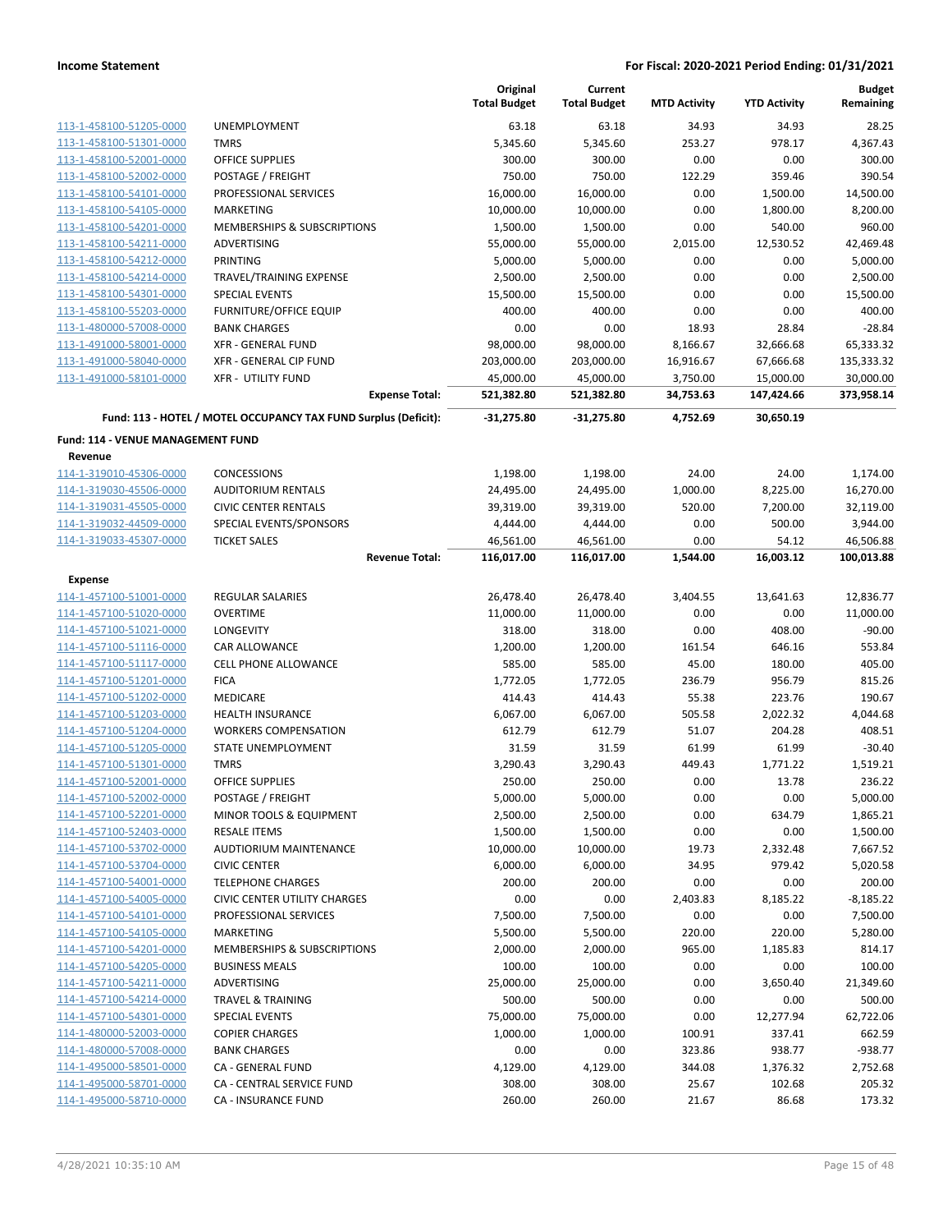|                                   |                                                                 | Original<br><b>Total Budget</b> | Current<br><b>Total Budget</b> | <b>MTD Activity</b> | <b>YTD Activity</b> | <b>Budget</b><br>Remaining |
|-----------------------------------|-----------------------------------------------------------------|---------------------------------|--------------------------------|---------------------|---------------------|----------------------------|
| 113-1-458100-51205-0000           | <b>UNEMPLOYMENT</b>                                             | 63.18                           | 63.18                          | 34.93               | 34.93               | 28.25                      |
| 113-1-458100-51301-0000           | <b>TMRS</b>                                                     | 5,345.60                        | 5,345.60                       | 253.27              | 978.17              | 4,367.43                   |
| 113-1-458100-52001-0000           | <b>OFFICE SUPPLIES</b>                                          | 300.00                          | 300.00                         | 0.00                | 0.00                | 300.00                     |
| 113-1-458100-52002-0000           | POSTAGE / FREIGHT                                               | 750.00                          | 750.00                         | 122.29              | 359.46              | 390.54                     |
| 113-1-458100-54101-0000           | PROFESSIONAL SERVICES                                           | 16,000.00                       | 16,000.00                      | 0.00                | 1,500.00            | 14,500.00                  |
| 113-1-458100-54105-0000           | MARKETING                                                       | 10,000.00                       | 10,000.00                      | 0.00                | 1,800.00            | 8,200.00                   |
| 113-1-458100-54201-0000           | MEMBERSHIPS & SUBSCRIPTIONS                                     | 1,500.00                        | 1,500.00                       | 0.00                | 540.00              | 960.00                     |
| 113-1-458100-54211-0000           | ADVERTISING                                                     | 55,000.00                       | 55,000.00                      | 2,015.00            | 12,530.52           | 42,469.48                  |
| 113-1-458100-54212-0000           | <b>PRINTING</b>                                                 | 5,000.00                        | 5,000.00                       | 0.00                | 0.00                | 5,000.00                   |
| 113-1-458100-54214-0000           | TRAVEL/TRAINING EXPENSE                                         | 2,500.00                        | 2,500.00                       | 0.00                | 0.00                | 2,500.00                   |
| 113-1-458100-54301-0000           | <b>SPECIAL EVENTS</b>                                           | 15,500.00                       | 15,500.00                      | 0.00                | 0.00                | 15,500.00                  |
| 113-1-458100-55203-0000           | FURNITURE/OFFICE EQUIP                                          | 400.00                          | 400.00                         | 0.00                | 0.00                | 400.00                     |
| 113-1-480000-57008-0000           | <b>BANK CHARGES</b>                                             | 0.00                            | 0.00                           | 18.93               | 28.84               | $-28.84$                   |
| 113-1-491000-58001-0000           | <b>XFR - GENERAL FUND</b>                                       | 98,000.00                       | 98,000.00                      | 8,166.67            | 32,666.68           | 65,333.32                  |
| 113-1-491000-58040-0000           | XFR - GENERAL CIP FUND                                          | 203,000.00                      | 203,000.00                     | 16,916.67           | 67,666.68           | 135,333.32                 |
| 113-1-491000-58101-0000           | <b>XFR - UTILITY FUND</b>                                       | 45,000.00                       | 45,000.00                      | 3,750.00            | 15,000.00           | 30,000.00                  |
|                                   | <b>Expense Total:</b>                                           | 521,382.80                      | 521,382.80                     | 34,753.63           | 147,424.66          | 373,958.14                 |
|                                   | Fund: 113 - HOTEL / MOTEL OCCUPANCY TAX FUND Surplus (Deficit): | $-31,275.80$                    | $-31,275.80$                   | 4,752.69            | 30,650.19           |                            |
| Fund: 114 - VENUE MANAGEMENT FUND |                                                                 |                                 |                                |                     |                     |                            |
| Revenue                           |                                                                 |                                 |                                |                     |                     |                            |
| 114-1-319010-45306-0000           | <b>CONCESSIONS</b>                                              | 1,198.00                        | 1,198.00                       | 24.00               | 24.00               | 1,174.00                   |
| 114-1-319030-45506-0000           | <b>AUDITORIUM RENTALS</b>                                       | 24,495.00                       | 24,495.00                      | 1,000.00            | 8,225.00            | 16,270.00                  |
| 114-1-319031-45505-0000           | <b>CIVIC CENTER RENTALS</b>                                     | 39,319.00                       | 39,319.00                      | 520.00              | 7,200.00            | 32,119.00                  |
| 114-1-319032-44509-0000           | SPECIAL EVENTS/SPONSORS                                         | 4,444.00                        | 4,444.00                       | 0.00                | 500.00              | 3,944.00                   |
| 114-1-319033-45307-0000           | <b>TICKET SALES</b>                                             | 46,561.00                       | 46,561.00                      | 0.00                | 54.12               | 46,506.88                  |
|                                   | <b>Revenue Total:</b>                                           | 116,017.00                      | 116,017.00                     | 1,544.00            | 16,003.12           | 100,013.88                 |
| Expense                           |                                                                 |                                 |                                |                     |                     |                            |
| 114-1-457100-51001-0000           | <b>REGULAR SALARIES</b>                                         | 26,478.40                       | 26,478.40                      | 3,404.55            | 13,641.63           | 12,836.77                  |
| 114-1-457100-51020-0000           | <b>OVERTIME</b>                                                 | 11,000.00                       | 11,000.00                      | 0.00                | 0.00                | 11,000.00                  |
| 114-1-457100-51021-0000           | <b>LONGEVITY</b>                                                | 318.00                          | 318.00                         | 0.00                | 408.00              | $-90.00$                   |
| 114-1-457100-51116-0000           | CAR ALLOWANCE                                                   | 1,200.00                        | 1,200.00                       | 161.54              | 646.16              | 553.84                     |
| 114-1-457100-51117-0000           | <b>CELL PHONE ALLOWANCE</b>                                     | 585.00                          | 585.00                         | 45.00               | 180.00              | 405.00                     |
| 114-1-457100-51201-0000           | <b>FICA</b>                                                     | 1,772.05                        | 1,772.05                       | 236.79              | 956.79              | 815.26                     |
| 114-1-457100-51202-0000           | <b>MEDICARE</b>                                                 | 414.43                          | 414.43                         | 55.38               | 223.76              | 190.67                     |
| 114-1-457100-51203-0000           | <b>HEALTH INSURANCE</b>                                         | 6,067.00                        | 6,067.00                       | 505.58              | 2,022.32            | 4,044.68                   |
| 114-1-457100-51204-0000           | <b>WORKERS COMPENSATION</b>                                     | 612.79                          | 612.79                         | 51.07               | 204.28              | 408.51                     |
| 114-1-457100-51205-0000           | STATE UNEMPLOYMENT                                              | 31.59                           | 31.59                          | 61.99               | 61.99               | $-30.40$                   |
| 114-1-457100-51301-0000           | <b>TMRS</b>                                                     | 3,290.43                        | 3,290.43                       | 449.43              | 1,771.22            | 1,519.21                   |
| 114-1-457100-52001-0000           | OFFICE SUPPLIES                                                 | 250.00                          | 250.00                         | 0.00                | 13.78               | 236.22                     |
| 114-1-457100-52002-0000           | POSTAGE / FREIGHT                                               | 5,000.00                        | 5,000.00                       | 0.00                | 0.00                | 5,000.00                   |
| 114-1-457100-52201-0000           | MINOR TOOLS & EQUIPMENT                                         | 2,500.00                        | 2,500.00                       | 0.00                | 634.79              | 1,865.21                   |
| 114-1-457100-52403-0000           | <b>RESALE ITEMS</b>                                             | 1,500.00                        | 1,500.00                       | 0.00                | 0.00                | 1,500.00                   |
| 114-1-457100-53702-0000           | AUDTIORIUM MAINTENANCE                                          | 10,000.00                       | 10,000.00                      | 19.73               | 2,332.48            | 7,667.52                   |
| 114-1-457100-53704-0000           | <b>CIVIC CENTER</b>                                             | 6,000.00                        | 6,000.00                       | 34.95               | 979.42              | 5,020.58                   |
| 114-1-457100-54001-0000           | <b>TELEPHONE CHARGES</b>                                        | 200.00                          | 200.00                         | 0.00                | 0.00                | 200.00                     |
| 114-1-457100-54005-0000           | CIVIC CENTER UTILITY CHARGES                                    | 0.00                            | 0.00                           | 2,403.83            | 8,185.22            | $-8,185.22$                |
| 114-1-457100-54101-0000           | PROFESSIONAL SERVICES                                           | 7,500.00                        | 7,500.00                       | 0.00                | 0.00                | 7,500.00                   |
| 114-1-457100-54105-0000           | MARKETING                                                       | 5,500.00                        | 5,500.00                       | 220.00              | 220.00              | 5,280.00                   |
| 114-1-457100-54201-0000           | <b>MEMBERSHIPS &amp; SUBSCRIPTIONS</b>                          | 2,000.00                        | 2,000.00                       | 965.00              | 1,185.83            | 814.17                     |
| 114-1-457100-54205-0000           | <b>BUSINESS MEALS</b>                                           | 100.00                          | 100.00                         | 0.00                | 0.00                | 100.00                     |
| 114-1-457100-54211-0000           | ADVERTISING                                                     | 25,000.00                       | 25,000.00                      | 0.00                | 3,650.40            | 21,349.60                  |
| 114-1-457100-54214-0000           | <b>TRAVEL &amp; TRAINING</b>                                    | 500.00                          | 500.00                         | 0.00                | 0.00                | 500.00                     |
| 114-1-457100-54301-0000           | <b>SPECIAL EVENTS</b>                                           | 75,000.00                       | 75,000.00                      | 0.00                | 12,277.94           | 62,722.06                  |
| 114-1-480000-52003-0000           | <b>COPIER CHARGES</b>                                           | 1,000.00                        | 1,000.00                       | 100.91              | 337.41              | 662.59                     |
| 114-1-480000-57008-0000           | <b>BANK CHARGES</b>                                             | 0.00                            | 0.00                           | 323.86              | 938.77              | $-938.77$                  |
| 114-1-495000-58501-0000           | CA - GENERAL FUND                                               | 4,129.00                        | 4,129.00                       | 344.08              | 1,376.32            | 2,752.68                   |
| 114-1-495000-58701-0000           | CA - CENTRAL SERVICE FUND                                       | 308.00                          | 308.00                         | 25.67               | 102.68              | 205.32                     |
| 114-1-495000-58710-0000           | CA - INSURANCE FUND                                             | 260.00                          | 260.00                         | 21.67               | 86.68               | 173.32                     |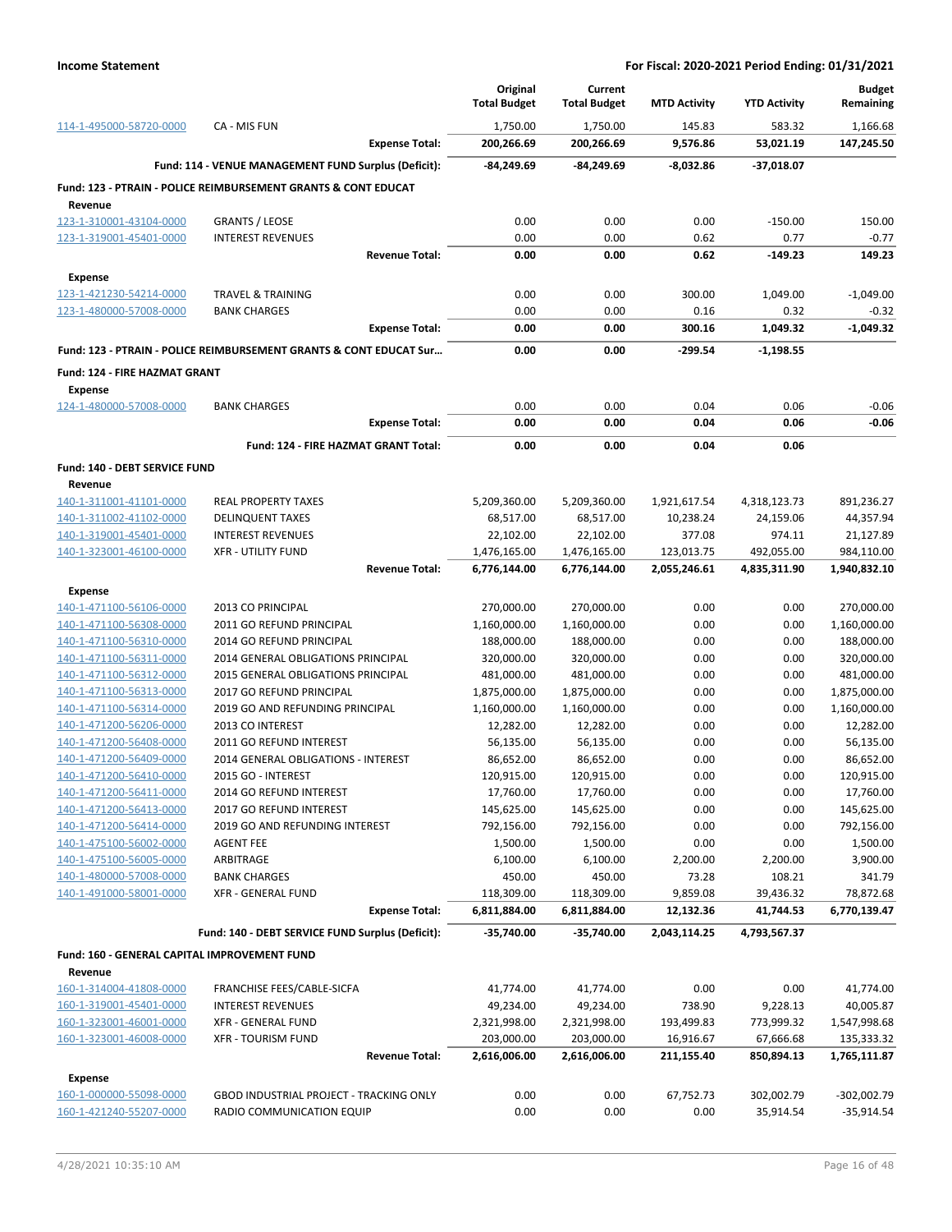|                                                         |                                                                    | Original                 | Current                  |                     |                     | <b>Budget</b>            |
|---------------------------------------------------------|--------------------------------------------------------------------|--------------------------|--------------------------|---------------------|---------------------|--------------------------|
|                                                         |                                                                    | <b>Total Budget</b>      | <b>Total Budget</b>      | <b>MTD Activity</b> | <b>YTD Activity</b> | Remaining                |
| 114-1-495000-58720-0000                                 | CA - MIS FUN                                                       | 1,750.00                 | 1,750.00                 | 145.83              | 583.32              | 1,166.68                 |
|                                                         | <b>Expense Total:</b>                                              | 200,266.69               | 200,266.69               | 9,576.86            | 53,021.19           | 147,245.50               |
|                                                         | Fund: 114 - VENUE MANAGEMENT FUND Surplus (Deficit):               | -84,249.69               | -84,249.69               | $-8,032.86$         | -37,018.07          |                          |
|                                                         | Fund: 123 - PTRAIN - POLICE REIMBURSEMENT GRANTS & CONT EDUCAT     |                          |                          |                     |                     |                          |
| Revenue<br>123-1-310001-43104-0000                      | <b>GRANTS / LEOSE</b>                                              | 0.00                     | 0.00                     | 0.00                | $-150.00$           | 150.00                   |
| 123-1-319001-45401-0000                                 | <b>INTEREST REVENUES</b>                                           | 0.00                     | 0.00                     | 0.62                | 0.77                | $-0.77$                  |
|                                                         | <b>Revenue Total:</b>                                              | 0.00                     | 0.00                     | 0.62                | $-149.23$           | 149.23                   |
| <b>Expense</b>                                          |                                                                    |                          |                          |                     |                     |                          |
| 123-1-421230-54214-0000                                 | <b>TRAVEL &amp; TRAINING</b>                                       | 0.00                     | 0.00                     | 300.00              | 1,049.00            | $-1,049.00$              |
| 123-1-480000-57008-0000                                 | <b>BANK CHARGES</b>                                                | 0.00                     | 0.00                     | 0.16                | 0.32                | $-0.32$                  |
|                                                         | <b>Expense Total:</b>                                              | 0.00                     | 0.00                     | 300.16              | 1,049.32            | $-1,049.32$              |
|                                                         | Fund: 123 - PTRAIN - POLICE REIMBURSEMENT GRANTS & CONT EDUCAT Sur | 0.00                     | 0.00                     | -299.54             | $-1,198.55$         |                          |
| Fund: 124 - FIRE HAZMAT GRANT                           |                                                                    |                          |                          |                     |                     |                          |
| <b>Expense</b>                                          |                                                                    |                          |                          |                     |                     |                          |
| 124-1-480000-57008-0000                                 | <b>BANK CHARGES</b>                                                | 0.00                     | 0.00                     | 0.04                | 0.06                | $-0.06$                  |
|                                                         | <b>Expense Total:</b>                                              | 0.00                     | 0.00                     | 0.04                | 0.06                | $-0.06$                  |
|                                                         | Fund: 124 - FIRE HAZMAT GRANT Total:                               | 0.00                     | 0.00                     | 0.04                | 0.06                |                          |
| Fund: 140 - DEBT SERVICE FUND                           |                                                                    |                          |                          |                     |                     |                          |
| Revenue                                                 |                                                                    |                          |                          |                     |                     |                          |
| 140-1-311001-41101-0000                                 | <b>REAL PROPERTY TAXES</b>                                         | 5,209,360.00             | 5,209,360.00             | 1,921,617.54        | 4,318,123.73        | 891,236.27               |
| 140-1-311002-41102-0000                                 | <b>DELINQUENT TAXES</b>                                            | 68,517.00                | 68,517.00                | 10,238.24           | 24,159.06           | 44,357.94                |
| 140-1-319001-45401-0000                                 | <b>INTEREST REVENUES</b>                                           | 22,102.00                | 22,102.00                | 377.08              | 974.11              | 21,127.89                |
| 140-1-323001-46100-0000                                 | <b>XFR - UTILITY FUND</b>                                          | 1,476,165.00             | 1,476,165.00             | 123,013.75          | 492,055.00          | 984,110.00               |
|                                                         | <b>Revenue Total:</b>                                              | 6,776,144.00             | 6,776,144.00             | 2,055,246.61        | 4,835,311.90        | 1,940,832.10             |
| <b>Expense</b>                                          |                                                                    |                          |                          |                     |                     |                          |
| 140-1-471100-56106-0000                                 | 2013 CO PRINCIPAL                                                  | 270,000.00               | 270,000.00               | 0.00                | 0.00                | 270,000.00               |
| 140-1-471100-56308-0000                                 | 2011 GO REFUND PRINCIPAL                                           | 1,160,000.00             | 1,160,000.00             | 0.00                | 0.00                | 1,160,000.00             |
| 140-1-471100-56310-0000<br>140-1-471100-56311-0000      | 2014 GO REFUND PRINCIPAL<br>2014 GENERAL OBLIGATIONS PRINCIPAL     | 188,000.00<br>320,000.00 | 188,000.00<br>320,000.00 | 0.00<br>0.00        | 0.00<br>0.00        | 188,000.00<br>320,000.00 |
| 140-1-471100-56312-0000                                 | 2015 GENERAL OBLIGATIONS PRINCIPAL                                 | 481,000.00               | 481,000.00               | 0.00                | 0.00                | 481,000.00               |
| 140-1-471100-56313-0000                                 | 2017 GO REFUND PRINCIPAL                                           | 1,875,000.00             | 1,875,000.00             | 0.00                | 0.00                | 1,875,000.00             |
| 140-1-471100-56314-0000                                 | 2019 GO AND REFUNDING PRINCIPAL                                    | 1,160,000.00             | 1,160,000.00             | 0.00                | 0.00                | 1,160,000.00             |
| 140-1-471200-56206-0000                                 | 2013 CO INTEREST                                                   | 12,282.00                | 12,282.00                | 0.00                | 0.00                | 12,282.00                |
| 140-1-471200-56408-0000                                 | 2011 GO REFUND INTEREST                                            | 56,135.00                | 56,135.00                | 0.00                | 0.00                | 56,135.00                |
| 140-1-471200-56409-0000                                 | 2014 GENERAL OBLIGATIONS - INTEREST                                | 86,652.00                | 86,652.00                | 0.00                | 0.00                | 86,652.00                |
| 140-1-471200-56410-0000                                 | 2015 GO - INTEREST                                                 | 120,915.00               | 120,915.00               | 0.00                | 0.00                | 120,915.00               |
| 140-1-471200-56411-0000                                 | 2014 GO REFUND INTEREST                                            | 17,760.00                | 17,760.00                | 0.00                | 0.00                | 17,760.00                |
| 140-1-471200-56413-0000                                 | 2017 GO REFUND INTEREST                                            | 145,625.00               | 145,625.00               | 0.00                | 0.00                | 145,625.00               |
| 140-1-471200-56414-0000                                 | 2019 GO AND REFUNDING INTEREST                                     | 792,156.00               | 792,156.00               | 0.00                | 0.00                | 792,156.00               |
| 140-1-475100-56002-0000                                 | <b>AGENT FEE</b>                                                   | 1,500.00                 | 1,500.00                 | 0.00                | 0.00                | 1,500.00                 |
| 140-1-475100-56005-0000<br>140-1-480000-57008-0000      | ARBITRAGE<br><b>BANK CHARGES</b>                                   | 6,100.00<br>450.00       | 6,100.00<br>450.00       | 2,200.00<br>73.28   | 2,200.00<br>108.21  | 3,900.00<br>341.79       |
| 140-1-491000-58001-0000                                 | <b>XFR - GENERAL FUND</b>                                          | 118,309.00               | 118,309.00               | 9,859.08            | 39,436.32           | 78,872.68                |
|                                                         | <b>Expense Total:</b>                                              | 6,811,884.00             | 6,811,884.00             | 12,132.36           | 41,744.53           | 6,770,139.47             |
|                                                         | Fund: 140 - DEBT SERVICE FUND Surplus (Deficit):                   | $-35,740.00$             | $-35,740.00$             | 2,043,114.25        | 4,793,567.37        |                          |
|                                                         |                                                                    |                          |                          |                     |                     |                          |
| Fund: 160 - GENERAL CAPITAL IMPROVEMENT FUND<br>Revenue |                                                                    |                          |                          |                     |                     |                          |
| 160-1-314004-41808-0000                                 | FRANCHISE FEES/CABLE-SICFA                                         | 41,774.00                | 41,774.00                | 0.00                | 0.00                | 41,774.00                |
| 160-1-319001-45401-0000                                 | <b>INTEREST REVENUES</b>                                           | 49,234.00                | 49,234.00                | 738.90              | 9,228.13            | 40,005.87                |
| 160-1-323001-46001-0000                                 | <b>XFR - GENERAL FUND</b>                                          | 2,321,998.00             | 2,321,998.00             | 193,499.83          | 773,999.32          | 1,547,998.68             |
| 160-1-323001-46008-0000                                 | <b>XFR - TOURISM FUND</b>                                          | 203,000.00               | 203,000.00               | 16,916.67           | 67,666.68           | 135,333.32               |
|                                                         | <b>Revenue Total:</b>                                              | 2,616,006.00             | 2,616,006.00             | 211,155.40          | 850,894.13          | 1,765,111.87             |
| <b>Expense</b>                                          |                                                                    |                          |                          |                     |                     |                          |
| 160-1-000000-55098-0000                                 | GBOD INDUSTRIAL PROJECT - TRACKING ONLY                            | 0.00                     | 0.00                     | 67,752.73           | 302,002.79          | -302,002.79              |
| 160-1-421240-55207-0000                                 | RADIO COMMUNICATION EQUIP                                          | 0.00                     | 0.00                     | 0.00                | 35,914.54           | $-35,914.54$             |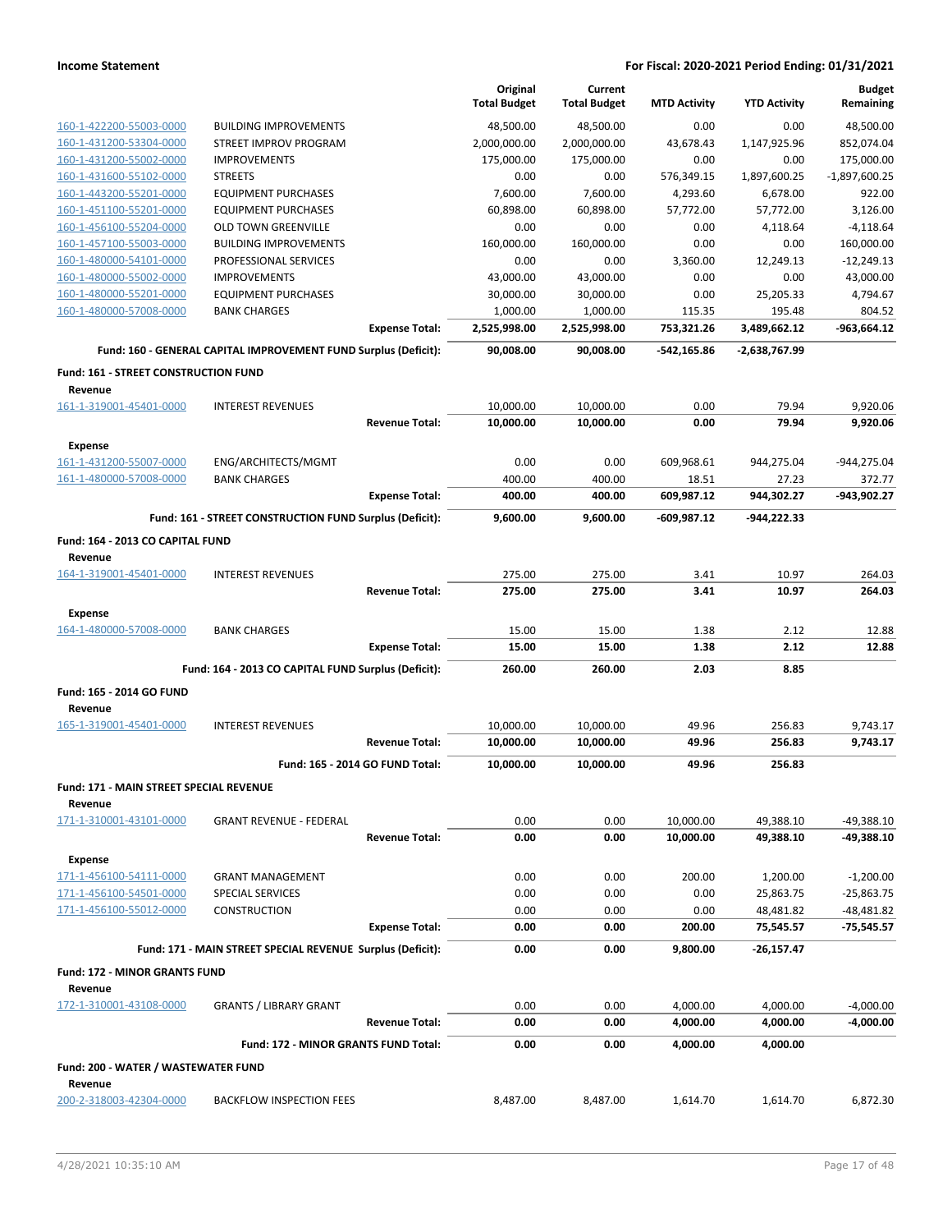|                                                    |                                                                 |                                 | Original<br><b>Total Budget</b> | Current<br><b>Total Budget</b> | <b>MTD Activity</b> | <b>YTD Activity</b> | <b>Budget</b><br>Remaining |
|----------------------------------------------------|-----------------------------------------------------------------|---------------------------------|---------------------------------|--------------------------------|---------------------|---------------------|----------------------------|
| 160-1-422200-55003-0000                            | <b>BUILDING IMPROVEMENTS</b>                                    |                                 | 48,500.00                       | 48,500.00                      | 0.00                | 0.00                | 48,500.00                  |
| 160-1-431200-53304-0000                            | STREET IMPROV PROGRAM                                           |                                 | 2,000,000.00                    | 2,000,000.00                   | 43,678.43           | 1,147,925.96        | 852,074.04                 |
| 160-1-431200-55002-0000                            | <b>IMPROVEMENTS</b>                                             |                                 | 175,000.00                      | 175,000.00                     | 0.00                | 0.00                | 175,000.00                 |
| 160-1-431600-55102-0000                            | <b>STREETS</b>                                                  |                                 | 0.00                            | 0.00                           | 576,349.15          | 1,897,600.25        | $-1,897,600.25$            |
| 160-1-443200-55201-0000                            | <b>EQUIPMENT PURCHASES</b>                                      |                                 | 7,600.00                        | 7,600.00                       | 4,293.60            | 6,678.00            | 922.00                     |
| 160-1-451100-55201-0000                            | <b>EQUIPMENT PURCHASES</b>                                      |                                 | 60,898.00                       | 60,898.00                      | 57,772.00           | 57,772.00           | 3,126.00                   |
| 160-1-456100-55204-0000                            | <b>OLD TOWN GREENVILLE</b>                                      |                                 | 0.00                            | 0.00                           | 0.00                | 4,118.64            | $-4,118.64$                |
| 160-1-457100-55003-0000                            | <b>BUILDING IMPROVEMENTS</b>                                    |                                 | 160,000.00                      | 160,000.00                     | 0.00                | 0.00                | 160,000.00                 |
| 160-1-480000-54101-0000                            | PROFESSIONAL SERVICES<br><b>IMPROVEMENTS</b>                    |                                 | 0.00<br>43,000.00               | 0.00<br>43,000.00              | 3,360.00<br>0.00    | 12,249.13<br>0.00   | $-12,249.13$<br>43,000.00  |
| 160-1-480000-55002-0000<br>160-1-480000-55201-0000 | <b>EQUIPMENT PURCHASES</b>                                      |                                 | 30,000.00                       | 30,000.00                      | 0.00                | 25,205.33           | 4,794.67                   |
| 160-1-480000-57008-0000                            | <b>BANK CHARGES</b>                                             |                                 | 1,000.00                        | 1,000.00                       | 115.35              | 195.48              | 804.52                     |
|                                                    |                                                                 | <b>Expense Total:</b>           | 2,525,998.00                    | 2,525,998.00                   | 753,321.26          | 3,489,662.12        | -963,664.12                |
|                                                    | Fund: 160 - GENERAL CAPITAL IMPROVEMENT FUND Surplus (Deficit): |                                 | 90,008.00                       | 90,008.00                      | $-542,165.86$       | -2,638,767.99       |                            |
| Fund: 161 - STREET CONSTRUCTION FUND<br>Revenue    |                                                                 |                                 |                                 |                                |                     |                     |                            |
| 161-1-319001-45401-0000                            | <b>INTEREST REVENUES</b>                                        |                                 | 10,000.00                       | 10,000.00                      | 0.00                | 79.94               | 9,920.06                   |
|                                                    |                                                                 | <b>Revenue Total:</b>           | 10,000.00                       | 10,000.00                      | 0.00                | 79.94               | 9,920.06                   |
| <b>Expense</b>                                     |                                                                 |                                 |                                 |                                |                     |                     |                            |
| 161-1-431200-55007-0000                            | ENG/ARCHITECTS/MGMT                                             |                                 | 0.00                            | 0.00                           | 609,968.61          | 944,275.04          | -944,275.04                |
| 161-1-480000-57008-0000                            | <b>BANK CHARGES</b>                                             |                                 | 400.00                          | 400.00                         | 18.51               | 27.23               | 372.77                     |
|                                                    |                                                                 | <b>Expense Total:</b>           | 400.00                          | 400.00                         | 609,987.12          | 944,302.27          | -943,902.27                |
|                                                    | Fund: 161 - STREET CONSTRUCTION FUND Surplus (Deficit):         |                                 | 9,600.00                        | 9.600.00                       | $-609,987.12$       | -944,222.33         |                            |
| Fund: 164 - 2013 CO CAPITAL FUND<br>Revenue        |                                                                 |                                 |                                 |                                |                     |                     |                            |
| 164-1-319001-45401-0000                            | <b>INTEREST REVENUES</b>                                        |                                 | 275.00                          | 275.00                         | 3.41                | 10.97               | 264.03                     |
|                                                    |                                                                 | <b>Revenue Total:</b>           | 275.00                          | 275.00                         | 3.41                | 10.97               | 264.03                     |
| <b>Expense</b>                                     |                                                                 |                                 | 15.00                           | 15.00                          | 1.38                | 2.12                | 12.88                      |
| 164-1-480000-57008-0000                            | <b>BANK CHARGES</b>                                             | <b>Expense Total:</b>           | 15.00                           | 15.00                          | 1.38                | 2.12                | 12.88                      |
|                                                    | Fund: 164 - 2013 CO CAPITAL FUND Surplus (Deficit):             |                                 | 260.00                          | 260.00                         | 2.03                | 8.85                |                            |
| Fund: 165 - 2014 GO FUND                           |                                                                 |                                 |                                 |                                |                     |                     |                            |
| Revenue                                            |                                                                 |                                 |                                 |                                |                     |                     |                            |
| 165-1-319001-45401-0000                            | <b>INTEREST REVENUES</b>                                        |                                 | 10,000.00                       | 10,000.00                      | 49.96               | 256.83              | 9,743.17                   |
|                                                    |                                                                 | <b>Revenue Total:</b>           | 10,000.00                       | 10,000.00                      | 49.96               | 256.83              | 9,743.17                   |
|                                                    |                                                                 | Fund: 165 - 2014 GO FUND Total: | 10,000.00                       | 10,000.00                      | 49.96               | 256.83              |                            |
| Fund: 171 - MAIN STREET SPECIAL REVENUE            |                                                                 |                                 |                                 |                                |                     |                     |                            |
| Revenue                                            |                                                                 |                                 |                                 |                                |                     |                     |                            |
| 171-1-310001-43101-0000                            | <b>GRANT REVENUE - FEDERAL</b>                                  |                                 | 0.00                            | 0.00                           | 10,000.00           | 49,388.10           | $-49,388.10$               |
|                                                    |                                                                 | <b>Revenue Total:</b>           | 0.00                            | 0.00                           | 10,000.00           | 49,388.10           | -49,388.10                 |
| <b>Expense</b>                                     |                                                                 |                                 |                                 |                                |                     |                     |                            |
| 171-1-456100-54111-0000                            | <b>GRANT MANAGEMENT</b>                                         |                                 | 0.00                            | 0.00                           | 200.00              | 1,200.00            | $-1,200.00$                |
| 171-1-456100-54501-0000                            | <b>SPECIAL SERVICES</b>                                         |                                 | 0.00                            | 0.00                           | 0.00                | 25,863.75           | $-25,863.75$               |
| 171-1-456100-55012-0000                            | <b>CONSTRUCTION</b>                                             |                                 | 0.00                            | 0.00                           | 0.00                | 48,481.82           | -48,481.82                 |
|                                                    |                                                                 | <b>Expense Total:</b>           | 0.00                            | 0.00                           | 200.00              | 75,545.57           | -75,545.57                 |
|                                                    | Fund: 171 - MAIN STREET SPECIAL REVENUE Surplus (Deficit):      |                                 | 0.00                            | 0.00                           | 9,800.00            | -26,157.47          |                            |
| <b>Fund: 172 - MINOR GRANTS FUND</b><br>Revenue    |                                                                 |                                 |                                 |                                |                     |                     |                            |
| 172-1-310001-43108-0000                            | <b>GRANTS / LIBRARY GRANT</b>                                   |                                 | 0.00                            | 0.00                           | 4,000.00            | 4,000.00            | $-4,000.00$                |
|                                                    |                                                                 | <b>Revenue Total:</b>           | 0.00                            | 0.00                           | 4,000.00            | 4,000.00            | $-4,000.00$                |
|                                                    | Fund: 172 - MINOR GRANTS FUND Total:                            |                                 | 0.00                            | 0.00                           | 4,000.00            | 4,000.00            |                            |
| Fund: 200 - WATER / WASTEWATER FUND<br>Revenue     |                                                                 |                                 |                                 |                                |                     |                     |                            |
| 200-2-318003-42304-0000                            | BACKFLOW INSPECTION FEES                                        |                                 | 8,487.00                        | 8,487.00                       | 1,614.70            | 1,614.70            | 6,872.30                   |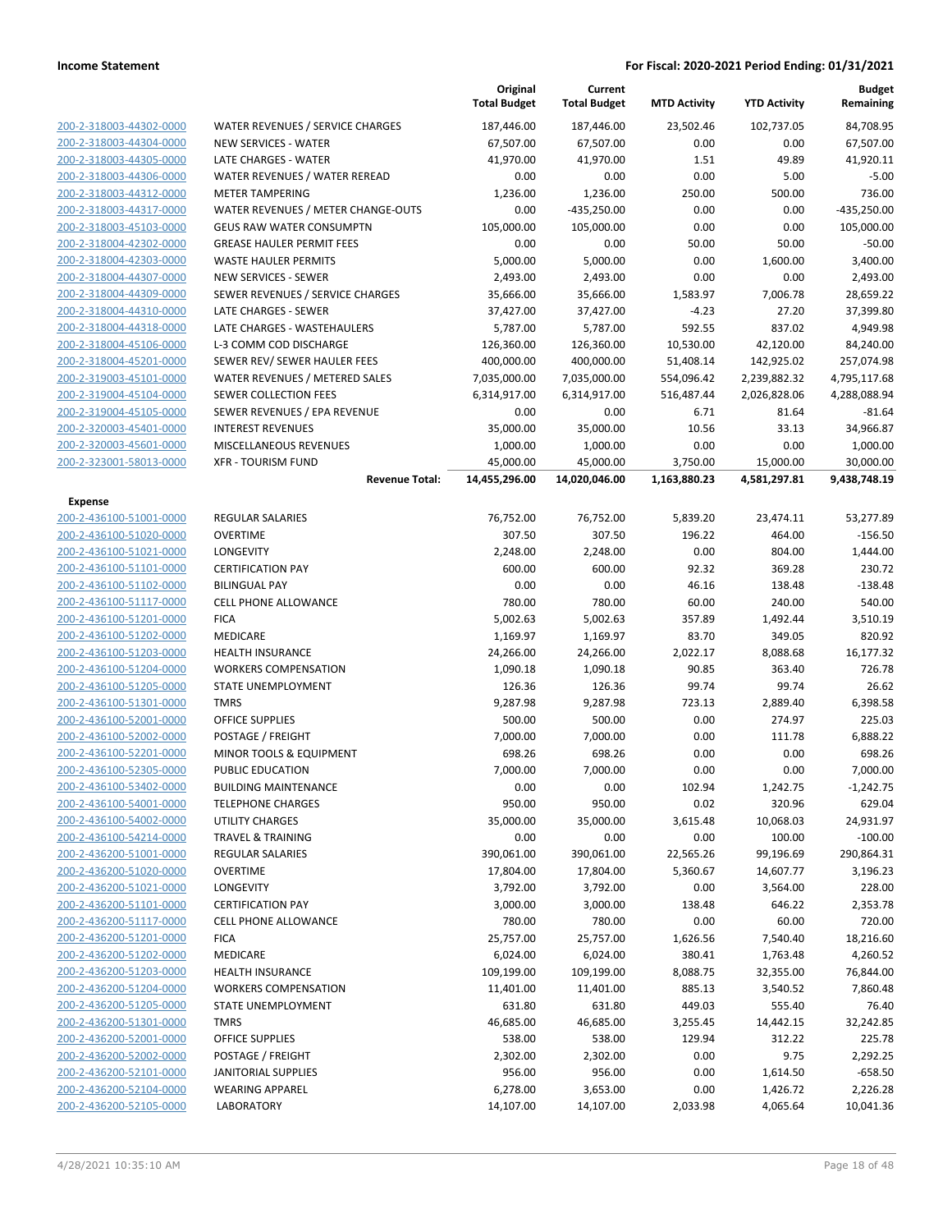|                                                    |                                                   | Original<br><b>Total Budget</b> | Current<br><b>Total Budget</b> | <b>MTD Activity</b> | <b>YTD Activity</b>  | Budget<br>Remaining   |
|----------------------------------------------------|---------------------------------------------------|---------------------------------|--------------------------------|---------------------|----------------------|-----------------------|
| 200-2-318003-44302-0000                            | WATER REVENUES / SERVICE CHARGES                  | 187,446.00                      | 187,446.00                     | 23.502.46           | 102,737.05           | 84,708.95             |
| 200-2-318003-44304-0000                            | <b>NEW SERVICES - WATER</b>                       | 67,507.00                       | 67,507.00                      | 0.00                | 0.00                 | 67,507.00             |
| 200-2-318003-44305-0000                            | LATE CHARGES - WATER                              | 41,970.00                       | 41,970.00                      | 1.51                | 49.89                | 41,920.11             |
| 200-2-318003-44306-0000                            | WATER REVENUES / WATER REREAD                     | 0.00                            | 0.00                           | 0.00                | 5.00                 | $-5.00$               |
| 200-2-318003-44312-0000                            | <b>METER TAMPERING</b>                            | 1,236.00                        | 1,236.00                       | 250.00              | 500.00               | 736.00                |
| 200-2-318003-44317-0000                            | WATER REVENUES / METER CHANGE-OUTS                | 0.00                            | $-435,250.00$                  | 0.00                | 0.00                 | $-435,250.00$         |
| 200-2-318003-45103-0000                            | <b>GEUS RAW WATER CONSUMPTN</b>                   | 105,000.00                      | 105,000.00                     | 0.00                | 0.00                 | 105,000.00            |
| 200-2-318004-42302-0000                            | <b>GREASE HAULER PERMIT FEES</b>                  | 0.00                            | 0.00                           | 50.00               | 50.00                | $-50.00$              |
| 200-2-318004-42303-0000                            | <b>WASTE HAULER PERMITS</b>                       | 5,000.00                        | 5,000.00                       | 0.00                | 1,600.00             | 3,400.00              |
| 200-2-318004-44307-0000                            | <b>NEW SERVICES - SEWER</b>                       | 2,493.00                        | 2,493.00                       | 0.00                | 0.00                 | 2,493.00              |
| 200-2-318004-44309-0000                            | SEWER REVENUES / SERVICE CHARGES                  | 35,666.00                       | 35,666.00                      | 1,583.97            | 7,006.78             | 28,659.22             |
| 200-2-318004-44310-0000                            | LATE CHARGES - SEWER                              | 37,427.00                       | 37,427.00                      | $-4.23$             | 27.20                | 37,399.80             |
| 200-2-318004-44318-0000                            | LATE CHARGES - WASTEHAULERS                       | 5,787.00                        | 5,787.00                       | 592.55              | 837.02               | 4,949.98              |
| 200-2-318004-45106-0000                            | L-3 COMM COD DISCHARGE                            | 126,360.00                      | 126,360.00                     | 10,530.00           | 42,120.00            | 84,240.00             |
| 200-2-318004-45201-0000                            | SEWER REV/ SEWER HAULER FEES                      | 400,000.00                      | 400,000.00                     | 51,408.14           | 142,925.02           | 257,074.98            |
| 200-2-319003-45101-0000                            | WATER REVENUES / METERED SALES                    | 7,035,000.00                    | 7,035,000.00                   | 554,096.42          | 2,239,882.32         | 4,795,117.68          |
| 200-2-319004-45104-0000                            | <b>SEWER COLLECTION FEES</b>                      | 6,314,917.00                    | 6,314,917.00                   | 516,487.44          | 2,026,828.06         | 4,288,088.94          |
| 200-2-319004-45105-0000                            | SEWER REVENUES / EPA REVENUE                      | 0.00                            | 0.00                           | 6.71                | 81.64                | -81.64                |
| 200-2-320003-45401-0000                            | <b>INTEREST REVENUES</b>                          | 35,000.00                       | 35,000.00                      | 10.56               | 33.13                | 34,966.87             |
| 200-2-320003-45601-0000                            | MISCELLANEOUS REVENUES                            | 1,000.00                        | 1,000.00                       | 0.00                | 0.00                 | 1,000.00              |
| 200-2-323001-58013-0000                            | <b>XFR - TOURISM FUND</b>                         | 45,000.00                       | 45,000.00                      | 3,750.00            | 15,000.00            | 30,000.00             |
|                                                    | <b>Revenue Total:</b>                             | 14,455,296.00                   | 14,020,046.00                  | 1,163,880.23        | 4,581,297.81         | 9,438,748.19          |
| <b>Expense</b>                                     |                                                   |                                 |                                |                     |                      |                       |
| 200-2-436100-51001-0000                            | <b>REGULAR SALARIES</b>                           | 76,752.00                       | 76,752.00                      | 5,839.20            | 23,474.11            | 53,277.89             |
| 200-2-436100-51020-0000                            | <b>OVERTIME</b>                                   | 307.50                          | 307.50                         | 196.22              | 464.00               | $-156.50$             |
| 200-2-436100-51021-0000                            | LONGEVITY                                         | 2,248.00                        | 2,248.00                       | 0.00                | 804.00               | 1,444.00              |
| 200-2-436100-51101-0000                            | <b>CERTIFICATION PAY</b>                          | 600.00                          | 600.00                         | 92.32               | 369.28               | 230.72                |
| 200-2-436100-51102-0000                            | <b>BILINGUAL PAY</b>                              | 0.00                            | 0.00                           | 46.16               | 138.48               | $-138.48$             |
| 200-2-436100-51117-0000                            | <b>CELL PHONE ALLOWANCE</b>                       | 780.00                          | 780.00                         | 60.00               | 240.00               | 540.00                |
| 200-2-436100-51201-0000                            | <b>FICA</b>                                       | 5,002.63                        | 5,002.63                       | 357.89              | 1,492.44             | 3,510.19              |
| 200-2-436100-51202-0000                            | MEDICARE                                          | 1,169.97                        | 1,169.97                       | 83.70               | 349.05               | 820.92                |
| 200-2-436100-51203-0000                            | <b>HEALTH INSURANCE</b>                           | 24,266.00                       | 24,266.00                      | 2,022.17            | 8,088.68             | 16,177.32             |
| 200-2-436100-51204-0000                            | <b>WORKERS COMPENSATION</b>                       | 1,090.18                        | 1,090.18                       | 90.85               | 363.40               | 726.78                |
| 200-2-436100-51205-0000                            | STATE UNEMPLOYMENT                                | 126.36                          | 126.36                         | 99.74               | 99.74                | 26.62                 |
| 200-2-436100-51301-0000                            | <b>TMRS</b>                                       | 9,287.98                        | 9,287.98                       | 723.13              | 2,889.40             | 6,398.58              |
| 200-2-436100-52001-0000                            | <b>OFFICE SUPPLIES</b>                            | 500.00                          | 500.00                         | 0.00                | 274.97               | 225.03                |
| 200-2-436100-52002-0000                            | POSTAGE / FREIGHT                                 | 7,000.00                        | 7,000.00                       | 0.00                | 111.78               | 6,888.22              |
| 200-2-436100-52201-0000                            | MINOR TOOLS & EQUIPMENT                           | 698.26                          | 698.26                         | 0.00                | 0.00                 | 698.26                |
| 200-2-436100-52305-0000                            | <b>PUBLIC EDUCATION</b>                           | 7,000.00                        | 7,000.00                       | 0.00                | 0.00                 | 7,000.00              |
| 200-2-436100-53402-0000                            | <b>BUILDING MAINTENANCE</b>                       | 0.00                            | 0.00                           | 102.94              | 1,242.75             | $-1,242.75$           |
| 200-2-436100-54001-0000                            | <b>TELEPHONE CHARGES</b>                          | 950.00                          | 950.00                         | 0.02                | 320.96               | 629.04                |
| 200-2-436100-54002-0000                            | <b>UTILITY CHARGES</b>                            | 35,000.00                       | 35,000.00                      | 3,615.48            | 10,068.03            | 24,931.97             |
| 200-2-436100-54214-0000                            | <b>TRAVEL &amp; TRAINING</b>                      | 0.00                            | 0.00                           | 0.00                | 100.00               | $-100.00$             |
| 200-2-436200-51001-0000                            | REGULAR SALARIES                                  | 390,061.00                      | 390,061.00                     | 22,565.26           | 99,196.69            | 290,864.31            |
| 200-2-436200-51020-0000                            | <b>OVERTIME</b>                                   | 17,804.00                       | 17,804.00                      | 5,360.67            | 14,607.77            | 3,196.23              |
| 200-2-436200-51021-0000                            | LONGEVITY                                         | 3,792.00                        | 3,792.00                       | 0.00                | 3,564.00             | 228.00                |
| 200-2-436200-51101-0000                            | <b>CERTIFICATION PAY</b>                          | 3,000.00                        | 3,000.00                       | 138.48              | 646.22               | 2,353.78              |
| 200-2-436200-51117-0000                            | <b>CELL PHONE ALLOWANCE</b>                       | 780.00                          | 780.00                         | 0.00                | 60.00                | 720.00                |
| 200-2-436200-51201-0000                            | <b>FICA</b>                                       | 25,757.00                       | 25,757.00                      | 1,626.56            | 7,540.40             | 18,216.60             |
| 200-2-436200-51202-0000                            | MEDICARE                                          | 6,024.00                        | 6,024.00                       | 380.41              | 1,763.48             | 4,260.52              |
| 200-2-436200-51203-0000<br>200-2-436200-51204-0000 | HEALTH INSURANCE                                  | 109,199.00                      | 109,199.00                     | 8,088.75            | 32,355.00            | 76,844.00             |
|                                                    | <b>WORKERS COMPENSATION</b><br>STATE UNEMPLOYMENT | 11,401.00                       | 11,401.00                      | 885.13              | 3,540.52             | 7,860.48              |
| 200-2-436200-51205-0000                            |                                                   | 631.80                          | 631.80<br>46,685.00            | 449.03              | 555.40               | 76.40                 |
| 200-2-436200-51301-0000                            | <b>TMRS</b>                                       | 46,685.00                       |                                | 3,255.45            | 14,442.15            | 32,242.85             |
| 200-2-436200-52001-0000<br>200-2-436200-52002-0000 | <b>OFFICE SUPPLIES</b>                            | 538.00                          | 538.00                         | 129.94              | 312.22               | 225.78                |
| 200-2-436200-52101-0000                            | POSTAGE / FREIGHT<br><b>JANITORIAL SUPPLIES</b>   | 2,302.00                        | 2,302.00                       | 0.00                | 9.75                 | 2,292.25              |
| 200-2-436200-52104-0000                            | <b>WEARING APPAREL</b>                            | 956.00<br>6,278.00              | 956.00<br>3,653.00             | 0.00<br>0.00        | 1,614.50<br>1,426.72 | $-658.50$<br>2,226.28 |
| 200-2-436200-52105-0000                            | LABORATORY                                        | 14,107.00                       | 14,107.00                      | 2,033.98            | 4,065.64             | 10,041.36             |
|                                                    |                                                   |                                 |                                |                     |                      |                       |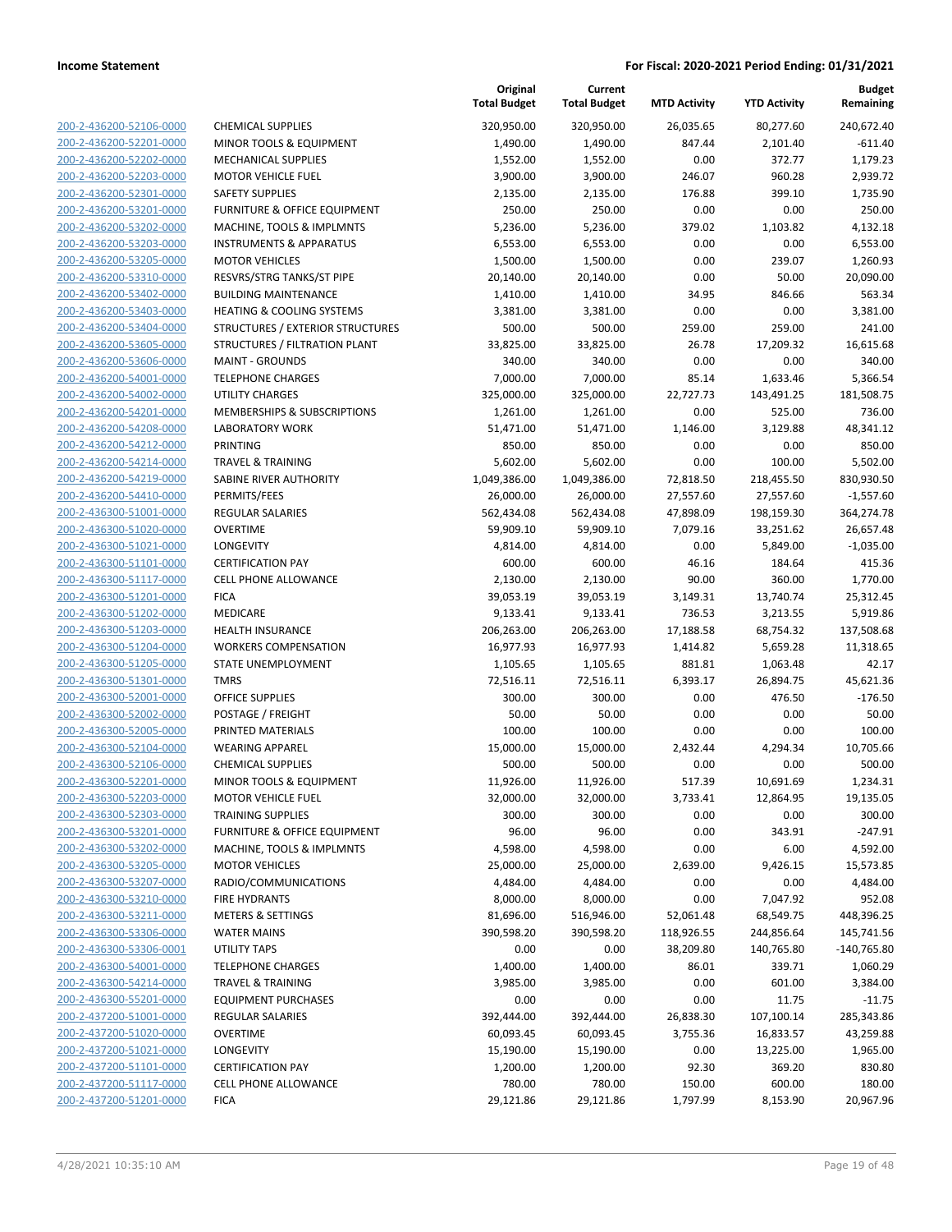|                                                    |                                                                     | Original<br><b>Total Budget</b> | Current<br><b>Total Budget</b> | <b>MTD Activity</b> | <b>YTD Activity</b> | Budget<br>Remaining |
|----------------------------------------------------|---------------------------------------------------------------------|---------------------------------|--------------------------------|---------------------|---------------------|---------------------|
| 200-2-436200-52106-0000                            | <b>CHEMICAL SUPPLIES</b>                                            | 320,950.00                      | 320,950.00                     | 26,035.65           | 80,277.60           | 240,672.40          |
| 200-2-436200-52201-0000                            | MINOR TOOLS & EQUIPMENT                                             | 1,490.00                        | 1,490.00                       | 847.44              | 2,101.40            | $-611.40$           |
| 200-2-436200-52202-0000                            | <b>MECHANICAL SUPPLIES</b>                                          | 1,552.00                        | 1,552.00                       | 0.00                | 372.77              | 1,179.23            |
| 200-2-436200-52203-0000                            | <b>MOTOR VEHICLE FUEL</b>                                           | 3,900.00                        | 3,900.00                       | 246.07              | 960.28              | 2,939.72            |
| 200-2-436200-52301-0000                            | <b>SAFETY SUPPLIES</b>                                              | 2,135.00                        | 2,135.00                       | 176.88              | 399.10              | 1,735.90            |
| 200-2-436200-53201-0000                            | FURNITURE & OFFICE EQUIPMENT                                        | 250.00                          | 250.00                         | 0.00                | 0.00                | 250.00              |
| 200-2-436200-53202-0000                            | MACHINE, TOOLS & IMPLMNTS                                           | 5,236.00                        | 5,236.00                       | 379.02              | 1,103.82            | 4,132.18            |
| 200-2-436200-53203-0000                            | <b>INSTRUMENTS &amp; APPARATUS</b>                                  | 6,553.00                        | 6,553.00                       | 0.00                | 0.00                | 6,553.00            |
| 200-2-436200-53205-0000                            | <b>MOTOR VEHICLES</b>                                               | 1,500.00                        | 1,500.00                       | 0.00                | 239.07              | 1,260.93            |
| 200-2-436200-53310-0000                            | RESVRS/STRG TANKS/ST PIPE                                           | 20,140.00                       | 20,140.00                      | 0.00                | 50.00               | 20,090.00           |
| 200-2-436200-53402-0000                            | <b>BUILDING MAINTENANCE</b>                                         | 1,410.00                        | 1,410.00                       | 34.95               | 846.66              | 563.34              |
| 200-2-436200-53403-0000                            | <b>HEATING &amp; COOLING SYSTEMS</b>                                | 3,381.00                        | 3,381.00                       | 0.00                | 0.00                | 3,381.00            |
| 200-2-436200-53404-0000                            | STRUCTURES / EXTERIOR STRUCTURES                                    | 500.00                          | 500.00                         | 259.00              | 259.00              | 241.00              |
| 200-2-436200-53605-0000                            | STRUCTURES / FILTRATION PLANT                                       | 33,825.00                       | 33,825.00                      | 26.78               | 17,209.32           | 16,615.68           |
| 200-2-436200-53606-0000                            | <b>MAINT - GROUNDS</b>                                              | 340.00                          | 340.00                         | 0.00                | 0.00                | 340.00              |
| 200-2-436200-54001-0000                            | <b>TELEPHONE CHARGES</b>                                            | 7,000.00                        | 7,000.00                       | 85.14               | 1,633.46            | 5,366.54            |
| 200-2-436200-54002-0000                            | <b>UTILITY CHARGES</b>                                              | 325,000.00                      | 325,000.00                     | 22,727.73           | 143,491.25          | 181,508.75          |
| 200-2-436200-54201-0000                            | MEMBERSHIPS & SUBSCRIPTIONS                                         | 1,261.00                        | 1,261.00                       | 0.00                | 525.00              | 736.00              |
| 200-2-436200-54208-0000                            | <b>LABORATORY WORK</b>                                              | 51,471.00                       | 51,471.00                      | 1,146.00            | 3,129.88            | 48,341.12           |
| 200-2-436200-54212-0000                            | <b>PRINTING</b>                                                     | 850.00                          | 850.00                         | 0.00                | 0.00                | 850.00              |
| 200-2-436200-54214-0000                            | <b>TRAVEL &amp; TRAINING</b>                                        | 5,602.00                        | 5,602.00                       | 0.00                | 100.00              | 5,502.00            |
| 200-2-436200-54219-0000                            | SABINE RIVER AUTHORITY                                              | 1,049,386.00                    | 1,049,386.00                   | 72,818.50           | 218,455.50          | 830,930.50          |
| 200-2-436200-54410-0000                            | PERMITS/FEES                                                        | 26,000.00                       | 26,000.00                      | 27,557.60           | 27,557.60           | $-1,557.60$         |
| 200-2-436300-51001-0000                            | REGULAR SALARIES                                                    | 562,434.08                      | 562,434.08                     | 47,898.09           | 198,159.30          | 364,274.78          |
| 200-2-436300-51020-0000                            | <b>OVERTIME</b>                                                     | 59,909.10                       | 59,909.10                      | 7,079.16            | 33,251.62           | 26,657.48           |
| 200-2-436300-51021-0000                            | LONGEVITY                                                           | 4,814.00                        | 4,814.00                       | 0.00                | 5,849.00            | $-1,035.00$         |
| 200-2-436300-51101-0000                            | <b>CERTIFICATION PAY</b>                                            | 600.00                          | 600.00                         | 46.16               | 184.64              | 415.36              |
| 200-2-436300-51117-0000                            | <b>CELL PHONE ALLOWANCE</b>                                         | 2,130.00                        | 2,130.00                       | 90.00               | 360.00              | 1,770.00            |
| 200-2-436300-51201-0000                            | <b>FICA</b>                                                         | 39,053.19                       | 39,053.19                      | 3,149.31            | 13,740.74           | 25,312.45           |
| 200-2-436300-51202-0000                            | MEDICARE                                                            | 9,133.41                        | 9,133.41                       | 736.53              | 3,213.55            | 5,919.86            |
| 200-2-436300-51203-0000                            | <b>HEALTH INSURANCE</b>                                             | 206,263.00                      | 206,263.00                     | 17,188.58           | 68,754.32           | 137,508.68          |
| 200-2-436300-51204-0000                            | <b>WORKERS COMPENSATION</b>                                         | 16,977.93                       | 16,977.93                      | 1,414.82            | 5,659.28            | 11,318.65           |
| 200-2-436300-51205-0000                            | STATE UNEMPLOYMENT                                                  | 1,105.65                        | 1,105.65                       | 881.81              | 1,063.48            | 42.17               |
| 200-2-436300-51301-0000                            | <b>TMRS</b>                                                         | 72,516.11                       | 72,516.11                      | 6,393.17            | 26,894.75           | 45,621.36           |
| 200-2-436300-52001-0000                            | <b>OFFICE SUPPLIES</b>                                              | 300.00                          | 300.00                         | 0.00                | 476.50              | $-176.50$           |
| 200-2-436300-52002-0000                            | POSTAGE / FREIGHT                                                   | 50.00                           | 50.00                          | 0.00                | 0.00                | 50.00               |
| 200-2-436300-52005-0000                            | PRINTED MATERIALS                                                   | 100.00                          | 100.00                         | 0.00                | 0.00                | 100.00              |
| 200-2-436300-52104-0000                            | <b>WEARING APPAREL</b>                                              | 15,000.00                       | 15,000.00                      | 2,432.44            | 4,294.34            | 10,705.66           |
| 200-2-436300-52106-0000                            | <b>CHEMICAL SUPPLIES</b>                                            | 500.00                          | 500.00                         | 0.00                | 0.00                | 500.00              |
| 200-2-436300-52201-0000                            | MINOR TOOLS & EQUIPMENT                                             | 11,926.00                       | 11,926.00                      | 517.39              | 10,691.69           | 1,234.31            |
| 200-2-436300-52203-0000                            | <b>MOTOR VEHICLE FUEL</b>                                           | 32,000.00                       | 32,000.00                      | 3,733.41            | 12,864.95           | 19,135.05           |
| 200-2-436300-52303-0000<br>200-2-436300-53201-0000 | <b>TRAINING SUPPLIES</b><br><b>FURNITURE &amp; OFFICE EQUIPMENT</b> | 300.00<br>96.00                 | 300.00<br>96.00                | 0.00<br>0.00        | 0.00<br>343.91      | 300.00<br>$-247.91$ |
| 200-2-436300-53202-0000                            | MACHINE, TOOLS & IMPLMNTS                                           | 4,598.00                        | 4,598.00                       | 0.00                | 6.00                | 4,592.00            |
| 200-2-436300-53205-0000                            | <b>MOTOR VEHICLES</b>                                               | 25,000.00                       | 25,000.00                      | 2,639.00            | 9,426.15            | 15,573.85           |
| 200-2-436300-53207-0000                            | RADIO/COMMUNICATIONS                                                | 4,484.00                        | 4,484.00                       | 0.00                | 0.00                | 4,484.00            |
| 200-2-436300-53210-0000                            | <b>FIRE HYDRANTS</b>                                                | 8,000.00                        | 8,000.00                       | 0.00                | 7,047.92            | 952.08              |
| 200-2-436300-53211-0000                            | <b>METERS &amp; SETTINGS</b>                                        | 81,696.00                       | 516,946.00                     | 52,061.48           | 68,549.75           | 448,396.25          |
| 200-2-436300-53306-0000                            | <b>WATER MAINS</b>                                                  | 390,598.20                      | 390,598.20                     | 118,926.55          | 244,856.64          | 145,741.56          |
| 200-2-436300-53306-0001                            | UTILITY TAPS                                                        | 0.00                            | 0.00                           | 38,209.80           | 140,765.80          | $-140,765.80$       |
| 200-2-436300-54001-0000                            | <b>TELEPHONE CHARGES</b>                                            | 1,400.00                        | 1,400.00                       | 86.01               | 339.71              | 1,060.29            |
| 200-2-436300-54214-0000                            | <b>TRAVEL &amp; TRAINING</b>                                        | 3,985.00                        | 3,985.00                       | 0.00                | 601.00              | 3,384.00            |
| 200-2-436300-55201-0000                            | <b>EQUIPMENT PURCHASES</b>                                          | 0.00                            | 0.00                           | 0.00                | 11.75               | $-11.75$            |
| 200-2-437200-51001-0000                            | <b>REGULAR SALARIES</b>                                             | 392,444.00                      | 392,444.00                     | 26,838.30           | 107,100.14          | 285,343.86          |
| 200-2-437200-51020-0000                            | <b>OVERTIME</b>                                                     | 60,093.45                       | 60,093.45                      | 3,755.36            | 16,833.57           | 43,259.88           |
| 200-2-437200-51021-0000                            | LONGEVITY                                                           | 15,190.00                       | 15,190.00                      | 0.00                | 13,225.00           | 1,965.00            |
| 200-2-437200-51101-0000                            | <b>CERTIFICATION PAY</b>                                            | 1,200.00                        | 1,200.00                       | 92.30               | 369.20              | 830.80              |
| 200-2-437200-51117-0000                            | <b>CELL PHONE ALLOWANCE</b>                                         | 780.00                          | 780.00                         | 150.00              | 600.00              | 180.00              |
| 200-2-437200-51201-0000                            | <b>FICA</b>                                                         | 29,121.86                       | 29,121.86                      | 1,797.99            | 8,153.90            | 20,967.96           |
|                                                    |                                                                     |                                 |                                |                     |                     |                     |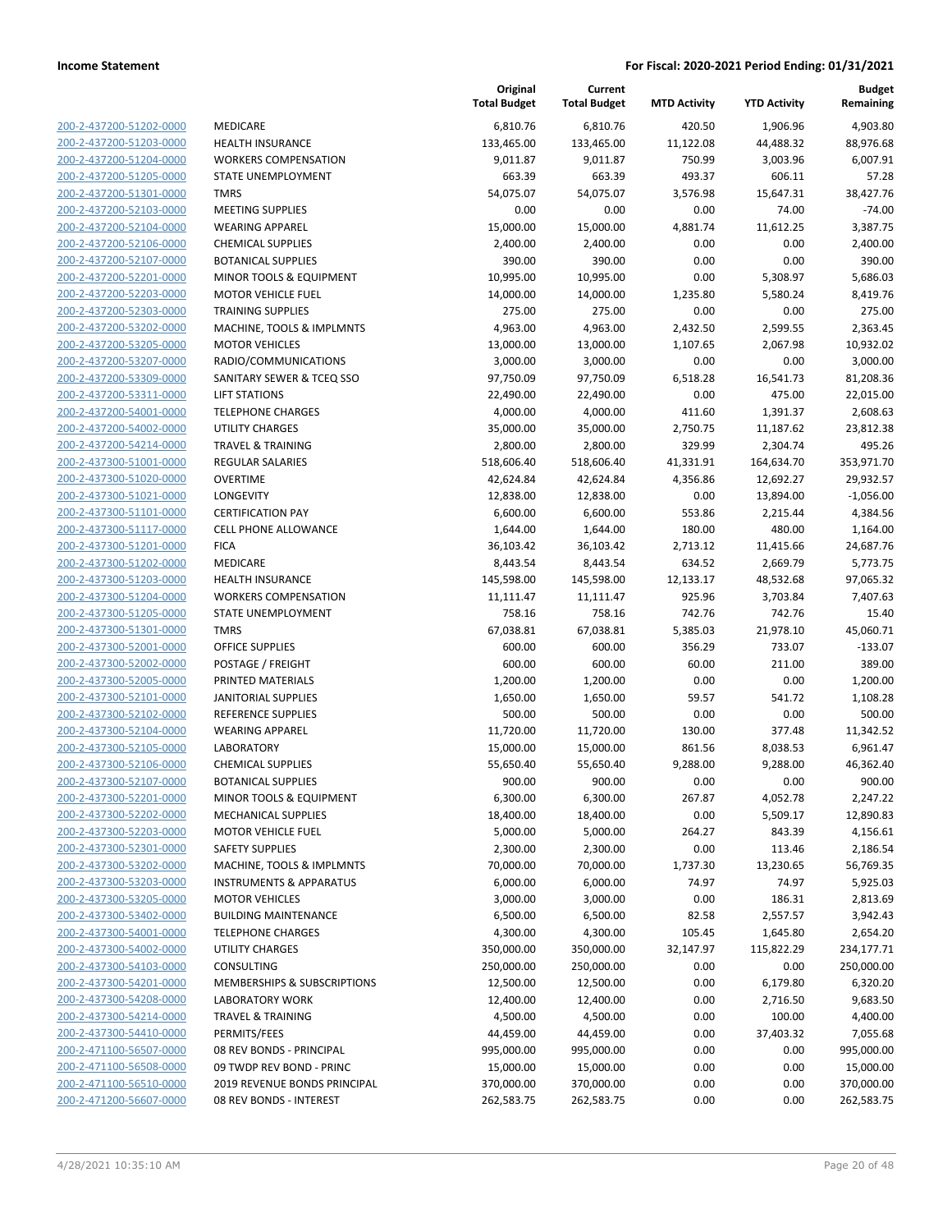| <u>200-2-437200-51202-0000</u> |  |
|--------------------------------|--|
| 200-2-437200-51203-0000        |  |
|                                |  |
| 200-2-437200-51204-0000        |  |
| <u>200-2-437200-51205-0000</u> |  |
| <u>200-2-437200-51301-0000</u> |  |
| <u>200-2-437200-52103-0000</u> |  |
| 200-2-437200-52104-0000        |  |
| 200-2-437200-52106-0000        |  |
| <u>200-2-437200-52107-0000</u> |  |
|                                |  |
| <u>200-2-437200-52201-0000</u> |  |
| 200-2-437200-52203-0000        |  |
| 200-2-437200-52303-0000        |  |
| 200-2-437200-53202-0000        |  |
| <u>200-2-437200-53205-0000</u> |  |
| <u>200-2-437200-53207-0000</u> |  |
| <u>200-2-437200-53309-0000</u> |  |
|                                |  |
| 200-2-437200-53311-0000        |  |
| 200-2-437200-54001-0000        |  |
| <u>200-2-437200-54002-0000</u> |  |
| <u>200-2-437200-54214-0000</u> |  |
| <u>200-2-437300-51001-0000</u> |  |
| 200-2-437300-51020-0000        |  |
| 200-2-437300-51021-0000        |  |
| <u>200-2-437300-51101-0000</u> |  |
|                                |  |
| <u>200-2-437300-51117-0000</u> |  |
| 200-2-437300-51201-0000        |  |
| 200-2-437300-51202-0000        |  |
| 200-2-437300-51203-0000        |  |
| <u>200-2-437300-51204-0000</u> |  |
| 200-2-437300-51205-0000        |  |
| 200-2-437300-51301-0000        |  |
| 200-2-437300-52001-0000        |  |
| 200-2-437300-52002-0000        |  |
|                                |  |
| <u>200-2-437300-52005-0000</u> |  |
| <u>200-2-437300-52101-0000</u> |  |
| <u>200-2-437300-52102-0000</u> |  |
| 200-2-437300-52104-0000        |  |
| 200-2-437300-52105-0000        |  |
| 200-2-437300-52106-0000        |  |
| 200-2-437300-52107-0000        |  |
| 200-2-437300-52201-0000        |  |
| <u>200-2-437300-52202-0000</u> |  |
|                                |  |
| 200-2-437300-52203-0000        |  |
| 200-2-437300-52301-0000        |  |
| <u>200-2-437300-53202-0000</u> |  |
| <u>200-2-437300-53203-0000</u> |  |
| 200-2-437300-53205-0000        |  |
| 200-2-437300-53402-0000        |  |
| 200-2-437300-54001-0000        |  |
| <u>200-2-437300-54002-0000</u> |  |
| <u>200-2-437300-54103-0000</u> |  |
|                                |  |
| 200-2-437300-54201-0000        |  |
| 200-2-437300-54208-0000        |  |
| 200-2-437300-54214-0000        |  |
| <u>200-2-437300-54410-0000</u> |  |
| 200-2-471100-56507-0000        |  |
| 200-2-471100-56508-0000        |  |
| 200-2-471100-56510-0000        |  |
|                                |  |
| 200-2-471200-56607-0000        |  |

| MEDICARE                                         |
|--------------------------------------------------|
| <b>HEALTH INSURANCE</b>                          |
| <b>WORKERS COMPENSATION</b>                      |
| STATE UNEMPLOYMENT                               |
| <b>TMRS</b>                                      |
| <b>MEETING SUPPLIES</b>                          |
| <b>WEARING APPAREL</b>                           |
| <b>CHEMICAL SUPPLIES</b>                         |
| <b>BOTANICAL SUPPLIES</b>                        |
| MINOR TOOLS & EQUIPMENT                          |
| <b>MOTOR VEHICLE FUEL</b>                        |
| <b>TRAINING SUPPLIES</b>                         |
| MACHINE, TOOLS & IMPLMNTS                        |
| <b>MOTOR VEHICLES</b>                            |
| RADIO/COMMUNICATIONS                             |
| SANITARY SEWER & TCEQ SSO                        |
| <b>LIFT STATIONS</b>                             |
| <b>TELEPHONE CHARGES</b>                         |
| <b>UTILITY CHARGES</b>                           |
| <b>TRAVEL &amp; TRAINING</b>                     |
| <b>REGULAR SALARIES</b>                          |
| <b>OVERTIME</b>                                  |
| LONGEVITY                                        |
| <b>CERTIFICATION PAY</b>                         |
| <b>CELL PHONE ALLOWANCE</b>                      |
| <b>FICA</b>                                      |
| <b>MEDICARE</b>                                  |
| <b>HEALTH INSURANCE</b>                          |
| <b>WORKERS COMPENSATION</b>                      |
| STATE UNEMPLOYMENT                               |
| TMRS                                             |
| <b>OFFICE SUPPLIES</b>                           |
| POSTAGE / FREIGHT                                |
| PRINTED MATERIALS                                |
| <b>JANITORIAL SUPPLIES</b><br>REFERENCE SUPPLIES |
| <b>WEARING APPAREL</b>                           |
| <b>LABORATORY</b>                                |
| <b>CHEMICAL SUPPLIES</b>                         |
| <b>BOTANICAL SUPPLIES</b>                        |
| <b>MINOR TOOLS &amp; EQUIPMENT</b>               |
| <b>MECHANICAL SUPPLIES</b>                       |
| <b>MOTOR VEHICLE FUEL</b>                        |
| <b>SAFETY SUPPLIES</b>                           |
| MACHINE, TOOLS & IMPLMNTS                        |
| <b>INSTRUMENTS &amp; APPARATUS</b>               |
| <b>MOTOR VEHICLES</b>                            |
| <b>BUILDING MAINTENANCE</b>                      |
| <b>TELEPHONE CHARGES</b>                         |
| <b>UTILITY CHARGES</b>                           |
| <b>CONSULTING</b>                                |
| MEMBERSHIPS & SUBSCRIPTIONS                      |
| <b>LABORATORY WORK</b>                           |
| <b>TRAVEL &amp; TRAINING</b>                     |
| PERMITS/FEES                                     |
| 08 REV BONDS - PRINCIPAL                         |
| 09 TWDP REV BOND - PRINC                         |
| <b>2019 REVENUE BONDS PRINCIPAL</b>              |
| 08 REV BONDS - INTEREST                          |

|                         |                                    | Original<br><b>Total Budget</b> | Current<br><b>Total Budget</b> | <b>MTD Activity</b> | <b>YTD Activity</b> | <b>Budget</b><br>Remaining |
|-------------------------|------------------------------------|---------------------------------|--------------------------------|---------------------|---------------------|----------------------------|
| 200-2-437200-51202-0000 | MEDICARE                           | 6,810.76                        | 6,810.76                       | 420.50              | 1,906.96            | 4,903.80                   |
| 200-2-437200-51203-0000 | <b>HEALTH INSURANCE</b>            | 133,465.00                      | 133,465.00                     | 11,122.08           | 44,488.32           | 88,976.68                  |
| 200-2-437200-51204-0000 | <b>WORKERS COMPENSATION</b>        | 9,011.87                        | 9,011.87                       | 750.99              | 3,003.96            | 6,007.91                   |
| 200-2-437200-51205-0000 | STATE UNEMPLOYMENT                 | 663.39                          | 663.39                         | 493.37              | 606.11              | 57.28                      |
| 200-2-437200-51301-0000 | <b>TMRS</b>                        | 54,075.07                       | 54,075.07                      | 3,576.98            | 15,647.31           | 38,427.76                  |
| 200-2-437200-52103-0000 | <b>MEETING SUPPLIES</b>            | 0.00                            | 0.00                           | 0.00                | 74.00               | $-74.00$                   |
| 200-2-437200-52104-0000 | <b>WEARING APPAREL</b>             | 15,000.00                       | 15,000.00                      | 4,881.74            | 11,612.25           | 3,387.75                   |
| 200-2-437200-52106-0000 | <b>CHEMICAL SUPPLIES</b>           | 2,400.00                        | 2,400.00                       | 0.00                | 0.00                | 2,400.00                   |
| 200-2-437200-52107-0000 | <b>BOTANICAL SUPPLIES</b>          | 390.00                          | 390.00                         | 0.00                | 0.00                | 390.00                     |
| 200-2-437200-52201-0000 | MINOR TOOLS & EQUIPMENT            | 10,995.00                       | 10,995.00                      | 0.00                | 5,308.97            | 5,686.03                   |
| 200-2-437200-52203-0000 | <b>MOTOR VEHICLE FUEL</b>          | 14,000.00                       | 14,000.00                      | 1,235.80            | 5,580.24            | 8,419.76                   |
| 200-2-437200-52303-0000 | <b>TRAINING SUPPLIES</b>           | 275.00                          | 275.00                         | 0.00                | 0.00                | 275.00                     |
| 200-2-437200-53202-0000 | MACHINE, TOOLS & IMPLMNTS          | 4,963.00                        | 4,963.00                       | 2,432.50            | 2,599.55            | 2,363.45                   |
| 200-2-437200-53205-0000 | <b>MOTOR VEHICLES</b>              | 13,000.00                       | 13,000.00                      | 1,107.65            | 2,067.98            | 10,932.02                  |
| 200-2-437200-53207-0000 | RADIO/COMMUNICATIONS               | 3,000.00                        | 3,000.00                       | 0.00                | 0.00                | 3,000.00                   |
| 200-2-437200-53309-0000 | SANITARY SEWER & TCEQ SSO          | 97,750.09                       | 97,750.09                      | 6,518.28            | 16,541.73           | 81,208.36                  |
| 200-2-437200-53311-0000 | <b>LIFT STATIONS</b>               | 22,490.00                       | 22,490.00                      | 0.00                | 475.00              | 22,015.00                  |
| 200-2-437200-54001-0000 | <b>TELEPHONE CHARGES</b>           | 4,000.00                        | 4,000.00                       | 411.60              | 1,391.37            | 2,608.63                   |
| 200-2-437200-54002-0000 | <b>UTILITY CHARGES</b>             | 35,000.00                       | 35,000.00                      | 2,750.75            | 11,187.62           | 23,812.38                  |
| 200-2-437200-54214-0000 | <b>TRAVEL &amp; TRAINING</b>       | 2,800.00                        | 2,800.00                       | 329.99              | 2,304.74            | 495.26                     |
| 200-2-437300-51001-0000 | <b>REGULAR SALARIES</b>            | 518,606.40                      | 518,606.40                     | 41,331.91           | 164,634.70          | 353,971.70                 |
| 200-2-437300-51020-0000 | <b>OVERTIME</b>                    | 42,624.84                       | 42,624.84                      | 4,356.86            | 12,692.27           | 29,932.57                  |
| 200-2-437300-51021-0000 | <b>LONGEVITY</b>                   | 12,838.00                       | 12,838.00                      | 0.00                | 13,894.00           | $-1,056.00$                |
| 200-2-437300-51101-0000 | <b>CERTIFICATION PAY</b>           | 6,600.00                        | 6,600.00                       | 553.86              | 2,215.44            | 4,384.56                   |
| 200-2-437300-51117-0000 | <b>CELL PHONE ALLOWANCE</b>        | 1,644.00                        | 1,644.00                       | 180.00              | 480.00              | 1,164.00                   |
| 200-2-437300-51201-0000 | <b>FICA</b>                        | 36,103.42                       | 36,103.42                      | 2,713.12            | 11,415.66           | 24,687.76                  |
| 200-2-437300-51202-0000 | MEDICARE                           | 8,443.54                        | 8,443.54                       | 634.52              | 2,669.79            | 5,773.75                   |
| 200-2-437300-51203-0000 | <b>HEALTH INSURANCE</b>            | 145,598.00                      | 145,598.00                     | 12,133.17           | 48,532.68           | 97,065.32                  |
| 200-2-437300-51204-0000 | <b>WORKERS COMPENSATION</b>        | 11,111.47                       | 11,111.47                      | 925.96              | 3,703.84            | 7,407.63                   |
| 200-2-437300-51205-0000 | STATE UNEMPLOYMENT                 | 758.16                          | 758.16                         | 742.76              | 742.76              | 15.40                      |
| 200-2-437300-51301-0000 | <b>TMRS</b>                        | 67,038.81                       | 67,038.81                      | 5,385.03            | 21,978.10           | 45,060.71                  |
| 200-2-437300-52001-0000 | OFFICE SUPPLIES                    | 600.00                          | 600.00                         | 356.29              | 733.07              | $-133.07$                  |
| 200-2-437300-52002-0000 | POSTAGE / FREIGHT                  | 600.00                          | 600.00                         | 60.00               | 211.00              | 389.00                     |
| 200-2-437300-52005-0000 | PRINTED MATERIALS                  | 1,200.00                        | 1,200.00                       | 0.00                | 0.00                | 1,200.00                   |
| 200-2-437300-52101-0000 | <b>JANITORIAL SUPPLIES</b>         | 1,650.00                        | 1,650.00                       | 59.57               | 541.72              | 1,108.28                   |
| 200-2-437300-52102-0000 | REFERENCE SUPPLIES                 | 500.00                          | 500.00                         | 0.00                | 0.00                | 500.00                     |
| 200-2-437300-52104-0000 | <b>WEARING APPAREL</b>             | 11,720.00                       | 11,720.00                      | 130.00              | 377.48              | 11,342.52                  |
| 200-2-437300-52105-0000 | <b>LABORATORY</b>                  | 15,000.00                       | 15,000.00                      | 861.56              | 8,038.53            | 6,961.47                   |
| 200-2-437300-52106-0000 | <b>CHEMICAL SUPPLIES</b>           | 55,650.40                       | 55,650.40                      | 9,288.00            | 9,288.00            | 46,362.40                  |
| 200-2-437300-52107-0000 | <b>BOTANICAL SUPPLIES</b>          | 900.00                          | 900.00                         | 0.00                | 0.00                | 900.00                     |
| 200-2-437300-52201-0000 | MINOR TOOLS & EQUIPMENT            | 6,300.00                        | 6,300.00                       | 267.87              | 4,052.78            | 2,247.22                   |
| 200-2-437300-52202-0000 | <b>MECHANICAL SUPPLIES</b>         | 18,400.00                       | 18,400.00                      | 0.00                | 5,509.17            | 12,890.83                  |
| 200-2-437300-52203-0000 | <b>MOTOR VEHICLE FUEL</b>          | 5,000.00                        | 5,000.00                       | 264.27              | 843.39              | 4,156.61                   |
| 200-2-437300-52301-0000 | <b>SAFETY SUPPLIES</b>             | 2,300.00                        | 2,300.00                       | 0.00                | 113.46              | 2,186.54                   |
| 200-2-437300-53202-0000 | MACHINE, TOOLS & IMPLMNTS          | 70,000.00                       | 70,000.00                      | 1,737.30            | 13,230.65           | 56,769.35                  |
| 200-2-437300-53203-0000 | <b>INSTRUMENTS &amp; APPARATUS</b> | 6,000.00                        | 6,000.00                       | 74.97               | 74.97               | 5,925.03                   |
| 200-2-437300-53205-0000 | <b>MOTOR VEHICLES</b>              | 3,000.00                        | 3,000.00                       | 0.00                | 186.31              | 2,813.69                   |
| 200-2-437300-53402-0000 | <b>BUILDING MAINTENANCE</b>        | 6,500.00                        | 6,500.00                       | 82.58               | 2,557.57            | 3,942.43                   |
| 200-2-437300-54001-0000 | <b>TELEPHONE CHARGES</b>           | 4,300.00                        | 4,300.00                       | 105.45              | 1,645.80            | 2,654.20                   |
| 200-2-437300-54002-0000 | UTILITY CHARGES                    | 350,000.00                      | 350,000.00                     | 32,147.97           | 115,822.29          | 234,177.71                 |
| 200-2-437300-54103-0000 | CONSULTING                         | 250,000.00                      | 250,000.00                     | 0.00                | 0.00                | 250,000.00                 |
| 200-2-437300-54201-0000 | MEMBERSHIPS & SUBSCRIPTIONS        | 12,500.00                       | 12,500.00                      | 0.00                | 6,179.80            | 6,320.20                   |
| 200-2-437300-54208-0000 | <b>LABORATORY WORK</b>             | 12,400.00                       | 12,400.00                      | 0.00                | 2,716.50            | 9,683.50                   |
| 200-2-437300-54214-0000 | <b>TRAVEL &amp; TRAINING</b>       | 4,500.00                        | 4,500.00                       | 0.00                | 100.00              | 4,400.00                   |
| 200-2-437300-54410-0000 | PERMITS/FEES                       | 44,459.00                       | 44,459.00                      | 0.00                | 37,403.32           | 7,055.68                   |
| 200-2-471100-56507-0000 | 08 REV BONDS - PRINCIPAL           | 995,000.00                      | 995,000.00                     | 0.00                | 0.00                | 995,000.00                 |
| 200-2-471100-56508-0000 | 09 TWDP REV BOND - PRINC           | 15,000.00                       | 15,000.00                      | 0.00                | 0.00                | 15,000.00                  |
| 200-2-471100-56510-0000 | 2019 REVENUE BONDS PRINCIPAL       | 370,000.00                      | 370,000.00                     | 0.00                | 0.00                | 370,000.00                 |
| 200-2-471200-56607-0000 | 08 REV BONDS - INTEREST            | 262,583.75                      | 262,583.75                     | 0.00                | 0.00                | 262,583.75                 |
|                         |                                    |                                 |                                |                     |                     |                            |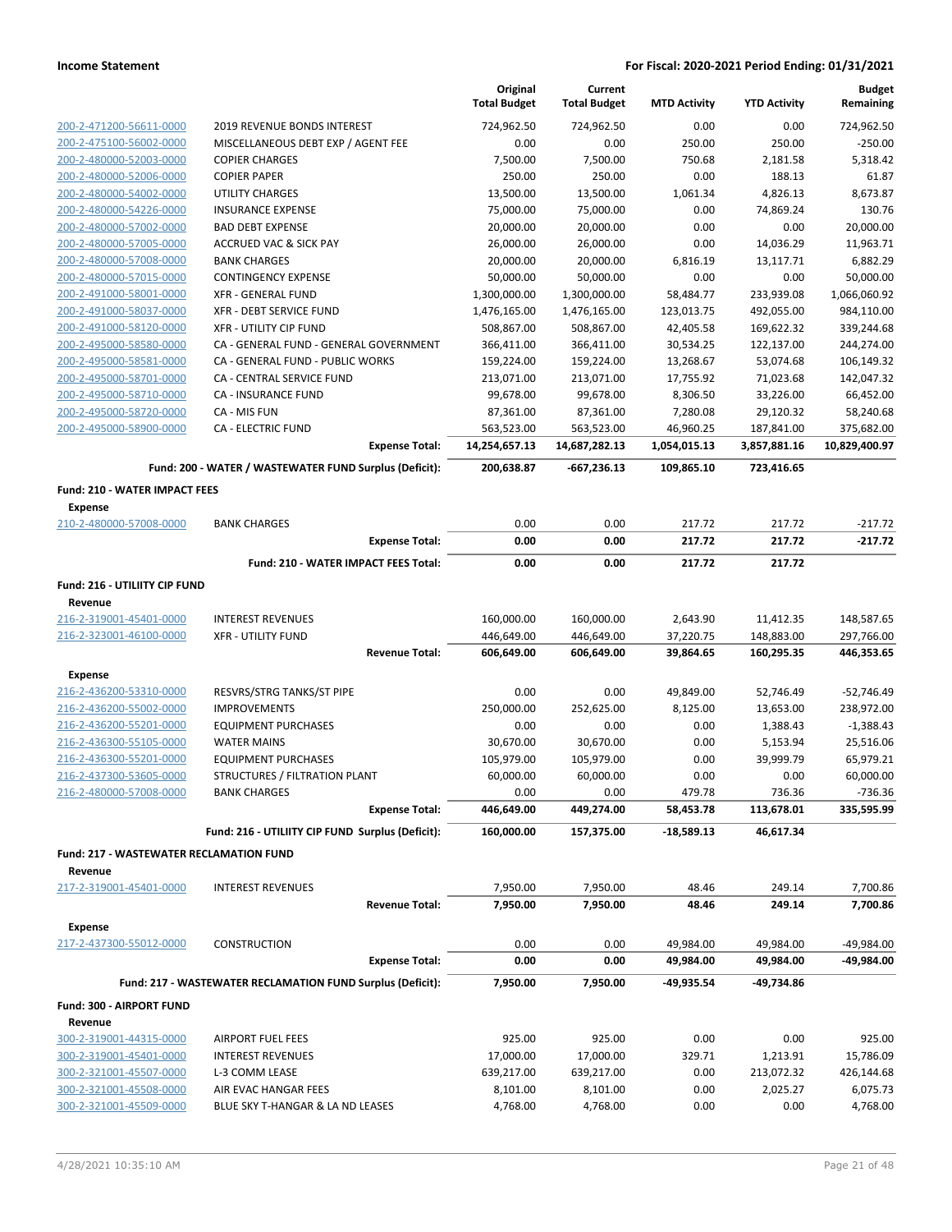|                                                        |                                                            | Original<br><b>Total Budget</b> | Current<br><b>Total Budget</b> | <b>MTD Activity</b> | <b>YTD Activity</b> | <b>Budget</b><br>Remaining |
|--------------------------------------------------------|------------------------------------------------------------|---------------------------------|--------------------------------|---------------------|---------------------|----------------------------|
| 200-2-471200-56611-0000                                | 2019 REVENUE BONDS INTEREST                                | 724,962.50                      | 724,962.50                     | 0.00                | 0.00                | 724,962.50                 |
| 200-2-475100-56002-0000                                | MISCELLANEOUS DEBT EXP / AGENT FEE                         | 0.00                            | 0.00                           | 250.00              | 250.00              | $-250.00$                  |
| 200-2-480000-52003-0000                                | <b>COPIER CHARGES</b>                                      | 7,500.00                        | 7,500.00                       | 750.68              | 2,181.58            | 5,318.42                   |
| 200-2-480000-52006-0000                                | <b>COPIER PAPER</b>                                        | 250.00                          | 250.00                         | 0.00                | 188.13              | 61.87                      |
| 200-2-480000-54002-0000                                | UTILITY CHARGES                                            | 13,500.00                       | 13,500.00                      | 1,061.34            | 4,826.13            | 8,673.87                   |
| 200-2-480000-54226-0000                                | <b>INSURANCE EXPENSE</b>                                   | 75,000.00                       | 75,000.00                      | 0.00                | 74,869.24           | 130.76                     |
| 200-2-480000-57002-0000                                | <b>BAD DEBT EXPENSE</b>                                    | 20,000.00                       | 20,000.00                      | 0.00                | 0.00                | 20,000.00                  |
| 200-2-480000-57005-0000                                | <b>ACCRUED VAC &amp; SICK PAY</b>                          | 26,000.00                       | 26,000.00                      | 0.00                | 14,036.29           | 11,963.71                  |
| 200-2-480000-57008-0000                                | <b>BANK CHARGES</b>                                        | 20,000.00                       | 20,000.00                      | 6,816.19            | 13,117.71           | 6,882.29                   |
| 200-2-480000-57015-0000                                | <b>CONTINGENCY EXPENSE</b>                                 | 50,000.00                       | 50,000.00                      | 0.00                | 0.00                | 50,000.00                  |
| 200-2-491000-58001-0000                                | <b>XFR - GENERAL FUND</b>                                  | 1,300,000.00                    | 1,300,000.00                   | 58,484.77           | 233,939.08          | 1,066,060.92               |
| 200-2-491000-58037-0000                                | XFR - DEBT SERVICE FUND                                    | 1,476,165.00                    | 1,476,165.00                   | 123,013.75          | 492,055.00          | 984,110.00                 |
| 200-2-491000-58120-0000                                | <b>XFR - UTILITY CIP FUND</b>                              | 508,867.00                      | 508,867.00                     | 42,405.58           | 169,622.32          | 339,244.68                 |
| 200-2-495000-58580-0000                                | CA - GENERAL FUND - GENERAL GOVERNMENT                     | 366,411.00                      | 366,411.00                     | 30,534.25           | 122,137.00          | 244,274.00                 |
| 200-2-495000-58581-0000                                | CA - GENERAL FUND - PUBLIC WORKS                           | 159,224.00                      | 159,224.00                     | 13,268.67           | 53,074.68           | 106,149.32                 |
| 200-2-495000-58701-0000                                | CA - CENTRAL SERVICE FUND                                  | 213,071.00                      | 213,071.00                     | 17,755.92           | 71,023.68           | 142,047.32                 |
| 200-2-495000-58710-0000                                | <b>CA - INSURANCE FUND</b>                                 | 99,678.00                       | 99,678.00                      | 8,306.50            | 33,226.00           | 66,452.00                  |
| 200-2-495000-58720-0000<br>200-2-495000-58900-0000     | CA - MIS FUN                                               | 87,361.00                       | 87,361.00                      | 7,280.08            | 29,120.32           | 58,240.68                  |
|                                                        | <b>CA - ELECTRIC FUND</b>                                  | 563,523.00<br>14,254,657.13     | 563,523.00                     | 46,960.25           | 187,841.00          | 375,682.00                 |
|                                                        | <b>Expense Total:</b>                                      |                                 | 14,687,282.13                  | 1,054,015.13        | 3,857,881.16        | 10,829,400.97              |
|                                                        | Fund: 200 - WATER / WASTEWATER FUND Surplus (Deficit):     | 200,638.87                      | -667,236.13                    | 109,865.10          | 723,416.65          |                            |
| <b>Fund: 210 - WATER IMPACT FEES</b><br><b>Expense</b> |                                                            |                                 |                                |                     |                     |                            |
| 210-2-480000-57008-0000                                | <b>BANK CHARGES</b>                                        | 0.00                            | 0.00                           | 217.72              | 217.72              | -217.72                    |
|                                                        | <b>Expense Total:</b>                                      | 0.00                            | 0.00                           | 217.72              | 217.72              | -217.72                    |
|                                                        | <b>Fund: 210 - WATER IMPACT FEES Total:</b>                | 0.00                            | 0.00                           | 217.72              | 217.72              |                            |
|                                                        |                                                            |                                 |                                |                     |                     |                            |
| Fund: 216 - UTILIITY CIP FUND<br>Revenue               |                                                            |                                 |                                |                     |                     |                            |
| 216-2-319001-45401-0000                                | <b>INTEREST REVENUES</b>                                   | 160,000.00                      | 160,000.00                     | 2,643.90            | 11,412.35           | 148,587.65                 |
| 216-2-323001-46100-0000                                | <b>XFR - UTILITY FUND</b>                                  | 446,649.00                      | 446,649.00                     | 37,220.75           | 148,883.00          | 297,766.00                 |
|                                                        | <b>Revenue Total:</b>                                      | 606,649.00                      | 606,649.00                     | 39,864.65           | 160,295.35          | 446,353.65                 |
| <b>Expense</b>                                         |                                                            |                                 |                                |                     |                     |                            |
| 216-2-436200-53310-0000                                | RESVRS/STRG TANKS/ST PIPE                                  | 0.00                            | 0.00                           | 49,849.00           | 52,746.49           | $-52,746.49$               |
| 216-2-436200-55002-0000                                | <b>IMPROVEMENTS</b>                                        | 250,000.00                      | 252,625.00                     | 8,125.00            | 13,653.00           | 238,972.00                 |
| 216-2-436200-55201-0000                                | <b>EQUIPMENT PURCHASES</b>                                 | 0.00                            | 0.00                           | 0.00                | 1,388.43            | $-1,388.43$                |
| 216-2-436300-55105-0000                                | <b>WATER MAINS</b>                                         | 30,670.00                       | 30,670.00                      | 0.00                | 5,153.94            | 25,516.06                  |
| 216-2-436300-55201-0000                                | <b>EQUIPMENT PURCHASES</b>                                 | 105,979.00                      | 105,979.00                     | 0.00                | 39,999.79           | 65,979.21                  |
| 216-2-437300-53605-0000                                | STRUCTURES / FILTRATION PLANT                              | 60,000.00                       | 60,000.00                      | 0.00                | 0.00                | 60,000.00                  |
| 216-2-480000-57008-0000                                | <b>BANK CHARGES</b>                                        | 0.00                            | 0.00                           | 479.78              | 736.36              | -736.36                    |
|                                                        | <b>Expense Total:</b>                                      | 446,649.00                      | 449,274.00                     | 58,453.78           | 113,678.01          | 335,595.99                 |
|                                                        | Fund: 216 - UTILIITY CIP FUND Surplus (Deficit):           | 160,000.00                      | 157,375.00                     | -18,589.13          | 46,617.34           |                            |
| <b>Fund: 217 - WASTEWATER RECLAMATION FUND</b>         |                                                            |                                 |                                |                     |                     |                            |
| Revenue                                                |                                                            |                                 |                                |                     |                     |                            |
| 217-2-319001-45401-0000                                | <b>INTEREST REVENUES</b>                                   | 7,950.00                        | 7,950.00                       | 48.46               | 249.14              | 7,700.86                   |
|                                                        | <b>Revenue Total:</b>                                      | 7,950.00                        | 7,950.00                       | 48.46               | 249.14              | 7,700.86                   |
|                                                        |                                                            |                                 |                                |                     |                     |                            |
| <b>Expense</b><br>217-2-437300-55012-0000              | <b>CONSTRUCTION</b>                                        | 0.00                            | 0.00                           | 49,984.00           | 49,984.00           | -49,984.00                 |
|                                                        | <b>Expense Total:</b>                                      | 0.00                            | 0.00                           |                     | 49,984.00           | -49,984.00                 |
|                                                        |                                                            |                                 |                                | 49,984.00           |                     |                            |
|                                                        | Fund: 217 - WASTEWATER RECLAMATION FUND Surplus (Deficit): | 7,950.00                        | 7,950.00                       | -49,935.54          | -49,734.86          |                            |
| Fund: 300 - AIRPORT FUND<br>Revenue                    |                                                            |                                 |                                |                     |                     |                            |
| 300-2-319001-44315-0000                                | <b>AIRPORT FUEL FEES</b>                                   | 925.00                          | 925.00                         | 0.00                | 0.00                | 925.00                     |
| 300-2-319001-45401-0000                                | <b>INTEREST REVENUES</b>                                   | 17,000.00                       | 17,000.00                      | 329.71              | 1,213.91            | 15,786.09                  |
| 300-2-321001-45507-0000                                | L-3 COMM LEASE                                             | 639,217.00                      | 639,217.00                     | 0.00                | 213,072.32          | 426,144.68                 |
| 300-2-321001-45508-0000                                | AIR EVAC HANGAR FEES                                       | 8,101.00                        | 8,101.00                       | 0.00                | 2,025.27            | 6,075.73                   |
| 300-2-321001-45509-0000                                | BLUE SKY T-HANGAR & LA ND LEASES                           | 4,768.00                        | 4,768.00                       | 0.00                | 0.00                | 4,768.00                   |
|                                                        |                                                            |                                 |                                |                     |                     |                            |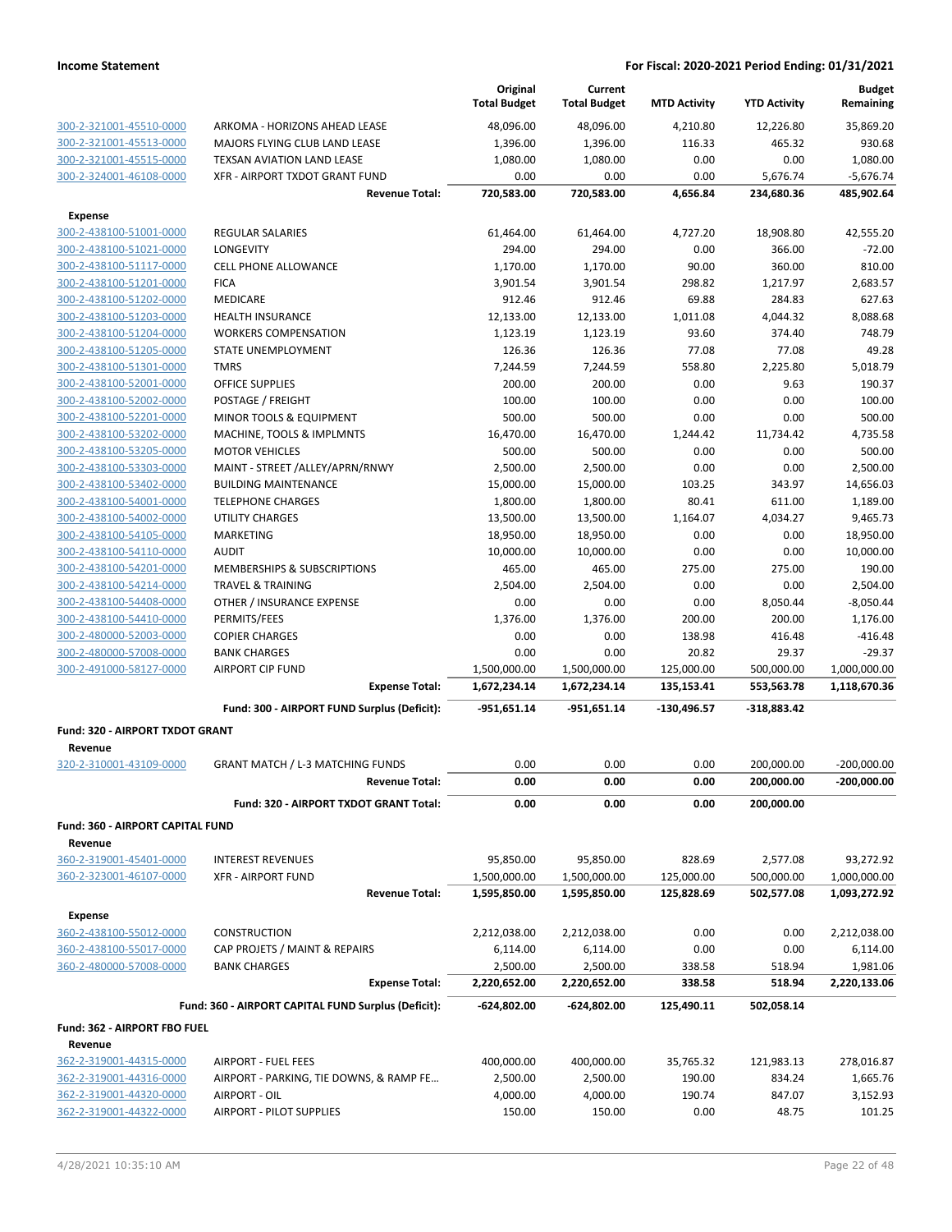|                                                    |                                                          | Original<br><b>Total Budget</b> | Current<br><b>Total Budget</b> | <b>MTD Activity</b> | <b>YTD Activity</b> | <b>Budget</b><br>Remaining |
|----------------------------------------------------|----------------------------------------------------------|---------------------------------|--------------------------------|---------------------|---------------------|----------------------------|
| 300-2-321001-45510-0000                            | ARKOMA - HORIZONS AHEAD LEASE                            | 48,096.00                       | 48,096.00                      | 4,210.80            | 12,226.80           | 35,869.20                  |
| 300-2-321001-45513-0000                            | MAJORS FLYING CLUB LAND LEASE                            | 1,396.00                        | 1,396.00                       | 116.33              | 465.32              | 930.68                     |
| 300-2-321001-45515-0000                            | TEXSAN AVIATION LAND LEASE                               | 1,080.00                        | 1,080.00                       | 0.00                | 0.00                | 1,080.00                   |
| 300-2-324001-46108-0000                            | XFR - AIRPORT TXDOT GRANT FUND                           | 0.00                            | 0.00                           | 0.00                | 5,676.74            | $-5,676.74$                |
|                                                    | <b>Revenue Total:</b>                                    | 720,583.00                      | 720,583.00                     | 4,656.84            | 234,680.36          | 485,902.64                 |
| <b>Expense</b>                                     |                                                          |                                 |                                |                     |                     |                            |
| 300-2-438100-51001-0000                            | <b>REGULAR SALARIES</b>                                  | 61,464.00                       | 61,464.00                      | 4,727.20            | 18,908.80           | 42,555.20                  |
| 300-2-438100-51021-0000                            | LONGEVITY                                                | 294.00                          | 294.00                         | 0.00                | 366.00              | $-72.00$                   |
| 300-2-438100-51117-0000                            | <b>CELL PHONE ALLOWANCE</b>                              | 1,170.00                        | 1,170.00                       | 90.00               | 360.00              | 810.00                     |
| 300-2-438100-51201-0000                            | <b>FICA</b>                                              | 3,901.54                        | 3,901.54                       | 298.82              | 1,217.97            | 2,683.57                   |
| 300-2-438100-51202-0000                            | MEDICARE                                                 | 912.46                          | 912.46                         | 69.88               | 284.83              | 627.63                     |
| 300-2-438100-51203-0000                            | <b>HEALTH INSURANCE</b>                                  | 12,133.00                       | 12,133.00                      | 1,011.08            | 4,044.32            | 8,088.68                   |
| 300-2-438100-51204-0000                            | <b>WORKERS COMPENSATION</b>                              | 1,123.19                        | 1,123.19                       | 93.60               | 374.40              | 748.79                     |
| 300-2-438100-51205-0000                            | STATE UNEMPLOYMENT                                       | 126.36                          | 126.36                         | 77.08               | 77.08               | 49.28                      |
| 300-2-438100-51301-0000                            | <b>TMRS</b>                                              | 7,244.59                        | 7,244.59                       | 558.80              | 2,225.80            | 5,018.79                   |
| 300-2-438100-52001-0000                            | <b>OFFICE SUPPLIES</b>                                   | 200.00                          | 200.00                         | 0.00                | 9.63                | 190.37                     |
| 300-2-438100-52002-0000                            | POSTAGE / FREIGHT                                        | 100.00                          | 100.00                         | 0.00                | 0.00                | 100.00                     |
| 300-2-438100-52201-0000                            | MINOR TOOLS & EQUIPMENT                                  | 500.00                          | 500.00                         | 0.00                | 0.00                | 500.00                     |
| 300-2-438100-53202-0000                            | MACHINE, TOOLS & IMPLMNTS                                | 16,470.00                       | 16,470.00                      | 1,244.42            | 11,734.42           | 4,735.58                   |
| 300-2-438100-53205-0000<br>300-2-438100-53303-0000 | <b>MOTOR VEHICLES</b><br>MAINT - STREET /ALLEY/APRN/RNWY | 500.00<br>2,500.00              | 500.00<br>2,500.00             | 0.00<br>0.00        | 0.00<br>0.00        | 500.00<br>2,500.00         |
| 300-2-438100-53402-0000                            | <b>BUILDING MAINTENANCE</b>                              | 15,000.00                       | 15,000.00                      | 103.25              | 343.97              | 14,656.03                  |
| 300-2-438100-54001-0000                            | <b>TELEPHONE CHARGES</b>                                 | 1,800.00                        | 1,800.00                       | 80.41               | 611.00              | 1,189.00                   |
| 300-2-438100-54002-0000                            | <b>UTILITY CHARGES</b>                                   | 13,500.00                       | 13,500.00                      | 1,164.07            | 4,034.27            | 9,465.73                   |
| 300-2-438100-54105-0000                            | MARKETING                                                | 18,950.00                       | 18,950.00                      | 0.00                | 0.00                | 18,950.00                  |
| 300-2-438100-54110-0000                            | <b>AUDIT</b>                                             | 10,000.00                       | 10,000.00                      | 0.00                | 0.00                | 10,000.00                  |
| 300-2-438100-54201-0000                            | MEMBERSHIPS & SUBSCRIPTIONS                              | 465.00                          | 465.00                         | 275.00              | 275.00              | 190.00                     |
| 300-2-438100-54214-0000                            | <b>TRAVEL &amp; TRAINING</b>                             | 2,504.00                        | 2,504.00                       | 0.00                | 0.00                | 2,504.00                   |
| 300-2-438100-54408-0000                            | OTHER / INSURANCE EXPENSE                                | 0.00                            | 0.00                           | 0.00                | 8,050.44            | $-8,050.44$                |
| 300-2-438100-54410-0000                            | PERMITS/FEES                                             | 1,376.00                        | 1,376.00                       | 200.00              | 200.00              | 1,176.00                   |
| 300-2-480000-52003-0000                            | <b>COPIER CHARGES</b>                                    | 0.00                            | 0.00                           | 138.98              | 416.48              | $-416.48$                  |
| 300-2-480000-57008-0000                            | <b>BANK CHARGES</b>                                      | 0.00                            | 0.00                           | 20.82               | 29.37               | $-29.37$                   |
| 300-2-491000-58127-0000                            | <b>AIRPORT CIP FUND</b>                                  | 1,500,000.00                    | 1,500,000.00                   | 125,000.00          | 500,000.00          | 1,000,000.00               |
|                                                    | <b>Expense Total:</b>                                    | 1,672,234.14                    | 1,672,234.14                   | 135,153.41          | 553,563.78          | 1,118,670.36               |
|                                                    | Fund: 300 - AIRPORT FUND Surplus (Deficit):              | $-951,651.14$                   | $-951,651.14$                  | $-130,496.57$       | $-318,883.42$       |                            |
| Fund: 320 - AIRPORT TXDOT GRANT                    |                                                          |                                 |                                |                     |                     |                            |
| Revenue                                            |                                                          |                                 |                                |                     |                     |                            |
| 320-2-310001-43109-0000                            | <b>GRANT MATCH / L-3 MATCHING FUNDS</b>                  | 0.00                            | 0.00                           | 0.00                | 200,000.00          | $-200,000.00$              |
|                                                    | <b>Revenue Total:</b>                                    | 0.00                            | $0.00\,$                       | 0.00                | 200,000.00          | $-200,000.00$              |
|                                                    | Fund: 320 - AIRPORT TXDOT GRANT Total:                   | 0.00                            | 0.00                           | 0.00                | 200,000.00          |                            |
| Fund: 360 - AIRPORT CAPITAL FUND                   |                                                          |                                 |                                |                     |                     |                            |
| Revenue<br>360-2-319001-45401-0000                 | <b>INTEREST REVENUES</b>                                 | 95,850.00                       | 95,850.00                      | 828.69              | 2,577.08            | 93,272.92                  |
| 360-2-323001-46107-0000                            | <b>XFR - AIRPORT FUND</b>                                | 1,500,000.00                    | 1,500,000.00                   | 125,000.00          | 500,000.00          | 1,000,000.00               |
|                                                    | <b>Revenue Total:</b>                                    | 1,595,850.00                    | 1,595,850.00                   | 125,828.69          | 502,577.08          | 1,093,272.92               |
|                                                    |                                                          |                                 |                                |                     |                     |                            |
| Expense                                            |                                                          |                                 |                                |                     |                     |                            |
| 360-2-438100-55012-0000                            | CONSTRUCTION                                             | 2,212,038.00                    | 2,212,038.00                   | 0.00                | 0.00                | 2,212,038.00               |
| 360-2-438100-55017-0000                            | CAP PROJETS / MAINT & REPAIRS                            | 6,114.00                        | 6,114.00                       | 0.00                | 0.00                | 6,114.00                   |
| 360-2-480000-57008-0000                            | <b>BANK CHARGES</b><br><b>Expense Total:</b>             | 2,500.00<br>2,220,652.00        | 2,500.00<br>2,220,652.00       | 338.58<br>338.58    | 518.94<br>518.94    | 1,981.06<br>2,220,133.06   |
|                                                    |                                                          |                                 |                                |                     |                     |                            |
|                                                    | Fund: 360 - AIRPORT CAPITAL FUND Surplus (Deficit):      | $-624,802.00$                   | -624,802.00                    | 125,490.11          | 502,058.14          |                            |
| Fund: 362 - AIRPORT FBO FUEL                       |                                                          |                                 |                                |                     |                     |                            |
| Revenue                                            |                                                          |                                 |                                |                     |                     |                            |
| 362-2-319001-44315-0000                            | <b>AIRPORT - FUEL FEES</b>                               | 400,000.00                      | 400,000.00                     | 35,765.32           | 121,983.13          | 278,016.87                 |
| 362-2-319001-44316-0000                            | AIRPORT - PARKING, TIE DOWNS, & RAMP FE                  | 2,500.00                        | 2,500.00                       | 190.00              | 834.24              | 1,665.76                   |
| 362-2-319001-44320-0000                            | AIRPORT - OIL                                            | 4,000.00                        | 4,000.00                       | 190.74              | 847.07              | 3,152.93                   |
| 362-2-319001-44322-0000                            | <b>AIRPORT - PILOT SUPPLIES</b>                          | 150.00                          | 150.00                         | 0.00                | 48.75               | 101.25                     |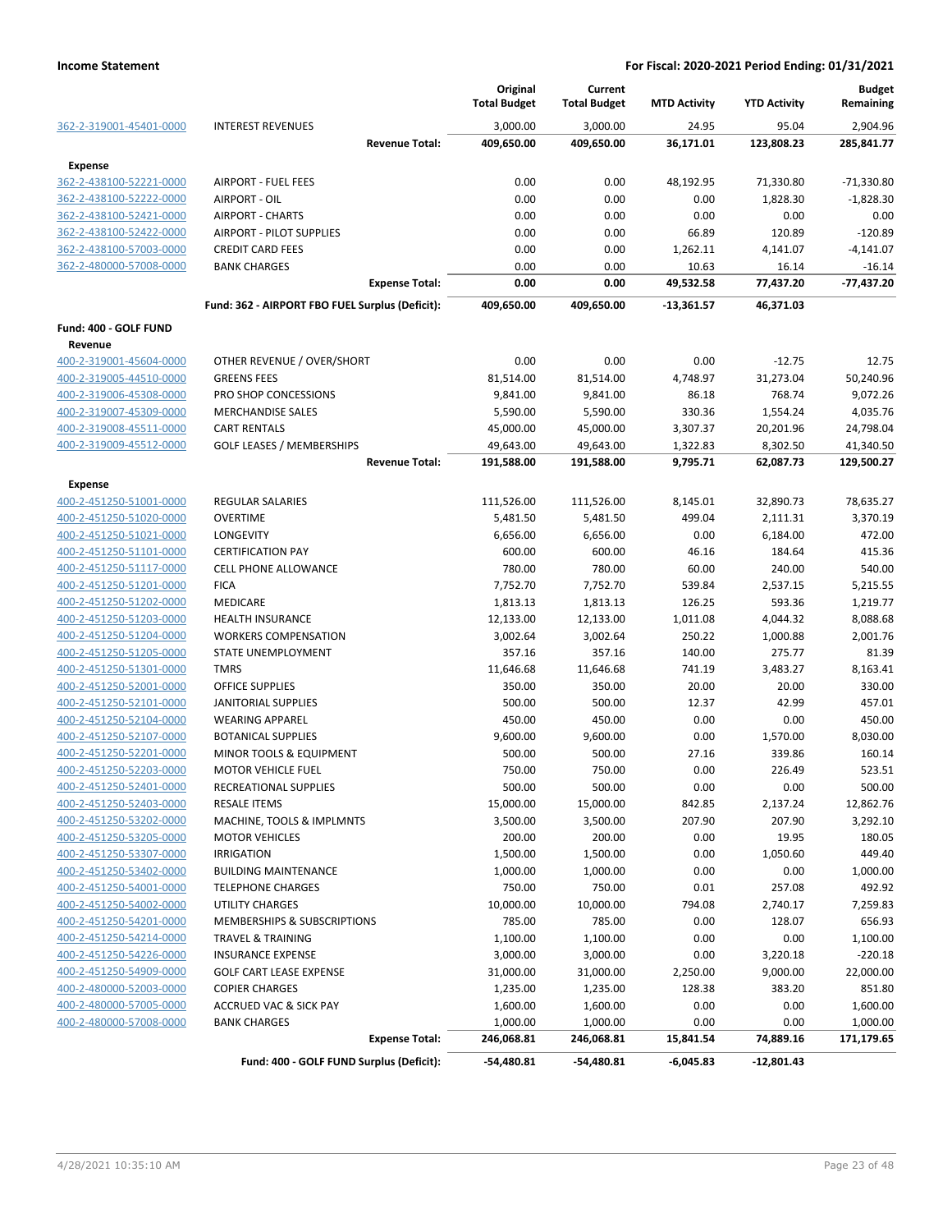|                                    |                                                 | Original<br><b>Total Budget</b> | Current<br><b>Total Budget</b> | <b>MTD Activity</b> | <b>YTD Activity</b> | <b>Budget</b><br>Remaining |
|------------------------------------|-------------------------------------------------|---------------------------------|--------------------------------|---------------------|---------------------|----------------------------|
|                                    | <b>INTEREST REVENUES</b>                        |                                 |                                |                     |                     |                            |
| 362-2-319001-45401-0000            | <b>Revenue Total:</b>                           | 3,000.00<br>409,650.00          | 3,000.00<br>409,650.00         | 24.95<br>36,171.01  | 95.04<br>123,808.23 | 2,904.96<br>285,841.77     |
|                                    |                                                 |                                 |                                |                     |                     |                            |
| Expense<br>362-2-438100-52221-0000 | <b>AIRPORT - FUEL FEES</b>                      | 0.00                            | 0.00                           | 48,192.95           | 71,330.80           | $-71,330.80$               |
| 362-2-438100-52222-0000            | AIRPORT - OIL                                   | 0.00                            | 0.00                           | 0.00                | 1,828.30            | $-1,828.30$                |
| 362-2-438100-52421-0000            | <b>AIRPORT - CHARTS</b>                         | 0.00                            | 0.00                           | 0.00                | 0.00                | 0.00                       |
| 362-2-438100-52422-0000            | <b>AIRPORT - PILOT SUPPLIES</b>                 | 0.00                            | 0.00                           | 66.89               | 120.89              | $-120.89$                  |
| 362-2-438100-57003-0000            | <b>CREDIT CARD FEES</b>                         | 0.00                            | 0.00                           | 1,262.11            | 4,141.07            | $-4,141.07$                |
| 362-2-480000-57008-0000            | <b>BANK CHARGES</b>                             | 0.00                            | 0.00                           | 10.63               | 16.14               | $-16.14$                   |
|                                    | <b>Expense Total:</b>                           | 0.00                            | 0.00                           | 49,532.58           | 77,437.20           | $-77,437.20$               |
|                                    | Fund: 362 - AIRPORT FBO FUEL Surplus (Deficit): | 409,650.00                      | 409,650.00                     | -13,361.57          | 46,371.03           |                            |
| Fund: 400 - GOLF FUND              |                                                 |                                 |                                |                     |                     |                            |
| Revenue                            |                                                 |                                 |                                |                     |                     |                            |
| 400-2-319001-45604-0000            | OTHER REVENUE / OVER/SHORT                      | 0.00                            | 0.00                           | 0.00                | $-12.75$            | 12.75                      |
| 400-2-319005-44510-0000            | <b>GREENS FEES</b>                              | 81,514.00                       | 81,514.00                      | 4,748.97            | 31,273.04           | 50,240.96                  |
| 400-2-319006-45308-0000            | PRO SHOP CONCESSIONS                            | 9,841.00                        | 9,841.00                       | 86.18               | 768.74              | 9,072.26                   |
| 400-2-319007-45309-0000            | <b>MERCHANDISE SALES</b>                        | 5,590.00                        | 5,590.00                       | 330.36              | 1,554.24            | 4,035.76                   |
| 400-2-319008-45511-0000            | <b>CART RENTALS</b>                             | 45,000.00                       | 45,000.00                      | 3,307.37            | 20,201.96           | 24,798.04                  |
| 400-2-319009-45512-0000            | <b>GOLF LEASES / MEMBERSHIPS</b>                | 49,643.00                       | 49,643.00                      | 1,322.83            | 8,302.50            | 41,340.50                  |
|                                    | <b>Revenue Total:</b>                           | 191,588.00                      | 191,588.00                     | 9,795.71            | 62,087.73           | 129,500.27                 |
| Expense                            |                                                 |                                 |                                |                     |                     |                            |
| 400-2-451250-51001-0000            | <b>REGULAR SALARIES</b>                         | 111,526.00                      | 111,526.00                     | 8,145.01            | 32,890.73           | 78,635.27                  |
| 400-2-451250-51020-0000            | <b>OVERTIME</b>                                 | 5,481.50                        | 5,481.50                       | 499.04              | 2,111.31            | 3,370.19                   |
| 400-2-451250-51021-0000            | LONGEVITY                                       | 6,656.00                        | 6,656.00                       | 0.00                | 6,184.00            | 472.00                     |
| 400-2-451250-51101-0000            | <b>CERTIFICATION PAY</b>                        | 600.00                          | 600.00                         | 46.16               | 184.64              | 415.36                     |
| 400-2-451250-51117-0000            | <b>CELL PHONE ALLOWANCE</b>                     | 780.00                          | 780.00                         | 60.00               | 240.00              | 540.00                     |
| 400-2-451250-51201-0000            | <b>FICA</b>                                     | 7,752.70                        | 7,752.70                       | 539.84              | 2,537.15            | 5,215.55                   |
| 400-2-451250-51202-0000            | MEDICARE                                        | 1,813.13                        | 1,813.13                       | 126.25              | 593.36              | 1,219.77                   |
| 400-2-451250-51203-0000            | <b>HEALTH INSURANCE</b>                         | 12,133.00                       | 12,133.00                      | 1,011.08            | 4,044.32            | 8,088.68                   |
| 400-2-451250-51204-0000            | <b>WORKERS COMPENSATION</b>                     | 3,002.64                        | 3,002.64                       | 250.22              | 1,000.88            | 2,001.76                   |
| 400-2-451250-51205-0000            | STATE UNEMPLOYMENT                              | 357.16                          | 357.16                         | 140.00              | 275.77              | 81.39                      |
| 400-2-451250-51301-0000            | <b>TMRS</b>                                     | 11,646.68                       | 11,646.68                      | 741.19              | 3,483.27            | 8,163.41                   |
| 400-2-451250-52001-0000            | <b>OFFICE SUPPLIES</b>                          | 350.00                          | 350.00                         | 20.00               | 20.00               | 330.00                     |
| 400-2-451250-52101-0000            | <b>JANITORIAL SUPPLIES</b>                      | 500.00                          | 500.00                         | 12.37               | 42.99               | 457.01                     |
| 400-2-451250-52104-0000            | <b>WEARING APPAREL</b>                          | 450.00                          | 450.00                         | 0.00                | 0.00                | 450.00                     |
| 400-2-451250-52107-0000            | <b>BOTANICAL SUPPLIES</b>                       | 9,600.00                        | 9,600.00                       | 0.00                | 1,570.00            | 8,030.00                   |
| 400-2-451250-52201-0000            | MINOR TOOLS & EQUIPMENT                         | 500.00                          | 500.00                         | 27.16               | 339.86              | 160.14                     |
| 400-2-451250-52203-0000            | <b>MOTOR VEHICLE FUEL</b>                       | 750.00                          | 750.00                         | 0.00                | 226.49              | 523.51                     |
| 400-2-451250-52401-0000            | RECREATIONAL SUPPLIES                           | 500.00                          | 500.00                         | 0.00                | 0.00                | 500.00                     |
| 400-2-451250-52403-0000            | <b>RESALE ITEMS</b>                             | 15,000.00                       | 15,000.00                      | 842.85              | 2,137.24            | 12,862.76                  |
| 400-2-451250-53202-0000            | MACHINE, TOOLS & IMPLMNTS                       | 3,500.00                        | 3,500.00                       | 207.90              | 207.90              | 3,292.10                   |
| 400-2-451250-53205-0000            | <b>MOTOR VEHICLES</b>                           | 200.00                          | 200.00                         | 0.00                | 19.95               | 180.05                     |
| 400-2-451250-53307-0000            | <b>IRRIGATION</b>                               | 1,500.00                        | 1,500.00                       | 0.00                | 1,050.60            | 449.40                     |
| 400-2-451250-53402-0000            | <b>BUILDING MAINTENANCE</b>                     | 1,000.00                        | 1,000.00                       | 0.00                | 0.00                | 1,000.00                   |
| 400-2-451250-54001-0000            | <b>TELEPHONE CHARGES</b>                        | 750.00                          | 750.00                         | 0.01                | 257.08              | 492.92                     |
| 400-2-451250-54002-0000            | <b>UTILITY CHARGES</b>                          | 10,000.00                       | 10,000.00                      | 794.08              | 2,740.17            | 7,259.83                   |
| 400-2-451250-54201-0000            | MEMBERSHIPS & SUBSCRIPTIONS                     | 785.00                          | 785.00                         | 0.00                | 128.07              | 656.93                     |
| 400-2-451250-54214-0000            | <b>TRAVEL &amp; TRAINING</b>                    | 1,100.00                        | 1,100.00                       | 0.00                | 0.00                | 1,100.00                   |
| 400-2-451250-54226-0000            | <b>INSURANCE EXPENSE</b>                        | 3,000.00                        | 3,000.00                       | 0.00                | 3,220.18            | $-220.18$                  |
| 400-2-451250-54909-0000            | <b>GOLF CART LEASE EXPENSE</b>                  | 31,000.00                       | 31,000.00                      | 2,250.00            | 9,000.00            | 22,000.00                  |
| 400-2-480000-52003-0000            | <b>COPIER CHARGES</b>                           | 1,235.00                        | 1,235.00                       | 128.38              | 383.20              | 851.80                     |
| 400-2-480000-57005-0000            | <b>ACCRUED VAC &amp; SICK PAY</b>               | 1,600.00                        | 1,600.00                       | 0.00                | 0.00                | 1,600.00                   |
| 400-2-480000-57008-0000            | <b>BANK CHARGES</b>                             | 1,000.00                        | 1,000.00                       | 0.00                | 0.00                | 1,000.00                   |
|                                    | <b>Expense Total:</b>                           | 246,068.81                      | 246,068.81                     | 15,841.54           | 74,889.16           | 171,179.65                 |
|                                    | Fund: 400 - GOLF FUND Surplus (Deficit):        | $-54,480.81$                    | -54,480.81                     | $-6,045.83$         | $-12,801.43$        |                            |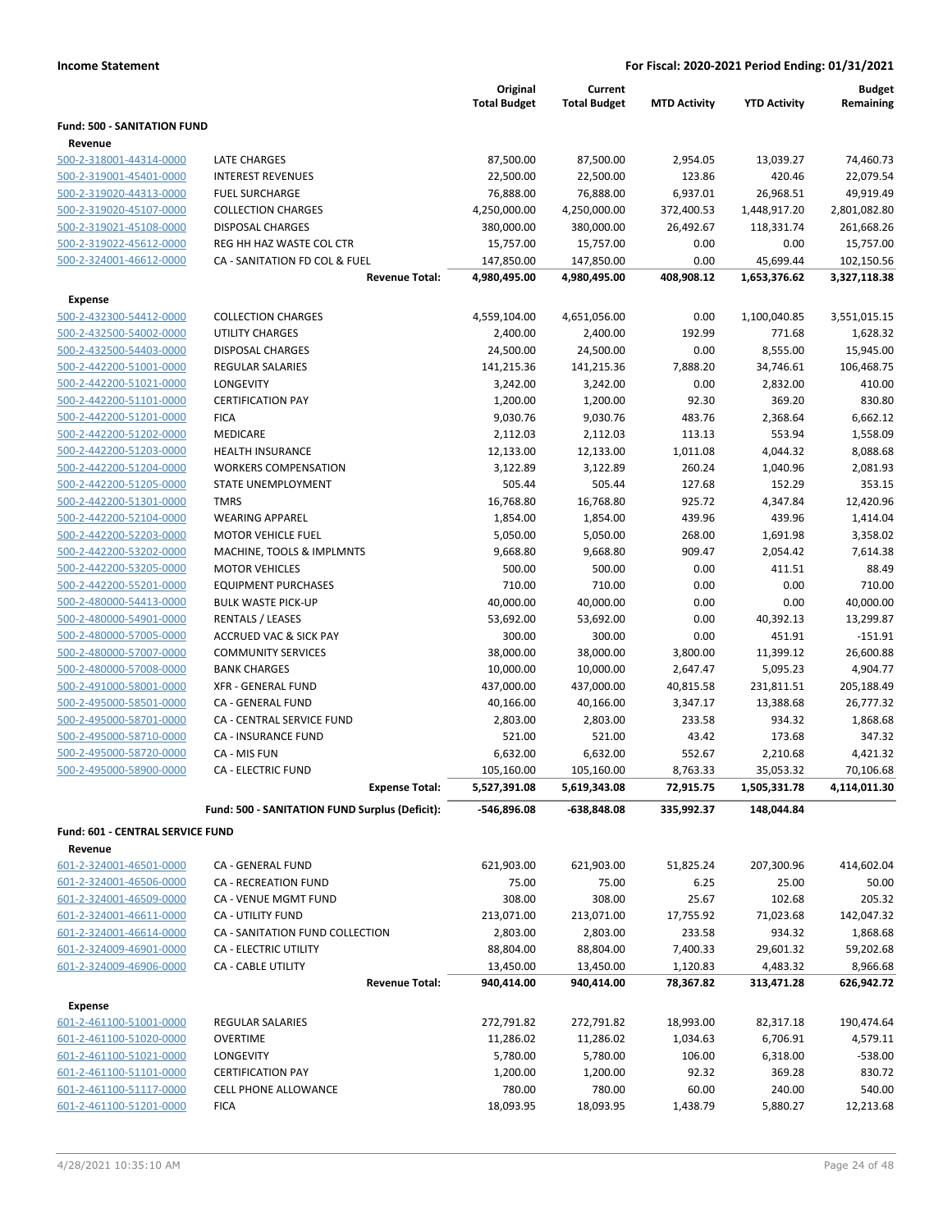|                                    |                                                | Original<br><b>Total Budget</b> | Current<br><b>Total Budget</b> | <b>MTD Activity</b> | <b>YTD Activity</b> | <b>Budget</b><br>Remaining |
|------------------------------------|------------------------------------------------|---------------------------------|--------------------------------|---------------------|---------------------|----------------------------|
| <b>Fund: 500 - SANITATION FUND</b> |                                                |                                 |                                |                     |                     |                            |
| Revenue                            |                                                |                                 |                                |                     |                     |                            |
| 500-2-318001-44314-0000            | LATE CHARGES                                   | 87,500.00                       | 87,500.00                      | 2,954.05            | 13,039.27           | 74,460.73                  |
| 500-2-319001-45401-0000            | <b>INTEREST REVENUES</b>                       | 22,500.00                       | 22,500.00                      | 123.86              | 420.46              | 22,079.54                  |
| 500-2-319020-44313-0000            | <b>FUEL SURCHARGE</b>                          | 76,888.00                       | 76,888.00                      | 6,937.01            | 26,968.51           | 49,919.49                  |
| 500-2-319020-45107-0000            | <b>COLLECTION CHARGES</b>                      | 4,250,000.00                    | 4,250,000.00                   | 372,400.53          | 1,448,917.20        | 2,801,082.80               |
| 500-2-319021-45108-0000            | <b>DISPOSAL CHARGES</b>                        | 380,000.00                      | 380,000.00                     | 26,492.67           | 118,331.74          | 261,668.26                 |
| 500-2-319022-45612-0000            | REG HH HAZ WASTE COL CTR                       | 15,757.00                       | 15,757.00                      | 0.00                | 0.00                | 15,757.00                  |
| 500-2-324001-46612-0000            | CA - SANITATION FD COL & FUEL                  | 147,850.00                      | 147,850.00                     | 0.00                | 45,699.44           | 102,150.56                 |
|                                    | <b>Revenue Total:</b>                          | 4,980,495.00                    | 4,980,495.00                   | 408,908.12          | 1,653,376.62        | 3,327,118.38               |
| Expense                            |                                                |                                 |                                |                     |                     |                            |
| 500-2-432300-54412-0000            | <b>COLLECTION CHARGES</b>                      | 4,559,104.00                    | 4,651,056.00                   | 0.00                | 1,100,040.85        | 3,551,015.15               |
| 500-2-432500-54002-0000            | <b>UTILITY CHARGES</b>                         | 2,400.00                        | 2,400.00                       | 192.99              | 771.68              | 1,628.32                   |
| 500-2-432500-54403-0000            | <b>DISPOSAL CHARGES</b>                        | 24,500.00                       | 24,500.00                      | 0.00                | 8,555.00            | 15,945.00                  |
| 500-2-442200-51001-0000            | <b>REGULAR SALARIES</b>                        | 141,215.36                      | 141,215.36                     | 7,888.20            | 34,746.61           | 106,468.75                 |
| 500-2-442200-51021-0000            | LONGEVITY                                      | 3,242.00                        | 3,242.00                       | 0.00                | 2,832.00            | 410.00                     |
| 500-2-442200-51101-0000            | <b>CERTIFICATION PAY</b>                       | 1,200.00                        | 1,200.00                       | 92.30               | 369.20              | 830.80                     |
| 500-2-442200-51201-0000            | <b>FICA</b>                                    | 9,030.76                        | 9,030.76                       | 483.76              | 2,368.64            | 6,662.12                   |
| 500-2-442200-51202-0000            | MEDICARE                                       | 2,112.03                        | 2,112.03                       | 113.13              | 553.94              | 1,558.09                   |
| 500-2-442200-51203-0000            | <b>HEALTH INSURANCE</b>                        | 12,133.00                       | 12,133.00                      | 1,011.08            | 4,044.32            | 8,088.68                   |
| 500-2-442200-51204-0000            | <b>WORKERS COMPENSATION</b>                    | 3,122.89                        | 3,122.89                       | 260.24              | 1,040.96            | 2,081.93                   |
| 500-2-442200-51205-0000            | <b>STATE UNEMPLOYMENT</b>                      | 505.44                          | 505.44                         | 127.68              | 152.29              | 353.15                     |
| 500-2-442200-51301-0000            | <b>TMRS</b>                                    | 16,768.80                       | 16,768.80                      | 925.72              | 4,347.84            | 12,420.96                  |
| 500-2-442200-52104-0000            | <b>WEARING APPAREL</b>                         | 1,854.00                        | 1,854.00                       | 439.96              | 439.96              | 1,414.04                   |
| 500-2-442200-52203-0000            | <b>MOTOR VEHICLE FUEL</b>                      | 5,050.00                        | 5,050.00                       | 268.00              | 1,691.98            | 3,358.02                   |
| 500-2-442200-53202-0000            | MACHINE, TOOLS & IMPLMNTS                      | 9,668.80                        | 9,668.80                       | 909.47              | 2,054.42            | 7,614.38                   |
| 500-2-442200-53205-0000            | <b>MOTOR VEHICLES</b>                          | 500.00                          | 500.00                         | 0.00                | 411.51              | 88.49                      |
| 500-2-442200-55201-0000            | <b>EQUIPMENT PURCHASES</b>                     | 710.00                          | 710.00                         | 0.00                | 0.00                | 710.00                     |
| 500-2-480000-54413-0000            | <b>BULK WASTE PICK-UP</b>                      | 40,000.00                       | 40,000.00                      | 0.00                | 0.00                | 40,000.00                  |
| 500-2-480000-54901-0000            | RENTALS / LEASES                               | 53,692.00                       | 53,692.00                      | 0.00                | 40,392.13           | 13,299.87                  |
| 500-2-480000-57005-0000            | <b>ACCRUED VAC &amp; SICK PAY</b>              | 300.00                          | 300.00                         | 0.00                | 451.91              | $-151.91$                  |
| 500-2-480000-57007-0000            | <b>COMMUNITY SERVICES</b>                      | 38,000.00                       | 38,000.00                      | 3,800.00            | 11,399.12           | 26,600.88                  |
| 500-2-480000-57008-0000            | <b>BANK CHARGES</b>                            | 10,000.00                       | 10,000.00                      | 2,647.47            | 5,095.23            | 4,904.77                   |
| 500-2-491000-58001-0000            | <b>XFR - GENERAL FUND</b>                      | 437,000.00                      | 437,000.00                     | 40,815.58           | 231,811.51          | 205,188.49                 |
| 500-2-495000-58501-0000            | CA - GENERAL FUND                              | 40,166.00                       | 40,166.00                      | 3,347.17            | 13,388.68           | 26,777.32                  |
| 500-2-495000-58701-0000            | CA - CENTRAL SERVICE FUND                      | 2,803.00                        | 2,803.00                       | 233.58              | 934.32              | 1,868.68                   |
| 500-2-495000-58710-0000            | <b>CA - INSURANCE FUND</b>                     | 521.00                          | 521.00                         | 43.42               | 173.68              | 347.32                     |
| 500-2-495000-58720-0000            | CA - MIS FUN                                   | 6,632.00                        | 6,632.00                       | 552.67              | 2,210.68            | 4,421.32                   |
| 500-2-495000-58900-0000            | <b>CA - ELECTRIC FUND</b>                      | 105,160.00                      | 105,160.00                     | 8,763.33            | 35,053.32           | 70,106.68                  |
|                                    | <b>Expense Total:</b>                          | 5,527,391.08                    | 5,619,343.08                   | 72,915.75           | 1,505,331.78        | 4,114,011.30               |
|                                    | Fund: 500 - SANITATION FUND Surplus (Deficit): | -546,896.08                     | -638,848.08                    | 335,992.37          | 148,044.84          |                            |
| Fund: 601 - CENTRAL SERVICE FUND   |                                                |                                 |                                |                     |                     |                            |
| Revenue                            |                                                |                                 |                                |                     |                     |                            |
| 601-2-324001-46501-0000            | CA - GENERAL FUND                              | 621,903.00                      | 621,903.00                     | 51,825.24           | 207,300.96          | 414,602.04                 |
| 601-2-324001-46506-0000            | CA - RECREATION FUND                           | 75.00                           | 75.00                          | 6.25                | 25.00               | 50.00                      |
| 601-2-324001-46509-0000            | CA - VENUE MGMT FUND                           | 308.00                          | 308.00                         | 25.67               | 102.68              | 205.32                     |
| 601-2-324001-46611-0000            | CA - UTILITY FUND                              | 213,071.00                      | 213,071.00                     | 17,755.92           | 71,023.68           | 142,047.32                 |
| 601-2-324001-46614-0000            | CA - SANITATION FUND COLLECTION                | 2,803.00                        | 2,803.00                       | 233.58              | 934.32              | 1,868.68                   |
| 601-2-324009-46901-0000            | CA - ELECTRIC UTILITY                          | 88,804.00                       | 88,804.00                      | 7,400.33            | 29,601.32           | 59,202.68                  |
| 601-2-324009-46906-0000            | <b>CA - CABLE UTILITY</b>                      | 13,450.00                       | 13,450.00                      | 1,120.83            | 4,483.32            | 8,966.68                   |
|                                    | <b>Revenue Total:</b>                          | 940,414.00                      | 940,414.00                     | 78,367.82           | 313,471.28          | 626,942.72                 |
| <b>Expense</b>                     |                                                |                                 |                                |                     |                     |                            |
| 601-2-461100-51001-0000            | REGULAR SALARIES                               | 272,791.82                      | 272,791.82                     | 18,993.00           | 82,317.18           | 190,474.64                 |
| 601-2-461100-51020-0000            | <b>OVERTIME</b>                                | 11,286.02                       | 11,286.02                      | 1,034.63            | 6,706.91            | 4,579.11                   |
| 601-2-461100-51021-0000            | LONGEVITY                                      | 5,780.00                        | 5,780.00                       | 106.00              | 6,318.00            | $-538.00$                  |
| 601-2-461100-51101-0000            | <b>CERTIFICATION PAY</b>                       | 1,200.00                        | 1,200.00                       | 92.32               | 369.28              | 830.72                     |
| 601-2-461100-51117-0000            | CELL PHONE ALLOWANCE                           | 780.00                          | 780.00                         | 60.00               | 240.00              | 540.00                     |
| 601-2-461100-51201-0000            | <b>FICA</b>                                    | 18,093.95                       | 18,093.95                      | 1,438.79            | 5,880.27            | 12,213.68                  |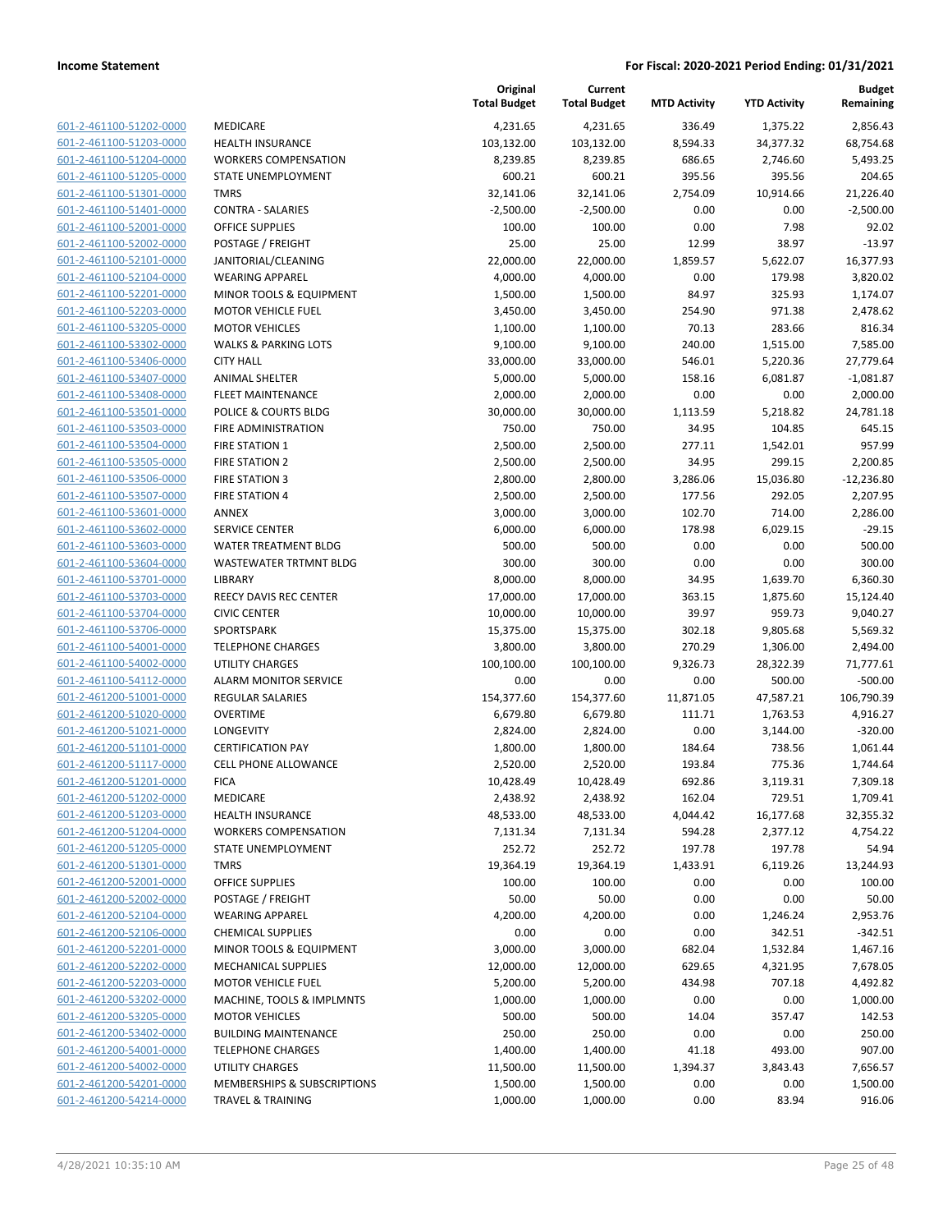| 601-2-461100-51202-0000                            | MEDICARE                       |
|----------------------------------------------------|--------------------------------|
| 601-2-461100-51203-0000                            | <b>HEALTH INSURANCE</b>        |
| 601-2-461100-51204-0000                            | <b>WORKERS COMPENSAT</b>       |
| 601-2-461100-51205-0000                            | STATE UNEMPLOYMEN              |
| 601-2-461100-51301-0000                            | TMRS                           |
| 601-2-461100-51401-0000                            | CONTRA - SALARIES              |
| 601-2-461100-52001-0000                            | <b>OFFICE SUPPLIES</b>         |
| 601-2-461100-52002-0000                            | POSTAGE / FREIGHT              |
| 601-2-461100-52101-0000                            | JANITORIAL/CLEANING            |
| 601-2-461100-52104-0000                            | <b>WEARING APPAREL</b>         |
| 601-2-461100-52201-0000                            | <b>MINOR TOOLS &amp; EQUIP</b> |
| 601-2-461100-52203-0000                            | <b>MOTOR VEHICLE FUEL</b>      |
| 601-2-461100-53205-0000                            | <b>MOTOR VEHICLES</b>          |
| 601-2-461100-53302-0000                            | WALKS & PARKING LOT            |
| 601-2-461100-53406-0000                            | <b>CITY HALL</b>               |
| 601-2-461100-53407-0000                            | ANIMAL SHELTER                 |
| 601-2-461100-53408-0000                            | <b>FLEET MAINTENANCE</b>       |
| 601-2-461100-53501-0000                            | POLICE & COURTS BLDG           |
| 601-2-461100-53503-0000                            | <b>FIRE ADMINISTRATION</b>     |
| 601-2-461100-53504-0000                            | <b>FIRE STATION 1</b>          |
| 601-2-461100-53505-0000                            | <b>FIRE STATION 2</b>          |
| 601-2-461100-53506-0000                            | <b>FIRE STATION 3</b>          |
| 601-2-461100-53507-0000                            | <b>FIRE STATION 4</b>          |
| 601-2-461100-53601-0000                            | <b>ANNEX</b>                   |
| 601-2-461100-53602-0000                            | <b>SERVICE CENTER</b>          |
| 601-2-461100-53603-0000                            | WATER TREATMENT BL             |
| 601-2-461100-53604-0000                            | <b>WASTEWATER TRTMNT</b>       |
| 601-2-461100-53701-0000                            | <b>LIBRARY</b>                 |
| 601-2-461100-53703-0000                            | <b>REECY DAVIS REC CENT</b>    |
| 601-2-461100-53704-0000                            | <b>CIVIC CENTER</b>            |
| 601-2-461100-53706-0000                            | <b>SPORTSPARK</b>              |
| 601-2-461100-54001-0000                            | <b>TELEPHONE CHARGES</b>       |
| 601-2-461100-54002-0000                            | UTILITY CHARGES                |
| 601-2-461100-54112-0000                            | ALARM MONITOR SERV             |
| 601-2-461200-51001-0000                            | <b>REGULAR SALARIES</b>        |
| 601-2-461200-51020-0000                            | OVERTIME                       |
| 601-2-461200-51021-0000                            | LONGEVITY                      |
| 601-2-461200-51101-0000                            | <b>CERTIFICATION PAY</b>       |
| 601-2-461200-51117-0000                            | <b>CELL PHONE ALLOWAN</b>      |
| 601-2-461200-51201-0000                            | FICA<br>MEDICARE               |
| 601-2-461200-51202-0000                            | <b>HEALTH INSURANCE</b>        |
| 601-2-461200-51203-0000<br>601-2-461200-51204-0000 | <b>WORKERS COMPENSAT</b>       |
| 601-2-461200-51205-0000                            | <b>STATE UNEMPLOYMEN</b>       |
| 601-2-461200-51301-0000                            | <b>TMRS</b>                    |
| 601-2-461200-52001-0000                            | <b>OFFICE SUPPLIES</b>         |
| 601-2-461200-52002-0000                            | POSTAGE / FREIGHT              |
| 601-2-461200-52104-0000                            | <b>WEARING APPAREL</b>         |
| 601-2-461200-52106-0000                            | <b>CHEMICAL SUPPLIES</b>       |
| 601-2-461200-52201-0000                            | <b>MINOR TOOLS &amp; EQUIP</b> |
| 601-2-461200-52202-0000                            | MECHANICAL SUPPLIES            |
| 601-2-461200-52203-0000                            | <b>MOTOR VEHICLE FUEL</b>      |
| 601-2-461200-53202-0000                            | MACHINE, TOOLS & IMI           |
| 601-2-461200-53205-0000                            | <b>MOTOR VEHICLES</b>          |
| 601-2-461200-53402-0000                            | <b>BUILDING MAINTENAN</b>      |
| 601-2-461200-54001-0000                            | <b>TELEPHONE CHARGES</b>       |
| 601-2-461200-54002-0000                            | <b>UTILITY CHARGES</b>         |
| 601-2-461200-54201-0000                            | <b>MEMBERSHIPS &amp; SUBS</b>  |
| 601-2-461200-54214-0000                            | TRAVEL & TRAINING              |
|                                                    |                                |

|                                                    |                                                   | Original<br><b>Total Budget</b> | Current<br><b>Total Budget</b> | <b>MTD Activity</b> | <b>YTD Activity</b> | <b>Budget</b><br>Remaining |
|----------------------------------------------------|---------------------------------------------------|---------------------------------|--------------------------------|---------------------|---------------------|----------------------------|
| 601-2-461100-51202-0000                            | MEDICARE                                          | 4,231.65                        | 4,231.65                       | 336.49              | 1,375.22            | 2,856.43                   |
| 601-2-461100-51203-0000                            | <b>HEALTH INSURANCE</b>                           | 103,132.00                      | 103,132.00                     | 8,594.33            | 34,377.32           | 68,754.68                  |
| 601-2-461100-51204-0000                            | <b>WORKERS COMPENSATION</b>                       | 8,239.85                        | 8,239.85                       | 686.65              | 2,746.60            | 5,493.25                   |
| 601-2-461100-51205-0000                            | STATE UNEMPLOYMENT                                | 600.21                          | 600.21                         | 395.56              | 395.56              | 204.65                     |
| 601-2-461100-51301-0000                            | <b>TMRS</b>                                       | 32,141.06                       | 32,141.06                      | 2,754.09            | 10,914.66           | 21,226.40                  |
| 601-2-461100-51401-0000                            | <b>CONTRA - SALARIES</b>                          | $-2,500.00$                     | $-2,500.00$                    | 0.00                | 0.00                | $-2,500.00$                |
| 601-2-461100-52001-0000                            | <b>OFFICE SUPPLIES</b>                            | 100.00                          | 100.00                         | 0.00                | 7.98                | 92.02                      |
| 601-2-461100-52002-0000                            | POSTAGE / FREIGHT                                 | 25.00                           | 25.00                          | 12.99               | 38.97               | $-13.97$                   |
| 601-2-461100-52101-0000                            | JANITORIAL/CLEANING                               | 22,000.00                       | 22,000.00                      | 1,859.57            | 5,622.07            | 16,377.93                  |
| 601-2-461100-52104-0000                            | <b>WEARING APPAREL</b>                            | 4,000.00                        | 4,000.00                       | 0.00                | 179.98              | 3,820.02                   |
| 601-2-461100-52201-0000                            | MINOR TOOLS & EQUIPMENT                           | 1,500.00                        | 1,500.00                       | 84.97               | 325.93              | 1,174.07                   |
| 601-2-461100-52203-0000                            | <b>MOTOR VEHICLE FUEL</b>                         | 3,450.00                        | 3,450.00                       | 254.90              | 971.38              | 2,478.62                   |
| 601-2-461100-53205-0000                            | <b>MOTOR VEHICLES</b>                             | 1,100.00                        | 1,100.00                       | 70.13               | 283.66              | 816.34                     |
| 601-2-461100-53302-0000                            | <b>WALKS &amp; PARKING LOTS</b>                   | 9,100.00                        | 9,100.00                       | 240.00              | 1,515.00            | 7,585.00                   |
| 601-2-461100-53406-0000                            | <b>CITY HALL</b>                                  | 33,000.00                       | 33,000.00                      | 546.01              | 5,220.36            | 27,779.64                  |
| 601-2-461100-53407-0000                            | <b>ANIMAL SHELTER</b>                             | 5,000.00                        | 5,000.00                       | 158.16              | 6,081.87            | $-1,081.87$                |
| 601-2-461100-53408-0000                            | <b>FLEET MAINTENANCE</b>                          | 2,000.00                        | 2,000.00                       | 0.00                | 0.00                | 2,000.00                   |
| 601-2-461100-53501-0000                            | POLICE & COURTS BLDG                              | 30,000.00                       | 30,000.00                      | 1,113.59            | 5,218.82            | 24,781.18                  |
| 601-2-461100-53503-0000                            | <b>FIRE ADMINISTRATION</b>                        | 750.00                          | 750.00                         | 34.95               | 104.85              | 645.15                     |
| 601-2-461100-53504-0000                            | <b>FIRE STATION 1</b>                             | 2,500.00                        | 2,500.00                       | 277.11              | 1,542.01            | 957.99                     |
| 601-2-461100-53505-0000                            | FIRE STATION 2                                    | 2,500.00                        | 2,500.00                       | 34.95               | 299.15              | 2,200.85                   |
| 601-2-461100-53506-0000                            | <b>FIRE STATION 3</b>                             | 2,800.00                        | 2,800.00                       | 3,286.06            | 15,036.80           | $-12,236.80$               |
| 601-2-461100-53507-0000                            | <b>FIRE STATION 4</b>                             | 2,500.00                        | 2,500.00                       | 177.56              | 292.05              | 2,207.95                   |
| 601-2-461100-53601-0000                            | <b>ANNEX</b>                                      | 3,000.00                        | 3,000.00                       | 102.70              | 714.00              | 2,286.00                   |
| 601-2-461100-53602-0000                            | <b>SERVICE CENTER</b>                             | 6,000.00                        | 6,000.00                       | 178.98              | 6,029.15            | $-29.15$                   |
| 601-2-461100-53603-0000                            | WATER TREATMENT BLDG                              | 500.00                          | 500.00                         | 0.00                | 0.00                | 500.00                     |
| 601-2-461100-53604-0000                            | WASTEWATER TRTMNT BLDG                            | 300.00                          | 300.00                         | 0.00                | 0.00                | 300.00                     |
| 601-2-461100-53701-0000                            | LIBRARY                                           | 8,000.00                        | 8,000.00                       | 34.95               | 1,639.70            | 6,360.30                   |
| 601-2-461100-53703-0000                            | <b>REECY DAVIS REC CENTER</b>                     | 17,000.00                       | 17,000.00                      | 363.15              | 1,875.60            | 15,124.40                  |
| 601-2-461100-53704-0000                            | <b>CIVIC CENTER</b>                               | 10,000.00                       | 10,000.00                      | 39.97               | 959.73              | 9,040.27                   |
| 601-2-461100-53706-0000                            | SPORTSPARK                                        | 15,375.00                       | 15,375.00                      | 302.18              | 9,805.68            | 5,569.32                   |
| 601-2-461100-54001-0000                            | <b>TELEPHONE CHARGES</b>                          | 3,800.00                        | 3,800.00                       | 270.29              | 1,306.00            | 2,494.00                   |
| 601-2-461100-54002-0000                            | <b>UTILITY CHARGES</b>                            | 100,100.00                      | 100,100.00                     | 9,326.73            | 28,322.39           | 71,777.61                  |
| 601-2-461100-54112-0000                            | <b>ALARM MONITOR SERVICE</b>                      | 0.00                            | 0.00                           | 0.00                | 500.00              | $-500.00$                  |
| 601-2-461200-51001-0000                            | REGULAR SALARIES                                  | 154,377.60                      | 154,377.60                     | 11,871.05           | 47,587.21           | 106,790.39                 |
| 601-2-461200-51020-0000                            | <b>OVERTIME</b>                                   | 6,679.80                        | 6,679.80                       | 111.71              | 1,763.53            | 4,916.27                   |
| 601-2-461200-51021-0000                            | <b>LONGEVITY</b>                                  | 2,824.00                        | 2,824.00                       | 0.00                | 3,144.00            | $-320.00$                  |
| 601-2-461200-51101-0000                            | <b>CERTIFICATION PAY</b>                          | 1,800.00                        | 1,800.00                       | 184.64              | 738.56              | 1,061.44                   |
| 601-2-461200-51117-0000<br>601-2-461200-51201-0000 | <b>CELL PHONE ALLOWANCE</b>                       | 2,520.00                        | 2,520.00                       | 193.84              | 775.36              | 1,744.64                   |
|                                                    | <b>FICA</b>                                       | 10,428.49                       | 10,428.49                      | 692.86              | 3,119.31            | 7,309.18                   |
| 601-2-461200-51202-0000                            | MEDICARE                                          | 2,438.92<br>48,533.00           | 2,438.92                       | 162.04<br>4,044.42  | 729.51              | 1,709.41                   |
| 601-2-461200-51203-0000<br>601-2-461200-51204-0000 | <b>HEALTH INSURANCE</b>                           |                                 | 48,533.00                      |                     | 16,177.68           | 32,355.32                  |
| 601-2-461200-51205-0000                            | <b>WORKERS COMPENSATION</b><br>STATE UNEMPLOYMENT | 7,131.34<br>252.72              | 7,131.34<br>252.72             | 594.28<br>197.78    | 2,377.12<br>197.78  | 4,754.22<br>54.94          |
| 601-2-461200-51301-0000                            | <b>TMRS</b>                                       | 19,364.19                       | 19,364.19                      | 1,433.91            | 6,119.26            | 13,244.93                  |
| 601-2-461200-52001-0000                            | <b>OFFICE SUPPLIES</b>                            | 100.00                          | 100.00                         | 0.00                | 0.00                | 100.00                     |
| 601-2-461200-52002-0000                            | POSTAGE / FREIGHT                                 | 50.00                           | 50.00                          | 0.00                | 0.00                | 50.00                      |
| 601-2-461200-52104-0000                            | <b>WEARING APPAREL</b>                            | 4,200.00                        | 4,200.00                       | 0.00                | 1,246.24            | 2,953.76                   |
| 601-2-461200-52106-0000                            | <b>CHEMICAL SUPPLIES</b>                          | 0.00                            | 0.00                           | 0.00                | 342.51              | $-342.51$                  |
| 601-2-461200-52201-0000                            | MINOR TOOLS & EQUIPMENT                           | 3,000.00                        | 3,000.00                       | 682.04              | 1,532.84            | 1,467.16                   |
| 601-2-461200-52202-0000                            | MECHANICAL SUPPLIES                               | 12,000.00                       | 12,000.00                      | 629.65              | 4,321.95            | 7,678.05                   |
| 601-2-461200-52203-0000                            | <b>MOTOR VEHICLE FUEL</b>                         | 5,200.00                        | 5,200.00                       | 434.98              | 707.18              | 4,492.82                   |
| 601-2-461200-53202-0000                            | MACHINE, TOOLS & IMPLMNTS                         | 1,000.00                        | 1,000.00                       | 0.00                | 0.00                | 1,000.00                   |
| 601-2-461200-53205-0000                            | <b>MOTOR VEHICLES</b>                             | 500.00                          | 500.00                         | 14.04               | 357.47              | 142.53                     |
| 601-2-461200-53402-0000                            | <b>BUILDING MAINTENANCE</b>                       | 250.00                          | 250.00                         | 0.00                | 0.00                | 250.00                     |
| 601-2-461200-54001-0000                            | <b>TELEPHONE CHARGES</b>                          | 1,400.00                        | 1,400.00                       | 41.18               | 493.00              | 907.00                     |
| 601-2-461200-54002-0000                            | UTILITY CHARGES                                   | 11,500.00                       | 11,500.00                      | 1,394.37            | 3,843.43            | 7,656.57                   |
| 601-2-461200-54201-0000                            | MEMBERSHIPS & SUBSCRIPTIONS                       | 1,500.00                        | 1,500.00                       | 0.00                | 0.00                | 1,500.00                   |
| 601-2-461200-54214-0000                            | <b>TRAVEL &amp; TRAINING</b>                      | 1,000.00                        | 1,000.00                       | 0.00                | 83.94               | 916.06                     |
|                                                    |                                                   |                                 |                                |                     |                     |                            |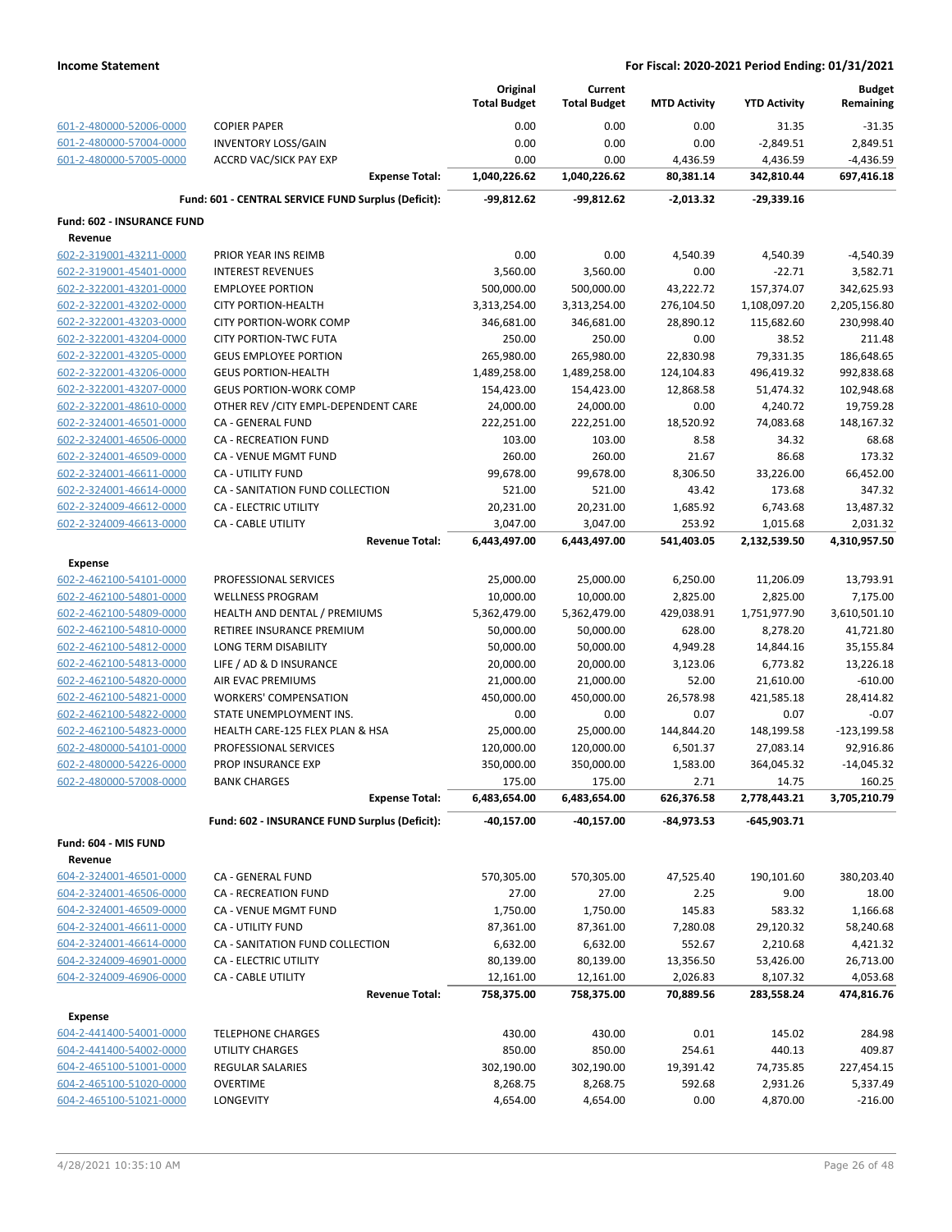|                            |                                                     | Original<br><b>Total Budget</b> | Current             |                     |                     | <b>Budget</b>  |
|----------------------------|-----------------------------------------------------|---------------------------------|---------------------|---------------------|---------------------|----------------|
|                            |                                                     |                                 | <b>Total Budget</b> | <b>MTD Activity</b> | <b>YTD Activity</b> | Remaining      |
| 601-2-480000-52006-0000    | <b>COPIER PAPER</b>                                 | 0.00                            | 0.00                | 0.00                | 31.35               | $-31.35$       |
| 601-2-480000-57004-0000    | <b>INVENTORY LOSS/GAIN</b>                          | 0.00                            | 0.00                | 0.00                | $-2,849.51$         | 2,849.51       |
| 601-2-480000-57005-0000    | <b>ACCRD VAC/SICK PAY EXP</b>                       | 0.00                            | 0.00                | 4,436.59            | 4,436.59            | $-4,436.59$    |
|                            | <b>Expense Total:</b>                               | 1,040,226.62                    | 1,040,226.62        | 80,381.14           | 342,810.44          | 697,416.18     |
|                            | Fund: 601 - CENTRAL SERVICE FUND Surplus (Deficit): | -99,812.62                      | -99,812.62          | $-2,013.32$         | -29,339.16          |                |
| Fund: 602 - INSURANCE FUND |                                                     |                                 |                     |                     |                     |                |
| Revenue                    |                                                     |                                 |                     |                     |                     |                |
| 602-2-319001-43211-0000    | PRIOR YEAR INS REIMB                                | 0.00                            | 0.00                | 4,540.39            | 4,540.39            | $-4,540.39$    |
| 602-2-319001-45401-0000    | <b>INTEREST REVENUES</b>                            | 3,560.00                        | 3,560.00            | 0.00                | $-22.71$            | 3,582.71       |
| 602-2-322001-43201-0000    | <b>EMPLOYEE PORTION</b>                             | 500,000.00                      | 500,000.00          | 43,222.72           | 157,374.07          | 342,625.93     |
| 602-2-322001-43202-0000    | <b>CITY PORTION-HEALTH</b>                          | 3,313,254.00                    | 3,313,254.00        | 276,104.50          | 1,108,097.20        | 2,205,156.80   |
| 602-2-322001-43203-0000    | CITY PORTION-WORK COMP                              | 346,681.00                      | 346,681.00          | 28,890.12           | 115,682.60          | 230,998.40     |
| 602-2-322001-43204-0000    | <b>CITY PORTION-TWC FUTA</b>                        | 250.00                          | 250.00              | 0.00                | 38.52               | 211.48         |
| 602-2-322001-43205-0000    | <b>GEUS EMPLOYEE PORTION</b>                        | 265,980.00                      | 265,980.00          | 22,830.98           | 79,331.35           | 186,648.65     |
| 602-2-322001-43206-0000    | <b>GEUS PORTION-HEALTH</b>                          | 1,489,258.00                    | 1,489,258.00        | 124,104.83          | 496,419.32          | 992,838.68     |
| 602-2-322001-43207-0000    | <b>GEUS PORTION-WORK COMP</b>                       | 154,423.00                      | 154,423.00          | 12,868.58           | 51,474.32           | 102,948.68     |
| 602-2-322001-48610-0000    | OTHER REV / CITY EMPL-DEPENDENT CARE                | 24,000.00                       | 24,000.00           | 0.00                | 4,240.72            | 19,759.28      |
| 602-2-324001-46501-0000    | CA - GENERAL FUND                                   | 222,251.00                      | 222,251.00          | 18,520.92           | 74,083.68           | 148,167.32     |
| 602-2-324001-46506-0000    | <b>CA - RECREATION FUND</b>                         | 103.00                          | 103.00              | 8.58                | 34.32               | 68.68          |
| 602-2-324001-46509-0000    | CA - VENUE MGMT FUND                                | 260.00                          | 260.00              | 21.67               | 86.68               | 173.32         |
| 602-2-324001-46611-0000    | CA - UTILITY FUND                                   | 99,678.00                       | 99,678.00           | 8,306.50            | 33,226.00           | 66,452.00      |
| 602-2-324001-46614-0000    | CA - SANITATION FUND COLLECTION                     | 521.00                          | 521.00              | 43.42               | 173.68              | 347.32         |
| 602-2-324009-46612-0000    | <b>CA - ELECTRIC UTILITY</b>                        | 20,231.00                       | 20,231.00           | 1,685.92            | 6,743.68            | 13,487.32      |
| 602-2-324009-46613-0000    | CA - CABLE UTILITY                                  | 3,047.00                        | 3,047.00            | 253.92              | 1,015.68            | 2,031.32       |
|                            | <b>Revenue Total:</b>                               | 6,443,497.00                    | 6,443,497.00        | 541,403.05          | 2,132,539.50        | 4,310,957.50   |
| <b>Expense</b>             |                                                     |                                 |                     |                     |                     |                |
| 602-2-462100-54101-0000    | PROFESSIONAL SERVICES                               | 25,000.00                       | 25,000.00           | 6,250.00            | 11,206.09           | 13,793.91      |
| 602-2-462100-54801-0000    | <b>WELLNESS PROGRAM</b>                             | 10,000.00                       | 10,000.00           | 2,825.00            | 2,825.00            | 7,175.00       |
| 602-2-462100-54809-0000    | HEALTH AND DENTAL / PREMIUMS                        | 5,362,479.00                    | 5,362,479.00        | 429,038.91          | 1,751,977.90        | 3,610,501.10   |
| 602-2-462100-54810-0000    | RETIREE INSURANCE PREMIUM                           | 50,000.00                       | 50,000.00           | 628.00              | 8,278.20            | 41,721.80      |
| 602-2-462100-54812-0000    | LONG TERM DISABILITY                                | 50,000.00                       | 50,000.00           | 4,949.28            | 14,844.16           | 35,155.84      |
| 602-2-462100-54813-0000    | LIFE / AD & D INSURANCE                             | 20,000.00                       | 20,000.00           | 3,123.06            | 6,773.82            | 13,226.18      |
| 602-2-462100-54820-0000    | AIR EVAC PREMIUMS                                   | 21,000.00                       | 21,000.00           | 52.00               | 21,610.00           | $-610.00$      |
| 602-2-462100-54821-0000    | <b>WORKERS' COMPENSATION</b>                        | 450,000.00                      | 450,000.00          | 26,578.98           | 421,585.18          | 28,414.82      |
| 602-2-462100-54822-0000    | STATE UNEMPLOYMENT INS.                             | 0.00                            | 0.00                | 0.07                | 0.07                | $-0.07$        |
| 602-2-462100-54823-0000    | HEALTH CARE-125 FLEX PLAN & HSA                     | 25,000.00                       | 25,000.00           | 144,844.20          | 148,199.58          | $-123, 199.58$ |
| 602-2-480000-54101-0000    | PROFESSIONAL SERVICES                               | 120,000.00                      | 120,000.00          | 6,501.37            | 27,083.14           | 92,916.86      |
| 602-2-480000-54226-0000    | PROP INSURANCE EXP                                  | 350,000.00                      | 350,000.00          | 1,583.00            | 364,045.32          | $-14,045.32$   |
| 602-2-480000-57008-0000    | <b>BANK CHARGES</b>                                 | 175.00                          | 175.00              | 2.71                | 14.75               | 160.25         |
|                            | <b>Expense Total:</b>                               | 6,483,654.00                    | 6,483,654.00        | 626,376.58          | 2,778,443.21        | 3,705,210.79   |
|                            | Fund: 602 - INSURANCE FUND Surplus (Deficit):       | $-40,157.00$                    | -40,157.00          | -84,973.53          | $-645,903.71$       |                |
| Fund: 604 - MIS FUND       |                                                     |                                 |                     |                     |                     |                |
| Revenue                    |                                                     |                                 |                     |                     |                     |                |
| 604-2-324001-46501-0000    | CA - GENERAL FUND                                   | 570,305.00                      | 570,305.00          | 47,525.40           | 190,101.60          | 380,203.40     |
| 604-2-324001-46506-0000    | CA - RECREATION FUND                                | 27.00                           | 27.00               | 2.25                | 9.00                | 18.00          |
| 604-2-324001-46509-0000    | CA - VENUE MGMT FUND                                | 1,750.00                        | 1,750.00            | 145.83              | 583.32              | 1,166.68       |
| 604-2-324001-46611-0000    | CA - UTILITY FUND                                   |                                 |                     | 7,280.08            | 29,120.32           | 58,240.68      |
| 604-2-324001-46614-0000    |                                                     | 87,361.00                       | 87,361.00           |                     |                     |                |
|                            | CA - SANITATION FUND COLLECTION                     | 6,632.00                        | 6,632.00            | 552.67              | 2,210.68            | 4,421.32       |
| 604-2-324009-46901-0000    | CA - ELECTRIC UTILITY                               | 80,139.00                       | 80,139.00           | 13,356.50           | 53,426.00           | 26,713.00      |
| 604-2-324009-46906-0000    | CA - CABLE UTILITY                                  | 12,161.00                       | 12,161.00           | 2,026.83            | 8,107.32            | 4,053.68       |
|                            | <b>Revenue Total:</b>                               | 758,375.00                      | 758,375.00          | 70,889.56           | 283,558.24          | 474,816.76     |
| <b>Expense</b>             |                                                     |                                 |                     |                     |                     |                |
| 604-2-441400-54001-0000    | <b>TELEPHONE CHARGES</b>                            | 430.00                          | 430.00              | 0.01                | 145.02              | 284.98         |
| 604-2-441400-54002-0000    | UTILITY CHARGES                                     | 850.00                          | 850.00              | 254.61              | 440.13              | 409.87         |
| 604-2-465100-51001-0000    | REGULAR SALARIES                                    | 302,190.00                      | 302,190.00          | 19,391.42           | 74,735.85           | 227,454.15     |
| 604-2-465100-51020-0000    | <b>OVERTIME</b>                                     | 8,268.75                        | 8,268.75            | 592.68              | 2,931.26            | 5,337.49       |
| 604-2-465100-51021-0000    | LONGEVITY                                           | 4,654.00                        | 4,654.00            | 0.00                | 4,870.00            | $-216.00$      |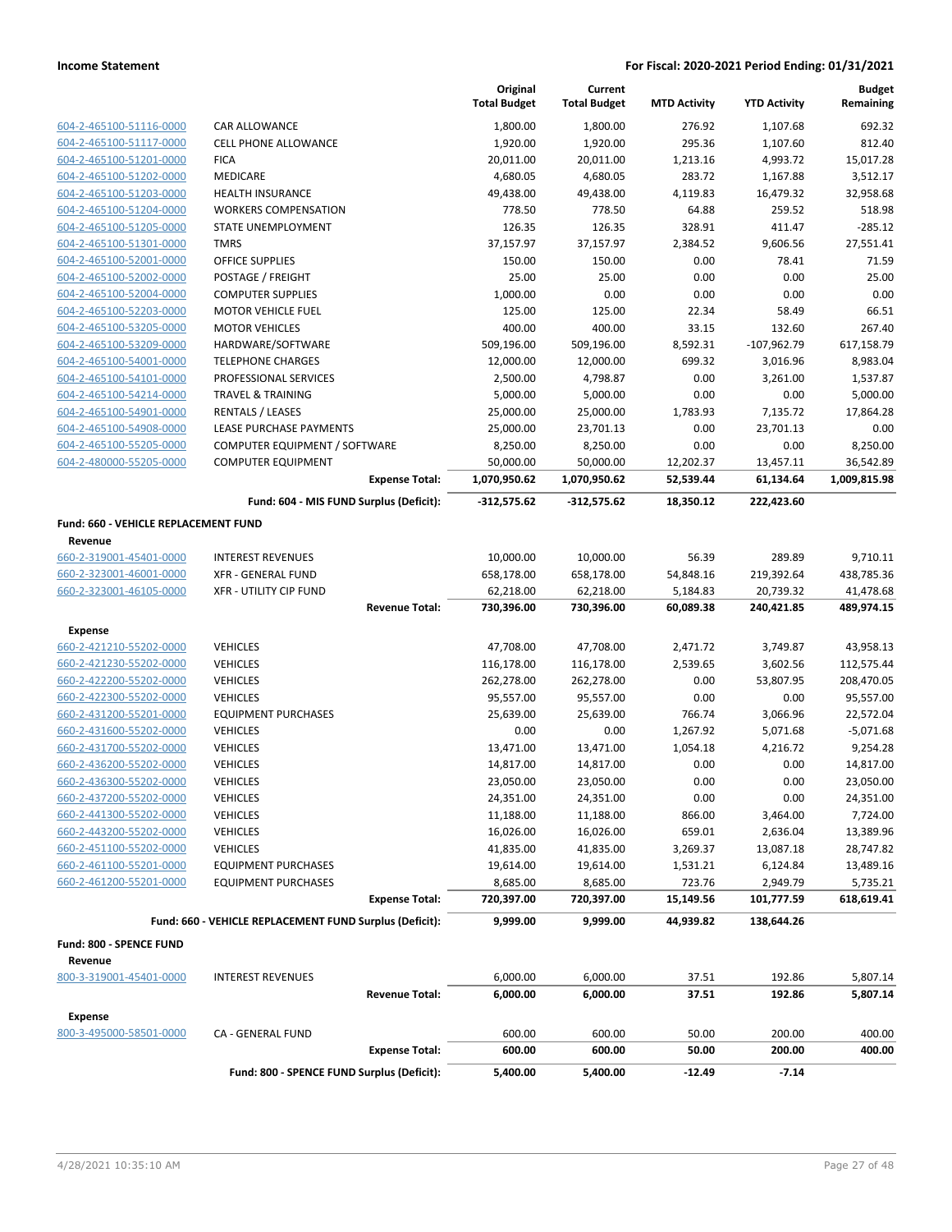|                                                 |                                                         | Original<br><b>Total Budget</b> | Current<br><b>Total Budget</b> | <b>MTD Activity</b> | <b>YTD Activity</b> | <b>Budget</b><br>Remaining |
|-------------------------------------------------|---------------------------------------------------------|---------------------------------|--------------------------------|---------------------|---------------------|----------------------------|
| 604-2-465100-51116-0000                         | CAR ALLOWANCE                                           | 1,800.00                        | 1,800.00                       | 276.92              | 1,107.68            | 692.32                     |
| 604-2-465100-51117-0000                         | <b>CELL PHONE ALLOWANCE</b>                             | 1,920.00                        | 1,920.00                       | 295.36              | 1,107.60            | 812.40                     |
| 604-2-465100-51201-0000                         | <b>FICA</b>                                             | 20,011.00                       | 20,011.00                      | 1,213.16            | 4,993.72            | 15,017.28                  |
| 604-2-465100-51202-0000                         | <b>MEDICARE</b>                                         | 4,680.05                        | 4,680.05                       | 283.72              | 1,167.88            | 3,512.17                   |
| 604-2-465100-51203-0000                         | <b>HEALTH INSURANCE</b>                                 | 49,438.00                       | 49,438.00                      | 4,119.83            | 16,479.32           | 32,958.68                  |
| 604-2-465100-51204-0000                         | <b>WORKERS COMPENSATION</b>                             | 778.50                          | 778.50                         | 64.88               | 259.52              | 518.98                     |
| 604-2-465100-51205-0000                         | STATE UNEMPLOYMENT                                      | 126.35                          | 126.35                         | 328.91              | 411.47              | $-285.12$                  |
| 604-2-465100-51301-0000                         | <b>TMRS</b>                                             | 37,157.97                       | 37,157.97                      | 2,384.52            | 9,606.56            | 27,551.41                  |
| 604-2-465100-52001-0000                         | <b>OFFICE SUPPLIES</b>                                  | 150.00                          | 150.00                         | 0.00                | 78.41               | 71.59                      |
| 604-2-465100-52002-0000                         | POSTAGE / FREIGHT                                       | 25.00                           | 25.00                          | 0.00                | 0.00                | 25.00                      |
| 604-2-465100-52004-0000                         | <b>COMPUTER SUPPLIES</b>                                | 1,000.00                        | 0.00                           | 0.00                | 0.00                | 0.00                       |
| 604-2-465100-52203-0000                         | <b>MOTOR VEHICLE FUEL</b>                               | 125.00                          | 125.00                         | 22.34               | 58.49               | 66.51                      |
| 604-2-465100-53205-0000                         | <b>MOTOR VEHICLES</b>                                   | 400.00                          | 400.00                         | 33.15               | 132.60              | 267.40                     |
| 604-2-465100-53209-0000                         | HARDWARE/SOFTWARE                                       | 509,196.00                      | 509,196.00                     | 8,592.31            | $-107,962.79$       | 617,158.79                 |
| 604-2-465100-54001-0000                         | <b>TELEPHONE CHARGES</b>                                | 12,000.00                       | 12,000.00                      | 699.32              | 3,016.96            | 8,983.04                   |
| 604-2-465100-54101-0000                         | PROFESSIONAL SERVICES                                   | 2,500.00                        | 4,798.87                       | 0.00                | 3,261.00            | 1,537.87                   |
| 604-2-465100-54214-0000                         | <b>TRAVEL &amp; TRAINING</b>                            | 5,000.00                        | 5,000.00                       | 0.00                | 0.00                | 5,000.00                   |
| 604-2-465100-54901-0000                         | <b>RENTALS / LEASES</b>                                 | 25,000.00                       | 25,000.00                      | 1,783.93            | 7,135.72            | 17,864.28                  |
| 604-2-465100-54908-0000                         | LEASE PURCHASE PAYMENTS                                 | 25,000.00                       | 23,701.13                      | 0.00                | 23,701.13           | 0.00                       |
| 604-2-465100-55205-0000                         | COMPUTER EQUIPMENT / SOFTWARE                           | 8,250.00                        | 8,250.00                       | 0.00                | 0.00                | 8,250.00                   |
| 604-2-480000-55205-0000                         | <b>COMPUTER EQUIPMENT</b>                               | 50,000.00                       | 50,000.00                      | 12,202.37           | 13,457.11           | 36,542.89                  |
|                                                 | <b>Expense Total:</b>                                   | 1,070,950.62                    | 1,070,950.62                   | 52,539.44           | 61,134.64           | 1,009,815.98               |
|                                                 | Fund: 604 - MIS FUND Surplus (Deficit):                 | $-312,575.62$                   | $-312,575.62$                  | 18,350.12           | 222,423.60          |                            |
| Fund: 660 - VEHICLE REPLACEMENT FUND<br>Revenue |                                                         |                                 |                                |                     |                     |                            |
| 660-2-319001-45401-0000                         | <b>INTEREST REVENUES</b>                                | 10,000.00                       | 10,000.00                      | 56.39               | 289.89              | 9,710.11                   |
| 660-2-323001-46001-0000                         | <b>XFR - GENERAL FUND</b>                               | 658,178.00                      | 658,178.00                     | 54,848.16           | 219,392.64          | 438,785.36                 |
| 660-2-323001-46105-0000                         | <b>XFR - UTILITY CIP FUND</b>                           | 62,218.00                       | 62,218.00                      | 5,184.83            | 20,739.32           | 41,478.68                  |
|                                                 | <b>Revenue Total:</b>                                   | 730,396.00                      | 730,396.00                     | 60,089.38           | 240,421.85          | 489,974.15                 |
| <b>Expense</b>                                  |                                                         |                                 |                                |                     |                     |                            |
| 660-2-421210-55202-0000                         | <b>VEHICLES</b>                                         | 47,708.00                       | 47,708.00                      | 2,471.72            | 3,749.87            | 43,958.13                  |
| 660-2-421230-55202-0000                         | <b>VEHICLES</b>                                         | 116,178.00                      | 116,178.00                     | 2,539.65            | 3,602.56            | 112,575.44                 |
| 660-2-422200-55202-0000                         | <b>VEHICLES</b>                                         | 262,278.00                      | 262,278.00                     | 0.00                | 53,807.95           | 208,470.05                 |
| 660-2-422300-55202-0000                         | <b>VEHICLES</b>                                         | 95,557.00                       | 95,557.00                      | 0.00                | 0.00                | 95,557.00                  |
| 660-2-431200-55201-0000                         | <b>EQUIPMENT PURCHASES</b>                              | 25,639.00                       | 25,639.00                      | 766.74              | 3,066.96            | 22,572.04                  |
| 660-2-431600-55202-0000                         | <b>VEHICLES</b>                                         | 0.00                            | 0.00                           | 1,267.92            | 5,071.68            | $-5,071.68$                |
| 660-2-431700-55202-0000                         | <b>VEHICLES</b>                                         | 13,471.00                       | 13,471.00                      | 1,054.18            | 4,216.72            | 9,254.28                   |
| 660-2-436200-55202-0000                         | <b>VEHICLES</b>                                         | 14,817.00                       | 14,817.00                      | 0.00                | 0.00                | 14,817.00                  |
| 660-2-436300-55202-0000                         | <b>VEHICLES</b>                                         | 23,050.00                       | 23,050.00                      | 0.00                | 0.00                | 23,050.00                  |
| 660-2-437200-55202-0000                         | <b>VEHICLES</b>                                         | 24,351.00                       | 24,351.00                      | 0.00                | 0.00                | 24,351.00                  |
| 660-2-441300-55202-0000                         | <b>VEHICLES</b>                                         | 11,188.00                       | 11,188.00                      | 866.00              | 3,464.00            | 7,724.00                   |
| 660-2-443200-55202-0000                         | <b>VEHICLES</b>                                         | 16,026.00                       | 16,026.00                      | 659.01              | 2,636.04            | 13,389.96                  |
| 660-2-451100-55202-0000                         | <b>VEHICLES</b>                                         | 41,835.00                       | 41,835.00                      | 3,269.37            | 13,087.18           | 28,747.82                  |
| 660-2-461100-55201-0000                         | <b>EQUIPMENT PURCHASES</b>                              | 19,614.00                       | 19,614.00                      | 1,531.21            | 6,124.84            | 13,489.16                  |
| 660-2-461200-55201-0000                         | <b>EQUIPMENT PURCHASES</b>                              | 8,685.00                        | 8,685.00                       | 723.76              | 2,949.79            | 5,735.21                   |
|                                                 | <b>Expense Total:</b>                                   | 720,397.00                      | 720,397.00                     | 15,149.56           | 101,777.59          | 618,619.41                 |
|                                                 | Fund: 660 - VEHICLE REPLACEMENT FUND Surplus (Deficit): | 9,999.00                        | 9,999.00                       | 44,939.82           | 138,644.26          |                            |
| Fund: 800 - SPENCE FUND                         |                                                         |                                 |                                |                     |                     |                            |
| Revenue                                         |                                                         |                                 |                                |                     |                     |                            |
| 800-3-319001-45401-0000                         | <b>INTEREST REVENUES</b>                                | 6,000.00                        | 6,000.00                       | 37.51               | 192.86              | 5,807.14                   |
|                                                 | <b>Revenue Total:</b>                                   | 6,000.00                        | 6,000.00                       | 37.51               | 192.86              | 5,807.14                   |
| <b>Expense</b>                                  |                                                         |                                 |                                |                     |                     |                            |
| 800-3-495000-58501-0000                         | CA - GENERAL FUND                                       | 600.00                          | 600.00                         | 50.00               | 200.00              | 400.00                     |
|                                                 | <b>Expense Total:</b>                                   | 600.00                          | 600.00                         | 50.00               | 200.00              | 400.00                     |
|                                                 | Fund: 800 - SPENCE FUND Surplus (Deficit):              | 5,400.00                        | 5,400.00                       | $-12.49$            | $-7.14$             |                            |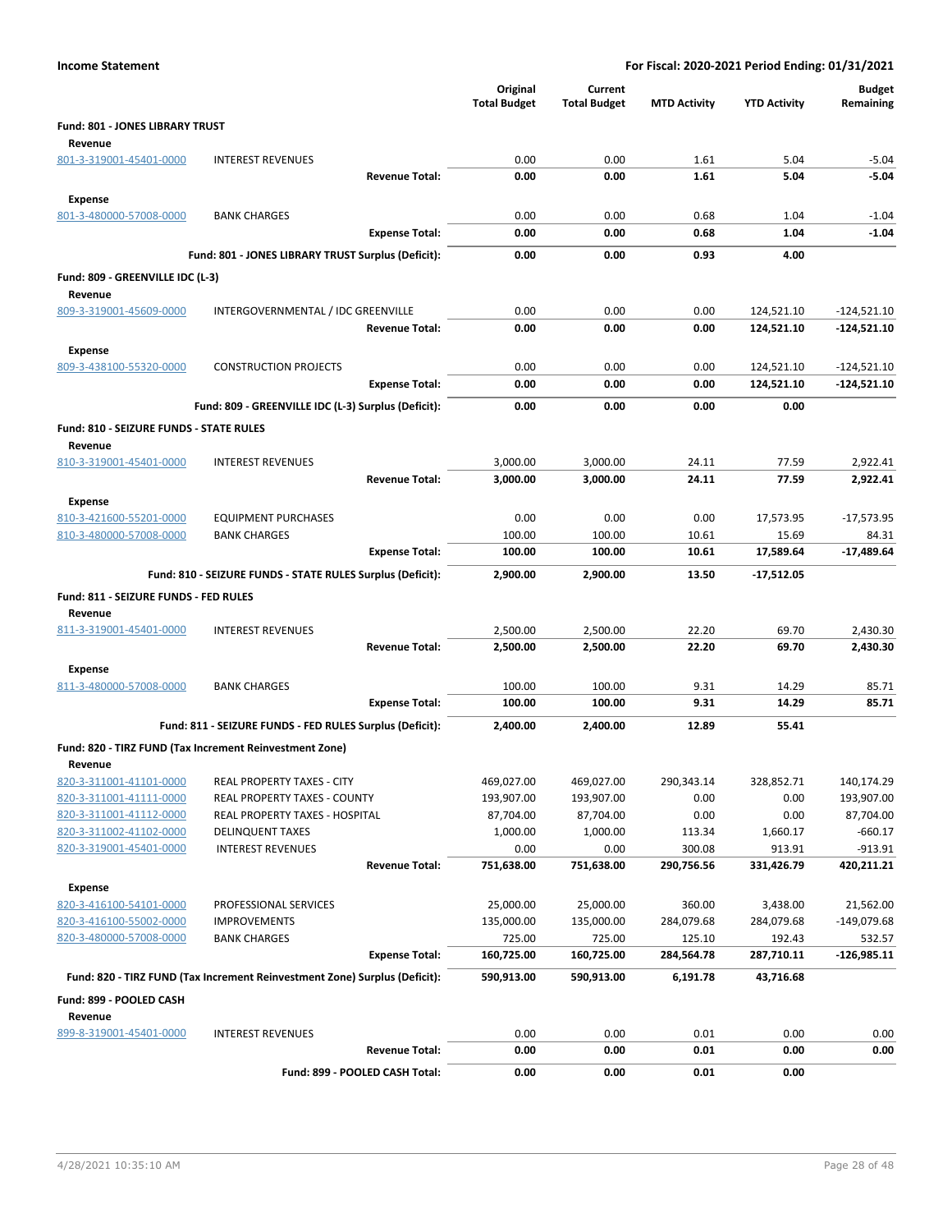| <b>Income Statement</b>                 |                                                                            |                                 |                                | For Fiscal: 2020-2021 Period Ending: 01/31/2021 |                     |                            |
|-----------------------------------------|----------------------------------------------------------------------------|---------------------------------|--------------------------------|-------------------------------------------------|---------------------|----------------------------|
|                                         |                                                                            | Original<br><b>Total Budget</b> | Current<br><b>Total Budget</b> | <b>MTD Activity</b>                             | <b>YTD Activity</b> | <b>Budget</b><br>Remaining |
| Fund: 801 - JONES LIBRARY TRUST         |                                                                            |                                 |                                |                                                 |                     |                            |
| Revenue                                 |                                                                            |                                 |                                |                                                 |                     |                            |
| 801-3-319001-45401-0000                 | <b>INTEREST REVENUES</b>                                                   | 0.00                            | 0.00                           | 1.61                                            | 5.04                | $-5.04$                    |
|                                         | <b>Revenue Total:</b>                                                      | 0.00                            | 0.00                           | 1.61                                            | 5.04                | $-5.04$                    |
| <b>Expense</b>                          |                                                                            |                                 |                                |                                                 |                     |                            |
| 801-3-480000-57008-0000                 | <b>BANK CHARGES</b>                                                        | 0.00                            | 0.00                           | 0.68                                            | 1.04                | $-1.04$                    |
|                                         | <b>Expense Total:</b>                                                      | 0.00                            | 0.00                           | 0.68                                            | 1.04                | $-1.04$                    |
|                                         | Fund: 801 - JONES LIBRARY TRUST Surplus (Deficit):                         | 0.00                            | 0.00                           | 0.93                                            | 4.00                |                            |
| Fund: 809 - GREENVILLE IDC (L-3)        |                                                                            |                                 |                                |                                                 |                     |                            |
| Revenue                                 |                                                                            |                                 |                                |                                                 |                     |                            |
| 809-3-319001-45609-0000                 | INTERGOVERNMENTAL / IDC GREENVILLE                                         | 0.00                            | 0.00                           | 0.00                                            | 124,521.10          | $-124,521.10$              |
|                                         | <b>Revenue Total:</b>                                                      | 0.00                            | 0.00                           | 0.00                                            | 124,521.10          | -124,521.10                |
| <b>Expense</b>                          |                                                                            |                                 |                                |                                                 |                     |                            |
| 809-3-438100-55320-0000                 | <b>CONSTRUCTION PROJECTS</b>                                               | 0.00                            | 0.00                           | 0.00                                            | 124,521.10          | $-124,521.10$              |
|                                         | <b>Expense Total:</b>                                                      | 0.00                            | 0.00                           | 0.00                                            | 124,521.10          | -124,521.10                |
|                                         | Fund: 809 - GREENVILLE IDC (L-3) Surplus (Deficit):                        | 0.00                            | 0.00                           | 0.00                                            | 0.00                |                            |
| Fund: 810 - SEIZURE FUNDS - STATE RULES |                                                                            |                                 |                                |                                                 |                     |                            |
| Revenue                                 |                                                                            |                                 |                                |                                                 |                     |                            |
| 810-3-319001-45401-0000                 | <b>INTEREST REVENUES</b>                                                   | 3,000.00                        | 3,000.00                       | 24.11                                           | 77.59               | 2,922.41                   |
|                                         | <b>Revenue Total:</b>                                                      | 3,000.00                        | 3,000.00                       | 24.11                                           | 77.59               | 2,922.41                   |
| <b>Expense</b>                          |                                                                            |                                 |                                |                                                 |                     |                            |
| 810-3-421600-55201-0000                 | <b>EQUIPMENT PURCHASES</b>                                                 | 0.00                            | 0.00                           | 0.00                                            | 17,573.95           | $-17,573.95$               |
| 810-3-480000-57008-0000                 | <b>BANK CHARGES</b>                                                        | 100.00                          | 100.00                         | 10.61                                           | 15.69               | 84.31                      |
|                                         | <b>Expense Total:</b>                                                      | 100.00                          | 100.00                         | 10.61                                           | 17,589.64           | -17,489.64                 |
|                                         | Fund: 810 - SEIZURE FUNDS - STATE RULES Surplus (Deficit):                 | 2,900.00                        | 2,900.00                       | 13.50                                           | $-17,512.05$        |                            |
| Fund: 811 - SEIZURE FUNDS - FED RULES   |                                                                            |                                 |                                |                                                 |                     |                            |
| Revenue                                 |                                                                            |                                 |                                |                                                 |                     |                            |
| 811-3-319001-45401-0000                 | <b>INTEREST REVENUES</b>                                                   | 2,500.00                        | 2,500.00                       | 22.20                                           | 69.70               | 2,430.30                   |
|                                         | <b>Revenue Total:</b>                                                      | 2,500.00                        | 2,500.00                       | 22.20                                           | 69.70               | 2,430.30                   |
| <b>Expense</b>                          |                                                                            |                                 |                                |                                                 |                     |                            |
| 811-3-480000-57008-0000                 | <b>BANK CHARGES</b>                                                        | 100.00                          | 100.00                         | 9.31                                            | 14.29               | 85.71                      |
|                                         | <b>Expense Total:</b>                                                      | 100.00                          | 100.00                         | 9.31                                            | 14.29               | 85.71                      |
|                                         | Fund: 811 - SEIZURE FUNDS - FED RULES Surplus (Deficit):                   | 2,400.00                        | 2,400.00                       | 12.89                                           | 55.41               |                            |
|                                         |                                                                            |                                 |                                |                                                 |                     |                            |
| Revenue                                 | Fund: 820 - TIRZ FUND (Tax Increment Reinvestment Zone)                    |                                 |                                |                                                 |                     |                            |
| 820-3-311001-41101-0000                 | REAL PROPERTY TAXES - CITY                                                 | 469,027.00                      | 469,027.00                     | 290,343.14                                      | 328,852.71          | 140,174.29                 |
| 820-3-311001-41111-0000                 | REAL PROPERTY TAXES - COUNTY                                               | 193,907.00                      | 193,907.00                     | 0.00                                            | 0.00                | 193,907.00                 |
| 820-3-311001-41112-0000                 | <b>REAL PROPERTY TAXES - HOSPITAL</b>                                      | 87,704.00                       | 87,704.00                      | 0.00                                            | 0.00                | 87,704.00                  |
| 820-3-311002-41102-0000                 | <b>DELINQUENT TAXES</b>                                                    | 1,000.00                        | 1,000.00                       | 113.34                                          | 1,660.17            | $-660.17$                  |
| 820-3-319001-45401-0000                 | <b>INTEREST REVENUES</b>                                                   | 0.00                            | 0.00                           | 300.08                                          | 913.91              | $-913.91$                  |
|                                         | <b>Revenue Total:</b>                                                      | 751,638.00                      | 751,638.00                     | 290,756.56                                      | 331,426.79          | 420,211.21                 |
| <b>Expense</b>                          |                                                                            |                                 |                                |                                                 |                     |                            |
| 820-3-416100-54101-0000                 | PROFESSIONAL SERVICES                                                      | 25,000.00                       | 25,000.00                      | 360.00                                          | 3,438.00            | 21,562.00                  |
| 820-3-416100-55002-0000                 | <b>IMPROVEMENTS</b>                                                        | 135,000.00                      | 135,000.00                     | 284,079.68                                      | 284,079.68          | -149,079.68                |
| 820-3-480000-57008-0000                 | <b>BANK CHARGES</b>                                                        | 725.00                          | 725.00                         | 125.10                                          | 192.43              | 532.57                     |
|                                         | <b>Expense Total:</b>                                                      | 160,725.00                      | 160,725.00                     | 284,564.78                                      | 287,710.11          | -126,985.11                |
|                                         | Fund: 820 - TIRZ FUND (Tax Increment Reinvestment Zone) Surplus (Deficit): | 590,913.00                      | 590,913.00                     | 6,191.78                                        | 43,716.68           |                            |
| Fund: 899 - POOLED CASH                 |                                                                            |                                 |                                |                                                 |                     |                            |
| Revenue                                 |                                                                            |                                 |                                |                                                 |                     |                            |
| 899-8-319001-45401-0000                 | <b>INTEREST REVENUES</b>                                                   | 0.00                            | 0.00                           | 0.01                                            | 0.00                | 0.00                       |
|                                         | <b>Revenue Total:</b>                                                      | 0.00                            | 0.00                           | 0.01                                            | 0.00                | 0.00                       |
|                                         | Fund: 899 - POOLED CASH Total:                                             | 0.00                            | 0.00                           | 0.01                                            | 0.00                |                            |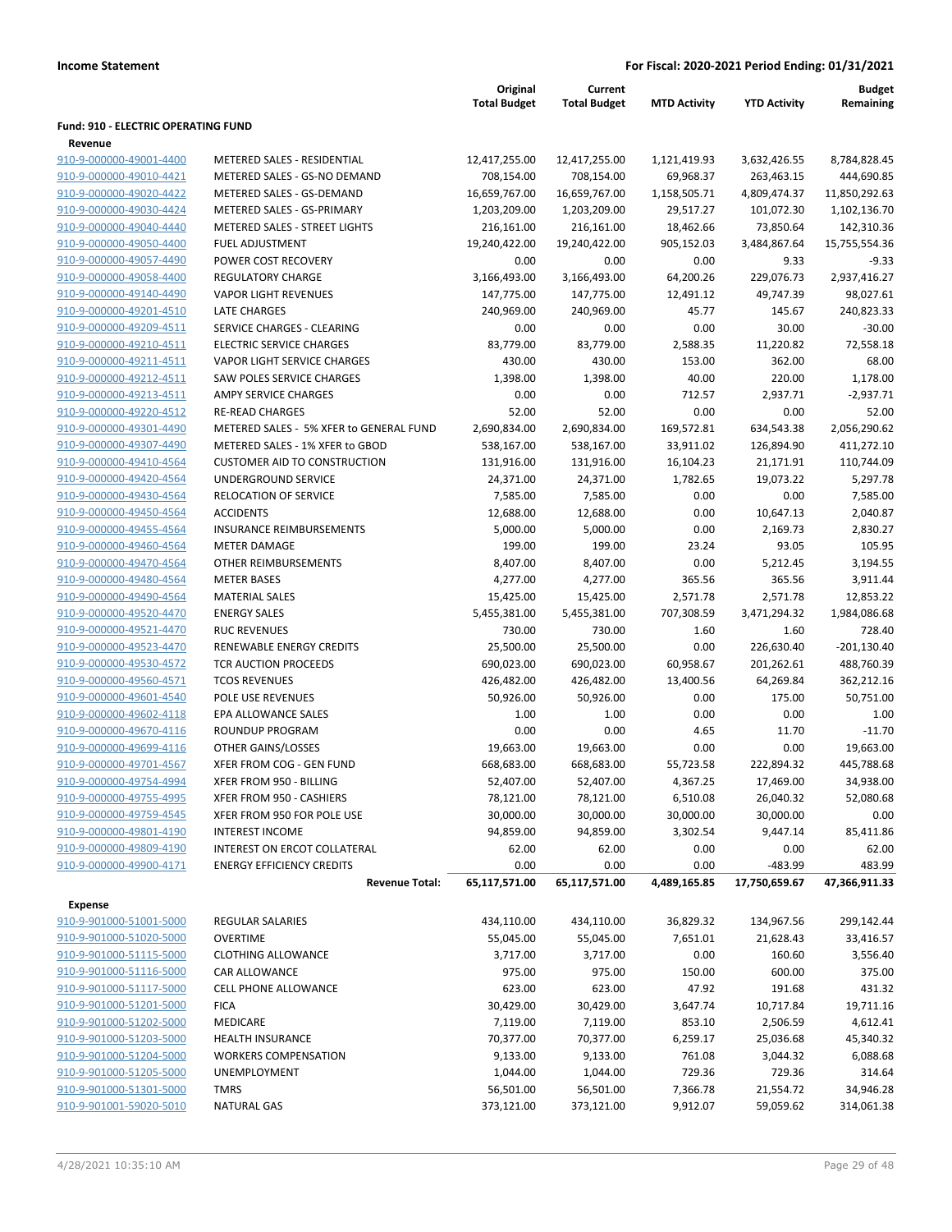|                                            |                                         | Original<br><b>Total Budget</b> | Current<br><b>Total Budget</b> | <b>MTD Activity</b> | <b>YTD Activity</b> | <b>Budget</b><br>Remaining |
|--------------------------------------------|-----------------------------------------|---------------------------------|--------------------------------|---------------------|---------------------|----------------------------|
| <b>Fund: 910 - ELECTRIC OPERATING FUND</b> |                                         |                                 |                                |                     |                     |                            |
| Revenue                                    |                                         |                                 |                                |                     |                     |                            |
| 910-9-000000-49001-4400                    | METERED SALES - RESIDENTIAL             | 12,417,255.00                   | 12,417,255.00                  | 1,121,419.93        | 3,632,426.55        | 8,784,828.45               |
| 910-9-000000-49010-4421                    | METERED SALES - GS-NO DEMAND            | 708,154.00                      | 708,154.00                     | 69,968.37           | 263,463.15          | 444,690.85                 |
| 910-9-000000-49020-4422                    | METERED SALES - GS-DEMAND               | 16,659,767.00                   | 16,659,767.00                  | 1,158,505.71        | 4,809,474.37        | 11,850,292.63              |
| 910-9-000000-49030-4424                    | METERED SALES - GS-PRIMARY              | 1,203,209.00                    | 1,203,209.00                   | 29,517.27           | 101,072.30          | 1,102,136.70               |
| 910-9-000000-49040-4440                    | METERED SALES - STREET LIGHTS           | 216,161.00                      | 216,161.00                     | 18,462.66           | 73,850.64           | 142,310.36                 |
| 910-9-000000-49050-4400                    | <b>FUEL ADJUSTMENT</b>                  | 19,240,422.00                   | 19,240,422.00                  | 905,152.03          | 3,484,867.64        | 15,755,554.36              |
| 910-9-000000-49057-4490                    | POWER COST RECOVERY                     | 0.00                            | 0.00                           | 0.00                | 9.33                | $-9.33$                    |
| 910-9-000000-49058-4400                    | <b>REGULATORY CHARGE</b>                | 3,166,493.00                    | 3,166,493.00                   | 64,200.26           | 229,076.73          | 2,937,416.27               |
| 910-9-000000-49140-4490                    | <b>VAPOR LIGHT REVENUES</b>             | 147,775.00                      | 147,775.00                     | 12,491.12           | 49,747.39           | 98,027.61                  |
| 910-9-000000-49201-4510                    | LATE CHARGES                            | 240,969.00                      | 240,969.00                     | 45.77               | 145.67              | 240,823.33                 |
| 910-9-000000-49209-4511                    | SERVICE CHARGES - CLEARING              | 0.00                            | 0.00                           | 0.00                | 30.00               | $-30.00$                   |
| 910-9-000000-49210-4511                    | <b>ELECTRIC SERVICE CHARGES</b>         | 83,779.00                       | 83,779.00                      | 2,588.35            | 11,220.82           | 72,558.18                  |
| 910-9-000000-49211-4511                    | VAPOR LIGHT SERVICE CHARGES             | 430.00                          | 430.00                         | 153.00              | 362.00              | 68.00                      |
| 910-9-000000-49212-4511                    | SAW POLES SERVICE CHARGES               | 1,398.00                        | 1,398.00                       | 40.00               | 220.00              | 1,178.00                   |
| 910-9-000000-49213-4511                    | AMPY SERVICE CHARGES                    | 0.00                            | 0.00                           | 712.57              | 2,937.71            | $-2,937.71$                |
| 910-9-000000-49220-4512                    | <b>RE-READ CHARGES</b>                  | 52.00                           | 52.00                          | 0.00                | 0.00                | 52.00                      |
| 910-9-000000-49301-4490                    | METERED SALES - 5% XFER to GENERAL FUND | 2,690,834.00                    | 2,690,834.00                   | 169,572.81          | 634,543.38          | 2,056,290.62               |
| 910-9-000000-49307-4490                    | METERED SALES - 1% XFER to GBOD         | 538,167.00                      | 538,167.00                     | 33,911.02           | 126,894.90          | 411,272.10                 |
| 910-9-000000-49410-4564                    | <b>CUSTOMER AID TO CONSTRUCTION</b>     | 131,916.00                      | 131,916.00                     | 16,104.23           | 21,171.91           | 110,744.09                 |
| 910-9-000000-49420-4564                    | UNDERGROUND SERVICE                     | 24,371.00                       | 24,371.00                      | 1,782.65            | 19,073.22           | 5,297.78                   |
| 910-9-000000-49430-4564                    | RELOCATION OF SERVICE                   | 7,585.00                        | 7,585.00                       | 0.00                | 0.00                | 7,585.00                   |
| 910-9-000000-49450-4564                    | <b>ACCIDENTS</b>                        | 12,688.00                       | 12,688.00                      | 0.00                | 10,647.13           | 2,040.87                   |
| 910-9-000000-49455-4564                    | <b>INSURANCE REIMBURSEMENTS</b>         | 5,000.00                        | 5,000.00                       | 0.00                | 2,169.73            | 2,830.27                   |
| 910-9-000000-49460-4564                    | <b>METER DAMAGE</b>                     | 199.00                          | 199.00                         | 23.24               | 93.05               | 105.95                     |
| 910-9-000000-49470-4564                    | OTHER REIMBURSEMENTS                    | 8,407.00                        | 8,407.00                       | 0.00                | 5,212.45            | 3,194.55                   |
|                                            |                                         |                                 |                                |                     |                     |                            |
| 910-9-000000-49480-4564                    | <b>METER BASES</b>                      | 4,277.00                        | 4,277.00                       | 365.56              | 365.56              | 3,911.44                   |
| 910-9-000000-49490-4564                    | <b>MATERIAL SALES</b>                   | 15,425.00                       | 15,425.00                      | 2,571.78            | 2,571.78            | 12,853.22                  |
| 910-9-000000-49520-4470                    | <b>ENERGY SALES</b>                     | 5,455,381.00                    | 5,455,381.00                   | 707,308.59          | 3,471,294.32        | 1,984,086.68               |
| 910-9-000000-49521-4470                    | <b>RUC REVENUES</b>                     | 730.00                          | 730.00                         | 1.60                | 1.60                | 728.40                     |
| 910-9-000000-49523-4470                    | RENEWABLE ENERGY CREDITS                | 25,500.00                       | 25,500.00                      | 0.00                | 226,630.40          | $-201,130.40$              |
| 910-9-000000-49530-4572                    | TCR AUCTION PROCEEDS                    | 690,023.00                      | 690,023.00                     | 60,958.67           | 201,262.61          | 488,760.39                 |
| 910-9-000000-49560-4571                    | <b>TCOS REVENUES</b>                    | 426,482.00                      | 426,482.00                     | 13,400.56           | 64,269.84           | 362,212.16                 |
| 910-9-000000-49601-4540                    | POLE USE REVENUES                       | 50,926.00                       | 50,926.00                      | 0.00                | 175.00              | 50.751.00                  |
| 910-9-000000-49602-4118                    | EPA ALLOWANCE SALES                     | 1.00                            | 1.00                           | 0.00                | 0.00                | 1.00                       |
| 910-9-000000-49670-4116                    | <b>ROUNDUP PROGRAM</b>                  | 0.00                            | 0.00                           | 4.65                | 11.70               | $-11.70$                   |
| 910-9-000000-49699-4116                    | OTHER GAINS/LOSSES                      | 19,663.00                       | 19,663.00                      | 0.00                | 0.00                | 19,663.00                  |
| 910-9-000000-49701-4567                    | XFER FROM COG - GEN FUND                | 668,683.00                      | 668,683.00                     | 55,723.58           | 222,894.32          | 445,788.68                 |
| 910-9-000000-49754-4994                    | XFER FROM 950 - BILLING                 | 52,407.00                       | 52,407.00                      | 4,367.25            | 17,469.00           | 34,938.00                  |
| 910-9-000000-49755-4995                    | XFER FROM 950 - CASHIERS                | 78,121.00                       | 78,121.00                      | 6,510.08            | 26,040.32           | 52,080.68                  |
| 910-9-000000-49759-4545                    | XFER FROM 950 FOR POLE USE              | 30,000.00                       | 30,000.00                      | 30,000.00           | 30,000.00           | 0.00                       |
| 910-9-000000-49801-4190                    | <b>INTEREST INCOME</b>                  | 94,859.00                       | 94,859.00                      | 3,302.54            | 9,447.14            | 85,411.86                  |
| 910-9-000000-49809-4190                    | INTEREST ON ERCOT COLLATERAL            | 62.00                           | 62.00                          | 0.00                | 0.00                | 62.00                      |
| 910-9-000000-49900-4171                    | <b>ENERGY EFFICIENCY CREDITS</b>        | 0.00                            | 0.00                           | 0.00                | -483.99             | 483.99                     |
|                                            | <b>Revenue Total:</b>                   | 65,117,571.00                   | 65,117,571.00                  | 4,489,165.85        | 17,750,659.67       | 47,366,911.33              |
| <b>Expense</b>                             |                                         |                                 |                                |                     |                     |                            |
| 910-9-901000-51001-5000                    | <b>REGULAR SALARIES</b>                 |                                 |                                |                     |                     | 299,142.44                 |
|                                            |                                         | 434,110.00                      | 434,110.00                     | 36,829.32           | 134,967.56          |                            |
| 910-9-901000-51020-5000                    | <b>OVERTIME</b>                         | 55,045.00                       | 55,045.00                      | 7,651.01            | 21,628.43           | 33,416.57                  |
| 910-9-901000-51115-5000                    | <b>CLOTHING ALLOWANCE</b>               | 3,717.00                        | 3,717.00                       | 0.00                | 160.60              | 3,556.40                   |
| 910-9-901000-51116-5000                    | CAR ALLOWANCE                           | 975.00                          | 975.00                         | 150.00              | 600.00              | 375.00                     |
| 910-9-901000-51117-5000                    | CELL PHONE ALLOWANCE                    | 623.00                          | 623.00                         | 47.92               | 191.68              | 431.32                     |
| 910-9-901000-51201-5000                    | <b>FICA</b>                             | 30,429.00                       | 30,429.00                      | 3,647.74            | 10,717.84           | 19,711.16                  |
| 910-9-901000-51202-5000                    | MEDICARE                                | 7,119.00                        | 7,119.00                       | 853.10              | 2,506.59            | 4,612.41                   |
| 910-9-901000-51203-5000                    | <b>HEALTH INSURANCE</b>                 | 70,377.00                       | 70,377.00                      | 6,259.17            | 25,036.68           | 45,340.32                  |
| 910-9-901000-51204-5000                    | <b>WORKERS COMPENSATION</b>             | 9,133.00                        | 9,133.00                       | 761.08              | 3,044.32            | 6,088.68                   |
| 910-9-901000-51205-5000                    | UNEMPLOYMENT                            | 1,044.00                        | 1,044.00                       | 729.36              | 729.36              | 314.64                     |
| 910-9-901000-51301-5000                    | <b>TMRS</b>                             | 56,501.00                       | 56,501.00                      | 7,366.78            | 21,554.72           | 34,946.28                  |
| 910-9-901001-59020-5010                    | <b>NATURAL GAS</b>                      | 373,121.00                      | 373,121.00                     | 9,912.07            | 59,059.62           | 314,061.38                 |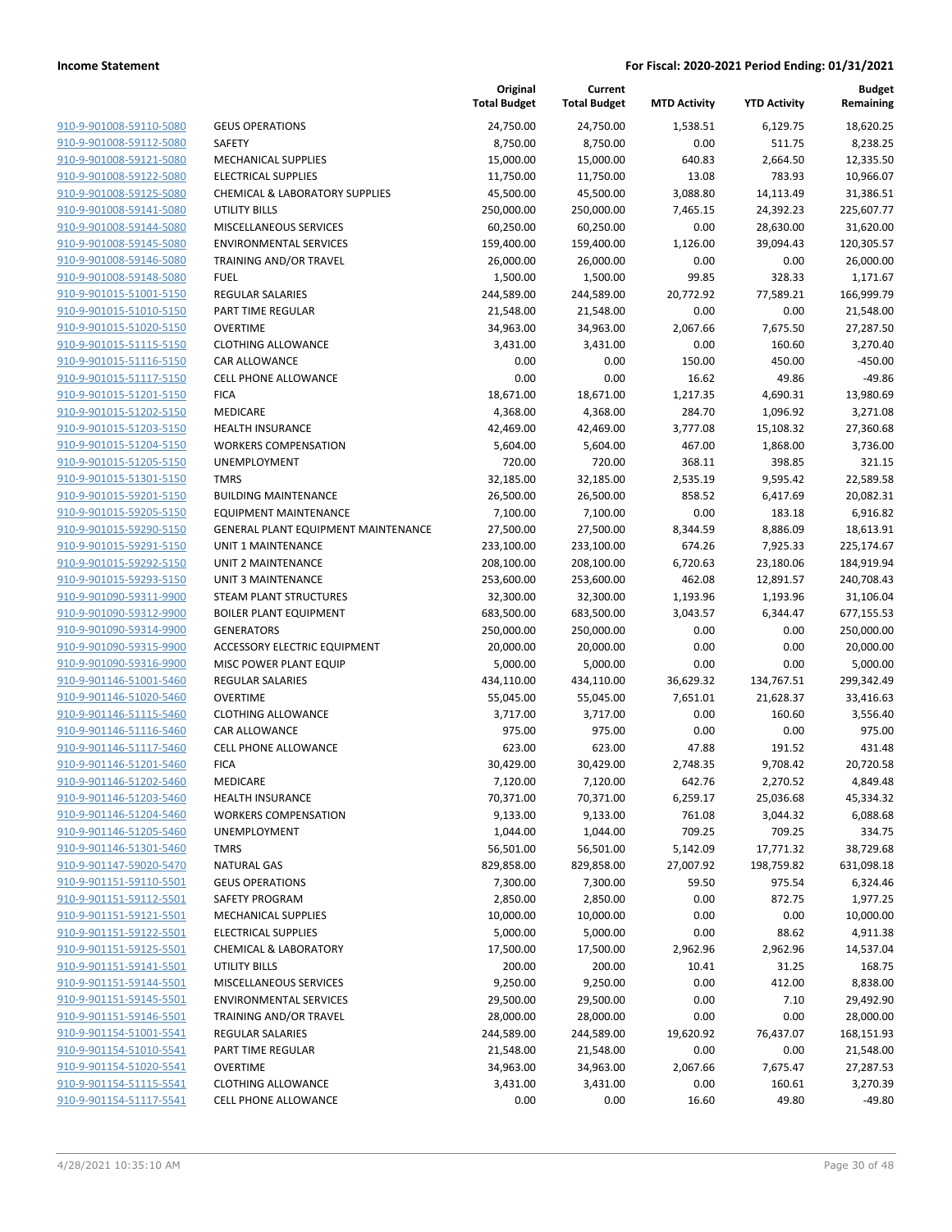|                         |                                     | Original<br><b>Total Budget</b> | Current<br><b>Total Budget</b> | <b>MTD Activity</b> | <b>YTD Activity</b> | <b>Budget</b><br>Remaining |
|-------------------------|-------------------------------------|---------------------------------|--------------------------------|---------------------|---------------------|----------------------------|
| 910-9-901008-59110-5080 | <b>GEUS OPERATIONS</b>              | 24,750.00                       | 24,750.00                      | 1,538.51            | 6,129.75            | 18,620.25                  |
| 910-9-901008-59112-5080 | <b>SAFETY</b>                       | 8,750.00                        | 8,750.00                       | 0.00                | 511.75              | 8,238.25                   |
| 910-9-901008-59121-5080 | MECHANICAL SUPPLIES                 | 15,000.00                       | 15,000.00                      | 640.83              | 2,664.50            | 12,335.50                  |
| 910-9-901008-59122-5080 | <b>ELECTRICAL SUPPLIES</b>          | 11,750.00                       | 11,750.00                      | 13.08               | 783.93              | 10,966.07                  |
| 910-9-901008-59125-5080 | CHEMICAL & LABORATORY SUPPLIES      | 45,500.00                       | 45,500.00                      | 3,088.80            | 14,113.49           | 31,386.51                  |
| 910-9-901008-59141-5080 | UTILITY BILLS                       | 250,000.00                      | 250,000.00                     | 7,465.15            | 24,392.23           | 225,607.77                 |
| 910-9-901008-59144-5080 | MISCELLANEOUS SERVICES              | 60,250.00                       | 60,250.00                      | 0.00                | 28,630.00           | 31,620.00                  |
| 910-9-901008-59145-5080 | <b>ENVIRONMENTAL SERVICES</b>       | 159,400.00                      | 159,400.00                     | 1,126.00            | 39,094.43           | 120,305.57                 |
| 910-9-901008-59146-5080 | TRAINING AND/OR TRAVEL              | 26,000.00                       | 26,000.00                      | 0.00                | 0.00                | 26,000.00                  |
| 910-9-901008-59148-5080 | <b>FUEL</b>                         | 1,500.00                        | 1,500.00                       | 99.85               | 328.33              | 1,171.67                   |
| 910-9-901015-51001-5150 | <b>REGULAR SALARIES</b>             | 244,589.00                      | 244,589.00                     | 20,772.92           | 77,589.21           | 166,999.79                 |
| 910-9-901015-51010-5150 | PART TIME REGULAR                   | 21,548.00                       | 21,548.00                      | 0.00                | 0.00                | 21,548.00                  |
| 910-9-901015-51020-5150 | <b>OVERTIME</b>                     | 34,963.00                       | 34,963.00                      | 2,067.66            | 7,675.50            | 27,287.50                  |
| 910-9-901015-51115-5150 | <b>CLOTHING ALLOWANCE</b>           | 3,431.00                        | 3,431.00                       | 0.00                | 160.60              | 3,270.40                   |
| 910-9-901015-51116-5150 | CAR ALLOWANCE                       | 0.00                            | 0.00                           | 150.00              | 450.00              | $-450.00$                  |
| 910-9-901015-51117-5150 | <b>CELL PHONE ALLOWANCE</b>         | 0.00                            | 0.00                           | 16.62               | 49.86               | $-49.86$                   |
| 910-9-901015-51201-5150 | <b>FICA</b>                         | 18,671.00                       | 18,671.00                      | 1,217.35            | 4,690.31            | 13,980.69                  |
| 910-9-901015-51202-5150 | MEDICARE                            | 4,368.00                        | 4,368.00                       | 284.70              | 1,096.92            | 3,271.08                   |
| 910-9-901015-51203-5150 | <b>HEALTH INSURANCE</b>             | 42,469.00                       | 42,469.00                      | 3,777.08            | 15,108.32           | 27,360.68                  |
| 910-9-901015-51204-5150 | <b>WORKERS COMPENSATION</b>         | 5,604.00                        | 5,604.00                       | 467.00              | 1,868.00            | 3,736.00                   |
| 910-9-901015-51205-5150 | <b>UNEMPLOYMENT</b>                 | 720.00                          | 720.00                         | 368.11              | 398.85              | 321.15                     |
| 910-9-901015-51301-5150 | <b>TMRS</b>                         | 32,185.00                       | 32,185.00                      | 2,535.19            | 9,595.42            | 22,589.58                  |
| 910-9-901015-59201-5150 | <b>BUILDING MAINTENANCE</b>         | 26,500.00                       | 26,500.00                      | 858.52              | 6,417.69            | 20,082.31                  |
| 910-9-901015-59205-5150 | <b>EQUIPMENT MAINTENANCE</b>        | 7,100.00                        | 7,100.00                       | 0.00                | 183.18              | 6,916.82                   |
| 910-9-901015-59290-5150 | GENERAL PLANT EQUIPMENT MAINTENANCE | 27,500.00                       | 27,500.00                      | 8,344.59            | 8,886.09            | 18,613.91                  |
| 910-9-901015-59291-5150 | <b>UNIT 1 MAINTENANCE</b>           | 233,100.00                      | 233,100.00                     | 674.26              | 7,925.33            | 225,174.67                 |
| 910-9-901015-59292-5150 | UNIT 2 MAINTENANCE                  | 208,100.00                      | 208,100.00                     | 6,720.63            | 23,180.06           | 184,919.94                 |
| 910-9-901015-59293-5150 | <b>UNIT 3 MAINTENANCE</b>           | 253,600.00                      | 253,600.00                     | 462.08              | 12,891.57           | 240,708.43                 |
| 910-9-901090-59311-9900 | <b>STEAM PLANT STRUCTURES</b>       | 32,300.00                       | 32,300.00                      | 1,193.96            | 1,193.96            | 31,106.04                  |
| 910-9-901090-59312-9900 | <b>BOILER PLANT EQUIPMENT</b>       | 683,500.00                      | 683,500.00                     | 3,043.57            | 6,344.47            | 677,155.53                 |
| 910-9-901090-59314-9900 | <b>GENERATORS</b>                   | 250,000.00                      | 250,000.00                     | 0.00                | 0.00                | 250,000.00                 |
| 910-9-901090-59315-9900 | <b>ACCESSORY ELECTRIC EQUIPMENT</b> | 20,000.00                       | 20,000.00                      | 0.00                | 0.00                | 20,000.00                  |
| 910-9-901090-59316-9900 | MISC POWER PLANT EQUIP              | 5,000.00                        | 5,000.00                       | 0.00                | 0.00                | 5,000.00                   |
| 910-9-901146-51001-5460 | <b>REGULAR SALARIES</b>             | 434,110.00                      | 434,110.00                     | 36,629.32           | 134,767.51          | 299,342.49                 |
| 910-9-901146-51020-5460 | <b>OVERTIME</b>                     | 55,045.00                       | 55,045.00                      | 7,651.01            | 21,628.37           | 33,416.63                  |
| 910-9-901146-51115-5460 | <b>CLOTHING ALLOWANCE</b>           | 3,717.00                        | 3,717.00                       | 0.00                | 160.60              | 3,556.40                   |
| 910-9-901146-51116-5460 | <b>CAR ALLOWANCE</b>                | 975.00                          | 975.00                         | 0.00                | 0.00                | 975.00                     |
| 910-9-901146-51117-5460 | <b>CELL PHONE ALLOWANCE</b>         | 623.00                          | 623.00                         | 47.88               | 191.52              | 431.48                     |
| 910-9-901146-51201-5460 | <b>FICA</b>                         | 30,429.00                       | 30,429.00                      | 2,748.35            | 9,708.42            | 20,720.58                  |
| 910-9-901146-51202-5460 | MEDICARE                            | 7,120.00                        | 7,120.00                       | 642.76              | 2,270.52            | 4,849.48                   |
| 910-9-901146-51203-5460 | <b>HEALTH INSURANCE</b>             | 70,371.00                       | 70,371.00                      | 6,259.17            | 25,036.68           | 45,334.32                  |
| 910-9-901146-51204-5460 | <b>WORKERS COMPENSATION</b>         | 9,133.00                        | 9,133.00                       | 761.08              | 3,044.32            | 6,088.68                   |
| 910-9-901146-51205-5460 | <b>UNEMPLOYMENT</b>                 | 1,044.00                        | 1,044.00                       | 709.25              | 709.25              | 334.75                     |
| 910-9-901146-51301-5460 | <b>TMRS</b>                         | 56,501.00                       | 56,501.00                      | 5,142.09            | 17,771.32           | 38,729.68                  |
| 910-9-901147-59020-5470 | <b>NATURAL GAS</b>                  | 829,858.00                      | 829,858.00                     | 27,007.92           | 198,759.82          | 631,098.18                 |
| 910-9-901151-59110-5501 | <b>GEUS OPERATIONS</b>              | 7,300.00                        | 7,300.00                       | 59.50               | 975.54              | 6,324.46                   |
| 910-9-901151-59112-5501 | SAFETY PROGRAM                      | 2,850.00                        | 2,850.00                       | 0.00                | 872.75              | 1,977.25                   |
| 910-9-901151-59121-5501 | <b>MECHANICAL SUPPLIES</b>          | 10,000.00                       | 10,000.00                      | 0.00                | 0.00                | 10,000.00                  |
| 910-9-901151-59122-5501 | <b>ELECTRICAL SUPPLIES</b>          | 5,000.00                        | 5,000.00                       | 0.00                | 88.62               | 4,911.38                   |
| 910-9-901151-59125-5501 | <b>CHEMICAL &amp; LABORATORY</b>    | 17,500.00                       | 17,500.00                      | 2,962.96            | 2,962.96            | 14,537.04                  |
| 910-9-901151-59141-5501 | <b>UTILITY BILLS</b>                | 200.00                          | 200.00                         | 10.41               | 31.25               | 168.75                     |
| 910-9-901151-59144-5501 | MISCELLANEOUS SERVICES              | 9,250.00                        | 9,250.00                       | 0.00                | 412.00              | 8,838.00                   |
| 910-9-901151-59145-5501 | <b>ENVIRONMENTAL SERVICES</b>       | 29,500.00                       | 29,500.00                      | 0.00                | 7.10                | 29,492.90                  |
| 910-9-901151-59146-5501 | TRAINING AND/OR TRAVEL              | 28,000.00                       | 28,000.00                      | 0.00                | 0.00                | 28,000.00                  |
| 910-9-901154-51001-5541 | REGULAR SALARIES                    | 244,589.00                      | 244,589.00                     | 19,620.92           | 76,437.07           | 168,151.93                 |
| 910-9-901154-51010-5541 | PART TIME REGULAR                   | 21,548.00                       | 21,548.00                      | 0.00                | 0.00                | 21,548.00                  |
| 910-9-901154-51020-5541 | <b>OVERTIME</b>                     | 34,963.00                       | 34,963.00                      | 2,067.66            | 7,675.47            | 27,287.53                  |
| 910-9-901154-51115-5541 | <b>CLOTHING ALLOWANCE</b>           | 3,431.00                        | 3,431.00                       | 0.00                | 160.61              | 3,270.39                   |
| 910-9-901154-51117-5541 | <b>CELL PHONE ALLOWANCE</b>         | 0.00                            | 0.00                           | 16.60               | 49.80               | $-49.80$                   |
|                         |                                     |                                 |                                |                     |                     |                            |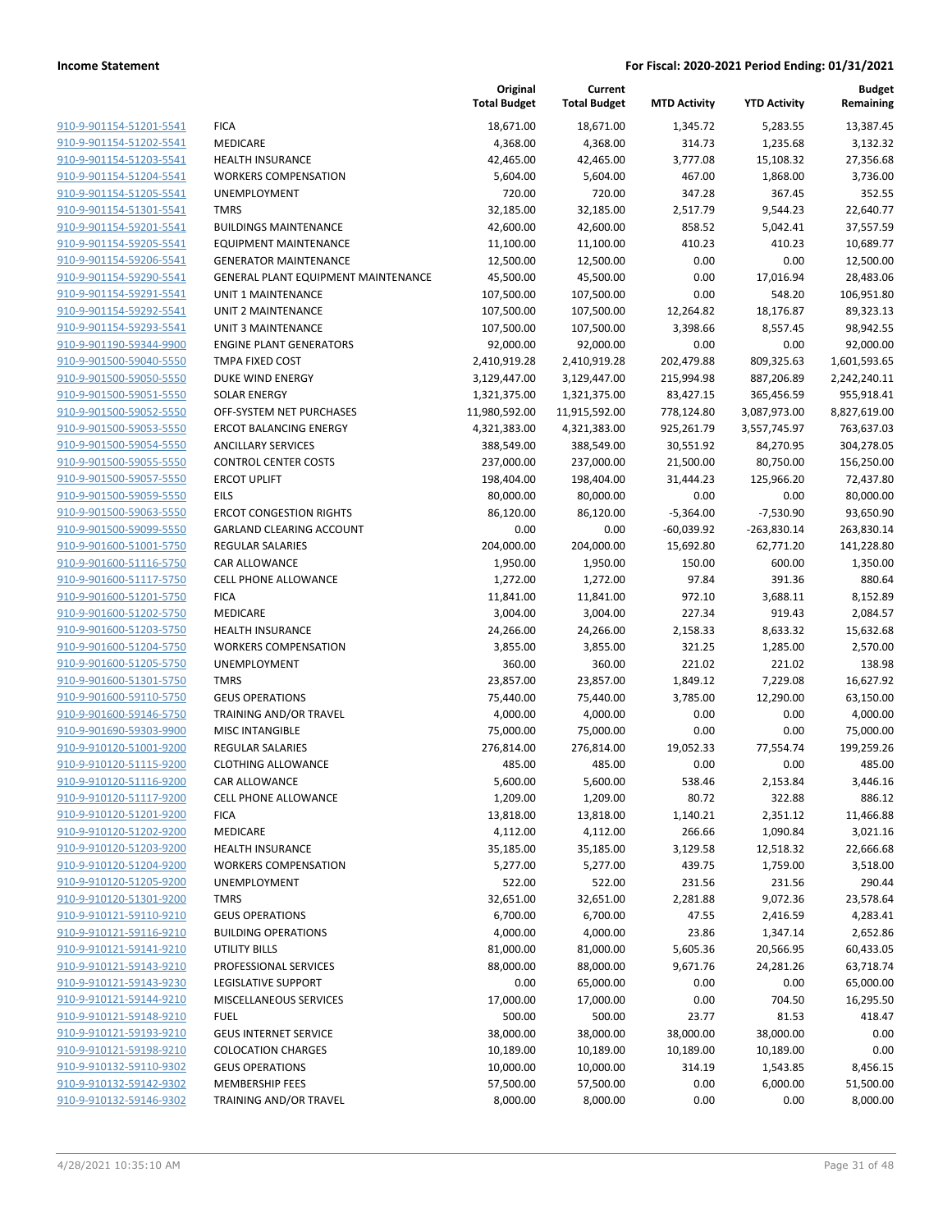|                                                    |                                            | Original<br><b>Total Budget</b> | Current<br><b>Total Budget</b> | <b>MTD Activity</b>  | <b>YTD Activity</b>   | <b>Budget</b><br>Remaining |
|----------------------------------------------------|--------------------------------------------|---------------------------------|--------------------------------|----------------------|-----------------------|----------------------------|
| 910-9-901154-51201-5541                            | <b>FICA</b>                                | 18,671.00                       | 18,671.00                      | 1,345.72             | 5,283.55              | 13,387.45                  |
| 910-9-901154-51202-5541                            | MEDICARE                                   | 4,368.00                        | 4,368.00                       | 314.73               | 1,235.68              | 3,132.32                   |
| 910-9-901154-51203-5541                            | <b>HEALTH INSURANCE</b>                    | 42,465.00                       | 42,465.00                      | 3,777.08             | 15,108.32             | 27,356.68                  |
| 910-9-901154-51204-5541                            | <b>WORKERS COMPENSATION</b>                | 5,604.00                        | 5,604.00                       | 467.00               | 1,868.00              | 3,736.00                   |
| 910-9-901154-51205-5541                            | <b>UNEMPLOYMENT</b>                        | 720.00                          | 720.00                         | 347.28               | 367.45                | 352.55                     |
| 910-9-901154-51301-5541                            | <b>TMRS</b>                                | 32,185.00                       | 32,185.00                      | 2,517.79             | 9,544.23              | 22,640.77                  |
| 910-9-901154-59201-5541                            | <b>BUILDINGS MAINTENANCE</b>               | 42,600.00                       | 42,600.00                      | 858.52               | 5,042.41              | 37,557.59                  |
| 910-9-901154-59205-5541                            | <b>EQUIPMENT MAINTENANCE</b>               | 11,100.00                       | 11,100.00                      | 410.23               | 410.23                | 10,689.77                  |
| 910-9-901154-59206-5541                            | <b>GENERATOR MAINTENANCE</b>               | 12,500.00                       | 12,500.00                      | 0.00                 | 0.00                  | 12,500.00                  |
| 910-9-901154-59290-5541                            | <b>GENERAL PLANT EQUIPMENT MAINTENANCE</b> | 45,500.00                       | 45,500.00                      | 0.00                 | 17,016.94             | 28,483.06                  |
| 910-9-901154-59291-5541                            | UNIT 1 MAINTENANCE                         | 107,500.00                      | 107,500.00                     | 0.00                 | 548.20                | 106,951.80                 |
| 910-9-901154-59292-5541                            | <b>UNIT 2 MAINTENANCE</b>                  | 107,500.00                      | 107,500.00                     | 12,264.82            | 18,176.87             | 89,323.13                  |
| 910-9-901154-59293-5541                            | <b>UNIT 3 MAINTENANCE</b>                  | 107,500.00                      | 107,500.00                     | 3,398.66             | 8,557.45              | 98,942.55                  |
| 910-9-901190-59344-9900                            | <b>ENGINE PLANT GENERATORS</b>             | 92,000.00                       | 92,000.00                      | 0.00                 | 0.00                  | 92,000.00                  |
| 910-9-901500-59040-5550                            | TMPA FIXED COST                            | 2,410,919.28                    | 2,410,919.28                   | 202,479.88           | 809,325.63            | 1,601,593.65               |
| 910-9-901500-59050-5550                            | DUKE WIND ENERGY                           | 3,129,447.00                    | 3,129,447.00                   | 215,994.98           | 887,206.89            | 2,242,240.11               |
| 910-9-901500-59051-5550                            | <b>SOLAR ENERGY</b>                        | 1,321,375.00                    | 1,321,375.00                   | 83,427.15            | 365,456.59            | 955,918.41                 |
| 910-9-901500-59052-5550                            | OFF-SYSTEM NET PURCHASES                   | 11,980,592.00                   | 11,915,592.00                  | 778,124.80           | 3,087,973.00          | 8,827,619.00               |
| 910-9-901500-59053-5550                            | <b>ERCOT BALANCING ENERGY</b>              | 4,321,383.00                    | 4,321,383.00                   | 925,261.79           | 3,557,745.97          | 763,637.03                 |
| 910-9-901500-59054-5550                            | <b>ANCILLARY SERVICES</b>                  | 388,549.00                      | 388,549.00                     | 30,551.92            | 84,270.95             | 304,278.05                 |
| 910-9-901500-59055-5550                            | <b>CONTROL CENTER COSTS</b>                | 237,000.00                      | 237,000.00                     | 21,500.00            | 80,750.00             | 156,250.00                 |
| 910-9-901500-59057-5550                            | <b>ERCOT UPLIFT</b>                        | 198,404.00                      | 198,404.00                     | 31,444.23            | 125,966.20            | 72,437.80                  |
| 910-9-901500-59059-5550                            | <b>EILS</b>                                | 80,000.00                       | 80,000.00                      | 0.00                 | 0.00                  | 80,000.00                  |
| 910-9-901500-59063-5550                            | <b>ERCOT CONGESTION RIGHTS</b>             | 86,120.00                       | 86,120.00                      | $-5,364.00$          | $-7,530.90$           | 93,650.90                  |
| 910-9-901500-59099-5550                            | <b>GARLAND CLEARING ACCOUNT</b>            | 0.00                            | 0.00                           | $-60,039.92$         | $-263,830.14$         | 263,830.14                 |
| 910-9-901600-51001-5750                            | REGULAR SALARIES                           | 204,000.00                      | 204,000.00                     | 15,692.80            | 62,771.20             | 141,228.80                 |
| 910-9-901600-51116-5750                            | CAR ALLOWANCE                              | 1,950.00                        | 1,950.00                       | 150.00               | 600.00                | 1,350.00                   |
| 910-9-901600-51117-5750                            | <b>CELL PHONE ALLOWANCE</b>                | 1,272.00                        | 1,272.00                       | 97.84                | 391.36                | 880.64                     |
| 910-9-901600-51201-5750                            | <b>FICA</b>                                | 11,841.00                       | 11,841.00                      | 972.10               | 3,688.11              | 8,152.89                   |
| 910-9-901600-51202-5750                            | MEDICARE                                   | 3,004.00                        | 3,004.00                       | 227.34               | 919.43                | 2,084.57                   |
| 910-9-901600-51203-5750                            | <b>HEALTH INSURANCE</b>                    | 24,266.00                       | 24,266.00                      | 2,158.33             | 8,633.32              | 15,632.68                  |
| 910-9-901600-51204-5750                            | <b>WORKERS COMPENSATION</b>                | 3,855.00                        | 3,855.00                       | 321.25               | 1,285.00              | 2,570.00                   |
| 910-9-901600-51205-5750                            | UNEMPLOYMENT                               | 360.00                          | 360.00                         | 221.02               | 221.02                | 138.98                     |
| 910-9-901600-51301-5750<br>910-9-901600-59110-5750 | <b>TMRS</b><br><b>GEUS OPERATIONS</b>      | 23,857.00<br>75,440.00          | 23,857.00                      | 1,849.12<br>3,785.00 | 7,229.08<br>12,290.00 | 16,627.92<br>63,150.00     |
| 910-9-901600-59146-5750                            | TRAINING AND/OR TRAVEL                     | 4,000.00                        | 75,440.00<br>4,000.00          | 0.00                 | 0.00                  | 4,000.00                   |
| 910-9-901690-59303-9900                            | <b>MISC INTANGIBLE</b>                     | 75,000.00                       | 75,000.00                      | 0.00                 | 0.00                  | 75,000.00                  |
| 910-9-910120-51001-9200                            | <b>REGULAR SALARIES</b>                    | 276,814.00                      | 276,814.00                     | 19,052.33            | 77,554.74             | 199,259.26                 |
| 910-9-910120-51115-9200                            | <b>CLOTHING ALLOWANCE</b>                  | 485.00                          | 485.00                         | 0.00                 | 0.00                  | 485.00                     |
| 910-9-910120-51116-9200                            | CAR ALLOWANCE                              | 5,600.00                        | 5,600.00                       | 538.46               | 2,153.84              | 3,446.16                   |
| 910-9-910120-51117-9200                            | <b>CELL PHONE ALLOWANCE</b>                | 1,209.00                        | 1,209.00                       | 80.72                | 322.88                | 886.12                     |
| 910-9-910120-51201-9200                            | <b>FICA</b>                                | 13,818.00                       | 13,818.00                      | 1,140.21             | 2,351.12              | 11,466.88                  |
| 910-9-910120-51202-9200                            | MEDICARE                                   | 4,112.00                        | 4,112.00                       | 266.66               | 1,090.84              | 3,021.16                   |
| 910-9-910120-51203-9200                            | <b>HEALTH INSURANCE</b>                    | 35,185.00                       | 35,185.00                      | 3,129.58             | 12,518.32             | 22,666.68                  |
| 910-9-910120-51204-9200                            | <b>WORKERS COMPENSATION</b>                | 5,277.00                        | 5,277.00                       | 439.75               | 1,759.00              | 3,518.00                   |
| 910-9-910120-51205-9200                            | <b>UNEMPLOYMENT</b>                        | 522.00                          | 522.00                         | 231.56               | 231.56                | 290.44                     |
| 910-9-910120-51301-9200                            | <b>TMRS</b>                                | 32,651.00                       | 32,651.00                      | 2,281.88             | 9,072.36              | 23,578.64                  |
| 910-9-910121-59110-9210                            | <b>GEUS OPERATIONS</b>                     | 6,700.00                        | 6,700.00                       | 47.55                | 2,416.59              | 4,283.41                   |
| 910-9-910121-59116-9210                            | <b>BUILDING OPERATIONS</b>                 | 4,000.00                        | 4,000.00                       | 23.86                | 1,347.14              | 2,652.86                   |
| 910-9-910121-59141-9210                            | <b>UTILITY BILLS</b>                       | 81,000.00                       | 81,000.00                      | 5,605.36             | 20,566.95             | 60,433.05                  |
| 910-9-910121-59143-9210                            | PROFESSIONAL SERVICES                      | 88,000.00                       | 88,000.00                      | 9,671.76             | 24,281.26             | 63,718.74                  |
| 910-9-910121-59143-9230                            | LEGISLATIVE SUPPORT                        | 0.00                            | 65,000.00                      | 0.00                 | 0.00                  | 65,000.00                  |
| 910-9-910121-59144-9210                            | MISCELLANEOUS SERVICES                     | 17,000.00                       | 17,000.00                      | 0.00                 | 704.50                | 16,295.50                  |
| 910-9-910121-59148-9210                            | <b>FUEL</b>                                | 500.00                          | 500.00                         | 23.77                | 81.53                 | 418.47                     |
| 910-9-910121-59193-9210                            | <b>GEUS INTERNET SERVICE</b>               | 38,000.00                       | 38,000.00                      | 38,000.00            | 38,000.00             | 0.00                       |
| 910-9-910121-59198-9210                            | <b>COLOCATION CHARGES</b>                  | 10,189.00                       | 10,189.00                      | 10,189.00            | 10,189.00             | 0.00                       |
| 910-9-910132-59110-9302                            | <b>GEUS OPERATIONS</b>                     | 10,000.00                       | 10,000.00                      | 314.19               | 1,543.85              | 8,456.15                   |
| 910-9-910132-59142-9302                            | <b>MEMBERSHIP FEES</b>                     | 57,500.00                       | 57,500.00                      | 0.00                 | 6,000.00              | 51,500.00                  |
| 910-9-910132-59146-9302                            | TRAINING AND/OR TRAVEL                     | 8,000.00                        | 8,000.00                       | 0.00                 | 0.00                  | 8,000.00                   |
|                                                    |                                            |                                 |                                |                      |                       |                            |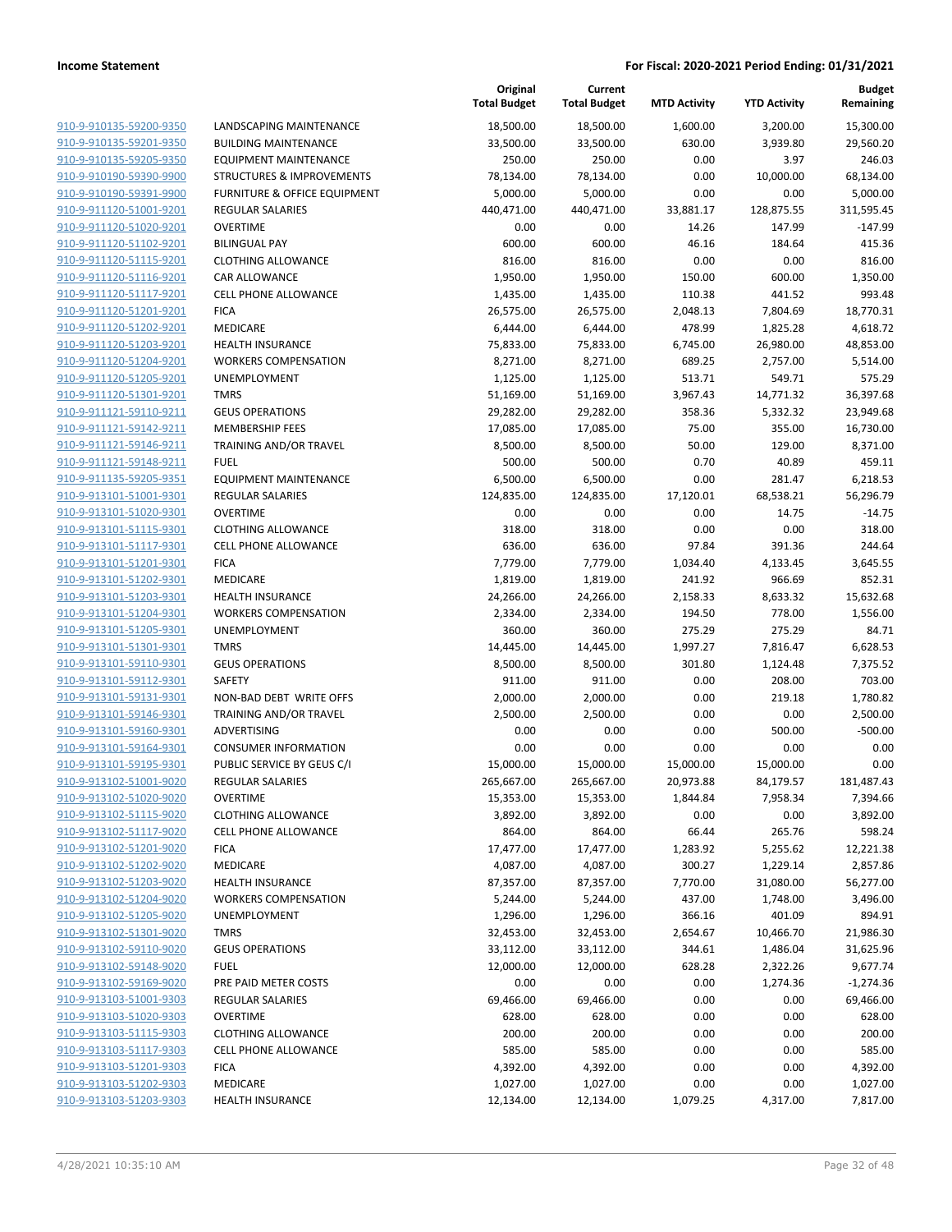|                         |                                         | Original<br><b>Total Budget</b> | Current<br><b>Total Budget</b> | <b>MTD Activity</b> | <b>YTD Activity</b> | <b>Budget</b><br>Remaining |
|-------------------------|-----------------------------------------|---------------------------------|--------------------------------|---------------------|---------------------|----------------------------|
| 910-9-910135-59200-9350 | LANDSCAPING MAINTENANCE                 | 18,500.00                       | 18,500.00                      | 1,600.00            | 3,200.00            | 15,300.00                  |
| 910-9-910135-59201-9350 | <b>BUILDING MAINTENANCE</b>             | 33,500.00                       | 33,500.00                      | 630.00              | 3,939.80            | 29,560.20                  |
| 910-9-910135-59205-9350 | <b>EQUIPMENT MAINTENANCE</b>            | 250.00                          | 250.00                         | 0.00                | 3.97                | 246.03                     |
| 910-9-910190-59390-9900 | <b>STRUCTURES &amp; IMPROVEMENTS</b>    | 78,134.00                       | 78,134.00                      | 0.00                | 10,000.00           | 68,134.00                  |
| 910-9-910190-59391-9900 | <b>FURNITURE &amp; OFFICE EQUIPMENT</b> | 5,000.00                        | 5,000.00                       | 0.00                | 0.00                | 5,000.00                   |
| 910-9-911120-51001-9201 | REGULAR SALARIES                        | 440,471.00                      | 440,471.00                     | 33,881.17           | 128,875.55          | 311,595.45                 |
| 910-9-911120-51020-9201 | <b>OVERTIME</b>                         | 0.00                            | 0.00                           | 14.26               | 147.99              | $-147.99$                  |
| 910-9-911120-51102-9201 | <b>BILINGUAL PAY</b>                    | 600.00                          | 600.00                         | 46.16               | 184.64              | 415.36                     |
| 910-9-911120-51115-9201 | <b>CLOTHING ALLOWANCE</b>               | 816.00                          | 816.00                         | 0.00                | 0.00                | 816.00                     |
| 910-9-911120-51116-9201 | <b>CAR ALLOWANCE</b>                    | 1,950.00                        | 1,950.00                       | 150.00              | 600.00              | 1,350.00                   |
| 910-9-911120-51117-9201 | <b>CELL PHONE ALLOWANCE</b>             | 1,435.00                        | 1,435.00                       | 110.38              | 441.52              | 993.48                     |
| 910-9-911120-51201-9201 | <b>FICA</b>                             | 26,575.00                       | 26,575.00                      | 2,048.13            | 7,804.69            | 18,770.31                  |
| 910-9-911120-51202-9201 | MEDICARE                                | 6,444.00                        | 6,444.00                       | 478.99              | 1,825.28            | 4,618.72                   |
| 910-9-911120-51203-9201 | <b>HEALTH INSURANCE</b>                 | 75,833.00                       | 75,833.00                      | 6,745.00            | 26,980.00           | 48,853.00                  |
| 910-9-911120-51204-9201 | <b>WORKERS COMPENSATION</b>             | 8,271.00                        | 8,271.00                       | 689.25              | 2,757.00            | 5,514.00                   |
| 910-9-911120-51205-9201 | UNEMPLOYMENT                            | 1,125.00                        | 1,125.00                       | 513.71              | 549.71              | 575.29                     |
| 910-9-911120-51301-9201 | <b>TMRS</b>                             | 51,169.00                       | 51,169.00                      | 3,967.43            | 14,771.32           | 36,397.68                  |
| 910-9-911121-59110-9211 | <b>GEUS OPERATIONS</b>                  | 29,282.00                       | 29,282.00                      | 358.36              | 5,332.32            | 23,949.68                  |
| 910-9-911121-59142-9211 | <b>MEMBERSHIP FEES</b>                  | 17,085.00                       | 17,085.00                      | 75.00               | 355.00              | 16,730.00                  |
| 910-9-911121-59146-9211 | TRAINING AND/OR TRAVEL                  | 8,500.00                        | 8,500.00                       | 50.00               | 129.00              | 8,371.00                   |
| 910-9-911121-59148-9211 | <b>FUEL</b>                             | 500.00                          | 500.00                         | 0.70                | 40.89               | 459.11                     |
| 910-9-911135-59205-9351 | <b>EQUIPMENT MAINTENANCE</b>            | 6,500.00                        | 6,500.00                       | 0.00                | 281.47              | 6,218.53                   |
| 910-9-913101-51001-9301 | REGULAR SALARIES                        | 124,835.00                      | 124,835.00                     | 17,120.01           | 68,538.21           | 56,296.79                  |
| 910-9-913101-51020-9301 | <b>OVERTIME</b>                         | 0.00                            | 0.00                           | 0.00                | 14.75               | $-14.75$                   |
| 910-9-913101-51115-9301 | <b>CLOTHING ALLOWANCE</b>               | 318.00                          | 318.00                         | 0.00                | 0.00                | 318.00                     |
| 910-9-913101-51117-9301 | <b>CELL PHONE ALLOWANCE</b>             | 636.00                          | 636.00                         | 97.84               | 391.36              | 244.64                     |
| 910-9-913101-51201-9301 | <b>FICA</b>                             | 7,779.00                        | 7,779.00                       | 1,034.40            | 4,133.45            | 3,645.55                   |
| 910-9-913101-51202-9301 | MEDICARE                                | 1,819.00                        | 1,819.00                       | 241.92              | 966.69              | 852.31                     |
| 910-9-913101-51203-9301 | <b>HEALTH INSURANCE</b>                 | 24,266.00                       | 24,266.00                      | 2,158.33            | 8,633.32            | 15,632.68                  |
| 910-9-913101-51204-9301 | <b>WORKERS COMPENSATION</b>             | 2,334.00                        | 2,334.00                       | 194.50              | 778.00              | 1,556.00                   |
| 910-9-913101-51205-9301 | UNEMPLOYMENT                            | 360.00                          | 360.00                         | 275.29              | 275.29              | 84.71                      |
| 910-9-913101-51301-9301 | <b>TMRS</b>                             | 14,445.00                       | 14,445.00                      | 1,997.27            | 7,816.47            | 6,628.53                   |
| 910-9-913101-59110-9301 | <b>GEUS OPERATIONS</b>                  | 8,500.00                        | 8,500.00                       | 301.80              | 1,124.48            | 7,375.52                   |
| 910-9-913101-59112-9301 | SAFETY                                  | 911.00                          | 911.00                         | 0.00                | 208.00              | 703.00                     |
| 910-9-913101-59131-9301 | NON-BAD DEBT WRITE OFFS                 | 2,000.00                        | 2,000.00                       | 0.00                | 219.18              | 1,780.82                   |
| 910-9-913101-59146-9301 | TRAINING AND/OR TRAVEL                  | 2,500.00                        | 2,500.00                       | 0.00                | 0.00                | 2,500.00                   |
| 910-9-913101-59160-9301 | <b>ADVERTISING</b>                      | 0.00                            | 0.00                           | 0.00                | 500.00              | $-500.00$                  |
| 910-9-913101-59164-9301 | <b>CONSUMER INFORMATION</b>             | 0.00                            | 0.00                           | 0.00                | 0.00                | 0.00                       |
| 910-9-913101-59195-9301 | PUBLIC SERVICE BY GEUS C/I              | 15,000.00                       | 15,000.00                      | 15,000.00           | 15,000.00           | 0.00                       |
| 910-9-913102-51001-9020 | <b>REGULAR SALARIES</b>                 | 265,667.00                      | 265,667.00                     | 20,973.88           | 84,179.57           | 181,487.43                 |
| 910-9-913102-51020-9020 | <b>OVERTIME</b>                         | 15,353.00                       | 15,353.00                      | 1,844.84            | 7,958.34            | 7,394.66                   |
| 910-9-913102-51115-9020 | <b>CLOTHING ALLOWANCE</b>               | 3,892.00                        | 3,892.00                       | 0.00                | 0.00                | 3,892.00                   |
| 910-9-913102-51117-9020 | <b>CELL PHONE ALLOWANCE</b>             | 864.00                          | 864.00                         | 66.44               | 265.76              | 598.24                     |
| 910-9-913102-51201-9020 | <b>FICA</b>                             | 17,477.00                       | 17,477.00                      | 1,283.92            | 5,255.62            | 12,221.38                  |
| 910-9-913102-51202-9020 | MEDICARE                                | 4,087.00                        | 4,087.00                       | 300.27              | 1,229.14            | 2,857.86                   |
| 910-9-913102-51203-9020 | <b>HEALTH INSURANCE</b>                 | 87,357.00                       | 87,357.00                      | 7,770.00            | 31,080.00           | 56,277.00                  |
| 910-9-913102-51204-9020 | <b>WORKERS COMPENSATION</b>             | 5,244.00                        | 5,244.00                       | 437.00              | 1,748.00            | 3,496.00                   |
| 910-9-913102-51205-9020 | UNEMPLOYMENT                            | 1,296.00                        | 1,296.00                       | 366.16              | 401.09              | 894.91                     |
| 910-9-913102-51301-9020 | <b>TMRS</b>                             | 32,453.00                       | 32,453.00                      | 2,654.67            | 10,466.70           | 21,986.30                  |
| 910-9-913102-59110-9020 | <b>GEUS OPERATIONS</b>                  | 33,112.00                       | 33,112.00                      | 344.61              | 1,486.04            | 31,625.96                  |
| 910-9-913102-59148-9020 | <b>FUEL</b>                             | 12,000.00                       | 12,000.00                      | 628.28              | 2,322.26            | 9,677.74                   |
| 910-9-913102-59169-9020 | PRE PAID METER COSTS                    | 0.00                            | 0.00                           | 0.00                | 1,274.36            | $-1,274.36$                |
| 910-9-913103-51001-9303 | REGULAR SALARIES                        | 69,466.00                       | 69,466.00                      | 0.00                | 0.00                | 69,466.00                  |
| 910-9-913103-51020-9303 | <b>OVERTIME</b>                         | 628.00                          | 628.00                         | 0.00                | 0.00                | 628.00                     |
| 910-9-913103-51115-9303 | <b>CLOTHING ALLOWANCE</b>               | 200.00                          | 200.00                         | 0.00                | 0.00                | 200.00                     |
| 910-9-913103-51117-9303 | <b>CELL PHONE ALLOWANCE</b>             | 585.00                          | 585.00                         | 0.00                | 0.00                | 585.00                     |
| 910-9-913103-51201-9303 | <b>FICA</b>                             | 4,392.00                        | 4,392.00                       | 0.00                | 0.00                | 4,392.00                   |
| 910-9-913103-51202-9303 | MEDICARE                                | 1,027.00                        | 1,027.00                       | 0.00                | 0.00                | 1,027.00                   |
| 910-9-913103-51203-9303 | <b>HEALTH INSURANCE</b>                 | 12,134.00                       | 12,134.00                      | 1,079.25            | 4,317.00            | 7,817.00                   |
|                         |                                         |                                 |                                |                     |                     |                            |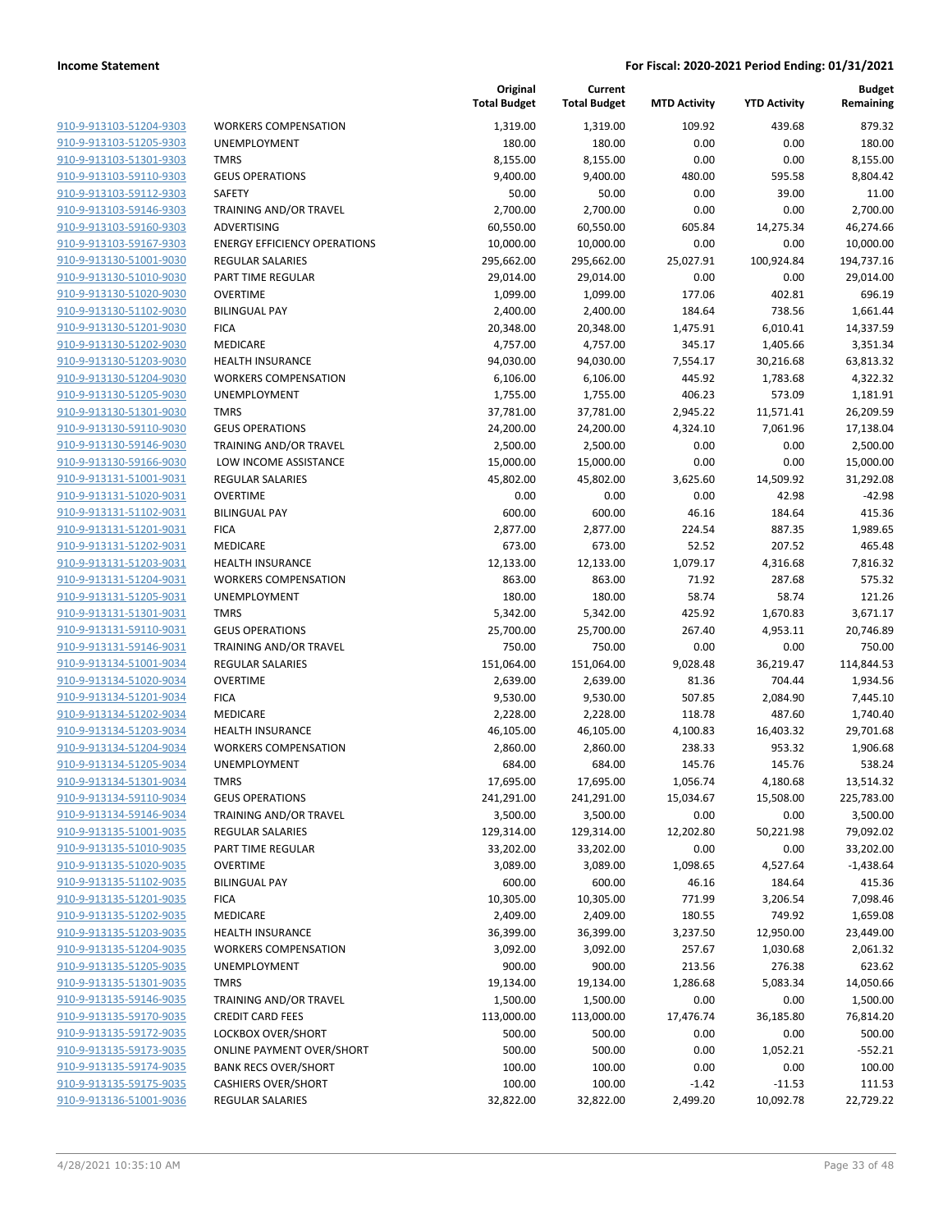| 910-9-913103-51204-9303                            |
|----------------------------------------------------|
| 910-9-913103-51205-9303                            |
| 910-9-913103-51301-9303                            |
| 910-9-913103-59110-9303                            |
| 910-9-913103-59112-9303                            |
| 910-9-913103-59146-9303                            |
| 910-9-913103-59160-9303                            |
| 910-9-913103-59167-9303                            |
| 910-9-913130-51001-9030                            |
| 910-9-913130-51010-9030                            |
| 910-9-913130-51020-9030                            |
| 910-9-913130-51102-9030                            |
| 910-9-913130-51201-9030                            |
| 910-9-913130-51202-9030                            |
| 910-9-913130-51203-9030                            |
| <u>910-9-913130-51204-9030</u>                     |
| 910-9-913130-51205-9030                            |
| 910-9-913130-51301-9030                            |
| 910-9-913130-59110-9030                            |
| 910-9-913130-59146-9030                            |
| 910-9-913130-59166-9030                            |
| 910-9-913131-51001-9031                            |
| 910-9-913131-51020-9031                            |
| 910-9-913131-51102-9031                            |
| 910-9-913131-51201-9031                            |
| 910-9-913131-51202-9031                            |
| 910-9-913131-51203-9031                            |
| 910-9-913131-51204-9031                            |
| 910-9-913131-51205-9031                            |
| 910-9-913131-51301-9031                            |
| 910-9-913131-59110-9031                            |
| 910-9-913131-59146-9031                            |
| 910-9-913134-51001-9034                            |
| 910-9-913134-51020-9034                            |
| 910-9-913134-51201-9034                            |
|                                                    |
| 910-9-913134-51202-9034<br>910-9-913134-51203-9034 |
|                                                    |
| 910-9-913134-51204-9034<br>910-9-913134-51205-9034 |
|                                                    |
| 910-9-913134-51301-9034                            |
| 910-9-913134-59110-9034                            |
| <u>910-9-913134-59146-9034</u>                     |
| 910-9-913135-51001-9035                            |
| 910-9-913135-51010-9035                            |
| 910-9-913135-51020-9035                            |
| 910-9-913135-51102-9035                            |
| 910-9-913135-51201-9035                            |
| <u>910-9-913135-51202-9035</u>                     |
| <u>910-9-913135-51203-9035</u>                     |
| 910-9-913135-51204-9035                            |
| <u>910-9-913135-51205-9035</u>                     |
| <u>910-9-913135-51301-9035</u>                     |
| <u>910-9-913135-59146-9035</u>                     |
| 910-9-913135-59170-9035                            |
| <u>910-9-913135-59172-9035</u>                     |
| <u>910-9-913135-59173-9035</u>                     |
| <u>910-9-913135-59174-9035</u>                     |
| <u>910-9-913135-59175-9035</u>                     |
| 910-9-913136-51001-9036                            |

|                         |                                     | Original<br><b>Total Budget</b> | Current<br><b>Total Budget</b> | <b>MTD Activity</b> | <b>YTD Activity</b> | <b>Budget</b><br>Remaining |
|-------------------------|-------------------------------------|---------------------------------|--------------------------------|---------------------|---------------------|----------------------------|
| 910-9-913103-51204-9303 | <b>WORKERS COMPENSATION</b>         | 1,319.00                        | 1,319.00                       | 109.92              | 439.68              | 879.32                     |
| 910-9-913103-51205-9303 | <b>UNEMPLOYMENT</b>                 | 180.00                          | 180.00                         | 0.00                | 0.00                | 180.00                     |
| 910-9-913103-51301-9303 | <b>TMRS</b>                         | 8,155.00                        | 8,155.00                       | 0.00                | 0.00                | 8,155.00                   |
| 910-9-913103-59110-9303 | <b>GEUS OPERATIONS</b>              | 9,400.00                        | 9,400.00                       | 480.00              | 595.58              | 8,804.42                   |
| 910-9-913103-59112-9303 | <b>SAFETY</b>                       | 50.00                           | 50.00                          | 0.00                | 39.00               | 11.00                      |
| 910-9-913103-59146-9303 | TRAINING AND/OR TRAVEL              | 2,700.00                        | 2,700.00                       | 0.00                | 0.00                | 2,700.00                   |
| 910-9-913103-59160-9303 | ADVERTISING                         | 60,550.00                       | 60,550.00                      | 605.84              | 14,275.34           | 46,274.66                  |
| 910-9-913103-59167-9303 | <b>ENERGY EFFICIENCY OPERATIONS</b> | 10,000.00                       | 10,000.00                      | 0.00                | 0.00                | 10,000.00                  |
| 910-9-913130-51001-9030 | <b>REGULAR SALARIES</b>             | 295,662.00                      | 295,662.00                     | 25,027.91           | 100,924.84          | 194,737.16                 |
| 910-9-913130-51010-9030 | PART TIME REGULAR                   | 29,014.00                       | 29,014.00                      | 0.00                | 0.00                | 29,014.00                  |
| 910-9-913130-51020-9030 | <b>OVERTIME</b>                     | 1,099.00                        | 1,099.00                       | 177.06              | 402.81              | 696.19                     |
| 910-9-913130-51102-9030 | <b>BILINGUAL PAY</b>                | 2,400.00                        | 2,400.00                       | 184.64              | 738.56              | 1,661.44                   |
| 910-9-913130-51201-9030 | <b>FICA</b>                         | 20,348.00                       | 20,348.00                      | 1,475.91            | 6,010.41            | 14,337.59                  |
| 910-9-913130-51202-9030 | MEDICARE                            | 4,757.00                        | 4,757.00                       | 345.17              | 1,405.66            | 3,351.34                   |
| 910-9-913130-51203-9030 | <b>HEALTH INSURANCE</b>             | 94,030.00                       | 94,030.00                      | 7,554.17            | 30,216.68           | 63,813.32                  |
| 910-9-913130-51204-9030 | <b>WORKERS COMPENSATION</b>         | 6,106.00                        | 6,106.00                       | 445.92              | 1,783.68            | 4,322.32                   |
| 910-9-913130-51205-9030 | UNEMPLOYMENT                        | 1,755.00                        | 1,755.00                       | 406.23              | 573.09              | 1,181.91                   |
| 910-9-913130-51301-9030 | <b>TMRS</b>                         | 37,781.00                       | 37,781.00                      | 2,945.22            | 11,571.41           | 26,209.59                  |
| 910-9-913130-59110-9030 | <b>GEUS OPERATIONS</b>              | 24,200.00                       | 24,200.00                      | 4,324.10            | 7,061.96            | 17,138.04                  |
| 910-9-913130-59146-9030 | TRAINING AND/OR TRAVEL              | 2,500.00                        | 2,500.00                       | 0.00                | 0.00                | 2,500.00                   |
| 910-9-913130-59166-9030 | LOW INCOME ASSISTANCE               | 15,000.00                       | 15,000.00                      | 0.00                | 0.00                | 15,000.00                  |
| 910-9-913131-51001-9031 | <b>REGULAR SALARIES</b>             | 45,802.00                       | 45,802.00                      | 3,625.60            | 14,509.92           | 31,292.08                  |
| 910-9-913131-51020-9031 | <b>OVERTIME</b>                     | 0.00                            | 0.00                           | 0.00                | 42.98               | $-42.98$                   |
| 910-9-913131-51102-9031 | <b>BILINGUAL PAY</b>                | 600.00                          | 600.00                         | 46.16               | 184.64              | 415.36                     |
| 910-9-913131-51201-9031 | <b>FICA</b>                         | 2,877.00                        | 2,877.00                       | 224.54              | 887.35              | 1,989.65                   |
| 910-9-913131-51202-9031 | MEDICARE                            | 673.00                          | 673.00                         | 52.52               | 207.52              | 465.48                     |
| 910-9-913131-51203-9031 | <b>HEALTH INSURANCE</b>             | 12,133.00                       | 12,133.00                      | 1,079.17            | 4,316.68            | 7,816.32                   |
| 910-9-913131-51204-9031 | <b>WORKERS COMPENSATION</b>         | 863.00                          | 863.00                         | 71.92               | 287.68              | 575.32                     |
| 910-9-913131-51205-9031 | <b>UNEMPLOYMENT</b>                 | 180.00                          | 180.00                         | 58.74               | 58.74               | 121.26                     |
| 910-9-913131-51301-9031 | <b>TMRS</b>                         | 5,342.00                        | 5,342.00                       | 425.92              | 1,670.83            | 3,671.17                   |
| 910-9-913131-59110-9031 | <b>GEUS OPERATIONS</b>              | 25,700.00                       | 25,700.00                      | 267.40              | 4,953.11            | 20,746.89                  |
| 910-9-913131-59146-9031 | TRAINING AND/OR TRAVEL              | 750.00                          | 750.00                         | 0.00                | 0.00                | 750.00                     |
| 910-9-913134-51001-9034 | <b>REGULAR SALARIES</b>             | 151,064.00                      | 151,064.00                     | 9,028.48            | 36,219.47           | 114,844.53                 |
| 910-9-913134-51020-9034 | <b>OVERTIME</b>                     | 2,639.00                        | 2,639.00                       | 81.36               | 704.44              | 1,934.56                   |
| 910-9-913134-51201-9034 | <b>FICA</b>                         | 9,530.00                        | 9,530.00                       | 507.85              | 2,084.90            | 7,445.10                   |
| 910-9-913134-51202-9034 | MEDICARE                            | 2,228.00                        | 2,228.00                       | 118.78              | 487.60              | 1,740.40                   |
| 910-9-913134-51203-9034 | <b>HEALTH INSURANCE</b>             | 46,105.00                       | 46,105.00                      | 4,100.83            | 16,403.32           | 29,701.68                  |
| 910-9-913134-51204-9034 | <b>WORKERS COMPENSATION</b>         | 2,860.00                        | 2,860.00                       | 238.33              | 953.32              | 1,906.68                   |
| 910-9-913134-51205-9034 | <b>UNEMPLOYMENT</b>                 | 684.00                          | 684.00                         | 145.76              | 145.76              | 538.24                     |
| 910-9-913134-51301-9034 | <b>TMRS</b>                         | 17,695.00                       | 17,695.00                      | 1,056.74            | 4,180.68            | 13,514.32                  |
| 910-9-913134-59110-9034 | <b>GEUS OPERATIONS</b>              | 241,291.00                      | 241,291.00                     | 15,034.67           | 15,508.00           | 225,783.00                 |
| 910-9-913134-59146-9034 | TRAINING AND/OR TRAVEL              | 3,500.00                        | 3,500.00                       | 0.00                | 0.00                | 3,500.00                   |
| 910-9-913135-51001-9035 | REGULAR SALARIES                    | 129,314.00                      | 129,314.00                     | 12,202.80           | 50,221.98           | 79,092.02                  |
| 910-9-913135-51010-9035 | PART TIME REGULAR                   | 33,202.00                       | 33,202.00                      | 0.00                | 0.00                | 33,202.00                  |
| 910-9-913135-51020-9035 | <b>OVERTIME</b>                     | 3,089.00                        | 3,089.00                       | 1,098.65            | 4,527.64            | $-1,438.64$                |
| 910-9-913135-51102-9035 | <b>BILINGUAL PAY</b>                | 600.00                          | 600.00                         | 46.16               | 184.64              | 415.36                     |
| 910-9-913135-51201-9035 | <b>FICA</b>                         | 10,305.00                       | 10,305.00                      | 771.99              | 3,206.54            | 7,098.46                   |
| 910-9-913135-51202-9035 | MEDICARE                            | 2,409.00                        | 2,409.00                       | 180.55              | 749.92              | 1,659.08                   |
| 910-9-913135-51203-9035 | <b>HEALTH INSURANCE</b>             | 36,399.00                       | 36,399.00                      | 3,237.50            | 12,950.00           | 23,449.00                  |
| 910-9-913135-51204-9035 | <b>WORKERS COMPENSATION</b>         | 3,092.00                        | 3,092.00                       | 257.67              | 1,030.68            | 2,061.32                   |
| 910-9-913135-51205-9035 | UNEMPLOYMENT                        | 900.00                          | 900.00                         | 213.56              | 276.38              | 623.62                     |
| 910-9-913135-51301-9035 | <b>TMRS</b>                         | 19,134.00                       | 19,134.00                      | 1,286.68            | 5,083.34            | 14,050.66                  |
| 910-9-913135-59146-9035 | TRAINING AND/OR TRAVEL              | 1,500.00                        | 1,500.00                       | 0.00                | 0.00                | 1,500.00                   |
| 910-9-913135-59170-9035 | <b>CREDIT CARD FEES</b>             | 113,000.00                      | 113,000.00                     | 17,476.74           | 36,185.80           | 76,814.20                  |
| 910-9-913135-59172-9035 | LOCKBOX OVER/SHORT                  | 500.00                          | 500.00                         | 0.00                | 0.00                | 500.00                     |
| 910-9-913135-59173-9035 | <b>ONLINE PAYMENT OVER/SHORT</b>    | 500.00                          | 500.00                         | 0.00                | 1,052.21            | $-552.21$                  |
| 910-9-913135-59174-9035 | <b>BANK RECS OVER/SHORT</b>         | 100.00                          | 100.00                         | 0.00                | 0.00                | 100.00                     |
| 910-9-913135-59175-9035 | <b>CASHIERS OVER/SHORT</b>          | 100.00                          | 100.00                         | $-1.42$             | $-11.53$            | 111.53                     |
| 910-9-913136-51001-9036 | REGULAR SALARIES                    | 32,822.00                       | 32,822.00                      | 2,499.20            | 10,092.78           | 22,729.22                  |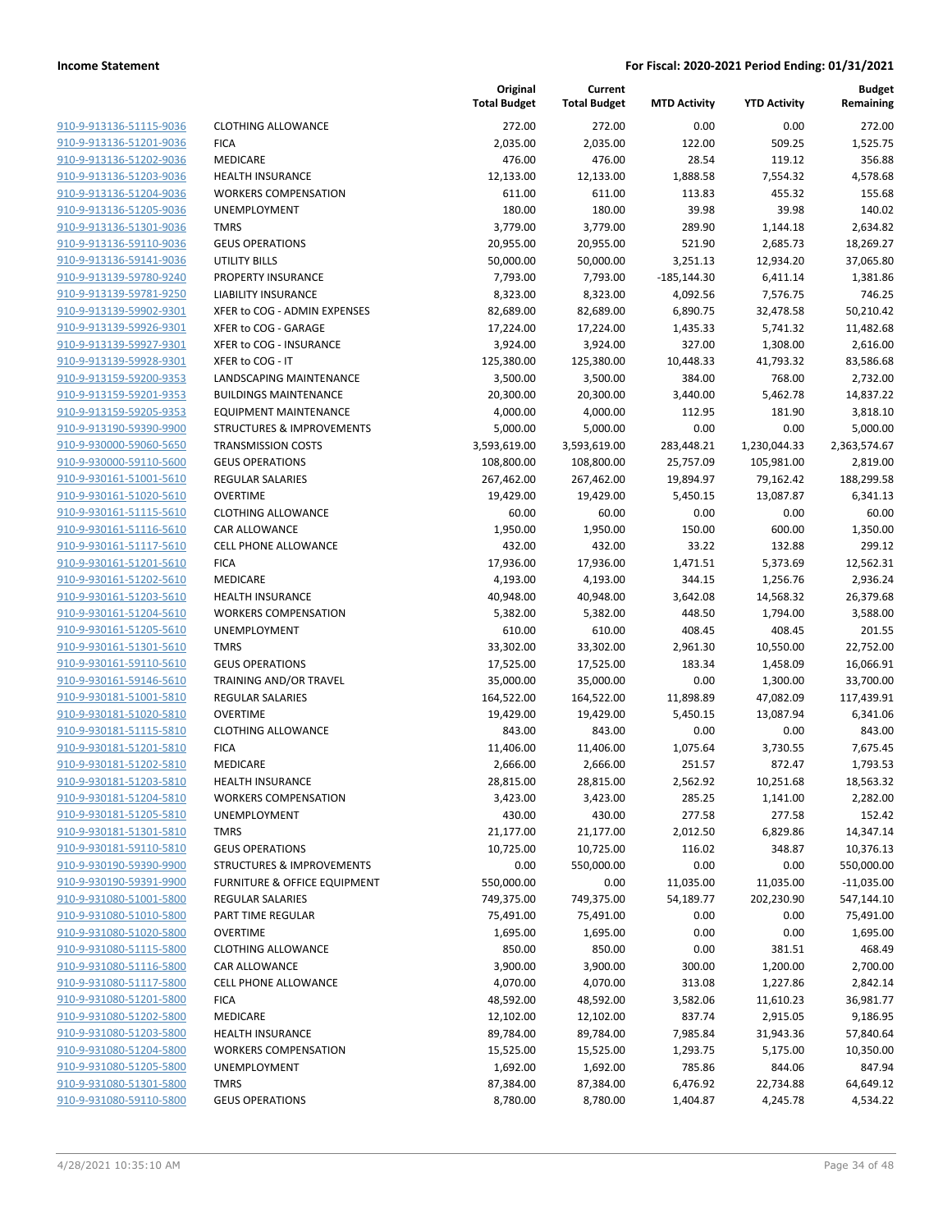| 910-9-913136-51115-9036        |
|--------------------------------|
| 910-9-913136-51201-9036        |
| 910-9-913136-51202-9036        |
| 910-9-913136-51203-9036        |
| 910-9-913136-51204-9036        |
| 910-9-913136-51205-9036        |
| 910-9-913136-51301-9036        |
| 910-9-913136-59110-9036        |
| 910-9-913136-59141-9036        |
| 910-9-913139-59780-9240        |
| 910-9-913139-59781-9250        |
| 910-9-913139-59902-9301        |
| 910-9-913139-59926-9301        |
| 910-9-913139-59927-9301        |
| <u>910-9-913139-59928-9301</u> |
| 910-9-913159-59200-9353        |
| 910-9-913159-59201-9353        |
| 910-9-913159-59205-9353        |
| 910-9-913190-59390-9900        |
| 910-9-930000-59060-5650        |
| 910-9-930000-59110-5600        |
| 910-9-930161-51001-5610        |
| 910-9-930161-51020-5610        |
| 910-9-930161-51115-5610        |
| 910-9-930161-51116-5610        |
| 910-9-930161-51117-5610        |
| 910-9-930161-51201-5610        |
| 910-9-930161-51202-5610        |
| 910-9-930161-51203-5610        |
| 910-9-930161-51204-5610        |
| 910-9-930161-51205-5610        |
| 910-9-930161-51301-5610        |
| 910-9-930161-59110-5610        |
| 910-9-930161-59146-5610        |
| 910-9-930181-51001-5810        |
| 910-9-930181-51020-5810        |
| 910-9-930181-51115-5810        |
| 910-9-930181-51201-5810        |
| 910-9-930181-51202-5810        |
| 910-9-930181-51203-5810        |
| 910-9-930181-51204-5810        |
| 910-9-930181-51205-5810        |
| 910-9-930181-51301-5810        |
| 910-9-930181-59110-5810        |
| 910-9-930190-59390-9900        |
| 910-9-930190-59391-9900        |
| 910-9-931080-51001-5800        |
| 910-9-931080-51010-5800        |
| 910-9-931080-51020-5800        |
| 910-9-931080-51115-5800        |
| 910-9-931080-51116-5800        |
| 910-9-931080-51117-5800        |
| 910-9-931080-51201-5800        |
| 910-9-931080-51202-5800        |
| 910-9-931080-51203-5800        |
| 910-9-931080-51204-5800        |
| 910-9-931080-51205-5800        |
| 910-9-931080-51301-5800        |
| 910-9-931080-59110-5800        |
|                                |

|                                                    |                                         | Original<br><b>Total Budget</b> | Current<br><b>Total Budget</b> | <b>MTD Activity</b> | <b>YTD Activity</b>   | <b>Budget</b><br>Remaining |
|----------------------------------------------------|-----------------------------------------|---------------------------------|--------------------------------|---------------------|-----------------------|----------------------------|
| 910-9-913136-51115-9036                            | <b>CLOTHING ALLOWANCE</b>               | 272.00                          | 272.00                         | 0.00                | 0.00                  | 272.00                     |
| 910-9-913136-51201-9036                            | <b>FICA</b>                             | 2,035.00                        | 2,035.00                       | 122.00              | 509.25                | 1,525.75                   |
| 910-9-913136-51202-9036                            | MEDICARE                                | 476.00                          | 476.00                         | 28.54               | 119.12                | 356.88                     |
| 910-9-913136-51203-9036                            | <b>HEALTH INSURANCE</b>                 | 12,133.00                       | 12,133.00                      | 1,888.58            | 7,554.32              | 4,578.68                   |
| 910-9-913136-51204-9036                            | <b>WORKERS COMPENSATION</b>             | 611.00                          | 611.00                         | 113.83              | 455.32                | 155.68                     |
| 910-9-913136-51205-9036                            | UNEMPLOYMENT                            | 180.00                          | 180.00                         | 39.98               | 39.98                 | 140.02                     |
| 910-9-913136-51301-9036                            | <b>TMRS</b>                             | 3,779.00                        | 3,779.00                       | 289.90              | 1,144.18              | 2,634.82                   |
| 910-9-913136-59110-9036                            | <b>GEUS OPERATIONS</b>                  | 20,955.00                       | 20,955.00                      | 521.90              | 2,685.73              | 18,269.27                  |
| 910-9-913136-59141-9036                            | <b>UTILITY BILLS</b>                    | 50,000.00                       | 50,000.00                      | 3,251.13            | 12,934.20             | 37,065.80                  |
| 910-9-913139-59780-9240                            | PROPERTY INSURANCE                      | 7,793.00                        | 7,793.00                       | $-185,144.30$       | 6,411.14              | 1,381.86                   |
| 910-9-913139-59781-9250                            | <b>LIABILITY INSURANCE</b>              | 8,323.00                        | 8,323.00                       | 4,092.56            | 7,576.75              | 746.25                     |
| 910-9-913139-59902-9301                            | XFER to COG - ADMIN EXPENSES            | 82,689.00                       | 82,689.00                      | 6,890.75            | 32,478.58             | 50,210.42                  |
| 910-9-913139-59926-9301                            | XFER to COG - GARAGE                    | 17,224.00                       | 17,224.00                      | 1,435.33            | 5,741.32              | 11,482.68                  |
| 910-9-913139-59927-9301                            | XFER to COG - INSURANCE                 | 3,924.00                        | 3,924.00                       | 327.00              | 1,308.00              | 2,616.00                   |
| 910-9-913139-59928-9301                            | XFER to COG - IT                        | 125,380.00                      | 125,380.00                     | 10,448.33           | 41,793.32             | 83,586.68                  |
| 910-9-913159-59200-9353                            | LANDSCAPING MAINTENANCE                 | 3,500.00                        | 3,500.00                       | 384.00              | 768.00                | 2,732.00                   |
| 910-9-913159-59201-9353                            | <b>BUILDINGS MAINTENANCE</b>            | 20,300.00                       | 20,300.00                      | 3,440.00            | 5,462.78              | 14,837.22                  |
| 910-9-913159-59205-9353                            | <b>EQUIPMENT MAINTENANCE</b>            | 4,000.00                        | 4,000.00                       | 112.95              | 181.90                | 3,818.10                   |
| 910-9-913190-59390-9900                            | <b>STRUCTURES &amp; IMPROVEMENTS</b>    | 5,000.00                        | 5,000.00                       | 0.00                | 0.00                  | 5,000.00                   |
| 910-9-930000-59060-5650                            | <b>TRANSMISSION COSTS</b>               | 3,593,619.00                    | 3,593,619.00                   | 283,448.21          | 1,230,044.33          | 2,363,574.67               |
| 910-9-930000-59110-5600                            | <b>GEUS OPERATIONS</b>                  | 108,800.00                      | 108,800.00                     | 25,757.09           | 105,981.00            | 2,819.00                   |
| 910-9-930161-51001-5610                            | REGULAR SALARIES                        | 267,462.00                      | 267,462.00                     | 19,894.97           | 79,162.42             | 188,299.58                 |
| 910-9-930161-51020-5610                            | <b>OVERTIME</b>                         | 19,429.00                       | 19,429.00                      | 5,450.15            | 13,087.87             | 6,341.13                   |
| 910-9-930161-51115-5610                            | <b>CLOTHING ALLOWANCE</b>               | 60.00                           | 60.00                          | 0.00                | 0.00                  | 60.00                      |
| 910-9-930161-51116-5610                            | <b>CAR ALLOWANCE</b>                    | 1,950.00                        | 1,950.00                       | 150.00              | 600.00                | 1,350.00                   |
| 910-9-930161-51117-5610                            | <b>CELL PHONE ALLOWANCE</b>             | 432.00                          | 432.00                         | 33.22               | 132.88                | 299.12                     |
| 910-9-930161-51201-5610                            | <b>FICA</b>                             | 17,936.00                       | 17,936.00                      | 1,471.51            | 5,373.69              | 12,562.31                  |
| 910-9-930161-51202-5610                            | MEDICARE                                | 4,193.00                        | 4,193.00                       | 344.15              | 1,256.76              | 2,936.24                   |
| 910-9-930161-51203-5610                            | <b>HEALTH INSURANCE</b>                 | 40,948.00                       | 40,948.00                      | 3,642.08            | 14,568.32             | 26,379.68                  |
| 910-9-930161-51204-5610<br>910-9-930161-51205-5610 | <b>WORKERS COMPENSATION</b>             | 5,382.00                        | 5,382.00                       | 448.50              | 1,794.00              | 3,588.00                   |
| 910-9-930161-51301-5610                            | UNEMPLOYMENT<br><b>TMRS</b>             | 610.00                          | 610.00                         | 408.45              | 408.45                | 201.55                     |
| 910-9-930161-59110-5610                            | <b>GEUS OPERATIONS</b>                  | 33,302.00<br>17,525.00          | 33,302.00<br>17,525.00         | 2,961.30<br>183.34  | 10,550.00<br>1,458.09 | 22,752.00<br>16,066.91     |
| 910-9-930161-59146-5610                            | TRAINING AND/OR TRAVEL                  | 35,000.00                       | 35,000.00                      | 0.00                | 1,300.00              | 33,700.00                  |
| 910-9-930181-51001-5810                            | REGULAR SALARIES                        | 164,522.00                      | 164,522.00                     | 11,898.89           | 47,082.09             | 117,439.91                 |
| 910-9-930181-51020-5810                            | <b>OVERTIME</b>                         | 19,429.00                       | 19,429.00                      | 5,450.15            | 13,087.94             | 6,341.06                   |
| 910-9-930181-51115-5810                            | <b>CLOTHING ALLOWANCE</b>               | 843.00                          | 843.00                         | 0.00                | 0.00                  | 843.00                     |
| 910-9-930181-51201-5810                            | <b>FICA</b>                             | 11,406.00                       | 11,406.00                      | 1,075.64            | 3,730.55              | 7,675.45                   |
| 910-9-930181-51202-5810                            | MEDICARE                                | 2,666.00                        | 2,666.00                       | 251.57              | 872.47                | 1,793.53                   |
| 910-9-930181-51203-5810                            | <b>HEALTH INSURANCE</b>                 | 28,815.00                       | 28,815.00                      | 2,562.92            | 10,251.68             | 18,563.32                  |
| 910-9-930181-51204-5810                            | <b>WORKERS COMPENSATION</b>             | 3,423.00                        | 3,423.00                       | 285.25              | 1,141.00              | 2,282.00                   |
| 910-9-930181-51205-5810                            | UNEMPLOYMENT                            | 430.00                          | 430.00                         | 277.58              | 277.58                | 152.42                     |
| 910-9-930181-51301-5810                            | <b>TMRS</b>                             | 21,177.00                       | 21,177.00                      | 2,012.50            | 6,829.86              | 14,347.14                  |
| 910-9-930181-59110-5810                            | <b>GEUS OPERATIONS</b>                  | 10,725.00                       | 10,725.00                      | 116.02              | 348.87                | 10,376.13                  |
| 910-9-930190-59390-9900                            | STRUCTURES & IMPROVEMENTS               | 0.00                            | 550,000.00                     | 0.00                | 0.00                  | 550,000.00                 |
| 910-9-930190-59391-9900                            | <b>FURNITURE &amp; OFFICE EQUIPMENT</b> | 550,000.00                      | 0.00                           | 11,035.00           | 11,035.00             | $-11,035.00$               |
| 910-9-931080-51001-5800                            | <b>REGULAR SALARIES</b>                 | 749,375.00                      | 749,375.00                     | 54,189.77           | 202,230.90            | 547,144.10                 |
| 910-9-931080-51010-5800                            | PART TIME REGULAR                       | 75,491.00                       | 75,491.00                      | 0.00                | 0.00                  | 75,491.00                  |
| 910-9-931080-51020-5800                            | <b>OVERTIME</b>                         | 1,695.00                        | 1,695.00                       | 0.00                | 0.00                  | 1,695.00                   |
| 910-9-931080-51115-5800                            | <b>CLOTHING ALLOWANCE</b>               | 850.00                          | 850.00                         | 0.00                | 381.51                | 468.49                     |
| 910-9-931080-51116-5800                            | CAR ALLOWANCE                           | 3,900.00                        | 3,900.00                       | 300.00              | 1,200.00              | 2,700.00                   |
| 910-9-931080-51117-5800                            | <b>CELL PHONE ALLOWANCE</b>             | 4,070.00                        | 4,070.00                       | 313.08              | 1,227.86              | 2,842.14                   |
| 910-9-931080-51201-5800                            | <b>FICA</b>                             | 48,592.00                       | 48,592.00                      | 3,582.06            | 11,610.23             | 36,981.77                  |
| 910-9-931080-51202-5800                            | MEDICARE                                | 12,102.00                       | 12,102.00                      | 837.74              | 2,915.05              | 9,186.95                   |
| 910-9-931080-51203-5800                            | <b>HEALTH INSURANCE</b>                 | 89,784.00                       | 89,784.00                      | 7,985.84            | 31,943.36             | 57,840.64                  |
| 910-9-931080-51204-5800                            | <b>WORKERS COMPENSATION</b>             | 15,525.00                       | 15,525.00                      | 1,293.75            | 5,175.00              | 10,350.00                  |
| 910-9-931080-51205-5800                            | UNEMPLOYMENT                            | 1,692.00                        | 1,692.00                       | 785.86              | 844.06                | 847.94                     |
| 910-9-931080-51301-5800                            | <b>TMRS</b>                             | 87,384.00                       | 87,384.00                      | 6,476.92            | 22,734.88             | 64,649.12                  |
| 910-9-931080-59110-5800                            | <b>GEUS OPERATIONS</b>                  | 8,780.00                        | 8,780.00                       | 1,404.87            | 4,245.78              | 4,534.22                   |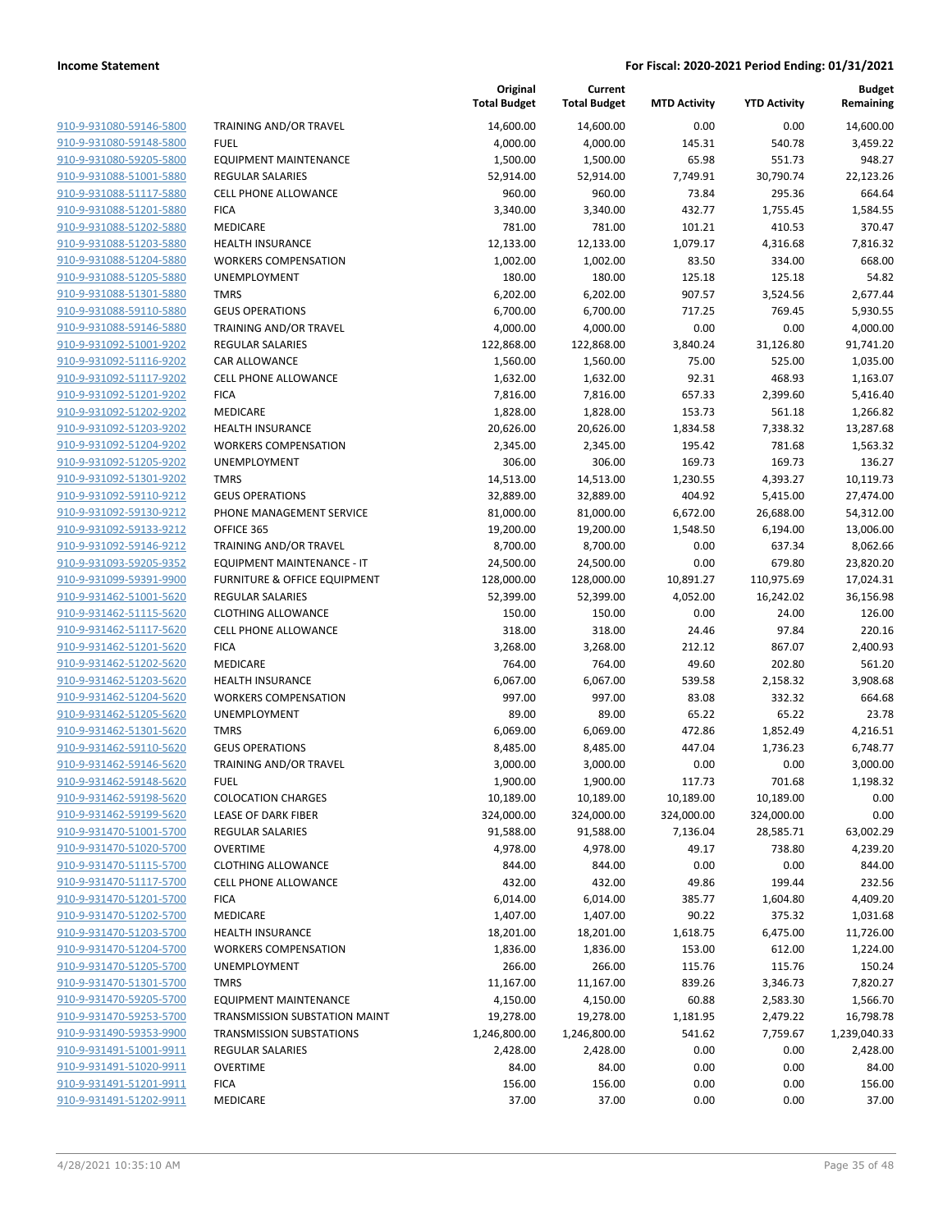| 910-9-931080-59146-5800                            | TRAINING AND/OR TRAVEL                               |
|----------------------------------------------------|------------------------------------------------------|
| 910-9-931080-59148-5800<br>910-9-931080-59205-5800 | FUEL<br><b>EQUIPMENT MAINTENANCE</b>                 |
| 910-9-931088-51001-5880                            | <b>REGULAR SALARIES</b>                              |
| 910-9-931088-51117-5880                            | <b>CELL PHONE ALLOWANCE</b>                          |
| 910-9-931088-51201-5880                            | <b>FICA</b>                                          |
| 910-9-931088-51202-5880                            | <b>MEDICARE</b>                                      |
| 910-9-931088-51203-5880                            | <b>HEALTH INSURANCE</b>                              |
| 910-9-931088-51204-5880                            | <b>WORKERS COMPENSATION</b>                          |
| 910-9-931088-51205-5880                            | <b>UNEMPLOYMENT</b>                                  |
| 910-9-931088-51301-5880                            | <b>TMRS</b>                                          |
| 910-9-931088-59110-5880                            | <b>GEUS OPERATIONS</b>                               |
| 910-9-931088-59146-5880                            | <b>TRAINING AND/OR TRAVEL</b>                        |
| 910-9-931092-51001-9202                            | <b>REGULAR SALARIES</b>                              |
| 910-9-931092-51116-9202                            | <b>CAR ALLOWANCE</b>                                 |
| 910-9-931092-51117-9202                            | <b>CELL PHONE ALLOWANCE</b>                          |
| 910-9-931092-51201-9202                            | <b>FICA</b>                                          |
| 910-9-931092-51202-9202                            | <b>MEDICARE</b>                                      |
| 910-9-931092-51203-9202                            | <b>HEALTH INSURANCE</b>                              |
| 910-9-931092-51204-9202                            | <b>WORKERS COMPENSATION</b>                          |
| 910-9-931092-51205-9202                            | <b>UNEMPLOYMENT</b>                                  |
| 910-9-931092-51301-9202                            | <b>TMRS</b>                                          |
| 910-9-931092-59110-9212                            | <b>GEUS OPERATIONS</b>                               |
| 910-9-931092-59130-9212                            | PHONE MANAGEMENT SERVICE                             |
| 910-9-931092-59133-9212                            | OFFICE 365                                           |
| 910-9-931092-59146-9212                            | TRAINING AND/OR TRAVEL                               |
| 910-9-931093-59205-9352                            | EQUIPMENT MAINTENANCE - IT                           |
| 910-9-931099-59391-9900                            | <b>FURNITURE &amp; OFFICE EQUIPMENT</b>              |
| 910-9-931462-51001-5620<br>910-9-931462-51115-5620 | <b>REGULAR SALARIES</b><br><b>CLOTHING ALLOWANCE</b> |
| 910-9-931462-51117-5620                            | <b>CELL PHONE ALLOWANCE</b>                          |
| 910-9-931462-51201-5620                            | <b>FICA</b>                                          |
| 910-9-931462-51202-5620                            | <b>MEDICARE</b>                                      |
| 910-9-931462-51203-5620                            | <b>HEALTH INSURANCE</b>                              |
| 910-9-931462-51204-5620                            | <b>WORKERS COMPENSATION</b>                          |
| 910-9-931462-51205-5620                            | <b>UNEMPLOYMENT</b>                                  |
| 910-9-931462-51301-5620                            | <b>TMRS</b>                                          |
| 910-9-931462-59110-5620                            | <b>GEUS OPERATIONS</b>                               |
| 910-9-931462-59146-5620                            | TRAINING AND/OR TRAVEL                               |
| 910-9-931462-59148-5620                            | <b>FUEL</b>                                          |
| 910-9-931462-59198-5620                            | <b>COLOCATION CHARGES</b>                            |
| 910-9-931462-59199-5620                            | LEASE OF DARK FIBER                                  |
| 910-9-931470-51001-5700                            | <b>REGULAR SALARIES</b>                              |
| 910-9-931470-51020-5700                            | <b>OVERTIME</b>                                      |
| 910-9-931470-51115-5700                            | <b>CLOTHING ALLOWANCE</b>                            |
| 910-9-931470-51117-5700                            | <b>CELL PHONE ALLOWANCE</b>                          |
| 910-9-931470-51201-5700                            | <b>FICA</b>                                          |
| 910-9-931470-51202-5700<br>910-9-931470-51203-5700 | MEDICARE<br><b>HEALTH INSURANCE</b>                  |
| 910-9-931470-51204-5700                            | <b>WORKERS COMPENSATION</b>                          |
| 910-9-931470-51205-5700                            | <b>UNEMPLOYMENT</b>                                  |
| 910-9-931470-51301-5700                            | <b>TMRS</b>                                          |
| 910-9-931470-59205-5700                            | EQUIPMENT MAINTENANCE                                |
| 910-9-931470-59253-5700                            | <b>TRANSMISSION SUBSTATION MAINT</b>                 |
| 910-9-931490-59353-9900                            | <b>TRANSMISSION SUBSTATIONS</b>                      |
| 910-9-931491-51001-9911                            | REGULAR SALARIES                                     |
| 910-9-931491-51020-9911                            | <b>OVERTIME</b>                                      |
| 910-9-931491-51201-9911                            | <b>FICA</b>                                          |
| 910-9-931491-51202-9911                            | <b>MEDICARE</b>                                      |
|                                                    |                                                      |

|                         |                                 | Original<br><b>Total Budget</b> | Current<br><b>Total Budget</b> | <b>MTD Activity</b> | <b>YTD Activity</b> | <b>Budget</b><br>Remaining |
|-------------------------|---------------------------------|---------------------------------|--------------------------------|---------------------|---------------------|----------------------------|
| 910-9-931080-59146-5800 | TRAINING AND/OR TRAVEL          | 14,600.00                       | 14,600.00                      | 0.00                | 0.00                | 14,600.00                  |
| 910-9-931080-59148-5800 | <b>FUEL</b>                     | 4,000.00                        | 4,000.00                       | 145.31              | 540.78              | 3,459.22                   |
| 910-9-931080-59205-5800 | <b>EQUIPMENT MAINTENANCE</b>    | 1,500.00                        | 1,500.00                       | 65.98               | 551.73              | 948.27                     |
| 910-9-931088-51001-5880 | <b>REGULAR SALARIES</b>         | 52,914.00                       | 52,914.00                      | 7,749.91            | 30,790.74           | 22,123.26                  |
| 910-9-931088-51117-5880 | <b>CELL PHONE ALLOWANCE</b>     | 960.00                          | 960.00                         | 73.84               | 295.36              | 664.64                     |
| 910-9-931088-51201-5880 | <b>FICA</b>                     | 3,340.00                        | 3,340.00                       | 432.77              | 1,755.45            | 1,584.55                   |
| 910-9-931088-51202-5880 | MEDICARE                        | 781.00                          | 781.00                         | 101.21              | 410.53              | 370.47                     |
| 910-9-931088-51203-5880 | <b>HEALTH INSURANCE</b>         | 12,133.00                       | 12,133.00                      | 1,079.17            | 4,316.68            | 7,816.32                   |
| 910-9-931088-51204-5880 | <b>WORKERS COMPENSATION</b>     | 1,002.00                        | 1,002.00                       | 83.50               | 334.00              | 668.00                     |
| 910-9-931088-51205-5880 | <b>UNEMPLOYMENT</b>             | 180.00                          | 180.00                         | 125.18              | 125.18              | 54.82                      |
| 910-9-931088-51301-5880 | <b>TMRS</b>                     | 6,202.00                        | 6,202.00                       | 907.57              | 3,524.56            | 2,677.44                   |
| 910-9-931088-59110-5880 | <b>GEUS OPERATIONS</b>          | 6,700.00                        | 6,700.00                       | 717.25              | 769.45              | 5,930.55                   |
| 910-9-931088-59146-5880 | TRAINING AND/OR TRAVEL          | 4,000.00                        | 4,000.00                       | 0.00                | 0.00                | 4,000.00                   |
| 910-9-931092-51001-9202 | <b>REGULAR SALARIES</b>         | 122,868.00                      | 122,868.00                     | 3,840.24            | 31,126.80           | 91,741.20                  |
| 910-9-931092-51116-9202 | CAR ALLOWANCE                   | 1,560.00                        | 1,560.00                       | 75.00               | 525.00              | 1,035.00                   |
| 910-9-931092-51117-9202 | <b>CELL PHONE ALLOWANCE</b>     | 1,632.00                        | 1,632.00                       | 92.31               | 468.93              | 1,163.07                   |
| 910-9-931092-51201-9202 | <b>FICA</b>                     | 7,816.00                        | 7,816.00                       | 657.33              | 2,399.60            | 5,416.40                   |
| 910-9-931092-51202-9202 | MEDICARE                        | 1,828.00                        | 1,828.00                       | 153.73              | 561.18              | 1,266.82                   |
| 910-9-931092-51203-9202 | <b>HEALTH INSURANCE</b>         | 20,626.00                       | 20,626.00                      | 1,834.58            | 7,338.32            | 13,287.68                  |
| 910-9-931092-51204-9202 | <b>WORKERS COMPENSATION</b>     | 2,345.00                        | 2,345.00                       | 195.42              | 781.68              | 1,563.32                   |
| 910-9-931092-51205-9202 | UNEMPLOYMENT                    | 306.00                          | 306.00                         | 169.73              | 169.73              | 136.27                     |
| 910-9-931092-51301-9202 | <b>TMRS</b>                     | 14,513.00                       | 14,513.00                      | 1,230.55            | 4,393.27            | 10,119.73                  |
| 910-9-931092-59110-9212 | <b>GEUS OPERATIONS</b>          | 32,889.00                       | 32,889.00                      | 404.92              | 5,415.00            | 27,474.00                  |
| 910-9-931092-59130-9212 | PHONE MANAGEMENT SERVICE        | 81,000.00                       | 81,000.00                      | 6,672.00            | 26,688.00           | 54,312.00                  |
| 910-9-931092-59133-9212 | OFFICE 365                      | 19,200.00                       | 19,200.00                      | 1,548.50            | 6,194.00            | 13,006.00                  |
| 910-9-931092-59146-9212 | TRAINING AND/OR TRAVEL          | 8,700.00                        | 8,700.00                       | 0.00                | 637.34              | 8,062.66                   |
| 910-9-931093-59205-9352 | EQUIPMENT MAINTENANCE - IT      | 24,500.00                       | 24,500.00                      | 0.00                | 679.80              | 23,820.20                  |
| 910-9-931099-59391-9900 | FURNITURE & OFFICE EQUIPMENT    | 128,000.00                      | 128,000.00                     | 10,891.27           | 110,975.69          | 17,024.31                  |
| 910-9-931462-51001-5620 | <b>REGULAR SALARIES</b>         | 52,399.00                       | 52,399.00                      | 4,052.00            | 16,242.02           | 36,156.98                  |
| 910-9-931462-51115-5620 | <b>CLOTHING ALLOWANCE</b>       | 150.00                          | 150.00                         | 0.00                | 24.00               | 126.00                     |
| 910-9-931462-51117-5620 | <b>CELL PHONE ALLOWANCE</b>     | 318.00                          | 318.00                         | 24.46               | 97.84               | 220.16                     |
| 910-9-931462-51201-5620 | <b>FICA</b>                     | 3,268.00                        | 3,268.00                       | 212.12              | 867.07              | 2,400.93                   |
| 910-9-931462-51202-5620 | MEDICARE                        | 764.00                          | 764.00                         | 49.60               | 202.80              | 561.20                     |
| 910-9-931462-51203-5620 | <b>HEALTH INSURANCE</b>         | 6,067.00                        | 6,067.00                       | 539.58              | 2,158.32            | 3,908.68                   |
| 910-9-931462-51204-5620 | <b>WORKERS COMPENSATION</b>     | 997.00                          | 997.00                         | 83.08               | 332.32              | 664.68                     |
| 910-9-931462-51205-5620 | UNEMPLOYMENT                    | 89.00                           | 89.00                          | 65.22               | 65.22               | 23.78                      |
| 910-9-931462-51301-5620 | <b>TMRS</b>                     | 6,069.00                        | 6,069.00                       | 472.86              | 1,852.49            | 4,216.51                   |
| 910-9-931462-59110-5620 | <b>GEUS OPERATIONS</b>          | 8,485.00                        | 8,485.00                       | 447.04              | 1,736.23            | 6,748.77                   |
| 910-9-931462-59146-5620 | TRAINING AND/OR TRAVEL          | 3,000.00                        | 3,000.00                       | 0.00                | 0.00                | 3,000.00                   |
| 910-9-931462-59148-5620 | <b>FUEL</b>                     | 1,900.00                        | 1,900.00                       | 117.73              | 701.68              | 1,198.32                   |
| 910-9-931462-59198-5620 | <b>COLOCATION CHARGES</b>       | 10,189.00                       | 10,189.00                      | 10,189.00           | 10,189.00           | 0.00                       |
| 910-9-931462-59199-5620 | LEASE OF DARK FIBER             | 324,000.00                      | 324,000.00                     | 324,000.00          | 324,000.00          | 0.00                       |
| 910-9-931470-51001-5700 | <b>REGULAR SALARIES</b>         | 91,588.00                       | 91,588.00                      | 7,136.04            | 28,585.71           | 63,002.29                  |
| 910-9-931470-51020-5700 | <b>OVERTIME</b>                 | 4,978.00                        | 4,978.00                       | 49.17               | 738.80              | 4,239.20                   |
| 910-9-931470-51115-5700 | <b>CLOTHING ALLOWANCE</b>       | 844.00                          | 844.00                         | 0.00                | 0.00                | 844.00                     |
| 910-9-931470-51117-5700 | <b>CELL PHONE ALLOWANCE</b>     | 432.00                          | 432.00                         | 49.86               | 199.44              | 232.56                     |
| 910-9-931470-51201-5700 | <b>FICA</b>                     | 6,014.00                        | 6,014.00                       | 385.77              | 1,604.80            | 4,409.20                   |
| 910-9-931470-51202-5700 | MEDICARE                        | 1,407.00                        | 1,407.00                       | 90.22               | 375.32              | 1,031.68                   |
| 910-9-931470-51203-5700 | <b>HEALTH INSURANCE</b>         | 18,201.00                       | 18,201.00                      | 1,618.75            | 6,475.00            | 11,726.00                  |
| 910-9-931470-51204-5700 | <b>WORKERS COMPENSATION</b>     | 1,836.00                        | 1,836.00                       | 153.00              | 612.00              | 1,224.00                   |
| 910-9-931470-51205-5700 | UNEMPLOYMENT                    | 266.00                          | 266.00                         | 115.76              | 115.76              | 150.24                     |
| 910-9-931470-51301-5700 | <b>TMRS</b>                     | 11,167.00                       | 11,167.00                      | 839.26              | 3,346.73            | 7,820.27                   |
| 910-9-931470-59205-5700 | <b>EQUIPMENT MAINTENANCE</b>    | 4,150.00                        | 4,150.00                       | 60.88               | 2,583.30            | 1,566.70                   |
| 910-9-931470-59253-5700 | TRANSMISSION SUBSTATION MAINT   | 19,278.00                       | 19,278.00                      | 1,181.95            | 2,479.22            | 16,798.78                  |
| 910-9-931490-59353-9900 | <b>TRANSMISSION SUBSTATIONS</b> | 1,246,800.00                    | 1,246,800.00                   | 541.62              | 7,759.67            | 1,239,040.33               |
| 910-9-931491-51001-9911 | <b>REGULAR SALARIES</b>         | 2,428.00                        | 2,428.00                       | 0.00                | 0.00                | 2,428.00                   |
| 910-9-931491-51020-9911 | <b>OVERTIME</b>                 | 84.00                           | 84.00                          | 0.00                | 0.00                | 84.00                      |
| 910-9-931491-51201-9911 | <b>FICA</b>                     | 156.00                          | 156.00                         | 0.00                | 0.00                | 156.00                     |
| 910-9-931491-51202-9911 | <b>MEDICARE</b>                 | 37.00                           | 37.00                          | 0.00                | 0.00                | 37.00                      |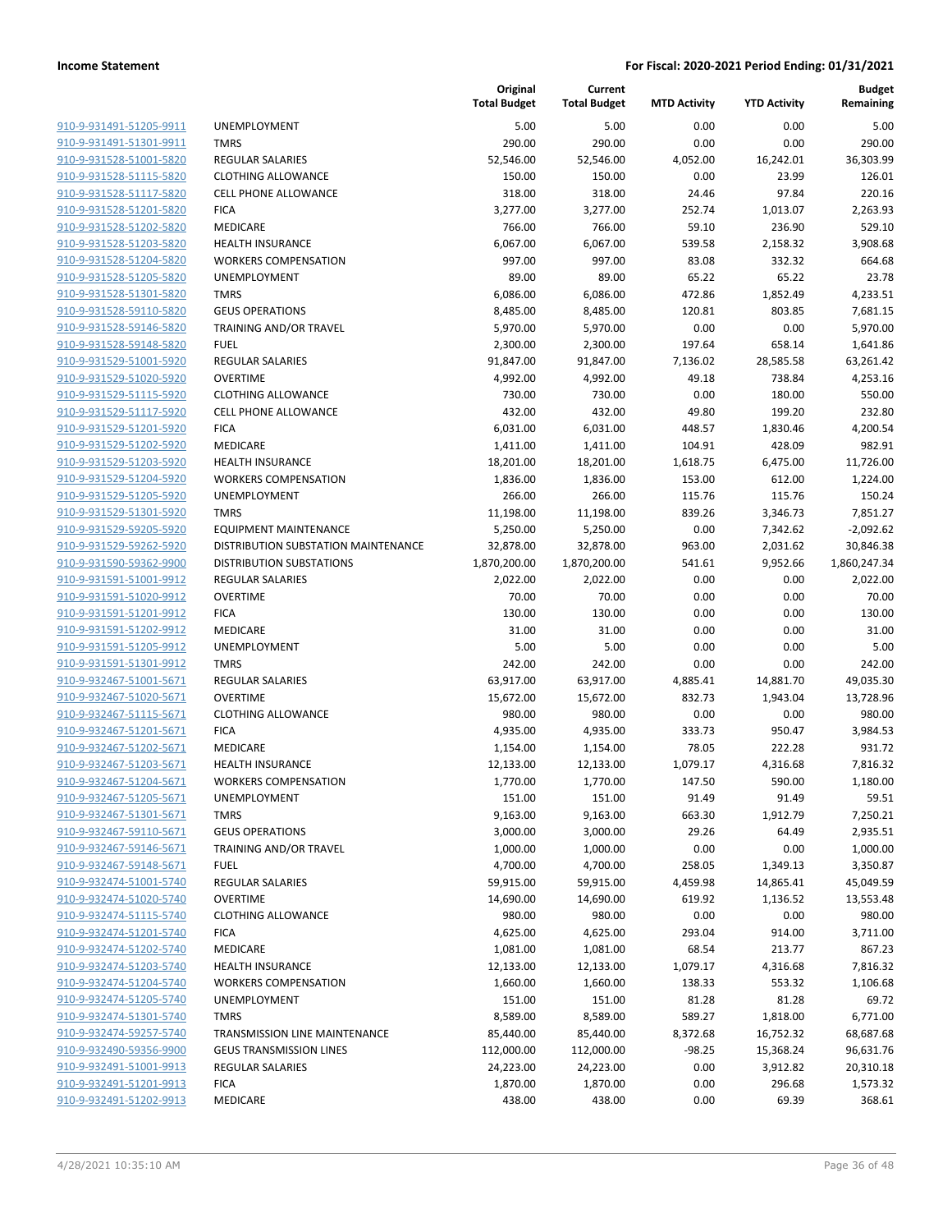| 910-9-931491-51205-9911                    |
|--------------------------------------------|
| 910-9-931491-51301-9911                    |
| 910-9-931528-51001-5820                    |
| 910-9-931528-51115-5820                    |
| 910-9-931528-51117-5820                    |
| 910-9-931528-51201-5820                    |
| 910-9-931528-51202-5820                    |
| 910-9-931528-51203-5820                    |
| 910-9-931528-51204-5820                    |
| 910-9-931528-51205-5820                    |
| 910-9-931528-51301-5820                    |
| 910-9-931528-59110-5820                    |
| 910-9-931528-59146-5820                    |
|                                            |
| 910-9-931528-59148-5820                    |
| 910-9-931529-51001-5920                    |
| 910-9-931529-51020-5920                    |
| 910-9-931529-51115-5920                    |
| 910-9-931529-51117-5920                    |
| 910-9-931529-51201-5920                    |
| 910-9-931529-51202-5920                    |
| 910-9-931529-51203-5920                    |
| 910-9-931529-51204-5920                    |
| 910-9-931529-51205-5920                    |
| 910-9-931529-51301-5920                    |
| 910-9-931529-59205-5920                    |
| 910-9-931529-59262-5920                    |
| 910-9-931590-59362-9900                    |
| 910-9-931591-51001-9912                    |
|                                            |
| 910-9-931591-51020-9912                    |
| <u>910-9-931591-51201-9912</u>             |
| 910-9-931591-51202-9912                    |
| 910-9-931591-51205-9912                    |
| 910-9-931591-51301-9912                    |
| 910-9-932467-51001-5671                    |
| 910-9-932467-51020-5671                    |
| <u>910-9-932467-51115-5671</u>             |
| 910-9-932467-51201-5671                    |
| 910-9-932467-51202-5671                    |
| 910-9-932467-51203-5671                    |
| 910-9-932467-51204-5671                    |
| 910-9-932467-51205-5671                    |
| <u>910-9-932467-51301-5671</u>             |
| 910-9-932467-59110-5671                    |
| 910-9-932467-59146-5671                    |
|                                            |
| 910-9-932467-59148-5671                    |
| <u>910-9-932474-51001-5740</u>             |
| 910-9-932474-51020-5740                    |
| 910-9-932474-51115-5740                    |
| 910-9-932474-51201-5740                    |
| 910-9-932474-51202-5740                    |
| 910-9-932474-51203-5740                    |
| 910-9-932474-51204-5740                    |
| <u>910-9-932474-51205-5740</u>             |
| 910-9-932474-51301-5740                    |
| 910-9-932474-59257-5740                    |
| <u>910-9-932490-59356-9900</u>             |
| <u>910-9-932491-51001-9913</u>             |
| <u>910-9-932491-51201-</u><br><u>-9913</u> |
|                                            |
| 910-9-932491-51202-9913                    |

|                         |                                     | Original<br><b>Total Budget</b> | Current<br><b>Total Budget</b> | <b>MTD Activity</b> | <b>YTD Activity</b> | <b>Budget</b><br>Remaining |
|-------------------------|-------------------------------------|---------------------------------|--------------------------------|---------------------|---------------------|----------------------------|
| 910-9-931491-51205-9911 | <b>UNEMPLOYMENT</b>                 | 5.00                            | 5.00                           | 0.00                | 0.00                | 5.00                       |
| 910-9-931491-51301-9911 | <b>TMRS</b>                         | 290.00                          | 290.00                         | 0.00                | 0.00                | 290.00                     |
| 910-9-931528-51001-5820 | <b>REGULAR SALARIES</b>             | 52,546.00                       | 52,546.00                      | 4,052.00            | 16,242.01           | 36,303.99                  |
| 910-9-931528-51115-5820 | <b>CLOTHING ALLOWANCE</b>           | 150.00                          | 150.00                         | 0.00                | 23.99               | 126.01                     |
| 910-9-931528-51117-5820 | <b>CELL PHONE ALLOWANCE</b>         | 318.00                          | 318.00                         | 24.46               | 97.84               | 220.16                     |
| 910-9-931528-51201-5820 | <b>FICA</b>                         | 3,277.00                        | 3,277.00                       | 252.74              | 1,013.07            | 2,263.93                   |
| 910-9-931528-51202-5820 | MEDICARE                            | 766.00                          | 766.00                         | 59.10               | 236.90              | 529.10                     |
| 910-9-931528-51203-5820 | <b>HEALTH INSURANCE</b>             | 6,067.00                        | 6,067.00                       | 539.58              | 2,158.32            | 3,908.68                   |
| 910-9-931528-51204-5820 | <b>WORKERS COMPENSATION</b>         | 997.00                          | 997.00                         | 83.08               | 332.32              | 664.68                     |
| 910-9-931528-51205-5820 | UNEMPLOYMENT                        | 89.00                           | 89.00                          | 65.22               | 65.22               | 23.78                      |
| 910-9-931528-51301-5820 | <b>TMRS</b>                         | 6,086.00                        | 6,086.00                       | 472.86              | 1,852.49            | 4,233.51                   |
| 910-9-931528-59110-5820 | <b>GEUS OPERATIONS</b>              | 8,485.00                        | 8,485.00                       | 120.81              | 803.85              | 7,681.15                   |
| 910-9-931528-59146-5820 | TRAINING AND/OR TRAVEL              | 5,970.00                        | 5,970.00                       | 0.00                | 0.00                | 5,970.00                   |
| 910-9-931528-59148-5820 | <b>FUEL</b>                         | 2,300.00                        | 2,300.00                       | 197.64              | 658.14              | 1,641.86                   |
| 910-9-931529-51001-5920 | <b>REGULAR SALARIES</b>             | 91,847.00                       | 91,847.00                      | 7,136.02            | 28,585.58           | 63,261.42                  |
| 910-9-931529-51020-5920 | <b>OVERTIME</b>                     | 4,992.00                        | 4,992.00                       | 49.18               | 738.84              | 4,253.16                   |
| 910-9-931529-51115-5920 | <b>CLOTHING ALLOWANCE</b>           | 730.00                          | 730.00                         | 0.00                | 180.00              | 550.00                     |
| 910-9-931529-51117-5920 | <b>CELL PHONE ALLOWANCE</b>         | 432.00                          | 432.00                         | 49.80               | 199.20              | 232.80                     |
| 910-9-931529-51201-5920 | <b>FICA</b>                         | 6,031.00                        | 6,031.00                       | 448.57              | 1,830.46            | 4,200.54                   |
| 910-9-931529-51202-5920 | <b>MEDICARE</b>                     | 1,411.00                        | 1,411.00                       | 104.91              | 428.09              | 982.91                     |
| 910-9-931529-51203-5920 | <b>HEALTH INSURANCE</b>             | 18,201.00                       | 18,201.00                      | 1,618.75            | 6,475.00            | 11,726.00                  |
| 910-9-931529-51204-5920 | <b>WORKERS COMPENSATION</b>         | 1,836.00                        | 1,836.00                       | 153.00              | 612.00              | 1,224.00                   |
| 910-9-931529-51205-5920 | UNEMPLOYMENT                        | 266.00                          | 266.00                         | 115.76              | 115.76              | 150.24                     |
| 910-9-931529-51301-5920 | <b>TMRS</b>                         | 11,198.00                       | 11,198.00                      | 839.26              | 3,346.73            | 7,851.27                   |
| 910-9-931529-59205-5920 | <b>EQUIPMENT MAINTENANCE</b>        | 5,250.00                        | 5,250.00                       | 0.00                | 7,342.62            | $-2,092.62$                |
| 910-9-931529-59262-5920 | DISTRIBUTION SUBSTATION MAINTENANCE | 32,878.00                       | 32,878.00                      | 963.00              | 2,031.62            | 30,846.38                  |
| 910-9-931590-59362-9900 | <b>DISTRIBUTION SUBSTATIONS</b>     | 1,870,200.00                    | 1,870,200.00                   | 541.61              | 9,952.66            | 1,860,247.34               |
| 910-9-931591-51001-9912 | <b>REGULAR SALARIES</b>             | 2,022.00                        | 2,022.00                       | 0.00                | 0.00                | 2,022.00                   |
| 910-9-931591-51020-9912 | <b>OVERTIME</b>                     | 70.00                           | 70.00                          | 0.00                | 0.00                | 70.00                      |
| 910-9-931591-51201-9912 | <b>FICA</b>                         | 130.00                          | 130.00                         | 0.00                | 0.00                | 130.00                     |
| 910-9-931591-51202-9912 | MEDICARE                            | 31.00                           | 31.00                          | 0.00                | 0.00                | 31.00                      |
| 910-9-931591-51205-9912 | UNEMPLOYMENT                        | 5.00                            | 5.00                           | 0.00                | 0.00                | 5.00                       |
| 910-9-931591-51301-9912 | <b>TMRS</b>                         | 242.00                          | 242.00                         | 0.00                | 0.00                | 242.00                     |
| 910-9-932467-51001-5671 | <b>REGULAR SALARIES</b>             | 63,917.00                       | 63,917.00                      | 4,885.41            | 14,881.70           | 49,035.30                  |
| 910-9-932467-51020-5671 | <b>OVERTIME</b>                     | 15,672.00                       | 15,672.00                      | 832.73              | 1,943.04            | 13,728.96                  |
| 910-9-932467-51115-5671 | <b>CLOTHING ALLOWANCE</b>           | 980.00                          | 980.00                         | 0.00                | 0.00                | 980.00                     |
| 910-9-932467-51201-5671 | <b>FICA</b>                         | 4,935.00                        | 4,935.00                       | 333.73              | 950.47              | 3,984.53                   |
| 910-9-932467-51202-5671 | MEDICARE                            | 1,154.00                        | 1,154.00                       | 78.05               | 222.28              | 931.72                     |
| 910-9-932467-51203-5671 | <b>HEALTH INSURANCE</b>             | 12,133.00                       | 12,133.00                      | 1,079.17            | 4,316.68            | 7,816.32                   |
| 910-9-932467-51204-5671 | <b>WORKERS COMPENSATION</b>         | 1,770.00                        | 1,770.00                       | 147.50              | 590.00              | 1,180.00                   |
| 910-9-932467-51205-5671 | <b>UNEMPLOYMENT</b>                 | 151.00                          | 151.00                         | 91.49               | 91.49               | 59.51                      |
| 910-9-932467-51301-5671 | <b>TMRS</b>                         | 9,163.00                        | 9,163.00                       | 663.30              | 1,912.79            | 7,250.21                   |
| 910-9-932467-59110-5671 | <b>GEUS OPERATIONS</b>              | 3,000.00                        | 3,000.00                       | 29.26               | 64.49               | 2,935.51                   |
| 910-9-932467-59146-5671 | <b>TRAINING AND/OR TRAVEL</b>       | 1,000.00                        | 1,000.00                       | 0.00                | 0.00                | 1,000.00                   |
| 910-9-932467-59148-5671 | <b>FUEL</b>                         | 4,700.00                        | 4,700.00                       | 258.05              | 1,349.13            | 3,350.87                   |
| 910-9-932474-51001-5740 | REGULAR SALARIES                    | 59,915.00                       | 59,915.00                      | 4,459.98            | 14,865.41           | 45,049.59                  |
| 910-9-932474-51020-5740 | <b>OVERTIME</b>                     | 14,690.00                       | 14,690.00                      | 619.92              | 1,136.52            | 13,553.48                  |
| 910-9-932474-51115-5740 | <b>CLOTHING ALLOWANCE</b>           | 980.00                          | 980.00                         | 0.00                | 0.00                | 980.00                     |
| 910-9-932474-51201-5740 | <b>FICA</b>                         | 4,625.00                        | 4,625.00                       | 293.04              | 914.00              | 3,711.00                   |
| 910-9-932474-51202-5740 | MEDICARE                            | 1,081.00                        | 1,081.00                       | 68.54               | 213.77              | 867.23                     |
| 910-9-932474-51203-5740 | <b>HEALTH INSURANCE</b>             | 12,133.00                       | 12,133.00                      | 1,079.17            | 4,316.68            | 7,816.32                   |
| 910-9-932474-51204-5740 | <b>WORKERS COMPENSATION</b>         | 1,660.00                        | 1,660.00                       | 138.33              | 553.32              | 1,106.68                   |
| 910-9-932474-51205-5740 | <b>UNEMPLOYMENT</b>                 | 151.00                          | 151.00                         | 81.28               | 81.28               | 69.72                      |
| 910-9-932474-51301-5740 | <b>TMRS</b>                         | 8,589.00                        | 8,589.00                       | 589.27              | 1,818.00            | 6,771.00                   |
| 910-9-932474-59257-5740 | TRANSMISSION LINE MAINTENANCE       | 85,440.00                       | 85,440.00                      | 8,372.68            | 16,752.32           | 68,687.68                  |
| 910-9-932490-59356-9900 | <b>GEUS TRANSMISSION LINES</b>      | 112,000.00                      | 112,000.00                     | $-98.25$            | 15,368.24           | 96,631.76                  |
| 910-9-932491-51001-9913 | REGULAR SALARIES                    | 24,223.00                       | 24,223.00                      | 0.00                | 3,912.82            | 20,310.18                  |
| 910-9-932491-51201-9913 | <b>FICA</b>                         | 1,870.00                        | 1,870.00                       | 0.00                | 296.68              | 1,573.32                   |
| 910-9-932491-51202-9913 | MEDICARE                            | 438.00                          | 438.00                         | 0.00                | 69.39               | 368.61                     |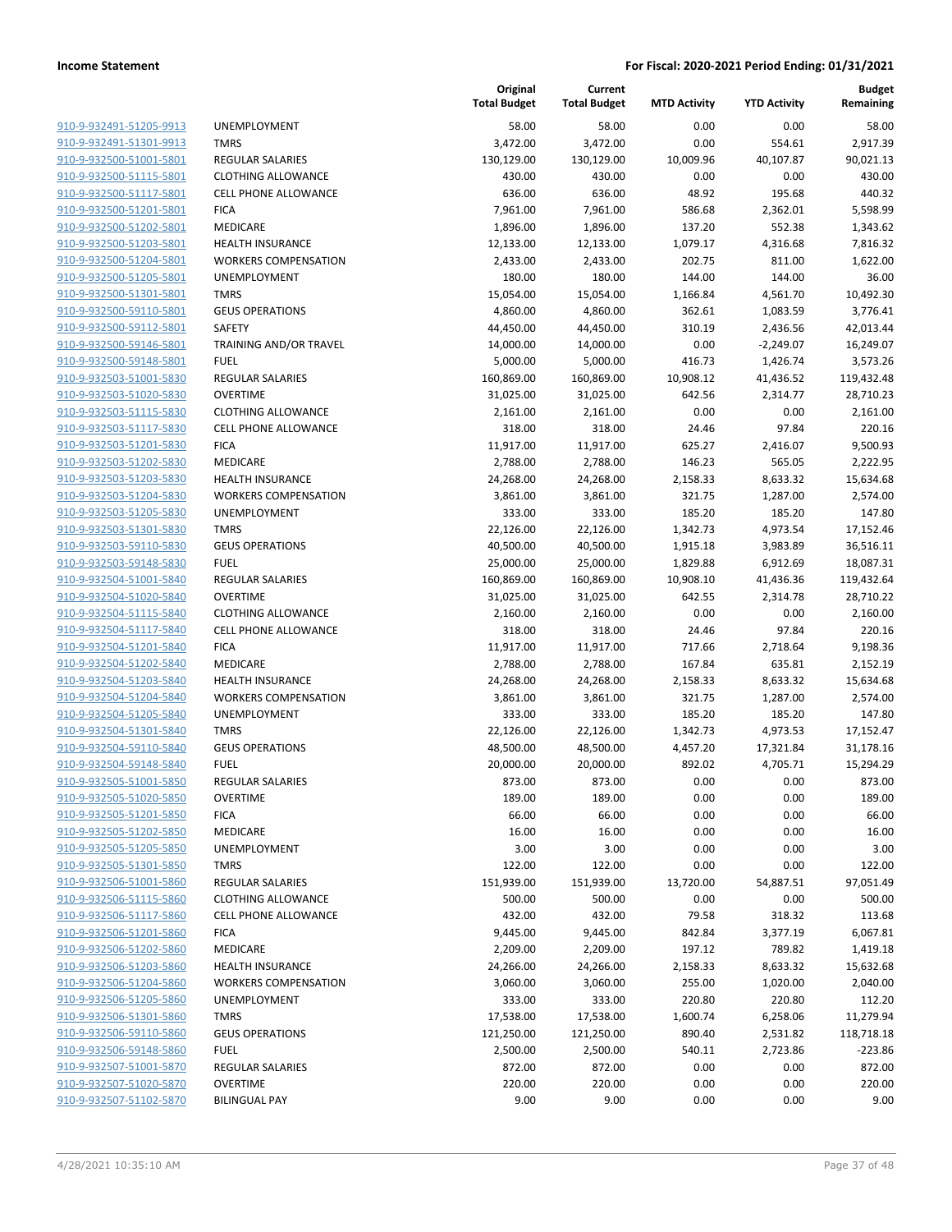| 910-9-932491-51205-9913                            |
|----------------------------------------------------|
| 910-9-932491-51301-9913                            |
| 910-9-932500-51001-5801                            |
| 910-9-932500-51115-5801                            |
| 910-9-932500-51117-5801                            |
| 910-9-932500-51201-5801                            |
| 910-9-932500-51202-5801                            |
| 910-9-932500-51203-5801                            |
| 910-9-932500-51204-5801                            |
| <u>910-9-932500-51205-5801</u>                     |
| 910-9-932500-51301-5801                            |
| 910-9-932500-59110-5801                            |
| 910-9-932500-59112-5801                            |
| 910-9-932500-59146-5801                            |
| <u>910-9-932500-59148-5801</u>                     |
| 910-9-932503-51001-5830                            |
| 910-9-932503-51020-5830                            |
| 910-9-932503-51115-5830                            |
| 910-9-932503-51117-5830                            |
| 910-9-932503-51201-5830                            |
| 910-9-932503-51202-5830                            |
| 910-9-932503-51203-5830                            |
| 910-9-932503-51204-5830                            |
| 910-9-932503-51205-5830                            |
| 910-9-932503-51301-5830                            |
| 910-9-932503-59110-5830                            |
| 910-9-932503-59148-5830                            |
| 910-9-932504-51001-5840                            |
| 910-9-932504-51020-5840                            |
|                                                    |
| <u>910-9-932504-51115-5840</u>                     |
| 910-9-932504-51117-5840<br>910-9-932504-51201-5840 |
|                                                    |
| 910-9-932504-51202-5840                            |
| 910-9-932504-51203-5840                            |
| <u>910-9-932504-51204-5840</u>                     |
| 910-9-932504-51205-5840                            |
| 910-9-932504-51301-5840                            |
| 910-9-932504-59110-5840                            |
| 910-9-932504-59148-5840                            |
| 910-9-932505-51001-5850                            |
| 910-9-932505-51020-5850                            |
| 910-9-932505-51201-5850                            |
| 910-9-932505-51202-5850                            |
| 910-9-932505-51205-5850                            |
| <u>910-9-932505-51301-5850</u>                     |
| 910-9-932506-51001-5860                            |
| 910-9-932506-51115-5860                            |
| 910-9-932506-51117-5860                            |
| 910-9-932506-51201-5860                            |
| <u>910-9-932506-51202-5860</u>                     |
| 910-9-932506-51203-5860                            |
| 910-9-932506-51204-5860                            |
| 910-9-932506-51205-5860                            |
| 910-9-932506-51301-5860                            |
| <u>910-9-932506-59110-5860</u>                     |
| 910-9-932506-59148-5860                            |
| 910-9-932507-51001-5870                            |
| 910-9-932507-51020-5870                            |
| 910-9-932507-51102-5870                            |
|                                                    |

| <b>UNEMPLOYMENT</b>         |
|-----------------------------|
| <b>TMRS</b>                 |
| <b>REGULAR SALARIES</b>     |
| <b>CLOTHING ALLOWANCE</b>   |
| <b>CELL PHONE ALLOWANCE</b> |
| <b>FICA</b>                 |
| <b>MEDICARE</b>             |
| <b>HEALTH INSURANCE</b>     |
| <b>WORKERS COMPENSATION</b> |
| <b>UNEMPLOYMENT</b>         |
| <b>TMRS</b>                 |
| <b>GEUS OPERATIONS</b>      |
| SAFETY                      |
| TRAINING AND/OR TRAVEL      |
| FUEL                        |
| <b>REGULAR SALARIES</b>     |
| <b>OVERTIME</b>             |
| <b>CLOTHING ALLOWANCE</b>   |
| <b>CELL PHONE ALLOWANCE</b> |
| <b>FICA</b>                 |
| <b>MEDICARE</b>             |
| <b>HEALTH INSURANCE</b>     |
| <b>WORKERS COMPENSATION</b> |
| <b>UNEMPLOYMENT</b>         |
| <b>TMRS</b>                 |
| <b>GEUS OPERATIONS</b>      |
| FUEL                        |
| <b>REGULAR SALARIES</b>     |
| <b>OVERTIME</b>             |
| <b>CLOTHING ALLOWANCE</b>   |
| <b>CELL PHONE ALLOWANCE</b> |
| <b>FICA</b>                 |
| <b>MEDICARE</b>             |
| <b>HEALTH INSURANCE</b>     |
| <b>WORKERS COMPENSATION</b> |
| <b>UNEMPLOYMENT</b>         |
| <b>TMRS</b>                 |
| <b>GEUS OPERATIONS</b>      |
| <b>FUEL</b>                 |
| <b>REGULAR SALARIES</b>     |
| OVERTIME                    |
| <b>FICA</b>                 |
| <b>MEDICARE</b>             |
| <b>UNEMPLOYMENT</b>         |
| <b>TMRS</b>                 |
| <b>REGULAR SALARIES</b>     |
| <b>CLOTHING ALLOWANCE</b>   |
| <b>CELL PHONE ALLOWANCE</b> |
| <b>FICA</b>                 |
| <b>MEDICARE</b>             |
| <b>HEALTH INSURANCE</b>     |
| <b>WORKERS COMPENSATION</b> |
| <b>UNEMPLOYMENT</b>         |
| <b>TMRS</b>                 |
| <b>GEUS OPERATIONS</b>      |
| <b>FUEL</b>                 |
| <b>REGULAR SALARIES</b>     |
| <b>OVERTIME</b>             |
|                             |

|                                                    |                                            | Original<br><b>Total Budget</b> | Current<br><b>Total Budget</b> | <b>MTD Activity</b> | <b>YTD Activity</b> | <b>Budget</b><br>Remaining |
|----------------------------------------------------|--------------------------------------------|---------------------------------|--------------------------------|---------------------|---------------------|----------------------------|
| 910-9-932491-51205-9913                            | UNEMPLOYMENT                               | 58.00                           | 58.00                          | 0.00                | 0.00                | 58.00                      |
| 910-9-932491-51301-9913                            | <b>TMRS</b>                                | 3,472.00                        | 3,472.00                       | 0.00                | 554.61              | 2,917.39                   |
| 910-9-932500-51001-5801                            | <b>REGULAR SALARIES</b>                    | 130,129.00                      | 130,129.00                     | 10,009.96           | 40,107.87           | 90,021.13                  |
| 910-9-932500-51115-5801                            | <b>CLOTHING ALLOWANCE</b>                  | 430.00                          | 430.00                         | 0.00                | 0.00                | 430.00                     |
| 910-9-932500-51117-5801                            | <b>CELL PHONE ALLOWANCE</b>                | 636.00                          | 636.00                         | 48.92               | 195.68              | 440.32                     |
| 910-9-932500-51201-5801                            | <b>FICA</b>                                | 7,961.00                        | 7,961.00                       | 586.68              | 2,362.01            | 5,598.99                   |
| 910-9-932500-51202-5801                            | MEDICARE                                   | 1,896.00                        | 1,896.00                       | 137.20              | 552.38              | 1,343.62                   |
| 910-9-932500-51203-5801                            | <b>HEALTH INSURANCE</b>                    | 12,133.00                       | 12,133.00                      | 1,079.17            | 4,316.68            | 7,816.32                   |
| 910-9-932500-51204-5801                            | <b>WORKERS COMPENSATION</b>                | 2,433.00                        | 2,433.00                       | 202.75              | 811.00              | 1,622.00                   |
| 910-9-932500-51205-5801                            | UNEMPLOYMENT                               | 180.00                          | 180.00                         | 144.00              | 144.00              | 36.00                      |
| 910-9-932500-51301-5801                            | <b>TMRS</b>                                | 15,054.00                       | 15,054.00                      | 1,166.84            | 4,561.70            | 10,492.30                  |
| 910-9-932500-59110-5801                            | <b>GEUS OPERATIONS</b>                     | 4,860.00                        | 4,860.00                       | 362.61              | 1,083.59            | 3,776.41                   |
| 910-9-932500-59112-5801                            | SAFETY                                     | 44,450.00                       | 44,450.00                      | 310.19              | 2,436.56            | 42,013.44                  |
| 910-9-932500-59146-5801                            | TRAINING AND/OR TRAVEL                     | 14,000.00                       | 14,000.00                      | 0.00                | $-2,249.07$         | 16,249.07                  |
| 910-9-932500-59148-5801                            | <b>FUEL</b>                                | 5,000.00                        | 5,000.00                       | 416.73              | 1,426.74            | 3,573.26                   |
| 910-9-932503-51001-5830                            | <b>REGULAR SALARIES</b>                    | 160,869.00                      | 160,869.00                     | 10,908.12           | 41,436.52           | 119,432.48                 |
| 910-9-932503-51020-5830                            | <b>OVERTIME</b>                            | 31,025.00<br>2,161.00           | 31,025.00                      | 642.56              | 2,314.77            | 28,710.23                  |
| 910-9-932503-51115-5830<br>910-9-932503-51117-5830 | <b>CLOTHING ALLOWANCE</b>                  |                                 | 2,161.00                       | 0.00                | 0.00                | 2,161.00                   |
| 910-9-932503-51201-5830                            | <b>CELL PHONE ALLOWANCE</b><br><b>FICA</b> | 318.00<br>11,917.00             | 318.00<br>11,917.00            | 24.46<br>625.27     | 97.84<br>2,416.07   | 220.16<br>9,500.93         |
| 910-9-932503-51202-5830                            | MEDICARE                                   | 2,788.00                        | 2,788.00                       | 146.23              | 565.05              | 2,222.95                   |
| 910-9-932503-51203-5830                            | <b>HEALTH INSURANCE</b>                    | 24,268.00                       | 24,268.00                      | 2,158.33            | 8,633.32            | 15,634.68                  |
| 910-9-932503-51204-5830                            | <b>WORKERS COMPENSATION</b>                | 3,861.00                        | 3,861.00                       | 321.75              | 1,287.00            | 2,574.00                   |
| 910-9-932503-51205-5830                            | <b>UNEMPLOYMENT</b>                        | 333.00                          | 333.00                         | 185.20              | 185.20              | 147.80                     |
| 910-9-932503-51301-5830                            | <b>TMRS</b>                                | 22,126.00                       | 22,126.00                      | 1,342.73            | 4,973.54            | 17,152.46                  |
| 910-9-932503-59110-5830                            | <b>GEUS OPERATIONS</b>                     | 40,500.00                       | 40,500.00                      | 1,915.18            | 3,983.89            | 36,516.11                  |
| 910-9-932503-59148-5830                            | <b>FUEL</b>                                | 25,000.00                       | 25,000.00                      | 1,829.88            | 6,912.69            | 18,087.31                  |
| 910-9-932504-51001-5840                            | <b>REGULAR SALARIES</b>                    | 160,869.00                      | 160,869.00                     | 10,908.10           | 41,436.36           | 119,432.64                 |
| 910-9-932504-51020-5840                            | <b>OVERTIME</b>                            | 31,025.00                       | 31,025.00                      | 642.55              | 2,314.78            | 28,710.22                  |
| 910-9-932504-51115-5840                            | <b>CLOTHING ALLOWANCE</b>                  | 2,160.00                        | 2,160.00                       | 0.00                | 0.00                | 2,160.00                   |
| 910-9-932504-51117-5840                            | <b>CELL PHONE ALLOWANCE</b>                | 318.00                          | 318.00                         | 24.46               | 97.84               | 220.16                     |
| 910-9-932504-51201-5840                            | <b>FICA</b>                                | 11,917.00                       | 11,917.00                      | 717.66              | 2,718.64            | 9,198.36                   |
| 910-9-932504-51202-5840                            | MEDICARE                                   | 2,788.00                        | 2,788.00                       | 167.84              | 635.81              | 2,152.19                   |
| 910-9-932504-51203-5840                            | <b>HEALTH INSURANCE</b>                    | 24,268.00                       | 24,268.00                      | 2,158.33            | 8,633.32            | 15,634.68                  |
| 910-9-932504-51204-5840                            | <b>WORKERS COMPENSATION</b>                | 3,861.00                        | 3,861.00                       | 321.75              | 1,287.00            | 2,574.00                   |
| 910-9-932504-51205-5840                            | UNEMPLOYMENT                               | 333.00                          | 333.00                         | 185.20              | 185.20              | 147.80                     |
| 910-9-932504-51301-5840                            | <b>TMRS</b>                                | 22,126.00                       | 22,126.00                      | 1,342.73            | 4,973.53            | 17,152.47                  |
| 910-9-932504-59110-5840                            | <b>GEUS OPERATIONS</b>                     | 48,500.00                       | 48,500.00                      | 4,457.20            | 17,321.84           | 31,178.16                  |
| 910-9-932504-59148-5840                            | <b>FUEL</b>                                | 20,000.00                       | 20,000.00                      | 892.02              | 4,705.71            | 15,294.29                  |
| 910-9-932505-51001-5850                            | <b>REGULAR SALARIES</b>                    | 873.00                          | 873.00                         | 0.00                | 0.00                | 873.00                     |
| 910-9-932505-51020-5850                            | <b>OVERTIME</b>                            | 189.00                          | 189.00                         | 0.00                | 0.00                | 189.00                     |
| 910-9-932505-51201-5850                            | <b>FICA</b>                                | 66.00                           | 66.00                          | 0.00                | 0.00                | 66.00                      |
| 910-9-932505-51202-5850                            | MEDICARE                                   | 16.00                           | 16.00                          | 0.00                | 0.00                | 16.00                      |
| 910-9-932505-51205-5850                            | UNEMPLOYMENT                               | 3.00                            | 3.00                           | 0.00                | 0.00                | 3.00                       |
| 910-9-932505-51301-5850                            | <b>TMRS</b>                                | 122.00                          | 122.00                         | 0.00                | 0.00                | 122.00                     |
| 910-9-932506-51001-5860                            | REGULAR SALARIES                           | 151,939.00                      | 151,939.00                     | 13,720.00           | 54,887.51           | 97,051.49                  |
| 910-9-932506-51115-5860                            | <b>CLOTHING ALLOWANCE</b>                  | 500.00                          | 500.00                         | 0.00                | 0.00                | 500.00                     |
| 910-9-932506-51117-5860                            | <b>CELL PHONE ALLOWANCE</b>                | 432.00                          | 432.00                         | 79.58               | 318.32              | 113.68                     |
| 910-9-932506-51201-5860                            | <b>FICA</b>                                | 9,445.00                        | 9,445.00                       | 842.84              | 3,377.19            | 6,067.81                   |
| 910-9-932506-51202-5860                            | MEDICARE                                   | 2,209.00                        | 2,209.00                       | 197.12              | 789.82              | 1,419.18                   |
| 910-9-932506-51203-5860                            | HEALTH INSURANCE                           | 24,266.00                       | 24,266.00                      | 2,158.33            | 8,633.32            | 15,632.68                  |
| 910-9-932506-51204-5860                            | <b>WORKERS COMPENSATION</b>                | 3,060.00                        | 3,060.00                       | 255.00              | 1,020.00            | 2,040.00                   |
| 910-9-932506-51205-5860                            | UNEMPLOYMENT                               | 333.00                          | 333.00                         | 220.80              | 220.80              | 112.20                     |
| 910-9-932506-51301-5860                            | <b>TMRS</b>                                | 17,538.00                       | 17,538.00                      | 1,600.74            | 6,258.06            | 11,279.94                  |
| 910-9-932506-59110-5860                            | <b>GEUS OPERATIONS</b>                     | 121,250.00                      | 121,250.00                     | 890.40              | 2,531.82            | 118,718.18                 |
| 910-9-932506-59148-5860                            | <b>FUEL</b>                                | 2,500.00                        | 2,500.00                       | 540.11              | 2,723.86            | $-223.86$                  |
| 910-9-932507-51001-5870                            | <b>REGULAR SALARIES</b>                    | 872.00                          | 872.00                         | 0.00                | 0.00                | 872.00                     |
| 910-9-932507-51020-5870                            | <b>OVERTIME</b>                            | 220.00                          | 220.00                         | 0.00                | 0.00                | 220.00                     |
| 910-9-932507-51102-5870                            | <b>BILINGUAL PAY</b>                       | 9.00                            | 9.00                           | 0.00                | 0.00                | 9.00                       |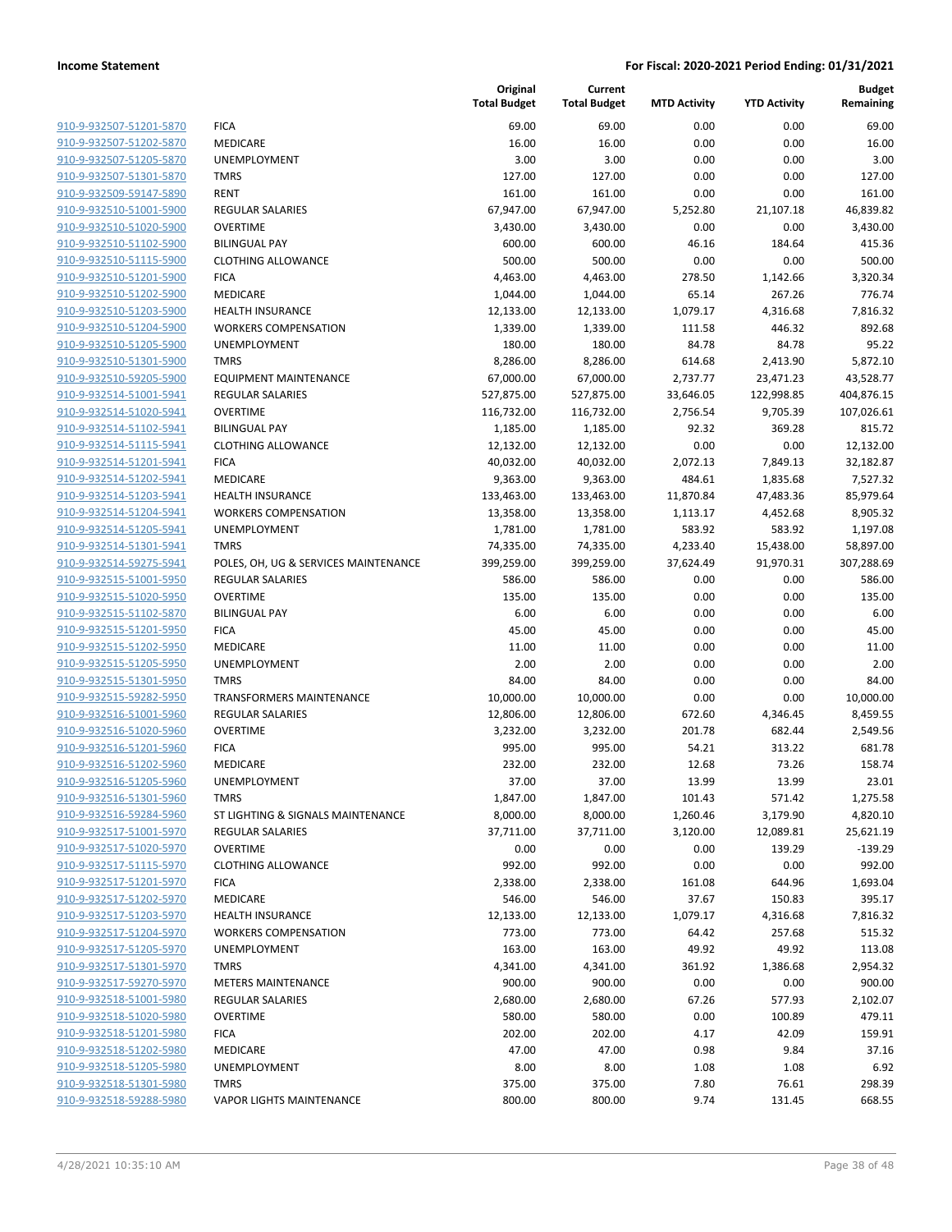| 910-9-932507-51201-5870        |
|--------------------------------|
| 910-9-932507-51202-5870        |
| 910-9-932507-51205-5870        |
| 910-9-932507-51301-5870        |
| 910-9-932509-59147-5890        |
| 910-9-932510-51001-5900        |
| 910-9-932510-51020-5900        |
| 910-9-932510-51102-5900        |
| 910-9-932510-51115-5900        |
| 910-9-932510-51201-5900        |
| 910-9-932510-51202-5900        |
| 910-9-932510-51203-5900        |
| 910-9-932510-51204-5900        |
| 910-9-932510-51205-5900        |
| <u>910-9-932510-51301-5900</u> |
| 910-9-932510-59205-5900        |
| 910-9-932514-51001-5941        |
| 910-9-932514-51020-5941        |
| 910-9-932514-51102-5941        |
| 910-9-932514-51115-5941        |
| 910-9-932514-51201-5941        |
| 910-9-932514-51202-5941        |
| 910-9-932514-51203-5941        |
| 910-9-932514-51204-5941        |
| 910-9-932514-51205-5941        |
| 910-9-932514-51301-5941        |
| 910-9-932514-59275-5941        |
| 910-9-932515-51001-5950        |
| 910-9-932515-51020-5950        |
| <u>910-9-932515-51102-5870</u> |
| 910-9-932515-51201-5950        |
| 910-9-932515-51202-5950        |
| 910-9-932515-51205-5950        |
| 910-9-932515-51301-5950        |
| <u>910-9-932515-59282-5950</u> |
| 910-9-932516-51001-5960        |
| 910-9-932516-51020-5960        |
| 910-9-932516-51201-5960        |
| 910-9-932516-51202-5960        |
| 910-9-932516-51205-5960        |
| <u>910-9-932516-51301-5960</u> |
| 910-9-932516-59284-5960        |
| 910-9-932517-51001-5970        |
|                                |
| <u>910-9-932517-51020-5970</u> |
| <u>910-9-932517-51115-5970</u> |
| <u>910-9-932517-51201-5970</u> |
| 910-9-932517-51202-5970        |
| 910-9-932517-51203-5970        |
| <u>910-9-932517-51204-5970</u> |
| <u>910-9-932517-51205-5970</u> |
| 910-9-932517-51301-5970        |
| 910-9-932517-59270-5970        |
| 910-9-932518-51001-5980        |
| <u>910-9-932518-51020-5980</u> |
| <u>910-9-932518-51201-5980</u> |
| <u>910-9-932518-51202-5980</u> |
| 910-9-932518-51205-5980        |
| 910-9-932518-51301-5980        |
| 910-9-932518-59288-5980        |
|                                |

|                                                    |                                             | Original<br><b>Total Budget</b> | Current<br><b>Total Budget</b> | <b>MTD Activity</b> | <b>YTD Activity</b> | <b>Budget</b><br>Remaining |
|----------------------------------------------------|---------------------------------------------|---------------------------------|--------------------------------|---------------------|---------------------|----------------------------|
| 910-9-932507-51201-5870                            | <b>FICA</b>                                 | 69.00                           | 69.00                          | 0.00                | 0.00                | 69.00                      |
| 910-9-932507-51202-5870                            | MEDICARE                                    | 16.00                           | 16.00                          | 0.00                | 0.00                | 16.00                      |
| 910-9-932507-51205-5870                            | UNEMPLOYMENT                                | 3.00                            | 3.00                           | 0.00                | 0.00                | 3.00                       |
| 910-9-932507-51301-5870                            | <b>TMRS</b>                                 | 127.00                          | 127.00                         | 0.00                | 0.00                | 127.00                     |
| 910-9-932509-59147-5890                            | <b>RENT</b>                                 | 161.00                          | 161.00                         | 0.00                | 0.00                | 161.00                     |
| 910-9-932510-51001-5900                            | REGULAR SALARIES                            | 67,947.00                       | 67,947.00                      | 5,252.80            | 21,107.18           | 46,839.82                  |
| 910-9-932510-51020-5900                            | <b>OVERTIME</b>                             | 3,430.00                        | 3,430.00                       | 0.00                | 0.00                | 3,430.00                   |
| 910-9-932510-51102-5900                            | <b>BILINGUAL PAY</b>                        | 600.00                          | 600.00                         | 46.16               | 184.64              | 415.36                     |
| 910-9-932510-51115-5900                            | <b>CLOTHING ALLOWANCE</b>                   | 500.00                          | 500.00                         | 0.00                | 0.00                | 500.00                     |
| 910-9-932510-51201-5900                            | <b>FICA</b>                                 | 4,463.00                        | 4,463.00                       | 278.50              | 1,142.66            | 3,320.34                   |
| 910-9-932510-51202-5900                            | MEDICARE                                    | 1,044.00                        | 1,044.00                       | 65.14               | 267.26              | 776.74                     |
| 910-9-932510-51203-5900                            | <b>HEALTH INSURANCE</b>                     | 12,133.00                       | 12,133.00                      | 1,079.17            | 4,316.68            | 7,816.32                   |
| 910-9-932510-51204-5900                            | <b>WORKERS COMPENSATION</b>                 | 1,339.00                        | 1,339.00                       | 111.58              | 446.32              | 892.68                     |
| 910-9-932510-51205-5900                            | UNEMPLOYMENT                                | 180.00                          | 180.00                         | 84.78               | 84.78               | 95.22                      |
| 910-9-932510-51301-5900                            | <b>TMRS</b>                                 | 8,286.00                        | 8,286.00                       | 614.68              | 2,413.90            | 5,872.10                   |
| 910-9-932510-59205-5900                            | <b>EQUIPMENT MAINTENANCE</b>                | 67,000.00                       | 67,000.00                      | 2,737.77            | 23,471.23           | 43,528.77                  |
| 910-9-932514-51001-5941                            | REGULAR SALARIES                            | 527,875.00                      | 527,875.00                     | 33,646.05           | 122,998.85          | 404,876.15                 |
| 910-9-932514-51020-5941                            | <b>OVERTIME</b>                             | 116,732.00                      | 116,732.00                     | 2,756.54            | 9,705.39            | 107,026.61                 |
| 910-9-932514-51102-5941                            | <b>BILINGUAL PAY</b>                        | 1,185.00                        | 1,185.00                       | 92.32               | 369.28              | 815.72                     |
| 910-9-932514-51115-5941                            | <b>CLOTHING ALLOWANCE</b>                   | 12,132.00                       | 12,132.00                      | 0.00                | 0.00                | 12,132.00                  |
| 910-9-932514-51201-5941                            | <b>FICA</b>                                 | 40,032.00                       | 40,032.00                      | 2,072.13            | 7,849.13            | 32,182.87                  |
| 910-9-932514-51202-5941                            | MEDICARE                                    | 9,363.00                        | 9,363.00                       | 484.61              | 1,835.68            | 7,527.32                   |
| 910-9-932514-51203-5941                            | <b>HEALTH INSURANCE</b>                     | 133,463.00                      | 133,463.00                     | 11,870.84           | 47,483.36           | 85,979.64                  |
| 910-9-932514-51204-5941                            | <b>WORKERS COMPENSATION</b>                 | 13,358.00                       | 13,358.00                      | 1,113.17            | 4,452.68            | 8,905.32                   |
| 910-9-932514-51205-5941                            | <b>UNEMPLOYMENT</b>                         | 1,781.00                        | 1,781.00                       | 583.92              | 583.92              | 1,197.08                   |
| 910-9-932514-51301-5941                            | <b>TMRS</b>                                 | 74,335.00                       | 74,335.00                      | 4,233.40            | 15,438.00           | 58,897.00                  |
| 910-9-932514-59275-5941                            | POLES, OH, UG & SERVICES MAINTENANCE        | 399,259.00                      | 399,259.00                     | 37,624.49           | 91,970.31           | 307,288.69                 |
| 910-9-932515-51001-5950                            | REGULAR SALARIES                            | 586.00                          | 586.00                         | 0.00                | 0.00                | 586.00                     |
| 910-9-932515-51020-5950                            | <b>OVERTIME</b>                             | 135.00                          | 135.00                         | 0.00                | 0.00                | 135.00                     |
| 910-9-932515-51102-5870                            | <b>BILINGUAL PAY</b>                        | 6.00                            | 6.00                           | 0.00                | 0.00                | 6.00                       |
| 910-9-932515-51201-5950                            | <b>FICA</b>                                 | 45.00                           | 45.00                          | 0.00                | 0.00                | 45.00                      |
| 910-9-932515-51202-5950                            | MEDICARE                                    | 11.00                           | 11.00                          | 0.00                | 0.00                | 11.00                      |
| 910-9-932515-51205-5950                            | UNEMPLOYMENT                                | 2.00                            | 2.00                           | 0.00                | 0.00                | 2.00                       |
| 910-9-932515-51301-5950                            | <b>TMRS</b>                                 | 84.00                           | 84.00                          | 0.00                | 0.00                | 84.00                      |
| 910-9-932515-59282-5950                            | <b>TRANSFORMERS MAINTENANCE</b>             | 10,000.00                       | 10,000.00                      | 0.00                | 0.00                | 10,000.00                  |
| 910-9-932516-51001-5960                            | REGULAR SALARIES                            | 12,806.00                       | 12,806.00                      | 672.60              | 4,346.45            | 8,459.55                   |
| 910-9-932516-51020-5960                            | <b>OVERTIME</b>                             | 3,232.00                        | 3,232.00                       | 201.78              | 682.44              | 2,549.56                   |
| 910-9-932516-51201-5960                            | <b>FICA</b>                                 | 995.00                          | 995.00                         | 54.21               | 313.22              | 681.78                     |
| 910-9-932516-51202-5960                            | MEDICARE                                    | 232.00                          | 232.00                         | 12.68               | 73.26               | 158.74                     |
| 910-9-932516-51205-5960                            | UNEMPLOYMENT                                | 37.00                           | 37.00                          | 13.99               | 13.99               | 23.01                      |
| 910-9-932516-51301-5960                            | <b>TMRS</b>                                 | 1,847.00                        | 1,847.00                       | 101.43              | 571.42              | 1,275.58                   |
| 910-9-932516-59284-5960                            | ST LIGHTING & SIGNALS MAINTENANCE           | 8,000.00                        | 8,000.00                       | 1,260.46            | 3,179.90            | 4,820.10                   |
| 910-9-932517-51001-5970                            | <b>REGULAR SALARIES</b>                     | 37,711.00                       | 37,711.00                      | 3,120.00            | 12,089.81           | 25,621.19                  |
| 910-9-932517-51020-5970                            | <b>OVERTIME</b>                             | 0.00                            | 0.00                           | 0.00                | 139.29              | $-139.29$                  |
| 910-9-932517-51115-5970                            | <b>CLOTHING ALLOWANCE</b>                   | 992.00                          | 992.00                         | 0.00                | 0.00                | 992.00                     |
| 910-9-932517-51201-5970                            | <b>FICA</b>                                 | 2,338.00                        | 2,338.00                       | 161.08              | 644.96              | 1,693.04                   |
| 910-9-932517-51202-5970                            | MEDICARE                                    | 546.00                          | 546.00                         | 37.67               | 150.83              | 395.17                     |
| 910-9-932517-51203-5970                            | <b>HEALTH INSURANCE</b>                     | 12,133.00                       | 12,133.00                      | 1,079.17            | 4,316.68            | 7,816.32                   |
| 910-9-932517-51204-5970<br>910-9-932517-51205-5970 | <b>WORKERS COMPENSATION</b><br>UNEMPLOYMENT | 773.00                          | 773.00                         | 64.42               | 257.68              | 515.32                     |
| 910-9-932517-51301-5970                            | <b>TMRS</b>                                 | 163.00<br>4,341.00              | 163.00<br>4,341.00             | 49.92<br>361.92     | 49.92<br>1,386.68   | 113.08<br>2,954.32         |
| 910-9-932517-59270-5970                            | <b>METERS MAINTENANCE</b>                   | 900.00                          | 900.00                         | 0.00                | 0.00                | 900.00                     |
| 910-9-932518-51001-5980                            | <b>REGULAR SALARIES</b>                     | 2,680.00                        | 2,680.00                       | 67.26               | 577.93              | 2,102.07                   |
| 910-9-932518-51020-5980                            | <b>OVERTIME</b>                             | 580.00                          | 580.00                         | 0.00                | 100.89              | 479.11                     |
| 910-9-932518-51201-5980                            | <b>FICA</b>                                 | 202.00                          | 202.00                         | 4.17                | 42.09               | 159.91                     |
| 910-9-932518-51202-5980                            | MEDICARE                                    | 47.00                           | 47.00                          | 0.98                | 9.84                | 37.16                      |
| 910-9-932518-51205-5980                            | UNEMPLOYMENT                                | 8.00                            | 8.00                           | 1.08                | 1.08                | 6.92                       |
| 910-9-932518-51301-5980                            | <b>TMRS</b>                                 | 375.00                          | 375.00                         | 7.80                | 76.61               | 298.39                     |
| 910-9-932518-59288-5980                            | <b>VAPOR LIGHTS MAINTENANCE</b>             | 800.00                          | 800.00                         | 9.74                | 131.45              | 668.55                     |
|                                                    |                                             |                                 |                                |                     |                     |                            |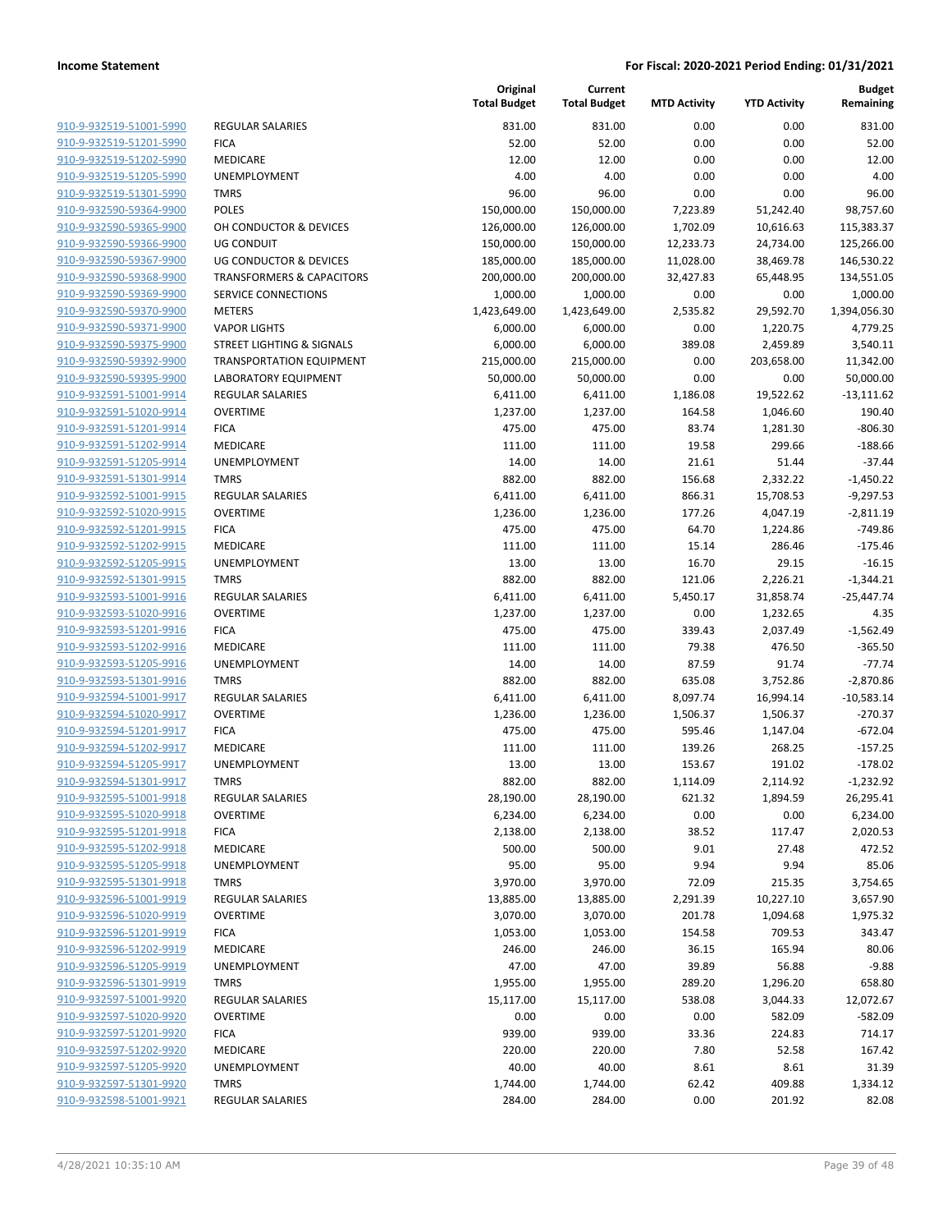| 910-9-932519-51001-5990        | <b>REGULAR SALARIES</b>            |
|--------------------------------|------------------------------------|
| 910-9-932519-51201-5990        | <b>FICA</b>                        |
| <u>910-9-932519-51202-5990</u> | MEDICARE                           |
| <u>910-9-932519-51205-5990</u> | <b>UNEMPLOYMENT</b>                |
| 910-9-932519-51301-5990        | <b>TMRS</b>                        |
| 910-9-932590-59364-9900        | POLES                              |
| 910-9-932590-59365-9900        | OH CONDUCTOR & DEVICES             |
| <u>910-9-932590-59366-9900</u> | UG CONDUIT                         |
| 910-9-932590-59367-9900        | UG CONDUCTOR & DEVICES             |
| 910-9-932590-59368-9900        | <b>TRANSFORMERS &amp; CAPACITO</b> |
| 910-9-932590-59369-9900        | SERVICE CONNECTIONS                |
| 910-9-932590-59370-9900        | <b>METERS</b>                      |
| <u>910-9-932590-59371-9900</u> | <b>VAPOR LIGHTS</b>                |
| 910-9-932590-59375-9900        | STREET LIGHTING & SIGNALS          |
| 910-9-932590-59392-9900        | <b>TRANSPORTATION EQUIPME</b>      |
| 910-9-932590-59395-9900        | LABORATORY EQUIPMENT               |
| 910-9-932591-51001-9914        | <b>REGULAR SALARIES</b>            |
| 910-9-932591-51020-9914        | <b>OVERTIME</b>                    |
| <u>910-9-932591-51201-9914</u> | <b>FICA</b>                        |
| 910-9-932591-51202-9914        | <b>MEDICARE</b>                    |
| 910-9-932591-51205-9914        | UNEMPLOYMENT                       |
| 910-9-932591-51301-9914        | <b>TMRS</b>                        |
| 910-9-932592-51001-9915        | <b>REGULAR SALARIES</b>            |
| <u>910-9-932592-51020-9915</u> | <b>OVERTIME</b>                    |
| 910-9-932592-51201-9915        | <b>FICA</b>                        |
| 910-9-932592-51202-9915        | <b>MEDICARE</b>                    |
| 910-9-932592-51205-9915        | <b>UNEMPLOYMENT</b>                |
| <u>910-9-932592-51301-9915</u> | TMRS                               |
| <u>910-9-932593-51001-9916</u> | <b>REGULAR SALARIES</b>            |
| 910-9-932593-51020-9916        | <b>OVERTIME</b>                    |
| 910-9-932593-51201-9916        | <b>FICA</b>                        |
| 910-9-932593-51202-9916        | MEDICARE                           |
| 910-9-932593-51205-9916        | UNEMPLOYMENT                       |
| <u>910-9-932593-51301-9916</u> | TMRS                               |
| 910-9-932594-51001-9917        | <b>REGULAR SALARIES</b>            |
| 910-9-932594-51020-9917        | OVERTIME                           |
| 910-9-932594-51201-9917        | <b>FICA</b>                        |
| 910-9-932594-51202-9917        | MEDICARE                           |
| 910-9-932594-51205-9917        | UNEMPLOYMENT                       |
| 910-9-932594-51301-9917        | <b>TMRS</b>                        |
| 910-9-932595-51001-9918        | <b>REGULAR SALARIES</b>            |
| 910-9-932595-51020-9918        | OVERTIME                           |
| 910-9-932595-51201-9918        | <b>FICA</b>                        |
| 910-9-932595-51202-9918        | <b>MEDICARE</b>                    |
| 910-9-932595-51205-9918        | <b>UNEMPLOYMENT</b>                |
| 910-9-932595-51301-9918        | TMRS                               |
| 910-9-932596-51001-9919        | REGULAR SALARIES                   |
| 910-9-932596-51020-9919        | <b>OVERTIME</b>                    |
| 910-9-932596-51201-9919        | <b>FICA</b>                        |
| 910-9-932596-51202-9919        | MEDICARE                           |
| 910-9-932596-51205-9919        | UNEMPLOYMENT                       |
| 910-9-932596-51301-9919        | <b>TMRS</b>                        |
| 910-9-932597-51001-9920        | REGULAR SALARIES                   |
| 910-9-932597-51020-9920        | <b>OVERTIME</b>                    |
| 910-9-932597-51201-9920        | <b>FICA</b>                        |
| 910-9-932597-51202-9920        | MEDICARE                           |
| 910-9-932597-51205-9920        | UNEMPLOYMENT                       |
| 910-9-932597-51301-9920        | <b>TMRS</b>                        |
| 910-9-932598-51001-9921        | <b>REGULAR SALARIES</b>            |
|                                |                                    |

|                                                    |                                      | Original<br><b>Total Budget</b> | Current<br><b>Total Budget</b> | <b>MTD Activity</b> | <b>YTD Activity</b>   | <b>Budget</b><br>Remaining |
|----------------------------------------------------|--------------------------------------|---------------------------------|--------------------------------|---------------------|-----------------------|----------------------------|
| 910-9-932519-51001-5990                            | <b>REGULAR SALARIES</b>              | 831.00                          | 831.00                         | 0.00                | 0.00                  | 831.00                     |
| 910-9-932519-51201-5990                            | <b>FICA</b>                          | 52.00                           | 52.00                          | 0.00                | 0.00                  | 52.00                      |
| 910-9-932519-51202-5990                            | MEDICARE                             | 12.00                           | 12.00                          | 0.00                | 0.00                  | 12.00                      |
| 910-9-932519-51205-5990                            | UNEMPLOYMENT                         | 4.00                            | 4.00                           | 0.00                | 0.00                  | 4.00                       |
| 910-9-932519-51301-5990                            | <b>TMRS</b>                          | 96.00                           | 96.00                          | 0.00                | 0.00                  | 96.00                      |
| 910-9-932590-59364-9900                            | <b>POLES</b>                         | 150,000.00                      | 150,000.00                     | 7,223.89            | 51,242.40             | 98,757.60                  |
| 910-9-932590-59365-9900                            | OH CONDUCTOR & DEVICES               | 126,000.00                      | 126,000.00                     | 1,702.09            | 10,616.63             | 115,383.37                 |
| 910-9-932590-59366-9900                            | <b>UG CONDUIT</b>                    | 150,000.00                      | 150,000.00                     | 12,233.73           | 24,734.00             | 125,266.00                 |
| 910-9-932590-59367-9900                            | <b>UG CONDUCTOR &amp; DEVICES</b>    | 185,000.00                      | 185,000.00                     | 11,028.00           | 38,469.78             | 146,530.22                 |
| 910-9-932590-59368-9900                            | <b>TRANSFORMERS &amp; CAPACITORS</b> | 200,000.00                      | 200,000.00                     | 32,427.83           | 65,448.95             | 134,551.05                 |
| 910-9-932590-59369-9900                            | SERVICE CONNECTIONS                  | 1,000.00                        | 1,000.00                       | 0.00                | 0.00                  | 1,000.00                   |
| 910-9-932590-59370-9900                            | <b>METERS</b>                        | 1,423,649.00                    | 1,423,649.00                   | 2,535.82            | 29,592.70             | 1,394,056.30               |
| 910-9-932590-59371-9900                            | <b>VAPOR LIGHTS</b>                  | 6,000.00                        | 6,000.00                       | 0.00                | 1,220.75              | 4,779.25                   |
| 910-9-932590-59375-9900                            | <b>STREET LIGHTING &amp; SIGNALS</b> | 6,000.00                        | 6,000.00                       | 389.08              | 2,459.89              | 3,540.11                   |
| 910-9-932590-59392-9900                            | <b>TRANSPORTATION EQUIPMENT</b>      | 215,000.00                      | 215,000.00                     | 0.00                | 203,658.00            | 11,342.00                  |
| 910-9-932590-59395-9900                            | LABORATORY EQUIPMENT                 | 50,000.00                       | 50,000.00                      | 0.00                | 0.00                  | 50,000.00                  |
| 910-9-932591-51001-9914                            | <b>REGULAR SALARIES</b>              | 6,411.00                        | 6,411.00                       | 1,186.08            | 19,522.62             | $-13,111.62$               |
| 910-9-932591-51020-9914                            | <b>OVERTIME</b>                      | 1,237.00                        | 1,237.00                       | 164.58              | 1,046.60              | 190.40                     |
| 910-9-932591-51201-9914                            | <b>FICA</b>                          | 475.00                          | 475.00                         | 83.74               | 1,281.30              | $-806.30$                  |
| 910-9-932591-51202-9914                            | <b>MEDICARE</b>                      | 111.00                          | 111.00                         | 19.58               | 299.66                | $-188.66$                  |
| 910-9-932591-51205-9914                            | UNEMPLOYMENT                         | 14.00                           | 14.00                          | 21.61               | 51.44                 | $-37.44$                   |
| 910-9-932591-51301-9914                            | <b>TMRS</b>                          | 882.00                          | 882.00                         | 156.68              | 2,332.22              | $-1,450.22$                |
| 910-9-932592-51001-9915                            | REGULAR SALARIES                     | 6,411.00                        | 6,411.00                       | 866.31              | 15,708.53             | $-9,297.53$                |
| 910-9-932592-51020-9915                            | <b>OVERTIME</b>                      | 1,236.00                        | 1,236.00                       | 177.26              | 4,047.19              | $-2,811.19$                |
| 910-9-932592-51201-9915                            | <b>FICA</b>                          | 475.00                          | 475.00                         | 64.70               | 1,224.86              | $-749.86$                  |
| 910-9-932592-51202-9915                            | MEDICARE                             | 111.00                          | 111.00                         | 15.14               | 286.46                | $-175.46$                  |
| 910-9-932592-51205-9915                            | UNEMPLOYMENT                         | 13.00                           | 13.00                          | 16.70               | 29.15                 | $-16.15$                   |
| 910-9-932592-51301-9915                            | <b>TMRS</b>                          | 882.00                          | 882.00                         | 121.06              | 2,226.21              | $-1,344.21$                |
| 910-9-932593-51001-9916                            | <b>REGULAR SALARIES</b>              | 6,411.00                        | 6,411.00                       | 5,450.17            | 31,858.74             | $-25,447.74$               |
| 910-9-932593-51020-9916                            | <b>OVERTIME</b>                      | 1,237.00                        | 1,237.00                       | 0.00                | 1,232.65              | 4.35                       |
| 910-9-932593-51201-9916                            | <b>FICA</b>                          | 475.00                          | 475.00                         | 339.43              | 2,037.49              | $-1,562.49$                |
| 910-9-932593-51202-9916                            | MEDICARE                             | 111.00                          | 111.00                         | 79.38               | 476.50                | $-365.50$                  |
| 910-9-932593-51205-9916<br>910-9-932593-51301-9916 | UNEMPLOYMENT<br><b>TMRS</b>          | 14.00<br>882.00                 | 14.00<br>882.00                | 87.59<br>635.08     | 91.74                 | $-77.74$<br>$-2,870.86$    |
| 910-9-932594-51001-9917                            | <b>REGULAR SALARIES</b>              | 6,411.00                        | 6,411.00                       | 8,097.74            | 3,752.86<br>16,994.14 | $-10,583.14$               |
| 910-9-932594-51020-9917                            | <b>OVERTIME</b>                      | 1,236.00                        | 1,236.00                       | 1,506.37            | 1,506.37              | $-270.37$                  |
| 910-9-932594-51201-9917                            | <b>FICA</b>                          | 475.00                          | 475.00                         | 595.46              | 1,147.04              | $-672.04$                  |
| 910-9-932594-51202-9917                            | <b>MEDICARE</b>                      | 111.00                          | 111.00                         | 139.26              | 268.25                | $-157.25$                  |
| 910-9-932594-51205-9917                            | UNEMPLOYMENT                         | 13.00                           | 13.00                          | 153.67              | 191.02                | $-178.02$                  |
| 910-9-932594-51301-9917                            | <b>TMRS</b>                          | 882.00                          | 882.00                         | 1,114.09            | 2,114.92              | $-1,232.92$                |
| 910-9-932595-51001-9918                            | <b>REGULAR SALARIES</b>              | 28,190.00                       | 28,190.00                      | 621.32              | 1,894.59              | 26,295.41                  |
| 910-9-932595-51020-9918                            | <b>OVERTIME</b>                      | 6,234.00                        | 6,234.00                       | 0.00                | 0.00                  | 6,234.00                   |
| 910-9-932595-51201-9918                            | <b>FICA</b>                          | 2,138.00                        | 2,138.00                       | 38.52               | 117.47                | 2,020.53                   |
| 910-9-932595-51202-9918                            | MEDICARE                             | 500.00                          | 500.00                         | 9.01                | 27.48                 | 472.52                     |
| 910-9-932595-51205-9918                            | UNEMPLOYMENT                         | 95.00                           | 95.00                          | 9.94                | 9.94                  | 85.06                      |
| 910-9-932595-51301-9918                            | <b>TMRS</b>                          | 3,970.00                        | 3,970.00                       | 72.09               | 215.35                | 3,754.65                   |
| 910-9-932596-51001-9919                            | <b>REGULAR SALARIES</b>              | 13,885.00                       | 13,885.00                      | 2,291.39            | 10,227.10             | 3,657.90                   |
| 910-9-932596-51020-9919                            | <b>OVERTIME</b>                      | 3,070.00                        | 3,070.00                       | 201.78              | 1,094.68              | 1,975.32                   |
| 910-9-932596-51201-9919                            | <b>FICA</b>                          | 1,053.00                        | 1,053.00                       | 154.58              | 709.53                | 343.47                     |
| 910-9-932596-51202-9919                            | MEDICARE                             | 246.00                          | 246.00                         | 36.15               | 165.94                | 80.06                      |
| 910-9-932596-51205-9919                            | UNEMPLOYMENT                         | 47.00                           | 47.00                          | 39.89               | 56.88                 | $-9.88$                    |
| 910-9-932596-51301-9919                            | <b>TMRS</b>                          | 1,955.00                        | 1,955.00                       | 289.20              | 1,296.20              | 658.80                     |
| 910-9-932597-51001-9920                            | REGULAR SALARIES                     | 15,117.00                       | 15,117.00                      | 538.08              | 3,044.33              | 12,072.67                  |
| 910-9-932597-51020-9920                            | <b>OVERTIME</b>                      | 0.00                            | 0.00                           | 0.00                | 582.09                | $-582.09$                  |
| 910-9-932597-51201-9920                            | <b>FICA</b>                          | 939.00                          | 939.00                         | 33.36               | 224.83                | 714.17                     |
| 910-9-932597-51202-9920                            | MEDICARE                             | 220.00                          | 220.00                         | 7.80                | 52.58                 | 167.42                     |
| 910-9-932597-51205-9920                            | UNEMPLOYMENT                         | 40.00                           | 40.00                          | 8.61                | 8.61                  | 31.39                      |
| 910-9-932597-51301-9920                            | <b>TMRS</b>                          | 1,744.00                        | 1,744.00                       | 62.42               | 409.88                | 1,334.12                   |
| 910-9-932598-51001-9921                            | <b>REGULAR SALARIES</b>              | 284.00                          | 284.00                         | 0.00                | 201.92                | 82.08                      |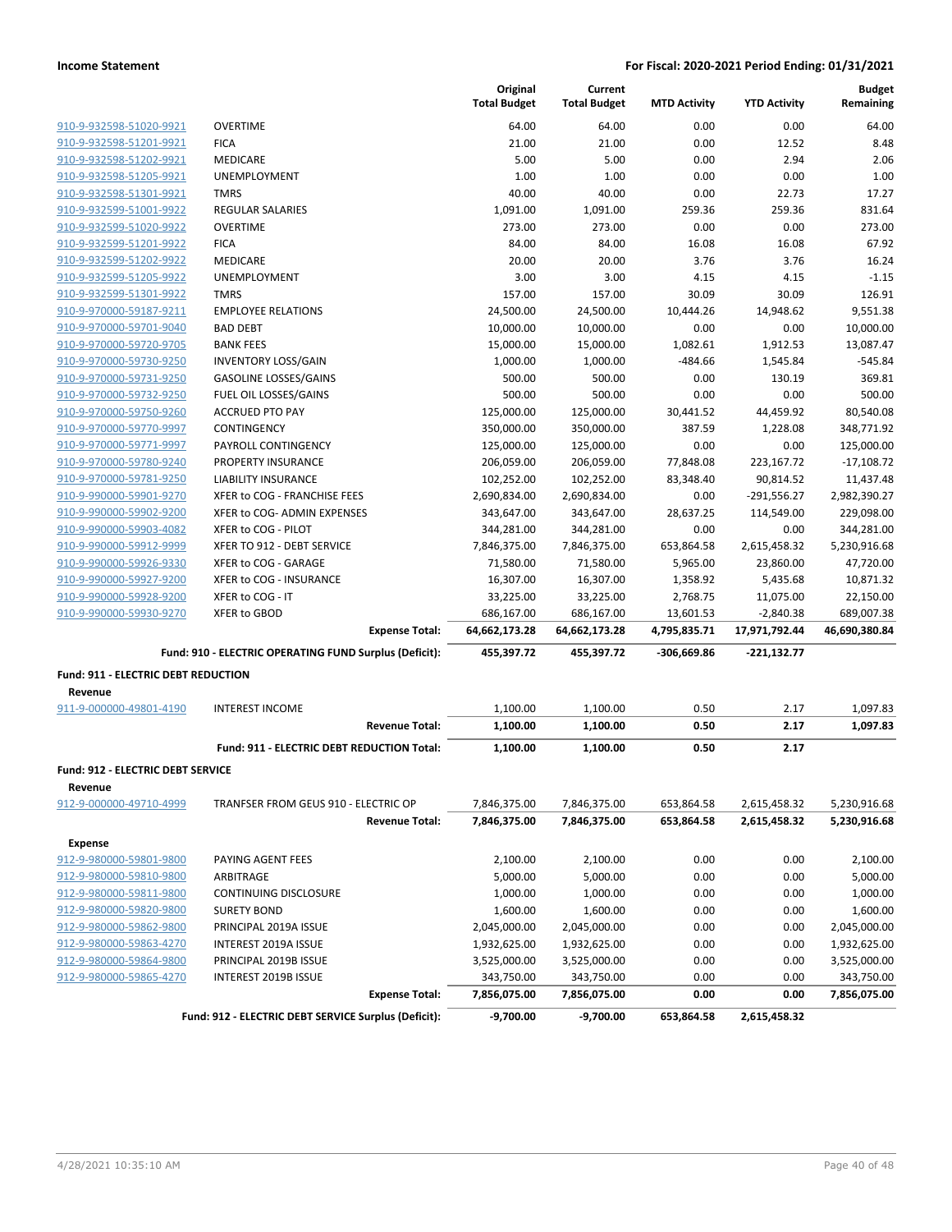|                                                     |                                                        | Original<br><b>Total Budget</b> | Current<br><b>Total Budget</b> | <b>MTD Activity</b> | <b>YTD Activity</b> | <b>Budget</b><br>Remaining |
|-----------------------------------------------------|--------------------------------------------------------|---------------------------------|--------------------------------|---------------------|---------------------|----------------------------|
| 910-9-932598-51020-9921                             | <b>OVERTIME</b>                                        | 64.00                           | 64.00                          | 0.00                | 0.00                | 64.00                      |
| 910-9-932598-51201-9921                             | <b>FICA</b>                                            | 21.00                           | 21.00                          | 0.00                | 12.52               | 8.48                       |
| 910-9-932598-51202-9921                             | MEDICARE                                               | 5.00                            | 5.00                           | 0.00                | 2.94                | 2.06                       |
| 910-9-932598-51205-9921                             | UNEMPLOYMENT                                           | 1.00                            | 1.00                           | 0.00                | 0.00                | 1.00                       |
| 910-9-932598-51301-9921                             | <b>TMRS</b>                                            | 40.00                           | 40.00                          | 0.00                | 22.73               | 17.27                      |
| 910-9-932599-51001-9922                             | <b>REGULAR SALARIES</b>                                | 1,091.00                        | 1,091.00                       | 259.36              | 259.36              | 831.64                     |
| 910-9-932599-51020-9922                             | <b>OVERTIME</b>                                        | 273.00                          | 273.00                         | 0.00                | 0.00                | 273.00                     |
| 910-9-932599-51201-9922                             | <b>FICA</b>                                            | 84.00                           | 84.00                          | 16.08               | 16.08               | 67.92                      |
| 910-9-932599-51202-9922                             | MEDICARE                                               | 20.00                           | 20.00                          | 3.76                | 3.76                | 16.24                      |
| 910-9-932599-51205-9922                             | UNEMPLOYMENT                                           | 3.00                            | 3.00                           | 4.15                | 4.15                | $-1.15$                    |
| 910-9-932599-51301-9922                             | <b>TMRS</b>                                            | 157.00                          | 157.00                         | 30.09               | 30.09               | 126.91                     |
| 910-9-970000-59187-9211                             | <b>EMPLOYEE RELATIONS</b>                              | 24,500.00                       | 24,500.00                      | 10,444.26           | 14,948.62           | 9,551.38                   |
| 910-9-970000-59701-9040                             | <b>BAD DEBT</b>                                        | 10,000.00                       | 10,000.00                      | 0.00                | 0.00                | 10,000.00                  |
| 910-9-970000-59720-9705                             | <b>BANK FEES</b>                                       | 15,000.00                       | 15,000.00                      | 1,082.61            | 1,912.53            | 13,087.47                  |
| 910-9-970000-59730-9250                             | <b>INVENTORY LOSS/GAIN</b>                             | 1,000.00                        | 1,000.00                       | $-484.66$           | 1,545.84            | $-545.84$                  |
| 910-9-970000-59731-9250                             | <b>GASOLINE LOSSES/GAINS</b>                           | 500.00                          | 500.00                         | 0.00                | 130.19              | 369.81                     |
| 910-9-970000-59732-9250                             | FUEL OIL LOSSES/GAINS                                  | 500.00                          | 500.00                         | 0.00                | 0.00                | 500.00                     |
| 910-9-970000-59750-9260                             | <b>ACCRUED PTO PAY</b>                                 | 125,000.00                      | 125,000.00                     | 30,441.52           | 44,459.92           | 80,540.08                  |
| 910-9-970000-59770-9997                             | CONTINGENCY                                            | 350,000.00                      | 350,000.00                     | 387.59              | 1,228.08            | 348,771.92                 |
| 910-9-970000-59771-9997                             | PAYROLL CONTINGENCY                                    | 125,000.00                      | 125,000.00                     | 0.00                | 0.00                | 125,000.00                 |
| 910-9-970000-59780-9240                             | PROPERTY INSURANCE                                     | 206,059.00                      | 206,059.00                     | 77,848.08           | 223,167.72          | $-17,108.72$               |
| 910-9-970000-59781-9250                             | <b>LIABILITY INSURANCE</b>                             | 102,252.00                      | 102,252.00                     | 83,348.40           | 90,814.52           | 11,437.48                  |
| 910-9-990000-59901-9270                             | XFER to COG - FRANCHISE FEES                           | 2,690,834.00                    | 2,690,834.00                   | 0.00                | $-291,556.27$       | 2,982,390.27               |
| 910-9-990000-59902-9200                             | XFER to COG- ADMIN EXPENSES                            | 343,647.00                      | 343,647.00                     | 28,637.25           | 114,549.00          | 229,098.00                 |
| 910-9-990000-59903-4082                             | XFER to COG - PILOT                                    | 344,281.00                      | 344,281.00                     | 0.00                | 0.00                | 344,281.00                 |
| 910-9-990000-59912-9999                             | XFER TO 912 - DEBT SERVICE                             | 7,846,375.00                    | 7,846,375.00                   | 653,864.58          | 2,615,458.32        | 5,230,916.68               |
| 910-9-990000-59926-9330                             | XFER to COG - GARAGE                                   | 71,580.00                       | 71,580.00                      | 5,965.00            | 23,860.00           | 47,720.00                  |
| 910-9-990000-59927-9200                             | XFER to COG - INSURANCE                                | 16,307.00                       | 16,307.00                      | 1,358.92            | 5,435.68            | 10,871.32                  |
| 910-9-990000-59928-9200                             | XFER to COG - IT                                       | 33,225.00                       | 33,225.00                      | 2,768.75            | 11,075.00           | 22,150.00                  |
| 910-9-990000-59930-9270                             | XFER to GBOD                                           | 686,167.00                      | 686,167.00                     | 13,601.53           | $-2,840.38$         | 689,007.38                 |
|                                                     | <b>Expense Total:</b>                                  | 64,662,173.28                   | 64,662,173.28                  | 4,795,835.71        | 17,971,792.44       | 46,690,380.84              |
|                                                     | Fund: 910 - ELECTRIC OPERATING FUND Surplus (Deficit): | 455,397.72                      | 455,397.72                     | -306,669.86         | -221,132.77         |                            |
| Fund: 911 - ELECTRIC DEBT REDUCTION                 |                                                        |                                 |                                |                     |                     |                            |
| Revenue                                             |                                                        |                                 |                                |                     |                     |                            |
| 911-9-000000-49801-4190                             | <b>INTEREST INCOME</b>                                 | 1,100.00                        | 1,100.00                       | 0.50                | 2.17                | 1,097.83                   |
|                                                     | <b>Revenue Total:</b>                                  | 1,100.00                        | 1,100.00                       | 0.50                | 2.17                | 1,097.83                   |
|                                                     | Fund: 911 - ELECTRIC DEBT REDUCTION Total:             | 1,100.00                        | 1,100.00                       | 0.50                | 2.17                |                            |
| <b>Fund: 912 - ELECTRIC DEBT SERVICE</b><br>Revenue |                                                        |                                 |                                |                     |                     |                            |
| 912-9-000000-49710-4999                             | TRANFSER FROM GEUS 910 - ELECTRIC OP                   | 7,846,375.00                    | 7,846,375.00                   | 653,864.58          | 2,615,458.32        | 5,230,916.68               |
|                                                     | <b>Revenue Total:</b>                                  | 7,846,375.00                    | 7,846,375.00                   | 653,864.58          | 2,615,458.32        | 5,230,916.68               |
| <b>Expense</b>                                      |                                                        |                                 |                                |                     |                     |                            |
| 912-9-980000-59801-9800                             | PAYING AGENT FEES                                      | 2,100.00                        | 2,100.00                       | 0.00                | 0.00                | 2,100.00                   |
| 912-9-980000-59810-9800                             | ARBITRAGE                                              | 5,000.00                        | 5,000.00                       | 0.00                | 0.00                | 5,000.00                   |
| 912-9-980000-59811-9800                             | CONTINUING DISCLOSURE                                  | 1,000.00                        | 1,000.00                       | 0.00                | 0.00                | 1,000.00                   |
| 912-9-980000-59820-9800                             | <b>SURETY BOND</b>                                     | 1,600.00                        | 1,600.00                       | 0.00                | 0.00                | 1,600.00                   |
| 912-9-980000-59862-9800                             | PRINCIPAL 2019A ISSUE                                  | 2,045,000.00                    | 2,045,000.00                   | 0.00                | 0.00                | 2,045,000.00               |
| 912-9-980000-59863-4270                             | INTEREST 2019A ISSUE                                   | 1,932,625.00                    | 1,932,625.00                   | 0.00                | 0.00                | 1,932,625.00               |
| 912-9-980000-59864-9800                             | PRINCIPAL 2019B ISSUE                                  | 3,525,000.00                    | 3,525,000.00                   | 0.00                | 0.00                | 3,525,000.00               |
| 912-9-980000-59865-4270                             | INTEREST 2019B ISSUE                                   | 343,750.00                      | 343,750.00                     | 0.00                | 0.00                | 343,750.00                 |
|                                                     | <b>Expense Total:</b>                                  | 7,856,075.00                    | 7,856,075.00                   | 0.00                | 0.00                | 7,856,075.00               |
|                                                     | Fund: 912 - ELECTRIC DEBT SERVICE Surplus (Deficit):   | -9,700.00                       | $-9,700.00$                    | 653,864.58          | 2,615,458.32        |                            |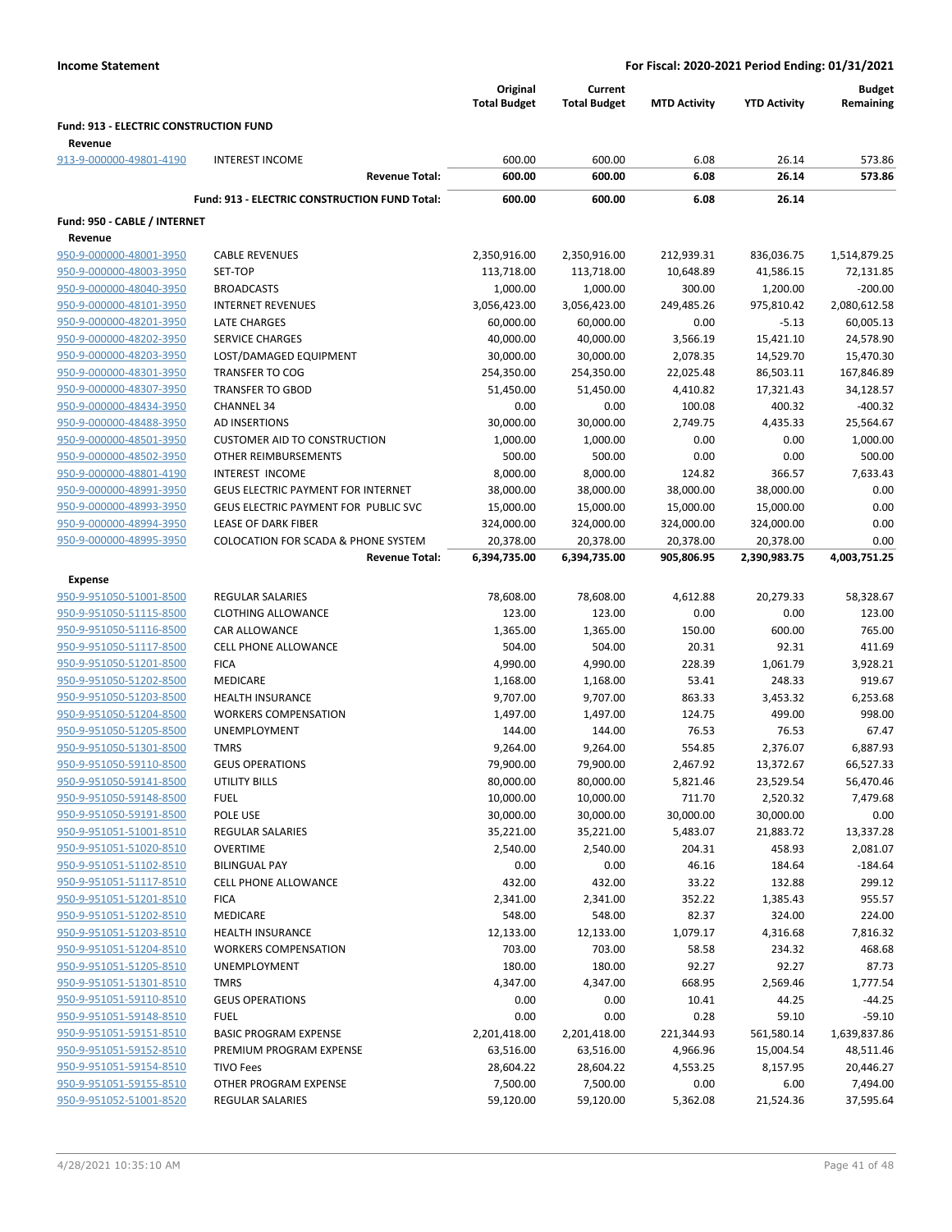|                                               |                                                      | Original<br><b>Total Budget</b> | Current<br><b>Total Budget</b> | <b>MTD Activity</b> | <b>YTD Activity</b> | <b>Budget</b><br>Remaining |
|-----------------------------------------------|------------------------------------------------------|---------------------------------|--------------------------------|---------------------|---------------------|----------------------------|
| <b>Fund: 913 - ELECTRIC CONSTRUCTION FUND</b> |                                                      |                                 |                                |                     |                     |                            |
| Revenue<br>913-9-000000-49801-4190            | <b>INTEREST INCOME</b>                               | 600.00                          | 600.00                         | 6.08                | 26.14               | 573.86                     |
|                                               | <b>Revenue Total:</b>                                | 600.00                          | 600.00                         | 6.08                | 26.14               | 573.86                     |
|                                               | <b>Fund: 913 - ELECTRIC CONSTRUCTION FUND Total:</b> | 600.00                          | 600.00                         | 6.08                | 26.14               |                            |
| Fund: 950 - CABLE / INTERNET                  |                                                      |                                 |                                |                     |                     |                            |
| Revenue                                       |                                                      |                                 |                                |                     |                     |                            |
| 950-9-000000-48001-3950                       | <b>CABLE REVENUES</b>                                | 2,350,916.00                    | 2,350,916.00                   | 212,939.31          | 836,036.75          | 1,514,879.25               |
| 950-9-000000-48003-3950                       | SET-TOP                                              | 113,718.00                      | 113,718.00                     | 10,648.89           | 41,586.15           | 72,131.85                  |
| 950-9-000000-48040-3950                       | <b>BROADCASTS</b>                                    | 1,000.00                        | 1,000.00                       | 300.00              | 1,200.00            | $-200.00$                  |
| 950-9-000000-48101-3950                       | <b>INTERNET REVENUES</b>                             | 3,056,423.00                    | 3,056,423.00                   | 249,485.26          | 975,810.42          | 2,080,612.58               |
| 950-9-000000-48201-3950                       | LATE CHARGES                                         | 60,000.00                       | 60,000.00                      | 0.00                | $-5.13$             | 60,005.13                  |
| 950-9-000000-48202-3950                       | <b>SERVICE CHARGES</b>                               | 40,000.00                       | 40,000.00                      | 3,566.19            | 15,421.10           | 24,578.90                  |
| 950-9-000000-48203-3950                       | LOST/DAMAGED EQUIPMENT                               | 30,000.00                       | 30,000.00                      | 2,078.35            | 14,529.70           | 15,470.30                  |
| 950-9-000000-48301-3950                       | <b>TRANSFER TO COG</b>                               | 254,350.00                      | 254,350.00                     | 22,025.48           | 86,503.11           | 167,846.89                 |
| 950-9-000000-48307-3950                       | <b>TRANSFER TO GBOD</b>                              | 51,450.00                       | 51,450.00                      | 4,410.82            | 17,321.43           | 34,128.57                  |
| 950-9-000000-48434-3950                       | <b>CHANNEL 34</b>                                    | 0.00                            | 0.00                           | 100.08              | 400.32              | $-400.32$                  |
| 950-9-000000-48488-3950                       | <b>AD INSERTIONS</b>                                 | 30,000.00                       | 30,000.00                      | 2,749.75            | 4,435.33            | 25,564.67                  |
| 950-9-000000-48501-3950                       | <b>CUSTOMER AID TO CONSTRUCTION</b>                  | 1,000.00                        | 1,000.00                       | 0.00                | 0.00                | 1,000.00                   |
| 950-9-000000-48502-3950                       | <b>OTHER REIMBURSEMENTS</b>                          | 500.00                          | 500.00                         | 0.00                | 0.00                | 500.00                     |
| 950-9-000000-48801-4190                       | <b>INTEREST INCOME</b>                               | 8,000.00                        | 8,000.00                       | 124.82              | 366.57              | 7,633.43                   |
| 950-9-000000-48991-3950                       | <b>GEUS ELECTRIC PAYMENT FOR INTERNET</b>            | 38,000.00                       | 38,000.00                      | 38,000.00           | 38,000.00           | 0.00                       |
| 950-9-000000-48993-3950                       | <b>GEUS ELECTRIC PAYMENT FOR PUBLIC SVC</b>          | 15,000.00                       | 15,000.00                      | 15,000.00           | 15,000.00           | 0.00                       |
| 950-9-000000-48994-3950                       | <b>LEASE OF DARK FIBER</b>                           | 324,000.00                      | 324,000.00                     | 324,000.00          | 324,000.00          | 0.00                       |
| 950-9-000000-48995-3950                       | <b>COLOCATION FOR SCADA &amp; PHONE SYSTEM</b>       | 20,378.00                       | 20,378.00                      | 20,378.00           | 20,378.00           | 0.00                       |
|                                               | <b>Revenue Total:</b>                                | 6,394,735.00                    | 6,394,735.00                   | 905,806.95          | 2,390,983.75        | 4,003,751.25               |
| Expense                                       |                                                      |                                 |                                |                     |                     |                            |
| 950-9-951050-51001-8500                       | <b>REGULAR SALARIES</b>                              | 78,608.00                       | 78,608.00                      | 4,612.88            | 20,279.33           | 58,328.67                  |
| 950-9-951050-51115-8500                       | <b>CLOTHING ALLOWANCE</b>                            | 123.00                          | 123.00                         | 0.00                | 0.00                | 123.00                     |
| 950-9-951050-51116-8500                       | <b>CAR ALLOWANCE</b>                                 | 1,365.00                        | 1,365.00                       | 150.00              | 600.00              | 765.00                     |
| 950-9-951050-51117-8500                       | <b>CELL PHONE ALLOWANCE</b>                          | 504.00                          | 504.00                         | 20.31               | 92.31               | 411.69                     |
| 950-9-951050-51201-8500                       | <b>FICA</b>                                          | 4,990.00                        | 4,990.00                       | 228.39              | 1,061.79            | 3,928.21                   |
| 950-9-951050-51202-8500                       | <b>MEDICARE</b>                                      | 1,168.00                        | 1,168.00                       | 53.41               | 248.33              | 919.67                     |
| 950-9-951050-51203-8500                       | <b>HEALTH INSURANCE</b>                              | 9,707.00                        | 9,707.00                       | 863.33              | 3,453.32            | 6,253.68                   |
| 950-9-951050-51204-8500                       | <b>WORKERS COMPENSATION</b>                          | 1,497.00                        | 1,497.00                       | 124.75              | 499.00              | 998.00                     |
| 950-9-951050-51205-8500                       | UNEMPLOYMENT                                         | 144.00                          | 144.00                         | 76.53               | 76.53               | 67.47                      |
| 950-9-951050-51301-8500                       | <b>TMRS</b>                                          | 9,264.00                        | 9,264.00                       | 554.85              | 2,376.07            | 6,887.93                   |
| 950-9-951050-59110-8500                       | <b>GEUS OPERATIONS</b>                               | 79,900.00                       | 79,900.00                      | 2,467.92            | 13,372.67           | 66,527.33                  |
| 950-9-951050-59141-8500                       | UTILITY BILLS                                        | 80,000.00                       | 80,000.00                      | 5,821.46            | 23,529.54           | 56,470.46                  |
| 950-9-951050-59148-8500                       | <b>FUEL</b>                                          | 10,000.00                       | 10,000.00                      | 711.70              | 2,520.32            | 7,479.68                   |
| 950-9-951050-59191-8500                       | POLE USE                                             | 30,000.00                       | 30,000.00                      | 30,000.00           | 30,000.00           | 0.00                       |
| 950-9-951051-51001-8510                       | <b>REGULAR SALARIES</b>                              | 35,221.00                       | 35,221.00                      | 5,483.07            | 21,883.72           | 13,337.28                  |
| 950-9-951051-51020-8510                       | <b>OVERTIME</b>                                      | 2,540.00                        | 2,540.00                       | 204.31              | 458.93              | 2,081.07                   |
| 950-9-951051-51102-8510                       | <b>BILINGUAL PAY</b>                                 | 0.00                            | 0.00                           | 46.16               | 184.64              | $-184.64$                  |
| 950-9-951051-51117-8510                       | <b>CELL PHONE ALLOWANCE</b>                          | 432.00                          | 432.00                         | 33.22               | 132.88              | 299.12                     |
| 950-9-951051-51201-8510                       | <b>FICA</b>                                          | 2,341.00                        | 2,341.00                       | 352.22              | 1,385.43            | 955.57                     |
| 950-9-951051-51202-8510                       | MEDICARE                                             | 548.00                          | 548.00                         | 82.37               | 324.00              | 224.00                     |
| 950-9-951051-51203-8510                       | <b>HEALTH INSURANCE</b>                              | 12,133.00                       | 12,133.00                      | 1,079.17            | 4,316.68            | 7,816.32                   |
| 950-9-951051-51204-8510                       | <b>WORKERS COMPENSATION</b>                          | 703.00                          | 703.00                         | 58.58               | 234.32              | 468.68                     |
| 950-9-951051-51205-8510                       | UNEMPLOYMENT                                         | 180.00                          | 180.00                         | 92.27               | 92.27               | 87.73                      |
| 950-9-951051-51301-8510                       | <b>TMRS</b>                                          | 4,347.00                        | 4,347.00                       | 668.95              | 2,569.46            | 1,777.54                   |
| 950-9-951051-59110-8510                       | <b>GEUS OPERATIONS</b>                               | 0.00                            | 0.00                           | 10.41               | 44.25               | -44.25                     |
| 950-9-951051-59148-8510                       | <b>FUEL</b>                                          | 0.00                            | 0.00                           | 0.28                | 59.10               | $-59.10$                   |
| 950-9-951051-59151-8510                       | <b>BASIC PROGRAM EXPENSE</b>                         | 2,201,418.00                    | 2,201,418.00                   | 221,344.93          | 561,580.14          | 1,639,837.86               |
| 950-9-951051-59152-8510                       | PREMIUM PROGRAM EXPENSE                              | 63,516.00                       | 63,516.00                      | 4,966.96            | 15,004.54           | 48,511.46                  |
| 950-9-951051-59154-8510                       | <b>TIVO Fees</b>                                     | 28,604.22                       | 28,604.22                      | 4,553.25            | 8,157.95            | 20,446.27                  |
| 950-9-951051-59155-8510                       | OTHER PROGRAM EXPENSE                                | 7,500.00                        | 7,500.00                       | 0.00                | 6.00                | 7,494.00                   |
| 950-9-951052-51001-8520                       | REGULAR SALARIES                                     | 59,120.00                       | 59,120.00                      | 5,362.08            | 21,524.36           | 37,595.64                  |
|                                               |                                                      |                                 |                                |                     |                     |                            |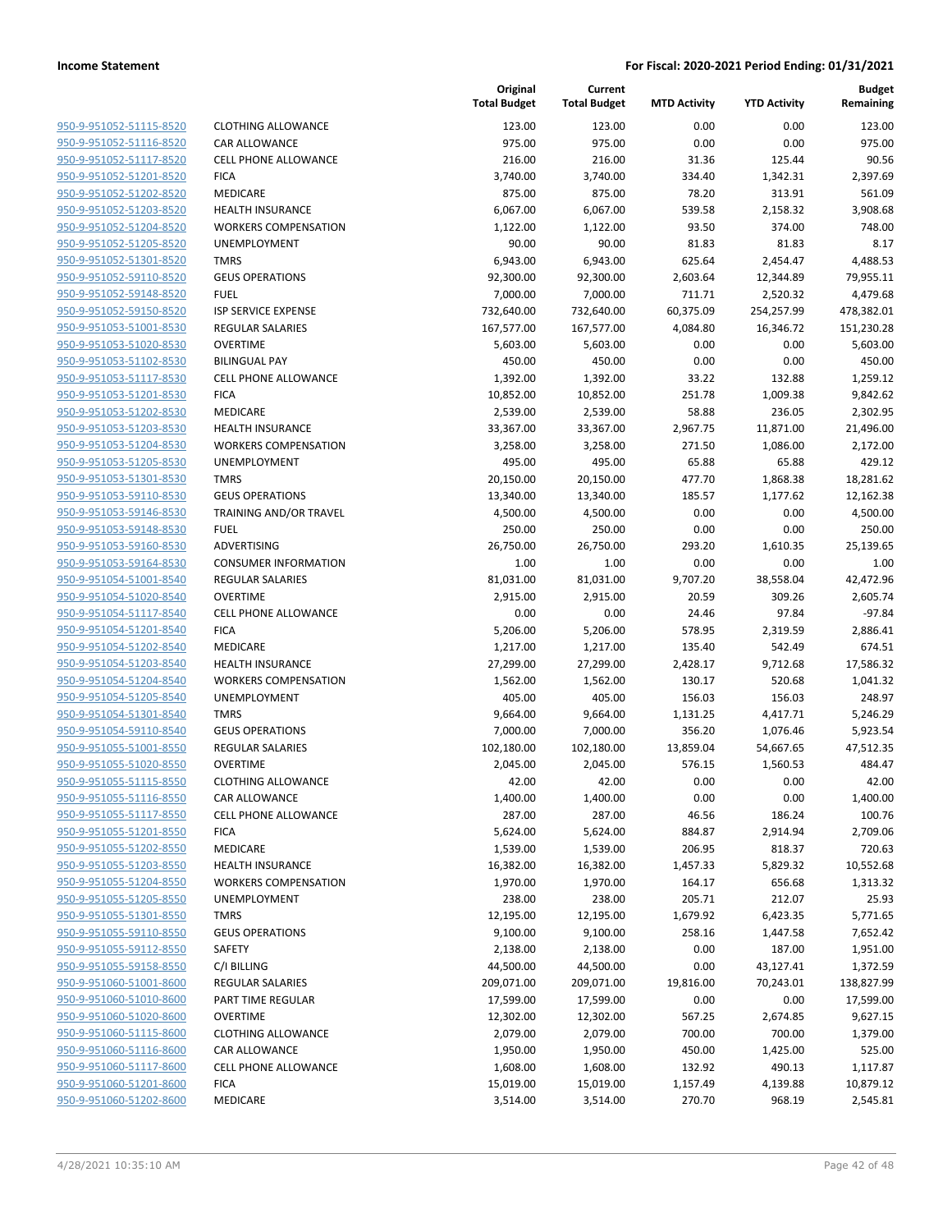| 950-9-951052-51115-8520        |
|--------------------------------|
| 950-9-951052-51116-8520        |
| 950-9-951052-51117-8520        |
| 950-9-951052-51201-8520        |
| <u>950-9-951052-51202-8520</u> |
| 950-9-951052-51203-8520        |
| 950-9-951052-51204-8520        |
| 950-9-951052-51205-8520        |
| 950-9-951052-51301-8520        |
| 950-9-951052-59110-8520        |
| <u>950-9-951052-59148-8520</u> |
| 950-9-951052-59150-8520        |
| 950-9-951053-51001-8530        |
| 950-9-951053-51020-8530        |
| <u>950-9-951053-51102-8530</u> |
| <u>950-9-951053-51117-8530</u> |
| <u>950-9-951053-51201-8530</u> |
| 950-9-951053-51202-8530        |
| 950-9-951053-51203-8530        |
| 950-9-951053-51204-8530        |
| 950-9-951053-51205-8530        |
| 950-9-951053-51301-8530        |
| 950-9-951053-59110-8530        |
| 950-9-951053-59146-8530        |
| <u>950-9-951053-59148-8530</u> |
| <u>950-9-951053-59160-8530</u> |
| <u>950-9-951053-59164-8530</u> |
| 950-9-951054-51001-8540        |
| 950-9-951054-51020-8540        |
| 950-9-951054-51117-8540        |
| 950-9-951054-51201-8540        |
| 950-9-951054-51202-8540        |
| 950-9-951054-51203-8540        |
| 950-9-951054-51204-8540        |
| 950-9-951054-51205-8540        |
| 950-9-951054-51301-8540        |
| 950-9-951054-59110-8540        |
| 950-9-951055-51001-8550        |
| 950-9-951055-51020-8550        |
| 950-9-951055-51115-8550        |
| 950-9-951055-51116-8550        |
| 950-9-951055-51117-8550        |
| 950-9-951055-51201-8550        |
| 950-9-951055-51202-8550        |
| <u>950-9-951055-51203-8550</u> |
| 950-9-951055-51204-8550        |
| 950-9-951055-51205-8550        |
| 950-9-951055-51301-8550        |
| 950-9-951055-59110-8550        |
| <u>950-9-951055-59112-8550</u> |
| 950-9-951055-59158-8550        |
| 950-9-951060-51001-8600        |
| 950-9-951060-51010-8600        |
| 950-9-951060-51020-8600        |
| 950-9-951060-51115-8600        |
| 950-9-951060-51116-8600        |
| 950-9-951060-51117-8600        |
| 950-9-951060-51201-8600        |
| 950-9-951060-51202-8600        |
|                                |

|                                                    |                                                        | Original<br><b>Total Budget</b> | Current<br><b>Total Budget</b> | <b>MTD Activity</b> | <b>YTD Activity</b> | <b>Budget</b><br>Remaining |
|----------------------------------------------------|--------------------------------------------------------|---------------------------------|--------------------------------|---------------------|---------------------|----------------------------|
| 950-9-951052-51115-8520                            | <b>CLOTHING ALLOWANCE</b>                              | 123.00                          | 123.00                         | 0.00                | 0.00                | 123.00                     |
| 950-9-951052-51116-8520                            | <b>CAR ALLOWANCE</b>                                   | 975.00                          | 975.00                         | 0.00                | 0.00                | 975.00                     |
| 950-9-951052-51117-8520                            | <b>CELL PHONE ALLOWANCE</b>                            | 216.00                          | 216.00                         | 31.36               | 125.44              | 90.56                      |
| 950-9-951052-51201-8520                            | <b>FICA</b>                                            | 3,740.00                        | 3,740.00                       | 334.40              | 1,342.31            | 2,397.69                   |
| 950-9-951052-51202-8520                            | <b>MEDICARE</b>                                        | 875.00                          | 875.00                         | 78.20               | 313.91              | 561.09                     |
| 950-9-951052-51203-8520                            | <b>HEALTH INSURANCE</b>                                | 6,067.00                        | 6,067.00                       | 539.58              | 2,158.32            | 3,908.68                   |
| 950-9-951052-51204-8520                            | <b>WORKERS COMPENSATION</b>                            | 1,122.00                        | 1,122.00                       | 93.50               | 374.00              | 748.00                     |
| 950-9-951052-51205-8520                            | UNEMPLOYMENT                                           | 90.00                           | 90.00                          | 81.83               | 81.83               | 8.17                       |
| 950-9-951052-51301-8520                            | <b>TMRS</b>                                            | 6,943.00                        | 6,943.00                       | 625.64              | 2,454.47            | 4,488.53                   |
| 950-9-951052-59110-8520                            | <b>GEUS OPERATIONS</b>                                 | 92,300.00                       | 92,300.00                      | 2,603.64            | 12,344.89           | 79,955.11                  |
| 950-9-951052-59148-8520                            | <b>FUEL</b>                                            | 7,000.00                        | 7,000.00                       | 711.71              | 2,520.32            | 4,479.68                   |
| 950-9-951052-59150-8520                            | <b>ISP SERVICE EXPENSE</b>                             | 732,640.00                      | 732,640.00                     | 60,375.09           | 254,257.99          | 478,382.01                 |
| 950-9-951053-51001-8530                            | <b>REGULAR SALARIES</b>                                | 167,577.00                      | 167,577.00                     | 4,084.80            | 16,346.72           | 151,230.28                 |
| 950-9-951053-51020-8530                            | <b>OVERTIME</b>                                        | 5,603.00                        | 5,603.00                       | 0.00                | 0.00                | 5,603.00                   |
| 950-9-951053-51102-8530                            | <b>BILINGUAL PAY</b>                                   | 450.00                          | 450.00                         | 0.00                | 0.00                | 450.00                     |
| 950-9-951053-51117-8530                            | <b>CELL PHONE ALLOWANCE</b>                            | 1,392.00                        | 1,392.00                       | 33.22               | 132.88              | 1,259.12                   |
| 950-9-951053-51201-8530                            | <b>FICA</b><br><b>MEDICARE</b>                         | 10,852.00                       | 10,852.00                      | 251.78              | 1,009.38            | 9,842.62<br>2,302.95       |
| 950-9-951053-51202-8530<br>950-9-951053-51203-8530 | <b>HEALTH INSURANCE</b>                                | 2,539.00<br>33,367.00           | 2,539.00<br>33,367.00          | 58.88<br>2,967.75   | 236.05<br>11,871.00 | 21,496.00                  |
| 950-9-951053-51204-8530                            | <b>WORKERS COMPENSATION</b>                            | 3,258.00                        | 3,258.00                       | 271.50              | 1,086.00            | 2,172.00                   |
| 950-9-951053-51205-8530                            | <b>UNEMPLOYMENT</b>                                    | 495.00                          | 495.00                         | 65.88               | 65.88               | 429.12                     |
| 950-9-951053-51301-8530                            | <b>TMRS</b>                                            | 20,150.00                       | 20,150.00                      | 477.70              | 1,868.38            | 18,281.62                  |
| 950-9-951053-59110-8530                            | <b>GEUS OPERATIONS</b>                                 | 13,340.00                       | 13,340.00                      | 185.57              | 1,177.62            | 12,162.38                  |
| 950-9-951053-59146-8530                            | <b>TRAINING AND/OR TRAVEL</b>                          | 4,500.00                        | 4,500.00                       | 0.00                | 0.00                | 4,500.00                   |
| 950-9-951053-59148-8530                            | <b>FUEL</b>                                            | 250.00                          | 250.00                         | 0.00                | 0.00                | 250.00                     |
| 950-9-951053-59160-8530                            | ADVERTISING                                            | 26,750.00                       | 26,750.00                      | 293.20              | 1,610.35            | 25,139.65                  |
| 950-9-951053-59164-8530                            | <b>CONSUMER INFORMATION</b>                            | 1.00                            | 1.00                           | 0.00                | 0.00                | 1.00                       |
| 950-9-951054-51001-8540                            | <b>REGULAR SALARIES</b>                                | 81,031.00                       | 81,031.00                      | 9,707.20            | 38,558.04           | 42,472.96                  |
| 950-9-951054-51020-8540                            | <b>OVERTIME</b>                                        | 2,915.00                        | 2,915.00                       | 20.59               | 309.26              | 2,605.74                   |
| 950-9-951054-51117-8540                            | CELL PHONE ALLOWANCE                                   | 0.00                            | 0.00                           | 24.46               | 97.84               | $-97.84$                   |
| 950-9-951054-51201-8540                            | <b>FICA</b>                                            | 5,206.00                        | 5,206.00                       | 578.95              | 2,319.59            | 2,886.41                   |
| 950-9-951054-51202-8540                            | <b>MEDICARE</b>                                        | 1,217.00                        | 1,217.00                       | 135.40              | 542.49              | 674.51                     |
| 950-9-951054-51203-8540                            | <b>HEALTH INSURANCE</b>                                | 27,299.00                       | 27,299.00                      | 2,428.17            | 9,712.68            | 17,586.32                  |
| 950-9-951054-51204-8540                            | <b>WORKERS COMPENSATION</b>                            | 1,562.00                        | 1,562.00                       | 130.17              | 520.68              | 1,041.32                   |
| 950-9-951054-51205-8540                            | UNEMPLOYMENT                                           | 405.00                          | 405.00                         | 156.03              | 156.03              | 248.97                     |
| 950-9-951054-51301-8540                            | <b>TMRS</b>                                            | 9,664.00                        | 9,664.00                       | 1,131.25            | 4,417.71            | 5,246.29                   |
| 950-9-951054-59110-8540                            | <b>GEUS OPERATIONS</b>                                 | 7,000.00                        | 7,000.00                       | 356.20              | 1,076.46            | 5,923.54                   |
| 950-9-951055-51001-8550                            | <b>REGULAR SALARIES</b>                                | 102,180.00                      | 102,180.00                     | 13,859.04           | 54,667.65           | 47,512.35                  |
| 950-9-951055-51020-8550                            | <b>OVERTIME</b>                                        | 2,045.00                        | 2,045.00                       | 576.15              | 1,560.53            | 484.47                     |
| 950-9-951055-51115-8550                            | <b>CLOTHING ALLOWANCE</b>                              | 42.00                           | 42.00                          | 0.00                | 0.00                | 42.00                      |
| 950-9-951055-51116-8550                            | CAR ALLOWANCE                                          | 1,400.00                        | 1,400.00                       | 0.00                | 0.00                | 1,400.00                   |
| 950-9-951055-51117-8550                            | CELL PHONE ALLOWANCE                                   | 287.00                          | 287.00                         | 46.56               | 186.24              | 100.76                     |
| 950-9-951055-51201-8550                            | <b>FICA</b>                                            | 5,624.00                        | 5,624.00                       | 884.87              | 2,914.94            | 2,709.06                   |
| 950-9-951055-51202-8550                            | <b>MEDICARE</b>                                        | 1,539.00                        | 1,539.00                       | 206.95              | 818.37              | 720.63                     |
| 950-9-951055-51203-8550                            | <b>HEALTH INSURANCE</b><br><b>WORKERS COMPENSATION</b> | 16,382.00                       | 16,382.00                      | 1,457.33            | 5,829.32            | 10,552.68                  |
| 950-9-951055-51204-8550<br>950-9-951055-51205-8550 | <b>UNEMPLOYMENT</b>                                    | 1,970.00<br>238.00              | 1,970.00<br>238.00             | 164.17<br>205.71    | 656.68<br>212.07    | 1,313.32<br>25.93          |
| 950-9-951055-51301-8550                            | <b>TMRS</b>                                            | 12,195.00                       | 12,195.00                      | 1,679.92            | 6,423.35            | 5,771.65                   |
| 950-9-951055-59110-8550                            | <b>GEUS OPERATIONS</b>                                 | 9,100.00                        | 9,100.00                       | 258.16              | 1,447.58            | 7,652.42                   |
| 950-9-951055-59112-8550                            | SAFETY                                                 | 2,138.00                        | 2,138.00                       | 0.00                | 187.00              | 1,951.00                   |
| 950-9-951055-59158-8550                            | C/I BILLING                                            | 44,500.00                       | 44,500.00                      | 0.00                | 43,127.41           | 1,372.59                   |
| 950-9-951060-51001-8600                            | <b>REGULAR SALARIES</b>                                | 209,071.00                      | 209,071.00                     | 19,816.00           | 70,243.01           | 138,827.99                 |
| 950-9-951060-51010-8600                            | PART TIME REGULAR                                      | 17,599.00                       | 17,599.00                      | 0.00                | 0.00                | 17,599.00                  |
| 950-9-951060-51020-8600                            | <b>OVERTIME</b>                                        | 12,302.00                       | 12,302.00                      | 567.25              | 2,674.85            | 9,627.15                   |
| 950-9-951060-51115-8600                            | <b>CLOTHING ALLOWANCE</b>                              | 2,079.00                        | 2,079.00                       | 700.00              | 700.00              | 1,379.00                   |
| 950-9-951060-51116-8600                            | <b>CAR ALLOWANCE</b>                                   | 1,950.00                        | 1,950.00                       | 450.00              | 1,425.00            | 525.00                     |
| 950-9-951060-51117-8600                            | CELL PHONE ALLOWANCE                                   | 1,608.00                        | 1,608.00                       | 132.92              | 490.13              | 1,117.87                   |
| 950-9-951060-51201-8600                            | <b>FICA</b>                                            | 15,019.00                       | 15,019.00                      | 1,157.49            | 4,139.88            | 10,879.12                  |
| 950-9-951060-51202-8600                            | <b>MEDICARE</b>                                        | 3,514.00                        | 3,514.00                       | 270.70              | 968.19              | 2,545.81                   |
|                                                    |                                                        |                                 |                                |                     |                     |                            |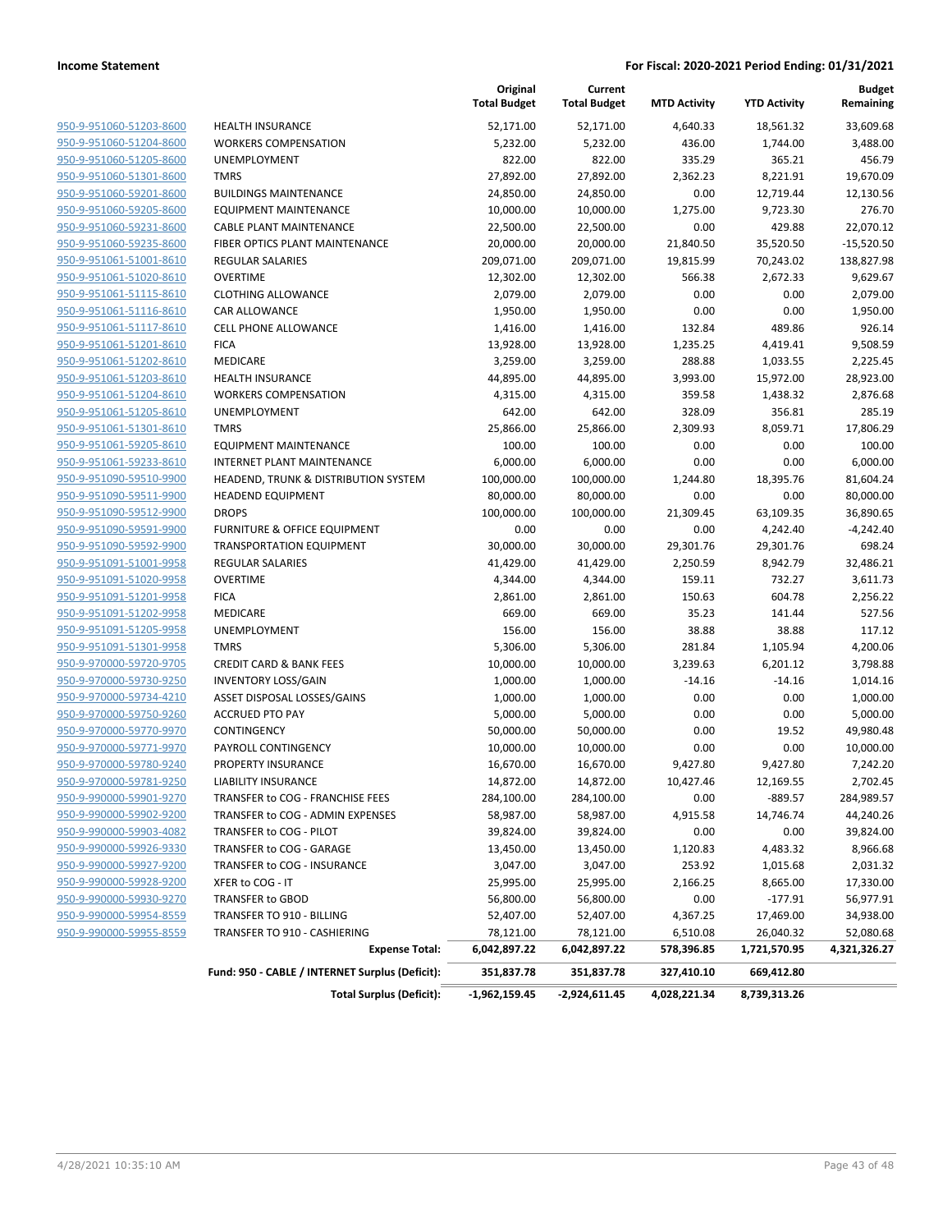|                         |                                                 | Original<br><b>Total Budget</b> | Current<br><b>Total Budget</b> | <b>MTD Activity</b> | <b>YTD Activity</b> | Budget<br>Remaining |
|-------------------------|-------------------------------------------------|---------------------------------|--------------------------------|---------------------|---------------------|---------------------|
| 950-9-951060-51203-8600 | <b>HEALTH INSURANCE</b>                         | 52,171.00                       | 52,171.00                      | 4,640.33            | 18,561.32           | 33,609.68           |
| 950-9-951060-51204-8600 | <b>WORKERS COMPENSATION</b>                     | 5,232.00                        | 5,232.00                       | 436.00              | 1,744.00            | 3,488.00            |
| 950-9-951060-51205-8600 | <b>UNEMPLOYMENT</b>                             | 822.00                          | 822.00                         | 335.29              | 365.21              | 456.79              |
| 950-9-951060-51301-8600 | <b>TMRS</b>                                     | 27,892.00                       | 27,892.00                      | 2,362.23            | 8,221.91            | 19,670.09           |
| 950-9-951060-59201-8600 | <b>BUILDINGS MAINTENANCE</b>                    | 24,850.00                       | 24,850.00                      | 0.00                | 12,719.44           | 12,130.56           |
| 950-9-951060-59205-8600 | EQUIPMENT MAINTENANCE                           | 10,000.00                       | 10,000.00                      | 1,275.00            | 9,723.30            | 276.70              |
| 950-9-951060-59231-8600 | <b>CABLE PLANT MAINTENANCE</b>                  | 22,500.00                       | 22,500.00                      | 0.00                | 429.88              | 22,070.12           |
| 950-9-951060-59235-8600 | FIBER OPTICS PLANT MAINTENANCE                  | 20,000.00                       | 20,000.00                      | 21,840.50           | 35,520.50           | $-15,520.50$        |
| 950-9-951061-51001-8610 | <b>REGULAR SALARIES</b>                         | 209,071.00                      | 209,071.00                     | 19,815.99           | 70,243.02           | 138,827.98          |
| 950-9-951061-51020-8610 | <b>OVERTIME</b>                                 | 12,302.00                       | 12,302.00                      | 566.38              | 2,672.33            | 9,629.67            |
| 950-9-951061-51115-8610 | <b>CLOTHING ALLOWANCE</b>                       | 2,079.00                        | 2,079.00                       | 0.00                | 0.00                | 2,079.00            |
| 950-9-951061-51116-8610 | CAR ALLOWANCE                                   | 1,950.00                        | 1,950.00                       | 0.00                | 0.00                | 1,950.00            |
| 950-9-951061-51117-8610 | <b>CELL PHONE ALLOWANCE</b>                     | 1,416.00                        | 1,416.00                       | 132.84              | 489.86              | 926.14              |
| 950-9-951061-51201-8610 | <b>FICA</b>                                     | 13,928.00                       | 13,928.00                      | 1,235.25            | 4,419.41            | 9,508.59            |
| 950-9-951061-51202-8610 | MEDICARE                                        | 3,259.00                        | 3,259.00                       | 288.88              | 1,033.55            | 2,225.45            |
| 950-9-951061-51203-8610 | <b>HEALTH INSURANCE</b>                         | 44,895.00                       | 44,895.00                      | 3,993.00            | 15,972.00           | 28,923.00           |
| 950-9-951061-51204-8610 | <b>WORKERS COMPENSATION</b>                     | 4,315.00                        | 4,315.00                       | 359.58              | 1,438.32            | 2,876.68            |
| 950-9-951061-51205-8610 | <b>UNEMPLOYMENT</b>                             | 642.00                          | 642.00                         | 328.09              | 356.81              | 285.19              |
| 950-9-951061-51301-8610 | <b>TMRS</b>                                     | 25,866.00                       | 25,866.00                      | 2,309.93            | 8,059.71            | 17,806.29           |
| 950-9-951061-59205-8610 | <b>EQUIPMENT MAINTENANCE</b>                    | 100.00                          | 100.00                         | 0.00                | 0.00                | 100.00              |
| 950-9-951061-59233-8610 | <b>INTERNET PLANT MAINTENANCE</b>               | 6,000.00                        | 6,000.00                       | 0.00                | 0.00                | 6,000.00            |
| 950-9-951090-59510-9900 | HEADEND, TRUNK & DISTRIBUTION SYSTEM            | 100,000.00                      | 100,000.00                     | 1,244.80            | 18,395.76           | 81,604.24           |
| 950-9-951090-59511-9900 | <b>HEADEND EQUIPMENT</b>                        | 80,000.00                       | 80,000.00                      | 0.00                | 0.00                | 80,000.00           |
| 950-9-951090-59512-9900 | <b>DROPS</b>                                    | 100,000.00                      | 100,000.00                     | 21,309.45           | 63,109.35           | 36,890.65           |
| 950-9-951090-59591-9900 | FURNITURE & OFFICE EQUIPMENT                    | 0.00                            | 0.00                           | 0.00                | 4,242.40            | $-4,242.40$         |
| 950-9-951090-59592-9900 | <b>TRANSPORTATION EQUIPMENT</b>                 | 30,000.00                       | 30,000.00                      | 29,301.76           | 29,301.76           | 698.24              |
| 950-9-951091-51001-9958 | <b>REGULAR SALARIES</b>                         | 41,429.00                       | 41,429.00                      | 2,250.59            | 8,942.79            | 32,486.21           |
| 950-9-951091-51020-9958 | <b>OVERTIME</b>                                 | 4,344.00                        | 4,344.00                       | 159.11              | 732.27              | 3,611.73            |
| 950-9-951091-51201-9958 | <b>FICA</b>                                     | 2,861.00                        | 2,861.00                       | 150.63              | 604.78              | 2,256.22            |
| 950-9-951091-51202-9958 | MEDICARE                                        | 669.00                          | 669.00                         | 35.23               | 141.44              | 527.56              |
| 950-9-951091-51205-9958 | UNEMPLOYMENT                                    | 156.00                          | 156.00                         | 38.88               | 38.88               | 117.12              |
| 950-9-951091-51301-9958 | <b>TMRS</b>                                     | 5,306.00                        | 5,306.00                       | 281.84              | 1,105.94            | 4,200.06            |
| 950-9-970000-59720-9705 | <b>CREDIT CARD &amp; BANK FEES</b>              | 10,000.00                       | 10,000.00                      | 3,239.63            | 6,201.12            | 3,798.88            |
| 950-9-970000-59730-9250 | <b>INVENTORY LOSS/GAIN</b>                      | 1,000.00                        | 1,000.00                       | $-14.16$            | $-14.16$            | 1,014.16            |
| 950-9-970000-59734-4210 | ASSET DISPOSAL LOSSES/GAINS                     | 1,000.00                        | 1,000.00                       | 0.00                | 0.00                | 1,000.00            |
| 950-9-970000-59750-9260 | <b>ACCRUED PTO PAY</b>                          | 5,000.00                        | 5,000.00                       | 0.00                | 0.00                | 5,000.00            |
| 950-9-970000-59770-9970 | CONTINGENCY                                     | 50,000.00                       | 50,000.00                      | 0.00                | 19.52               | 49,980.48           |
| 950-9-970000-59771-9970 | PAYROLL CONTINGENCY                             | 10,000.00                       | 10,000.00                      | 0.00                | 0.00                | 10,000.00           |
| 950-9-970000-59780-9240 | PROPERTY INSURANCE                              | 16,670.00                       | 16,670.00                      | 9,427.80            | 9,427.80            | 7,242.20            |
| 950-9-970000-59781-9250 | LIABILITY INSURANCE                             | 14,872.00                       | 14,872.00                      | 10,427.46           | 12,169.55           | 2,702.45            |
| 950-9-990000-59901-9270 | TRANSFER to COG - FRANCHISE FEES                | 284,100.00                      | 284,100.00                     | 0.00                | -889.57             | 284,989.57          |
| 950-9-990000-59902-9200 | TRANSFER to COG - ADMIN EXPENSES                | 58,987.00                       | 58,987.00                      | 4,915.58            | 14,746.74           | 44,240.26           |
| 950-9-990000-59903-4082 | TRANSFER to COG - PILOT                         | 39,824.00                       | 39,824.00                      | 0.00                | 0.00                | 39,824.00           |
| 950-9-990000-59926-9330 | TRANSFER to COG - GARAGE                        | 13,450.00                       | 13,450.00                      | 1,120.83            | 4,483.32            | 8,966.68            |
| 950-9-990000-59927-9200 | TRANSFER to COG - INSURANCE                     | 3,047.00                        | 3,047.00                       | 253.92              | 1,015.68            | 2,031.32            |
| 950-9-990000-59928-9200 | XFER to COG - IT                                | 25,995.00                       | 25,995.00                      | 2,166.25            | 8,665.00            | 17,330.00           |
| 950-9-990000-59930-9270 | TRANSFER to GBOD                                | 56,800.00                       | 56,800.00                      | 0.00                | $-177.91$           | 56,977.91           |
| 950-9-990000-59954-8559 | TRANSFER TO 910 - BILLING                       | 52,407.00                       | 52,407.00                      | 4,367.25            | 17,469.00           | 34,938.00           |
| 950-9-990000-59955-8559 | TRANSFER TO 910 - CASHIERING                    | 78,121.00                       | 78,121.00                      | 6,510.08            | 26,040.32           | 52,080.68           |
|                         | <b>Expense Total:</b>                           | 6,042,897.22                    | 6,042,897.22                   | 578,396.85          | 1,721,570.95        | 4,321,326.27        |
|                         | Fund: 950 - CABLE / INTERNET Surplus (Deficit): | 351,837.78                      | 351,837.78                     | 327,410.10          | 669,412.80          |                     |
|                         | <b>Total Surplus (Deficit):</b>                 | -1,962,159.45                   | -2,924,611.45                  | 4,028,221.34        | 8,739,313.26        |                     |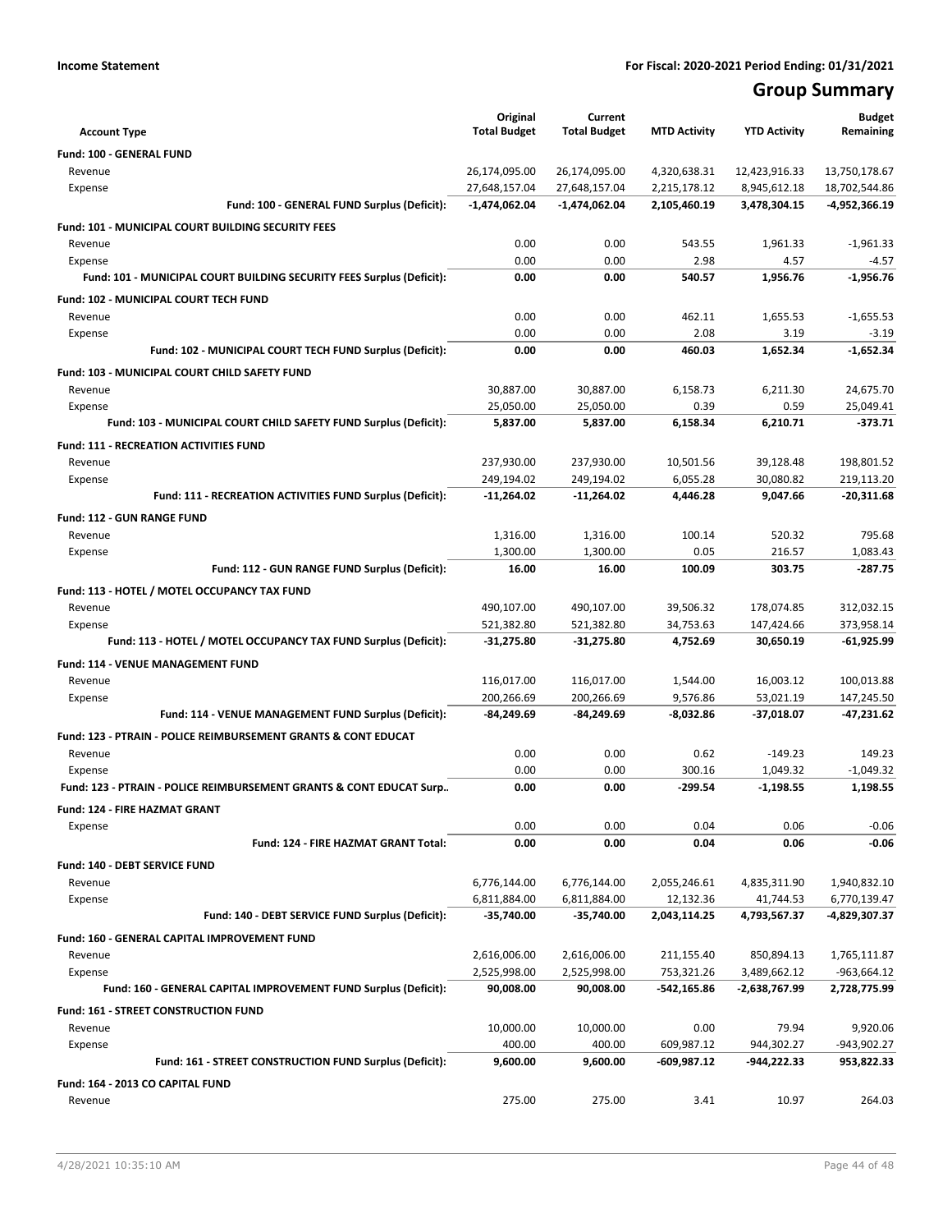## **Group Summary**

| <b>Account Type</b>                                                       | Original<br><b>Total Budget</b> | Current<br><b>Total Budget</b> | <b>MTD Activity</b> | <b>YTD Activity</b> | <b>Budget</b><br>Remaining |
|---------------------------------------------------------------------------|---------------------------------|--------------------------------|---------------------|---------------------|----------------------------|
| Fund: 100 - GENERAL FUND                                                  |                                 |                                |                     |                     |                            |
| Revenue                                                                   | 26,174,095.00                   | 26,174,095.00                  | 4,320,638.31        | 12,423,916.33       | 13,750,178.67              |
| Expense                                                                   | 27,648,157.04                   | 27,648,157.04                  | 2,215,178.12        | 8,945,612.18        | 18,702,544.86              |
| Fund: 100 - GENERAL FUND Surplus (Deficit):                               | $-1,474,062.04$                 | $-1,474,062.04$                | 2,105,460.19        | 3,478,304.15        | -4,952,366.19              |
| Fund: 101 - MUNICIPAL COURT BUILDING SECURITY FEES                        |                                 |                                |                     |                     |                            |
| Revenue                                                                   | 0.00                            | 0.00                           | 543.55              | 1,961.33            | $-1,961.33$                |
| Expense                                                                   | 0.00                            | 0.00                           | 2.98                | 4.57                | -4.57                      |
| Fund: 101 - MUNICIPAL COURT BUILDING SECURITY FEES Surplus (Deficit):     | 0.00                            | 0.00                           | 540.57              | 1,956.76            | $-1,956.76$                |
| Fund: 102 - MUNICIPAL COURT TECH FUND                                     |                                 |                                |                     |                     |                            |
| Revenue                                                                   | 0.00                            | 0.00                           | 462.11              | 1,655.53            | $-1.655.53$                |
| Expense                                                                   | 0.00                            | 0.00                           | 2.08                | 3.19                | $-3.19$                    |
| Fund: 102 - MUNICIPAL COURT TECH FUND Surplus (Deficit):                  | 0.00                            | 0.00                           | 460.03              | 1,652.34            | $-1,652.34$                |
| Fund: 103 - MUNICIPAL COURT CHILD SAFETY FUND                             |                                 |                                |                     |                     |                            |
| Revenue                                                                   | 30,887.00                       | 30,887.00                      | 6,158.73            | 6,211.30            | 24,675.70                  |
| Expense                                                                   | 25,050.00                       | 25,050.00                      | 0.39                | 0.59                | 25,049.41                  |
| Fund: 103 - MUNICIPAL COURT CHILD SAFETY FUND Surplus (Deficit):          | 5,837.00                        | 5,837.00                       | 6,158.34            | 6,210.71            | $-373.71$                  |
| <b>Fund: 111 - RECREATION ACTIVITIES FUND</b>                             |                                 |                                |                     |                     |                            |
| Revenue                                                                   | 237,930.00                      | 237,930.00                     | 10,501.56           | 39,128.48           | 198,801.52                 |
| Expense                                                                   | 249,194.02                      | 249,194.02                     | 6,055.28            | 30,080.82           | 219,113.20                 |
| Fund: 111 - RECREATION ACTIVITIES FUND Surplus (Deficit):                 | $-11,264.02$                    | $-11,264.02$                   | 4,446.28            | 9,047.66            | $-20,311.68$               |
| <b>Fund: 112 - GUN RANGE FUND</b>                                         |                                 |                                |                     |                     |                            |
| Revenue                                                                   | 1,316.00                        | 1,316.00                       | 100.14              | 520.32              | 795.68                     |
| Expense                                                                   | 1,300.00                        | 1,300.00                       | 0.05                | 216.57              | 1,083.43                   |
| Fund: 112 - GUN RANGE FUND Surplus (Deficit):                             | 16.00                           | 16.00                          | 100.09              | 303.75              | $-287.75$                  |
| Fund: 113 - HOTEL / MOTEL OCCUPANCY TAX FUND                              |                                 |                                |                     |                     |                            |
| Revenue                                                                   | 490,107.00                      | 490,107.00                     | 39,506.32           | 178,074.85          | 312,032.15                 |
| Expense                                                                   | 521,382.80                      | 521,382.80                     | 34,753.63           | 147,424.66          | 373,958.14                 |
| Fund: 113 - HOTEL / MOTEL OCCUPANCY TAX FUND Surplus (Deficit):           | -31,275.80                      | -31,275.80                     | 4,752.69            | 30,650.19           | -61,925.99                 |
| Fund: 114 - VENUE MANAGEMENT FUND                                         |                                 |                                |                     |                     |                            |
| Revenue                                                                   | 116,017.00                      | 116,017.00                     | 1,544.00            | 16,003.12           | 100,013.88                 |
| Expense                                                                   | 200,266.69                      | 200,266.69                     | 9,576.86            | 53,021.19           | 147,245.50                 |
| Fund: 114 - VENUE MANAGEMENT FUND Surplus (Deficit):                      | -84,249.69                      | $-84,249.69$                   | -8,032.86           | -37,018.07          | -47,231.62                 |
| <b>Fund: 123 - PTRAIN - POLICE REIMBURSEMENT GRANTS &amp; CONT EDUCAT</b> |                                 |                                |                     |                     |                            |
| Revenue                                                                   | 0.00                            | 0.00                           | 0.62                | $-149.23$           | 149.23                     |
| Expense                                                                   | 0.00                            | 0.00                           | 300.16              | 1,049.32            | $-1,049.32$                |
| Fund: 123 - PTRAIN - POLICE REIMBURSEMENT GRANTS & CONT EDUCAT Surp       | 0.00                            | 0.00                           | $-299.54$           | $-1,198.55$         | 1,198.55                   |
| Fund: 124 - FIRE HAZMAT GRANT                                             |                                 |                                |                     |                     |                            |
| Expense                                                                   | 0.00                            | 0.00                           | 0.04                | 0.06                | $-0.06$                    |
| Fund: 124 - FIRE HAZMAT GRANT Total:                                      | 0.00                            | 0.00                           | 0.04                | 0.06                | $-0.06$                    |
| Fund: 140 - DEBT SERVICE FUND                                             |                                 |                                |                     |                     |                            |
| Revenue                                                                   | 6,776,144.00                    | 6,776,144.00                   | 2,055,246.61        | 4,835,311.90        | 1,940,832.10               |
| Expense                                                                   | 6,811,884.00                    | 6,811,884.00                   | 12,132.36           | 41,744.53           | 6,770,139.47               |
| Fund: 140 - DEBT SERVICE FUND Surplus (Deficit):                          | -35,740.00                      | $-35,740.00$                   | 2,043,114.25        | 4,793,567.37        | -4,829,307.37              |
| Fund: 160 - GENERAL CAPITAL IMPROVEMENT FUND                              |                                 |                                |                     |                     |                            |
| Revenue                                                                   | 2,616,006.00                    | 2,616,006.00                   | 211,155.40          | 850,894.13          | 1,765,111.87               |
| Expense                                                                   | 2,525,998.00                    | 2,525,998.00                   | 753,321.26          | 3,489,662.12        | $-963,664.12$              |
| Fund: 160 - GENERAL CAPITAL IMPROVEMENT FUND Surplus (Deficit):           | 90,008.00                       | 90,008.00                      | -542,165.86         | -2,638,767.99       | 2,728,775.99               |
| Fund: 161 - STREET CONSTRUCTION FUND                                      |                                 |                                |                     |                     |                            |
| Revenue                                                                   | 10,000.00                       | 10,000.00                      | 0.00                | 79.94               | 9,920.06                   |
| Expense                                                                   | 400.00                          | 400.00                         | 609,987.12          | 944,302.27          | -943,902.27                |
| Fund: 161 - STREET CONSTRUCTION FUND Surplus (Deficit):                   | 9,600.00                        | 9,600.00                       | -609,987.12         | -944,222.33         | 953,822.33                 |
| Fund: 164 - 2013 CO CAPITAL FUND                                          |                                 |                                |                     |                     |                            |
| Revenue                                                                   | 275.00                          | 275.00                         | 3.41                | 10.97               | 264.03                     |
|                                                                           |                                 |                                |                     |                     |                            |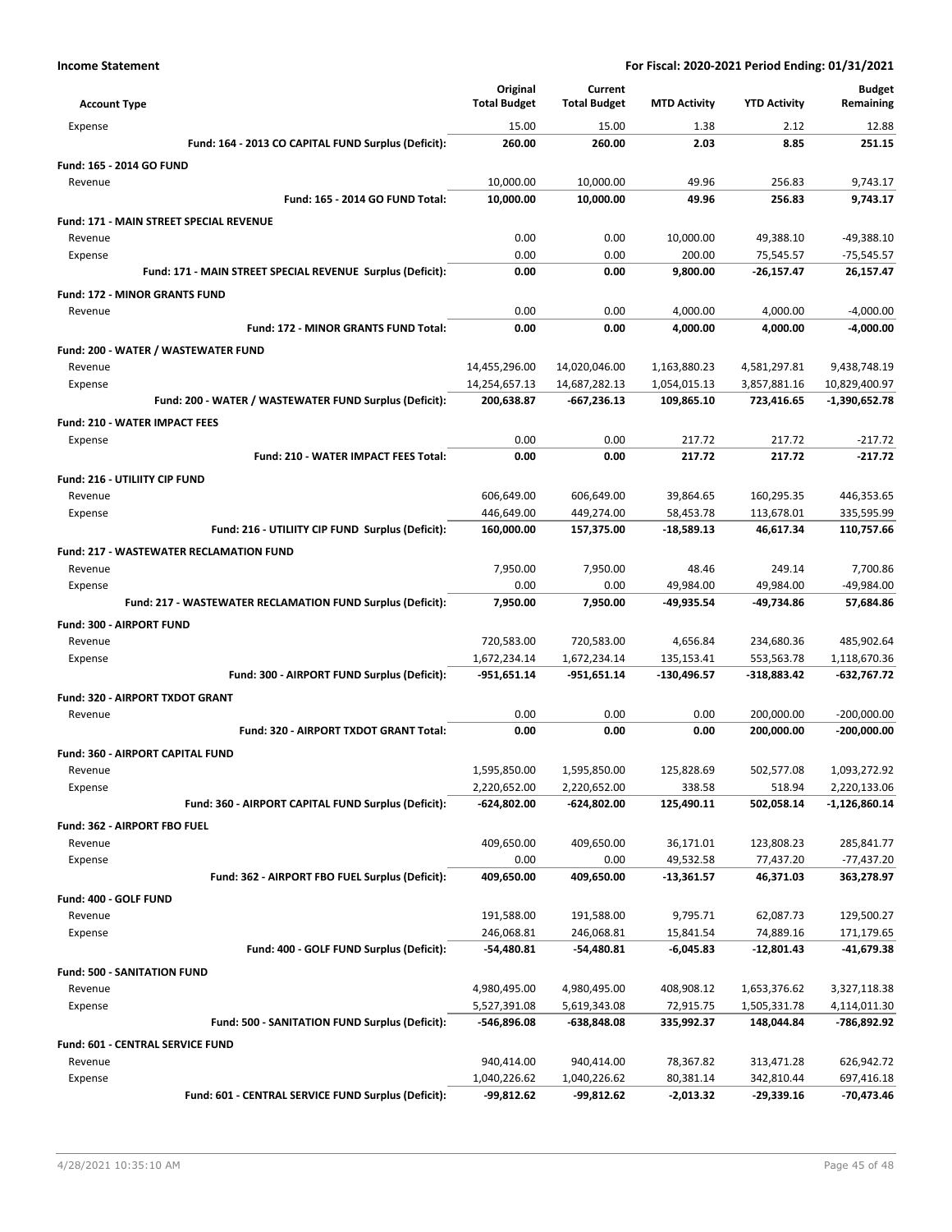| <b>Account Type</b>                                         | Original<br><b>Total Budget</b> | Current<br><b>Total Budget</b> | <b>MTD Activity</b>       | <b>YTD Activity</b>      | <b>Budget</b><br>Remaining |
|-------------------------------------------------------------|---------------------------------|--------------------------------|---------------------------|--------------------------|----------------------------|
| Expense                                                     | 15.00                           | 15.00                          | 1.38                      | 2.12                     | 12.88                      |
| Fund: 164 - 2013 CO CAPITAL FUND Surplus (Deficit):         | 260.00                          | 260.00                         | 2.03                      | 8.85                     | 251.15                     |
| Fund: 165 - 2014 GO FUND                                    |                                 |                                |                           |                          |                            |
| Revenue                                                     | 10,000.00                       | 10,000.00                      | 49.96                     | 256.83                   | 9,743.17                   |
| Fund: 165 - 2014 GO FUND Total:                             | 10,000.00                       | 10,000.00                      | 49.96                     | 256.83                   | 9,743.17                   |
| Fund: 171 - MAIN STREET SPECIAL REVENUE                     |                                 |                                |                           |                          |                            |
| Revenue                                                     | 0.00                            | 0.00                           | 10,000.00                 | 49,388.10                | $-49,388.10$               |
| Expense                                                     | 0.00                            | 0.00                           | 200.00                    | 75,545.57                | -75,545.57                 |
| Fund: 171 - MAIN STREET SPECIAL REVENUE Surplus (Deficit):  | 0.00                            | 0.00                           | 9,800.00                  | -26,157.47               | 26,157.47                  |
| Fund: 172 - MINOR GRANTS FUND                               |                                 |                                |                           |                          |                            |
| Revenue                                                     | 0.00                            | 0.00                           | 4,000.00                  | 4,000.00                 | $-4,000.00$                |
| <b>Fund: 172 - MINOR GRANTS FUND Total:</b>                 | 0.00                            | 0.00                           | 4,000.00                  | 4,000.00                 | -4,000.00                  |
| Fund: 200 - WATER / WASTEWATER FUND                         |                                 |                                |                           |                          |                            |
| Revenue                                                     | 14,455,296.00                   | 14,020,046.00                  | 1,163,880.23              | 4,581,297.81             | 9,438,748.19               |
| Expense                                                     | 14,254,657.13                   | 14,687,282.13                  | 1,054,015.13              | 3,857,881.16             | 10,829,400.97              |
| Fund: 200 - WATER / WASTEWATER FUND Surplus (Deficit):      | 200,638.87                      | $-667,236.13$                  | 109,865.10                | 723,416.65               | -1,390,652.78              |
| <b>Fund: 210 - WATER IMPACT FEES</b>                        |                                 |                                |                           |                          |                            |
| Expense                                                     | 0.00                            | 0.00                           | 217.72                    | 217.72                   | $-217.72$                  |
| Fund: 210 - WATER IMPACT FEES Total:                        | 0.00                            | 0.00                           | 217.72                    | 217.72                   | $-217.72$                  |
| Fund: 216 - UTILIITY CIP FUND                               |                                 |                                |                           |                          |                            |
| Revenue                                                     | 606,649.00                      | 606,649.00                     | 39,864.65                 | 160,295.35               | 446,353.65                 |
| Expense<br>Fund: 216 - UTILIITY CIP FUND Surplus (Deficit): | 446,649.00<br>160,000.00        | 449,274.00<br>157,375.00       | 58,453.78<br>$-18,589.13$ | 113,678.01<br>46,617.34  | 335,595.99<br>110,757.66   |
|                                                             |                                 |                                |                           |                          |                            |
| <b>Fund: 217 - WASTEWATER RECLAMATION FUND</b>              | 7,950.00                        | 7,950.00                       | 48.46                     | 249.14                   | 7,700.86                   |
| Revenue<br>Expense                                          | 0.00                            | 0.00                           | 49,984.00                 | 49,984.00                | -49,984.00                 |
| Fund: 217 - WASTEWATER RECLAMATION FUND Surplus (Deficit):  | 7,950.00                        | 7,950.00                       | -49,935.54                | -49,734.86               | 57,684.86                  |
| Fund: 300 - AIRPORT FUND                                    |                                 |                                |                           |                          |                            |
| Revenue                                                     | 720,583.00                      | 720,583.00                     | 4,656.84                  | 234,680.36               | 485,902.64                 |
| Expense                                                     | 1,672,234.14                    | 1,672,234.14                   | 135,153.41                | 553,563.78               | 1,118,670.36               |
| Fund: 300 - AIRPORT FUND Surplus (Deficit):                 | -951,651.14                     | -951,651.14                    | -130,496.57               | -318,883.42              | -632,767.72                |
| Fund: 320 - AIRPORT TXDOT GRANT                             |                                 |                                |                           |                          |                            |
| Revenue                                                     | 0.00                            | 0.00                           | 0.00                      | 200,000.00               | $-200,000.00$              |
| Fund: 320 - AIRPORT TXDOT GRANT Total:                      | 0.00                            | 0.00                           | 0.00                      | 200,000.00               | -200,000.00                |
| Fund: 360 - AIRPORT CAPITAL FUND                            |                                 |                                |                           |                          |                            |
| Revenue                                                     | 1,595,850.00                    | 1,595,850.00                   | 125,828.69                | 502,577.08               | 1,093,272.92               |
| Expense                                                     | 2,220,652.00                    | 2,220,652.00                   | 338.58                    | 518.94                   | 2,220,133.06               |
| Fund: 360 - AIRPORT CAPITAL FUND Surplus (Deficit):         | $-624,802.00$                   | $-624,802.00$                  | 125,490.11                | 502,058.14               | $-1,126,860.14$            |
| Fund: 362 - AIRPORT FBO FUEL                                |                                 |                                |                           |                          |                            |
| Revenue                                                     | 409,650.00                      | 409,650.00                     | 36,171.01                 | 123,808.23               | 285,841.77                 |
| Expense                                                     | 0.00                            | 0.00                           | 49,532.58                 | 77,437.20                | -77,437.20                 |
| Fund: 362 - AIRPORT FBO FUEL Surplus (Deficit):             | 409,650.00                      | 409,650.00                     | $-13,361.57$              | 46,371.03                | 363,278.97                 |
| Fund: 400 - GOLF FUND                                       |                                 |                                |                           |                          |                            |
| Revenue                                                     | 191,588.00                      | 191,588.00                     | 9,795.71                  | 62,087.73                | 129,500.27                 |
| Expense                                                     | 246,068.81                      | 246,068.81                     | 15,841.54                 | 74,889.16                | 171,179.65                 |
| Fund: 400 - GOLF FUND Surplus (Deficit):                    | -54,480.81                      | -54,480.81                     | $-6,045.83$               | $-12,801.43$             | -41,679.38                 |
| Fund: 500 - SANITATION FUND                                 |                                 |                                |                           |                          |                            |
| Revenue                                                     | 4,980,495.00                    | 4,980,495.00                   | 408,908.12                | 1,653,376.62             | 3,327,118.38               |
| Expense                                                     | 5,527,391.08                    | 5,619,343.08                   | 72,915.75                 | 1,505,331.78             | 4,114,011.30               |
| Fund: 500 - SANITATION FUND Surplus (Deficit):              | -546,896.08                     | -638,848.08                    | 335,992.37                | 148,044.84               | -786,892.92                |
| Fund: 601 - CENTRAL SERVICE FUND                            |                                 |                                |                           |                          |                            |
| Revenue<br>Expense                                          | 940,414.00<br>1,040,226.62      | 940,414.00<br>1,040,226.62     | 78,367.82<br>80,381.14    | 313,471.28<br>342,810.44 | 626,942.72<br>697,416.18   |
| Fund: 601 - CENTRAL SERVICE FUND Surplus (Deficit):         | -99,812.62                      | -99,812.62                     | $-2,013.32$               | $-29,339.16$             | -70,473.46                 |
|                                                             |                                 |                                |                           |                          |                            |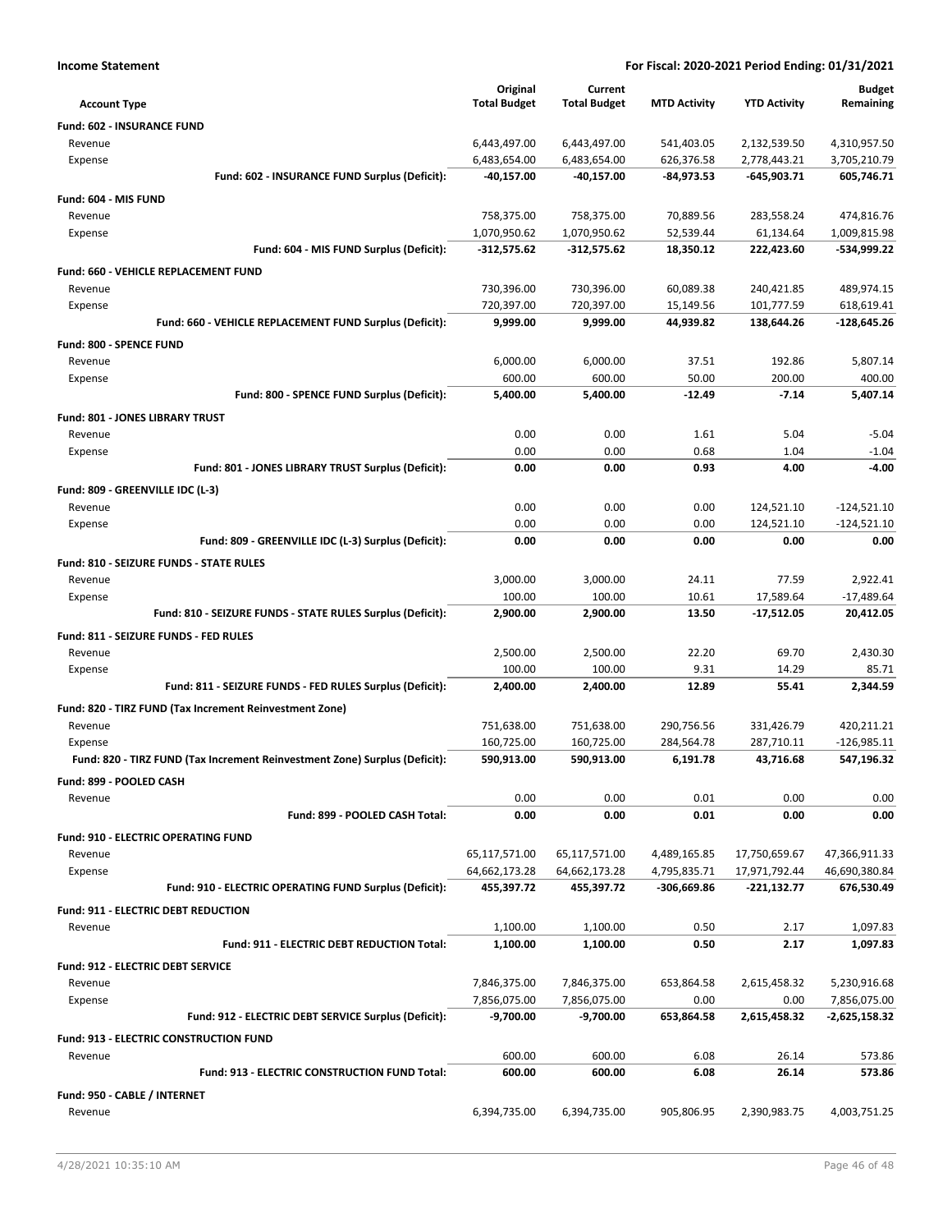| <b>Income Statement</b>                                                    | For Fiscal: 2020-2021 Period Ending: 01/31/2021 |                          |                        |                         |                             |
|----------------------------------------------------------------------------|-------------------------------------------------|--------------------------|------------------------|-------------------------|-----------------------------|
|                                                                            | Original                                        | Current                  |                        |                         | <b>Budget</b>               |
| <b>Account Type</b>                                                        | <b>Total Budget</b>                             | <b>Total Budget</b>      | <b>MTD Activity</b>    | <b>YTD Activity</b>     | Remaining                   |
| Fund: 602 - INSURANCE FUND                                                 |                                                 |                          |                        |                         |                             |
| Revenue                                                                    | 6,443,497.00                                    | 6,443,497.00             | 541,403.05             | 2,132,539.50            | 4,310,957.50                |
| Expense                                                                    | 6,483,654.00                                    | 6,483,654.00             | 626,376.58             | 2,778,443.21            | 3,705,210.79                |
| Fund: 602 - INSURANCE FUND Surplus (Deficit):                              | -40,157.00                                      | -40,157.00               | -84,973.53             | $-645,903.71$           | 605,746.71                  |
| Fund: 604 - MIS FUND                                                       |                                                 |                          |                        |                         |                             |
| Revenue                                                                    | 758,375.00                                      | 758,375.00               | 70,889.56              | 283,558.24              | 474,816.76                  |
| Expense                                                                    | 1,070,950.62                                    | 1,070,950.62             | 52,539.44              | 61,134.64               | 1,009,815.98                |
| Fund: 604 - MIS FUND Surplus (Deficit):                                    | $-312,575.62$                                   | -312,575.62              | 18,350.12              | 222,423.60              | -534,999.22                 |
| Fund: 660 - VEHICLE REPLACEMENT FUND                                       |                                                 |                          |                        |                         |                             |
| Revenue                                                                    | 730,396.00                                      | 730,396.00               | 60,089.38              | 240,421.85              | 489,974.15                  |
| Expense                                                                    | 720,397.00                                      | 720,397.00               | 15,149.56              | 101,777.59              | 618,619.41                  |
| Fund: 660 - VEHICLE REPLACEMENT FUND Surplus (Deficit):                    | 9,999.00                                        | 9,999.00                 | 44,939.82              | 138,644.26              | -128,645.26                 |
| Fund: 800 - SPENCE FUND                                                    |                                                 |                          |                        |                         |                             |
| Revenue                                                                    | 6,000.00                                        | 6,000.00                 | 37.51                  | 192.86                  | 5,807.14                    |
| Expense                                                                    | 600.00                                          | 600.00                   | 50.00                  | 200.00                  | 400.00                      |
| Fund: 800 - SPENCE FUND Surplus (Deficit):                                 | 5,400.00                                        | 5,400.00                 | $-12.49$               | $-7.14$                 | 5,407.14                    |
| Fund: 801 - JONES LIBRARY TRUST                                            |                                                 |                          |                        |                         |                             |
| Revenue                                                                    | 0.00                                            | 0.00                     | 1.61                   | 5.04                    | $-5.04$                     |
| Expense                                                                    | 0.00                                            | 0.00                     | 0.68                   | 1.04                    | $-1.04$                     |
| Fund: 801 - JONES LIBRARY TRUST Surplus (Deficit):                         | 0.00                                            | 0.00                     | 0.93                   | 4.00                    | $-4.00$                     |
| Fund: 809 - GREENVILLE IDC (L-3)                                           |                                                 |                          |                        |                         |                             |
| Revenue                                                                    | 0.00                                            | 0.00                     | 0.00                   | 124,521.10              | $-124,521.10$               |
| Expense                                                                    | 0.00                                            | 0.00                     | 0.00                   | 124,521.10              | $-124,521.10$               |
| Fund: 809 - GREENVILLE IDC (L-3) Surplus (Deficit):                        | 0.00                                            | 0.00                     | 0.00                   | 0.00                    | 0.00                        |
|                                                                            |                                                 |                          |                        |                         |                             |
| Fund: 810 - SEIZURE FUNDS - STATE RULES                                    |                                                 |                          | 24.11                  | 77.59                   |                             |
| Revenue                                                                    | 3,000.00<br>100.00                              | 3,000.00<br>100.00       | 10.61                  | 17,589.64               | 2,922.41<br>$-17,489.64$    |
| Expense<br>Fund: 810 - SEIZURE FUNDS - STATE RULES Surplus (Deficit):      | 2,900.00                                        | 2,900.00                 | 13.50                  | $-17,512.05$            | 20,412.05                   |
|                                                                            |                                                 |                          |                        |                         |                             |
| Fund: 811 - SEIZURE FUNDS - FED RULES                                      |                                                 |                          |                        |                         |                             |
| Revenue                                                                    | 2,500.00                                        | 2,500.00                 | 22.20                  | 69.70                   | 2,430.30                    |
| Expense<br>Fund: 811 - SEIZURE FUNDS - FED RULES Surplus (Deficit):        | 100.00<br>2,400.00                              | 100.00<br>2,400.00       | 9.31<br>12.89          | 14.29<br>55.41          | 85.71<br>2,344.59           |
|                                                                            |                                                 |                          |                        |                         |                             |
| Fund: 820 - TIRZ FUND (Tax Increment Reinvestment Zone)                    |                                                 |                          |                        |                         |                             |
| Revenue                                                                    | 751,638.00                                      | 751,638.00               | 290,756.56             | 331,426.79              | 420,211.21                  |
| Expense                                                                    | 160,725.00<br>590,913.00                        | 160,725.00<br>590,913.00 | 284,564.78<br>6,191.78 | 287,710.11<br>43,716.68 | $-126,985.11$<br>547,196.32 |
| Fund: 820 - TIRZ FUND (Tax Increment Reinvestment Zone) Surplus (Deficit): |                                                 |                          |                        |                         |                             |
| Fund: 899 - POOLED CASH                                                    |                                                 |                          |                        |                         |                             |
| Revenue                                                                    | 0.00                                            | 0.00                     | 0.01                   | 0.00                    | 0.00                        |
| Fund: 899 - POOLED CASH Total:                                             | 0.00                                            | 0.00                     | 0.01                   | 0.00                    | 0.00                        |
| Fund: 910 - ELECTRIC OPERATING FUND                                        |                                                 |                          |                        |                         |                             |
| Revenue                                                                    | 65,117,571.00                                   | 65,117,571.00            | 4,489,165.85           | 17,750,659.67           | 47,366,911.33               |
| Expense                                                                    | 64,662,173.28                                   | 64,662,173.28            | 4,795,835.71           | 17,971,792.44           | 46,690,380.84               |
| Fund: 910 - ELECTRIC OPERATING FUND Surplus (Deficit):                     | 455,397.72                                      | 455,397.72               | -306,669.86            | -221,132.77             | 676,530.49                  |
| <b>Fund: 911 - ELECTRIC DEBT REDUCTION</b>                                 |                                                 |                          |                        |                         |                             |
| Revenue                                                                    | 1,100.00                                        | 1,100.00                 | 0.50                   | 2.17                    | 1,097.83                    |
| Fund: 911 - ELECTRIC DEBT REDUCTION Total:                                 | 1,100.00                                        | 1,100.00                 | 0.50                   | 2.17                    | 1,097.83                    |
| Fund: 912 - ELECTRIC DEBT SERVICE                                          |                                                 |                          |                        |                         |                             |
| Revenue                                                                    | 7,846,375.00                                    | 7,846,375.00             | 653,864.58             | 2,615,458.32            | 5,230,916.68                |
| Expense                                                                    | 7,856,075.00                                    | 7,856,075.00             | 0.00                   | 0.00                    | 7,856,075.00                |
| Fund: 912 - ELECTRIC DEBT SERVICE Surplus (Deficit):                       | $-9,700.00$                                     | $-9,700.00$              | 653,864.58             | 2,615,458.32            | -2,625,158.32               |
| Fund: 913 - ELECTRIC CONSTRUCTION FUND                                     |                                                 |                          |                        |                         |                             |
| Revenue                                                                    | 600.00                                          | 600.00                   | 6.08                   | 26.14                   | 573.86                      |
| Fund: 913 - ELECTRIC CONSTRUCTION FUND Total:                              | 600.00                                          | 600.00                   | 6.08                   | 26.14                   | 573.86                      |
| Fund: 950 - CABLE / INTERNET                                               |                                                 |                          |                        |                         |                             |
| Revenue                                                                    | 6,394,735.00                                    | 6,394,735.00             | 905,806.95             | 2,390,983.75            | 4,003,751.25                |
|                                                                            |                                                 |                          |                        |                         |                             |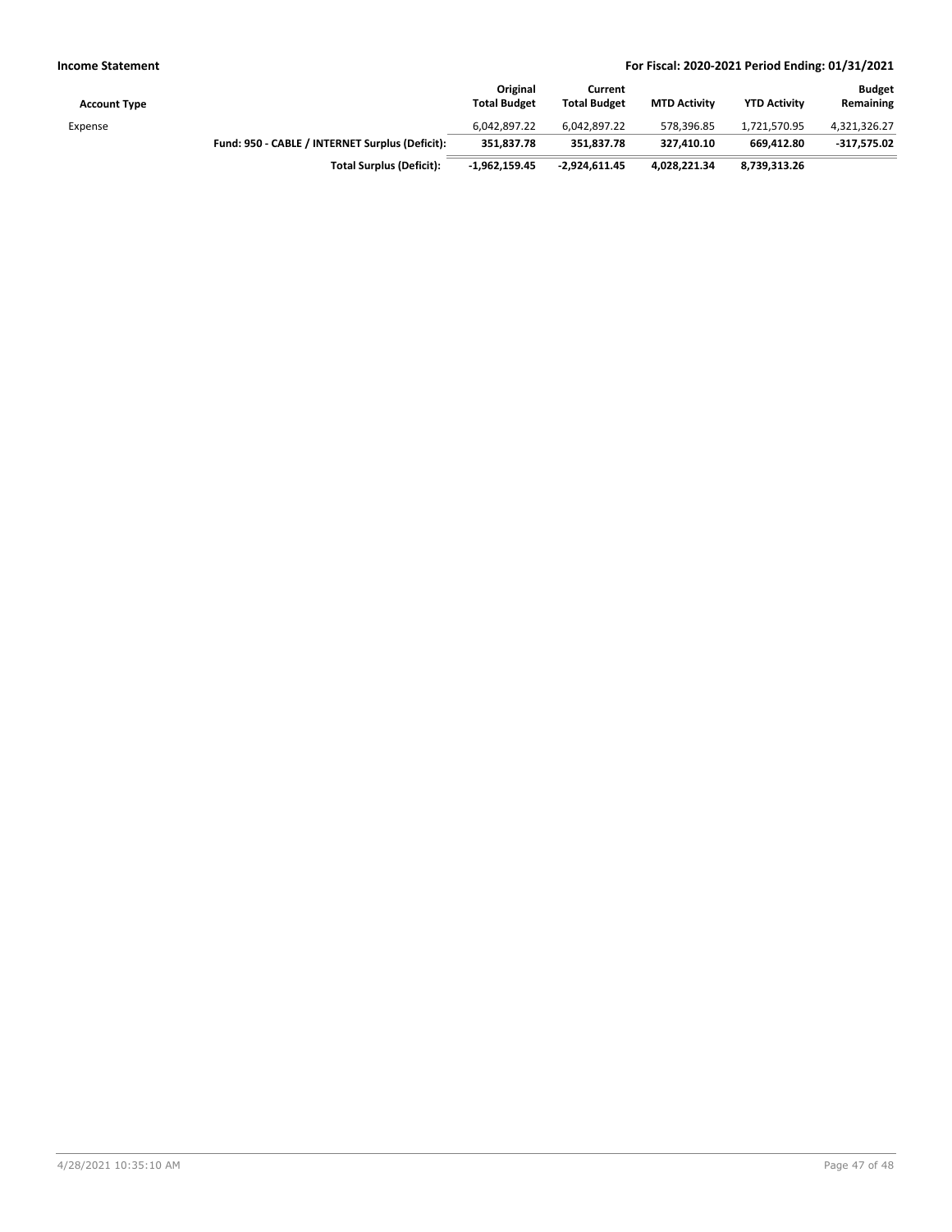| <b>Account Type</b> |                                                 | Original<br><b>Total Budget</b> | Current<br><b>Total Budget</b> | <b>MTD Activity</b> | <b>YTD Activity</b> | <b>Budget</b><br>Remaining |
|---------------------|-------------------------------------------------|---------------------------------|--------------------------------|---------------------|---------------------|----------------------------|
| Expense             |                                                 | 6.042.897.22                    | 6.042.897.22                   | 578.396.85          | 1,721,570.95        | 4,321,326.27               |
|                     | Fund: 950 - CABLE / INTERNET Surplus (Deficit): | 351.837.78                      | 351.837.78                     | 327.410.10          | 669.412.80          | $-317,575.02$              |
|                     | <b>Total Surplus (Deficit):</b>                 | $-1.962.159.45$                 | $-2.924.611.45$                | 4,028,221.34        | 8,739,313.26        |                            |